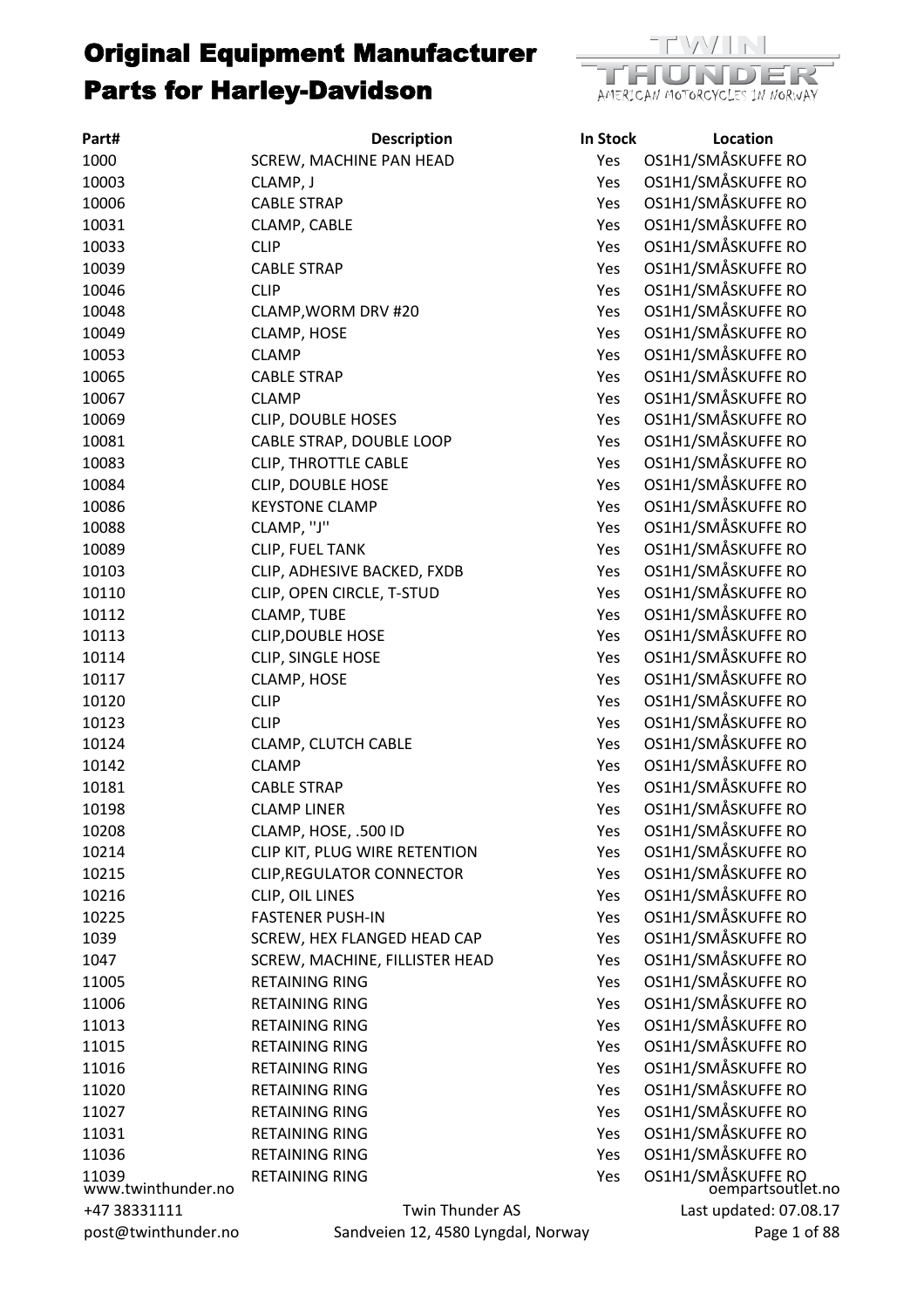| Part#                       | <b>Description</b>                 | In Stock | Location                            |
|-----------------------------|------------------------------------|----------|-------------------------------------|
| 1000                        | SCREW, MACHINE PAN HEAD            | Yes      | OS1H1/SMÅSKUFFE RO                  |
| 10003                       | CLAMP, J                           | Yes      | OS1H1/SMÅSKUFFE RO                  |
| 10006                       | <b>CABLE STRAP</b>                 | Yes      | OS1H1/SMÅSKUFFE RO                  |
| 10031                       | CLAMP, CABLE                       | Yes      | OS1H1/SMÅSKUFFE RO                  |
| 10033                       | <b>CLIP</b>                        | Yes      | OS1H1/SMÅSKUFFE RO                  |
| 10039                       | <b>CABLE STRAP</b>                 | Yes      | OS1H1/SMÅSKUFFE RO                  |
| 10046                       | <b>CLIP</b>                        | Yes      | OS1H1/SMÅSKUFFE RO                  |
| 10048                       | CLAMP, WORM DRV #20                | Yes      | OS1H1/SMÅSKUFFE RO                  |
| 10049                       | CLAMP, HOSE                        | Yes      | OS1H1/SMÅSKUFFE RO                  |
| 10053                       | <b>CLAMP</b>                       | Yes      | OS1H1/SMÅSKUFFE RO                  |
| 10065                       | <b>CABLE STRAP</b>                 | Yes      | OS1H1/SMÅSKUFFE RO                  |
| 10067                       | <b>CLAMP</b>                       | Yes      | OS1H1/SMÅSKUFFE RO                  |
| 10069                       | <b>CLIP, DOUBLE HOSES</b>          | Yes      | OS1H1/SMÅSKUFFE RO                  |
| 10081                       | CABLE STRAP, DOUBLE LOOP           | Yes      | OS1H1/SMÅSKUFFE RO                  |
| 10083                       | <b>CLIP, THROTTLE CABLE</b>        | Yes      | OS1H1/SMÅSKUFFE RO                  |
| 10084                       | <b>CLIP, DOUBLE HOSE</b>           | Yes      | OS1H1/SMÅSKUFFE RO                  |
| 10086                       | <b>KEYSTONE CLAMP</b>              | Yes      | OS1H1/SMÅSKUFFE RO                  |
| 10088                       | CLAMP, "J"                         | Yes      | OS1H1/SMÅSKUFFE RO                  |
| 10089                       | CLIP, FUEL TANK                    | Yes      | OS1H1/SMÅSKUFFE RO                  |
| 10103                       | CLIP, ADHESIVE BACKED, FXDB        | Yes      | OS1H1/SMÅSKUFFE RO                  |
| 10110                       | CLIP, OPEN CIRCLE, T-STUD          | Yes      | OS1H1/SMÅSKUFFE RO                  |
| 10112                       | <b>CLAMP, TUBE</b>                 | Yes      | OS1H1/SMÅSKUFFE RO                  |
| 10113                       | <b>CLIP, DOUBLE HOSE</b>           | Yes      | OS1H1/SMÅSKUFFE RO                  |
| 10114                       | CLIP, SINGLE HOSE                  | Yes      | OS1H1/SMÅSKUFFE RO                  |
| 10117                       | CLAMP, HOSE                        | Yes      | OS1H1/SMÅSKUFFE RO                  |
| 10120                       | <b>CLIP</b>                        | Yes      | OS1H1/SMÅSKUFFE RO                  |
| 10123                       | <b>CLIP</b>                        | Yes      | OS1H1/SMÅSKUFFE RO                  |
| 10124                       | <b>CLAMP, CLUTCH CABLE</b>         | Yes      | OS1H1/SMÅSKUFFE RO                  |
| 10142                       | <b>CLAMP</b>                       | Yes      | OS1H1/SMÅSKUFFE RO                  |
| 10181                       | <b>CABLE STRAP</b>                 | Yes      | OS1H1/SMÅSKUFFE RO                  |
| 10198                       | <b>CLAMP LINER</b>                 | Yes      | OS1H1/SMÅSKUFFE RO                  |
| 10208                       | CLAMP, HOSE, .500 ID               | Yes      | OS1H1/SMÅSKUFFE RO                  |
| 10214                       | CLIP KIT, PLUG WIRE RETENTION      | Yes      | OS1H1/SMÅSKUFFE RO                  |
| 10215                       | <b>CLIP, REGULATOR CONNECTOR</b>   | Yes      | OS1H1/SMÅSKUFFE RO                  |
| 10216                       | CLIP, OIL LINES                    | Yes      | OS1H1/SMÅSKUFFE RO                  |
| 10225                       | <b>FASTENER PUSH-IN</b>            | Yes      | OS1H1/SMÅSKUFFE RO                  |
| 1039                        | SCREW, HEX FLANGED HEAD CAP        | Yes      | OS1H1/SMÅSKUFFE RO                  |
| 1047                        | SCREW, MACHINE, FILLISTER HEAD     | Yes      | OS1H1/SMÅSKUFFE RO                  |
| 11005                       | <b>RETAINING RING</b>              | Yes      | OS1H1/SMÅSKUFFE RO                  |
| 11006                       | <b>RETAINING RING</b>              | Yes      | OS1H1/SMÅSKUFFE RO                  |
| 11013                       | <b>RETAINING RING</b>              | Yes      | OS1H1/SMÅSKUFFE RO                  |
| 11015                       | <b>RETAINING RING</b>              | Yes      | OS1H1/SMÅSKUFFE RO                  |
| 11016                       | <b>RETAINING RING</b>              | Yes      | OS1H1/SMÅSKUFFE RO                  |
| 11020                       | <b>RETAINING RING</b>              | Yes      | OS1H1/SMÅSKUFFE RO                  |
| 11027                       | <b>RETAINING RING</b>              | Yes      | OS1H1/SMÅSKUFFE RO                  |
| 11031                       | <b>RETAINING RING</b>              | Yes      | OS1H1/SMÅSKUFFE RO                  |
| 11036                       | <b>RETAINING RING</b>              | Yes      | OS1H1/SMÅSKUFFE RO                  |
| 11039<br>www.twinthunder.no | <b>RETAINING RING</b>              | Yes      | OS1H1/SMÅSKUFFE RO<br>oempartsoutle |
| +47 38331111                | Twin Thunder AS                    |          | Last updated: 07.0                  |
| post@twinthunder.no         | Sandveien 12, 4580 Lyngdal, Norway |          | Page 1                              |



| In Stock | Location                                |
|----------|-----------------------------------------|
| Yes      | OS1H1/SMÅSKUFFE RO                      |
| Yes      | OS1H1/SMÅSKUFFE RO                      |
| Yes      | OS1H1/SMÅSKUFFE RO                      |
| Yes      | OS1H1/SMÅSKUFFE RO                      |
| Yes      | OS1H1/SMÅSKUFFE RO                      |
| Yes      | OS1H1/SMÅSKUFFE RO                      |
| Yes      | OS1H1/SMÅSKUFFE RO                      |
| Yes      | OS1H1/SMÅSKUFFE RO                      |
| Yes      | OS1H1/SMÅSKUFFE RO                      |
| Yes      | OS1H1/SMÅSKUFFE RO                      |
| Yes      | OS1H1/SMÅSKUFFE RO                      |
| Yes      | OS1H1/SMÅSKUFFE RO                      |
| Yes      | OS1H1/SMÅSKUFFE RO                      |
| Yes      | OS1H1/SMÅSKUFFE RO                      |
| Yes      | OS1H1/SMÅSKUFFE RO                      |
| Yes      | OS1H1/SMÅSKUFFE RO                      |
| Yes      | OS1H1/SMÅSKUFFE RO                      |
| Yes      | OS1H1/SMÅSKUFFE RO                      |
| Yes      | OS1H1/SMÅSKUFFE RO                      |
| Yes      | OS1H1/SMÅSKUFFE RO                      |
| Yes      | OS1H1/SMÅSKUFFE RO                      |
| Yes      | OS1H1/SMÅSKUFFE RO                      |
| Yes      | OS1H1/SMÅSKUFFE RO                      |
| Yes      | OS1H1/SMÅSKUFFE RO                      |
| Yes      | OS1H1/SMÅSKUFFE RO                      |
| Yes      | OS1H1/SMÅSKUFFE RO                      |
| Yes      | OS1H1/SMÅSKUFFE RO                      |
| Yes      | OS1H1/SMÅSKUFFE RO                      |
| Yes      | OS1H1/SMÅSKUFFE RO                      |
| Yes      | OS1H1/SMÅSKUFFE RO                      |
| Yes      | OS1H1/SMÅSKUFFE RO                      |
| Yes      | OS1H1/SMÅSKUFFE RO                      |
| Yes      | OS1H1/SMÅSKUFFE RO                      |
| Yes      | OS1H1/SMÅSKUFFE RO                      |
| Yes      | OS1H1/SMÅSKUFFE RO                      |
| Yes      | OS1H1/SMÅSKUFFE RO                      |
| Yes      | OS1H1/SMÅSKUFFE RO                      |
| Yes      | OS1H1/SMÅSKUFFE RO                      |
| Yes      | OS1H1/SMÅSKUFFE RO                      |
| Yes      | OS1H1/SMÅSKUFFE RO                      |
| Yes      | OS1H1/SMÅSKUFFE RO                      |
| Yes      | OS1H1/SMÅSKUFFE RO                      |
| Yes      | OS1H1/SMÅSKUFFE RO                      |
| Yes      | OS1H1/SMÅSKUFFE RO                      |
| Yes      | OS1H1/SMÅSKUFFE RO                      |
| Yes      | OS1H1/SMÅSKUFFE RO                      |
| Yes      | OS1H1/SMÅSKUFFE RO                      |
| Yes      | OS1H1/SMÅSKUFFE RO<br>oempartsoutlet.no |
|          |                                         |
|          | Last updated: 07.08.17                  |
| ay       | Page 1 of 88                            |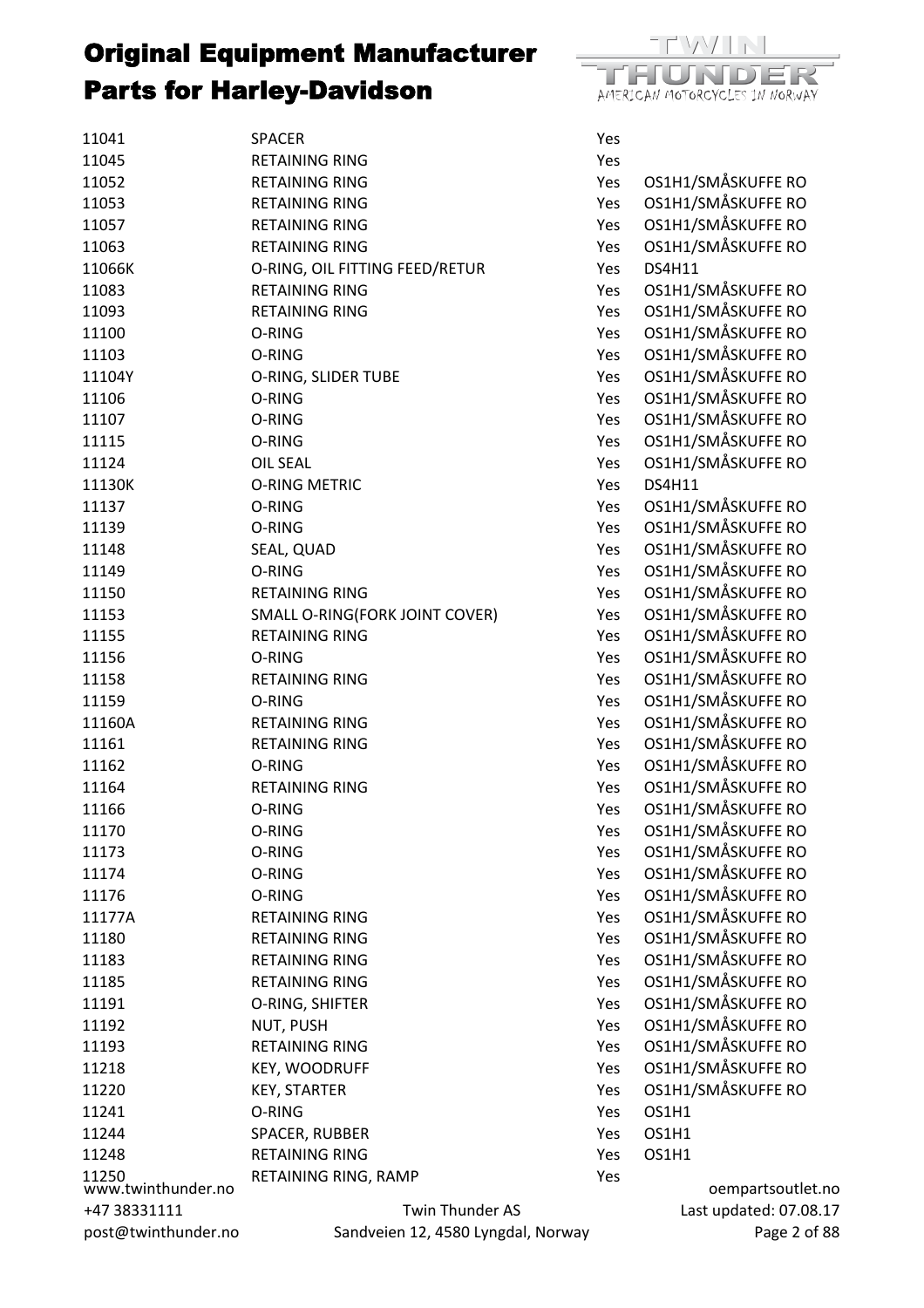

| 11041                       | <b>SPACER</b>                      | Yes        |                        |
|-----------------------------|------------------------------------|------------|------------------------|
| 11045                       | <b>RETAINING RING</b>              | Yes        |                        |
| 11052                       | <b>RETAINING RING</b>              | Yes        | OS1H1/SMÅSKUFFE RO     |
| 11053                       | <b>RETAINING RING</b>              | Yes        | OS1H1/SMÅSKUFFE RO     |
| 11057                       | <b>RETAINING RING</b>              | Yes        | OS1H1/SMÅSKUFFE RO     |
| 11063                       | <b>RETAINING RING</b>              | Yes        | OS1H1/SMÅSKUFFE RO     |
| 11066K                      | O-RING, OIL FITTING FEED/RETUR     | Yes        | DS4H11                 |
| 11083                       | <b>RETAINING RING</b>              | Yes        | OS1H1/SMÅSKUFFE RO     |
| 11093                       | <b>RETAINING RING</b>              | Yes        | OS1H1/SMÅSKUFFE RO     |
| 11100                       | O-RING                             | Yes        | OS1H1/SMÅSKUFFE RO     |
| 11103                       | O-RING                             | Yes        | OS1H1/SMÅSKUFFE RO     |
| 11104Y                      | O-RING, SLIDER TUBE                | Yes        | OS1H1/SMÅSKUFFE RO     |
| 11106                       | O-RING                             | Yes        | OS1H1/SMÅSKUFFE RO     |
| 11107                       | O-RING                             | Yes        | OS1H1/SMÅSKUFFE RO     |
| 11115                       | O-RING                             | Yes        | OS1H1/SMÅSKUFFE RO     |
| 11124                       | <b>OIL SEAL</b>                    | Yes        | OS1H1/SMÅSKUFFE RO     |
| 11130K                      | <b>O-RING METRIC</b>               | Yes        | <b>DS4H11</b>          |
| 11137                       | O-RING                             | Yes        | OS1H1/SMÅSKUFFE RO     |
| 11139                       | O-RING                             | Yes        | OS1H1/SMÅSKUFFE RO     |
| 11148                       | SEAL, QUAD                         | Yes        | OS1H1/SMÅSKUFFE RO     |
| 11149                       | O-RING                             | Yes        | OS1H1/SMÅSKUFFE RO     |
| 11150                       | <b>RETAINING RING</b>              | Yes        | OS1H1/SMÅSKUFFE RO     |
| 11153                       | SMALL O-RING(FORK JOINT COVER)     | Yes        | OS1H1/SMÅSKUFFE RO     |
| 11155                       | <b>RETAINING RING</b>              | Yes        | OS1H1/SMÅSKUFFE RO     |
| 11156                       | O-RING                             | Yes        | OS1H1/SMÅSKUFFE RO     |
| 11158                       | <b>RETAINING RING</b>              | Yes        | OS1H1/SMÅSKUFFE RO     |
| 11159                       | O-RING                             | Yes        | OS1H1/SMÅSKUFFE RO     |
| 11160A                      | <b>RETAINING RING</b>              | Yes        | OS1H1/SMÅSKUFFE RO     |
| 11161                       | <b>RETAINING RING</b>              | Yes        | OS1H1/SMÅSKUFFE RO     |
|                             |                                    |            | OS1H1/SMÅSKUFFE RO     |
| 11162                       | O-RING                             | Yes        |                        |
| 11164                       | <b>RETAINING RING</b>              | Yes        | OS1H1/SMÅSKUFFE RO     |
| 11166                       | O-RING                             | Yes        | OS1H1/SMÅSKUFFE RO     |
| 11170                       | O-RING                             | Yes        | OS1H1/SMÅSKUFFE RO     |
| 11173                       | O-RING                             | Yes        | OS1H1/SMÅSKUFFE RO     |
| 11174                       | O-RING                             | Yes        | OS1H1/SMÅSKUFFE RO     |
| 11176                       | O-RING                             | Yes        | OS1H1/SMÅSKUFFE RO     |
| 11177A                      | <b>RETAINING RING</b>              | Yes        | OS1H1/SMÅSKUFFE RO     |
| 11180                       | <b>RETAINING RING</b>              | Yes        | OS1H1/SMÅSKUFFE RO     |
| 11183                       | <b>RETAINING RING</b>              | Yes        | OS1H1/SMÅSKUFFE RO     |
| 11185                       | <b>RETAINING RING</b>              | Yes        | OS1H1/SMÅSKUFFE RO     |
| 11191                       | O-RING, SHIFTER                    | <b>Yes</b> | OS1H1/SMÅSKUFFE RO     |
| 11192                       | NUT, PUSH                          | Yes        | OS1H1/SMÅSKUFFE RO     |
| 11193                       | <b>RETAINING RING</b>              | Yes        | OS1H1/SMÅSKUFFE RO     |
| 11218                       | <b>KEY, WOODRUFF</b>               | Yes        | OS1H1/SMÅSKUFFE RO     |
| 11220                       | <b>KEY, STARTER</b>                | Yes        | OS1H1/SMÅSKUFFE RO     |
| 11241                       | O-RING                             | Yes        | OS1H1                  |
| 11244                       | SPACER, RUBBER                     | Yes        | OS1H1                  |
| 11248                       | <b>RETAINING RING</b>              | Yes        | OS1H1                  |
| 11250<br>www.twinthunder.no | RETAINING RING, RAMP               | Yes        | oempartsoutlet.no      |
| +47 38331111                | Twin Thunder AS                    |            | Last updated: 07.08.17 |
| post@twinthunder.no         | Sandveien 12, 4580 Lyngdal, Norway |            | Page 2 of 88           |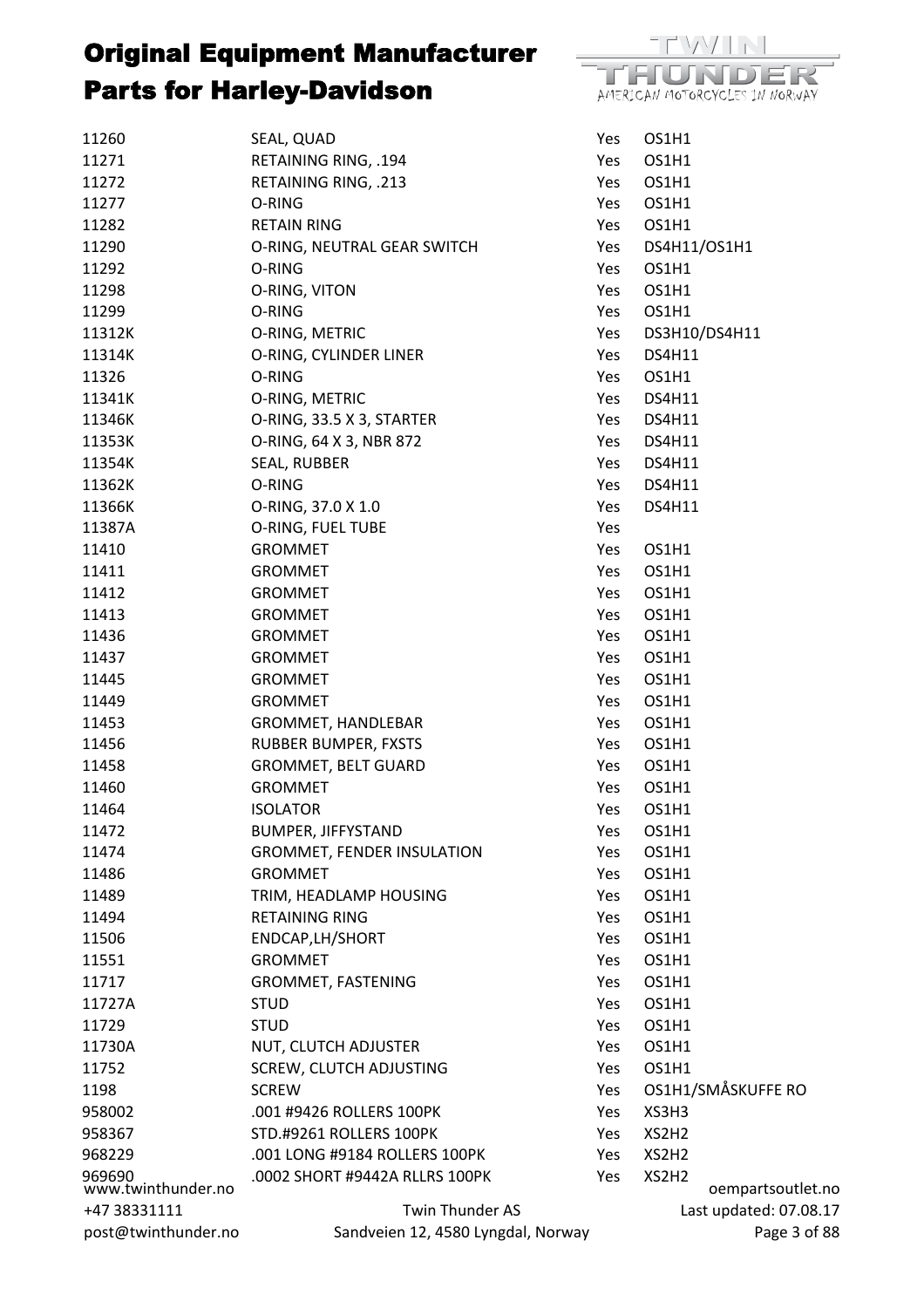

| post@twinthunder.no | Sandveien 12, 4580 Lyngdal, Norway                              |            |                | Page 3 of 88           |
|---------------------|-----------------------------------------------------------------|------------|----------------|------------------------|
| +47 38331111        | Twin Thunder AS                                                 |            |                | Last updated: 07.08.17 |
| www.twinthunder.no  |                                                                 |            |                | oempartsoutlet.no      |
| 968229<br>969690    | .001 LONG #9184 ROLLERS 100PK<br>.0002 SHORT #9442A RLLRS 100PK | Yes<br>Yes | XS2H2<br>XS2H2 |                        |
| 958367              | STD.#9261 ROLLERS 100PK                                         | Yes        | XS2H2          |                        |
| 958002              | .001 #9426 ROLLERS 100PK                                        | Yes        | XS3H3          |                        |
| 1198                | <b>SCREW</b>                                                    | Yes        |                | OS1H1/SMÅSKUFFE RO     |
| 11752               | <b>SCREW, CLUTCH ADJUSTING</b>                                  | Yes        | OS1H1          |                        |
| 11730A              | NUT, CLUTCH ADJUSTER                                            | Yes        | OS1H1          |                        |
| 11729               | <b>STUD</b>                                                     | Yes        | OS1H1          |                        |
| 11727A              | <b>STUD</b>                                                     | Yes        | OS1H1          |                        |
| 11717               | GROMMET, FASTENING                                              | Yes        | OS1H1          |                        |
| 11551               | <b>GROMMET</b>                                                  | Yes        | OS1H1          |                        |
| 11506               | ENDCAP, LH/SHORT                                                | Yes        | OS1H1          |                        |
| 11494               | <b>RETAINING RING</b>                                           | Yes        | OS1H1          |                        |
| 11489               | TRIM, HEADLAMP HOUSING                                          | Yes        | OS1H1          |                        |
| 11486               |                                                                 | Yes        | OS1H1          |                        |
| 11474               | <b>GROMMET, FENDER INSULATION</b><br><b>GROMMET</b>             | Yes        | OS1H1          |                        |
| 11472               | <b>BUMPER, JIFFYSTAND</b>                                       | Yes        | OS1H1          |                        |
| 11464               | <b>ISOLATOR</b>                                                 | Yes        | OS1H1          |                        |
|                     |                                                                 |            |                |                        |
| 11460               | <b>GROMMET</b>                                                  | Yes        | OS1H1          |                        |
| 11458               | GROMMET, BELT GUARD                                             | Yes        | OS1H1          |                        |
| 11456               | RUBBER BUMPER, FXSTS                                            | Yes        | OS1H1          |                        |
| 11453               | GROMMET, HANDLEBAR                                              | Yes        | OS1H1          |                        |
| 11449               | <b>GROMMET</b>                                                  | Yes        | OS1H1          |                        |
| 11445               | <b>GROMMET</b>                                                  | Yes        | OS1H1          |                        |
| 11437               | <b>GROMMET</b>                                                  | Yes        | OS1H1          |                        |
| 11436               | <b>GROMMET</b>                                                  | Yes        | OS1H1          |                        |
| 11413               | <b>GROMMET</b>                                                  | Yes        | OS1H1          |                        |
| 11412               | <b>GROMMET</b>                                                  | Yes        | OS1H1          |                        |
| 11411               | <b>GROMMET</b>                                                  | Yes        | OS1H1          |                        |
| 11410               | <b>GROMMET</b>                                                  | Yes        | OS1H1          |                        |
| 11387A              | O-RING, FUEL TUBE                                               | Yes        |                |                        |
| 11366K              | O-RING, 37.0 X 1.0                                              | Yes        | <b>DS4H11</b>  |                        |
| 11362K              | O-RING                                                          | Yes        | <b>DS4H11</b>  |                        |
| 11354K              | SEAL, RUBBER                                                    | Yes        | <b>DS4H11</b>  |                        |
| 11353K              | O-RING, 64 X 3, NBR 872                                         | Yes        | <b>DS4H11</b>  |                        |
| 11346K              | O-RING, 33.5 X 3, STARTER                                       | Yes        | <b>DS4H11</b>  |                        |
| 11341K              | O-RING, METRIC                                                  | Yes        | <b>DS4H11</b>  |                        |
| 11326               | O-RING                                                          | Yes        | OS1H1          |                        |
| 11314K              | O-RING, CYLINDER LINER                                          | Yes        | <b>DS4H11</b>  |                        |
| 11312K              | O-RING, METRIC                                                  | Yes        |                | DS3H10/DS4H11          |
| 11299               | O-RING                                                          | Yes        | OS1H1          |                        |
| 11298               | O-RING, VITON                                                   | Yes        | OS1H1          |                        |
| 11292               | O-RING                                                          | Yes        | OS1H1          |                        |
| 11290               | O-RING, NEUTRAL GEAR SWITCH                                     | Yes        | DS4H11/OS1H1   |                        |
| 11282               | <b>RETAIN RING</b>                                              | Yes        | OS1H1          |                        |
| 11277               | O-RING                                                          | Yes        | OS1H1          |                        |
| 11272               | RETAINING RING, .213                                            | Yes        | OS1H1          |                        |
| 11271               | RETAINING RING, .194                                            | Yes        | OS1H1          |                        |
| 11260               | SEAL, QUAD                                                      | Yes        | OS1H1          |                        |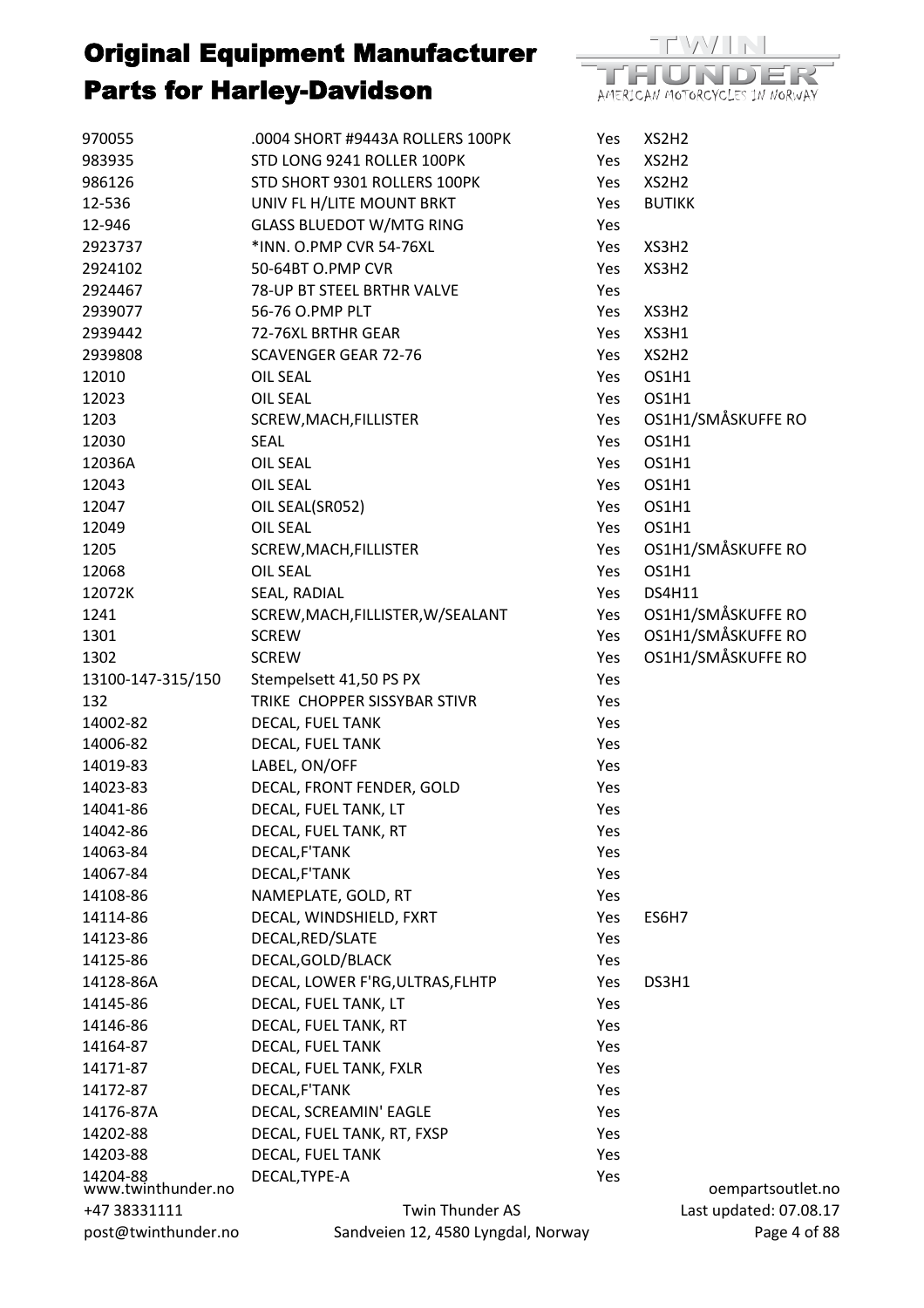

| 970055                         | .0004 SHORT #9443A ROLLERS 100PK   | Yes | XS2H2                  |
|--------------------------------|------------------------------------|-----|------------------------|
| 983935                         | STD LONG 9241 ROLLER 100PK         | Yes | XS2H2                  |
| 986126                         | STD SHORT 9301 ROLLERS 100PK       | Yes | XS2H2                  |
| 12-536                         | UNIV FL H/LITE MOUNT BRKT          | Yes | <b>BUTIKK</b>          |
| 12-946                         | <b>GLASS BLUEDOT W/MTG RING</b>    | Yes |                        |
| 2923737                        | *INN. O.PMP CVR 54-76XL            | Yes | XS3H2                  |
| 2924102                        | 50-64BT O.PMP CVR                  | Yes | XS3H2                  |
| 2924467                        | 78-UP BT STEEL BRTHR VALVE         | Yes |                        |
| 2939077                        | 56-76 O.PMP PLT                    | Yes | XS3H2                  |
| 2939442                        | 72-76XL BRTHR GEAR                 | Yes | XS3H1                  |
| 2939808                        | <b>SCAVENGER GEAR 72-76</b>        | Yes | XS2H2                  |
| 12010                          | <b>OIL SEAL</b>                    | Yes | OS1H1                  |
| 12023                          | OIL SEAL                           | Yes | OS1H1                  |
| 1203                           | SCREW, MACH, FILLISTER             | Yes | OS1H1/SMÅSKUFFE RO     |
| 12030                          | <b>SEAL</b>                        | Yes | OS1H1                  |
| 12036A                         | <b>OIL SEAL</b>                    | Yes | OS1H1                  |
| 12043                          | <b>OIL SEAL</b>                    | Yes | OS1H1                  |
| 12047                          | OIL SEAL(SR052)                    | Yes | OS1H1                  |
| 12049                          | <b>OIL SEAL</b>                    | Yes | OS1H1                  |
| 1205                           | SCREW, MACH, FILLISTER             | Yes | OS1H1/SMÅSKUFFE RO     |
| 12068                          | <b>OIL SEAL</b>                    | Yes | OS1H1                  |
| 12072K                         | SEAL, RADIAL                       | Yes | <b>DS4H11</b>          |
| 1241                           | SCREW, MACH, FILLISTER, W/SEALANT  | Yes | OS1H1/SMÅSKUFFE RO     |
| 1301                           | <b>SCREW</b>                       | Yes | OS1H1/SMÅSKUFFE RO     |
| 1302                           | <b>SCREW</b>                       | Yes | OS1H1/SMÅSKUFFE RO     |
| 13100-147-315/150              | Stempelsett 41,50 PS PX            | Yes |                        |
| 132                            | TRIKE CHOPPER SISSYBAR STIVR       | Yes |                        |
| 14002-82                       | DECAL, FUEL TANK                   | Yes |                        |
| 14006-82                       | DECAL, FUEL TANK                   | Yes |                        |
| 14019-83                       | LABEL, ON/OFF                      | Yes |                        |
| 14023-83                       | DECAL, FRONT FENDER, GOLD          | Yes |                        |
| 14041-86                       | DECAL, FUEL TANK, LT               | Yes |                        |
| 14042-86                       | DECAL, FUEL TANK, RT               | Yes |                        |
| 14063-84                       | DECAL, F'TANK                      | Yes |                        |
| 14067-84                       | DECAL, F'TANK                      | Yes |                        |
| 14108-86                       | NAMEPLATE, GOLD, RT                | Yes |                        |
| 14114-86                       | DECAL, WINDSHIELD, FXRT            | Yes | ES6H7                  |
| 14123-86                       | DECAL, RED/SLATE                   | Yes |                        |
| 14125-86                       | DECAL, GOLD/BLACK                  | Yes |                        |
| 14128-86A                      | DECAL, LOWER F'RG, ULTRAS, FLHTP   | Yes | DS3H1                  |
| 14145-86                       | DECAL, FUEL TANK, LT               | Yes |                        |
| 14146-86                       | DECAL, FUEL TANK, RT               | Yes |                        |
| 14164-87                       | DECAL, FUEL TANK                   | Yes |                        |
| 14171-87                       | DECAL, FUEL TANK, FXLR             | Yes |                        |
| 14172-87                       | DECAL, F'TANK                      | Yes |                        |
| 14176-87A                      | DECAL, SCREAMIN' EAGLE             | Yes |                        |
| 14202-88                       | DECAL, FUEL TANK, RT, FXSP         | Yes |                        |
| 14203-88                       | DECAL, FUEL TANK                   | Yes |                        |
| 14204-88<br>www.twinthunder.no | DECAL, TYPE-A                      | Yes | oempartsoutlet.no      |
| +47 38331111                   | Twin Thunder AS                    |     | Last updated: 07.08.17 |
| post@twinthunder.no            | Sandveien 12, 4580 Lyngdal, Norway |     | Page 4 of 88           |
|                                |                                    |     |                        |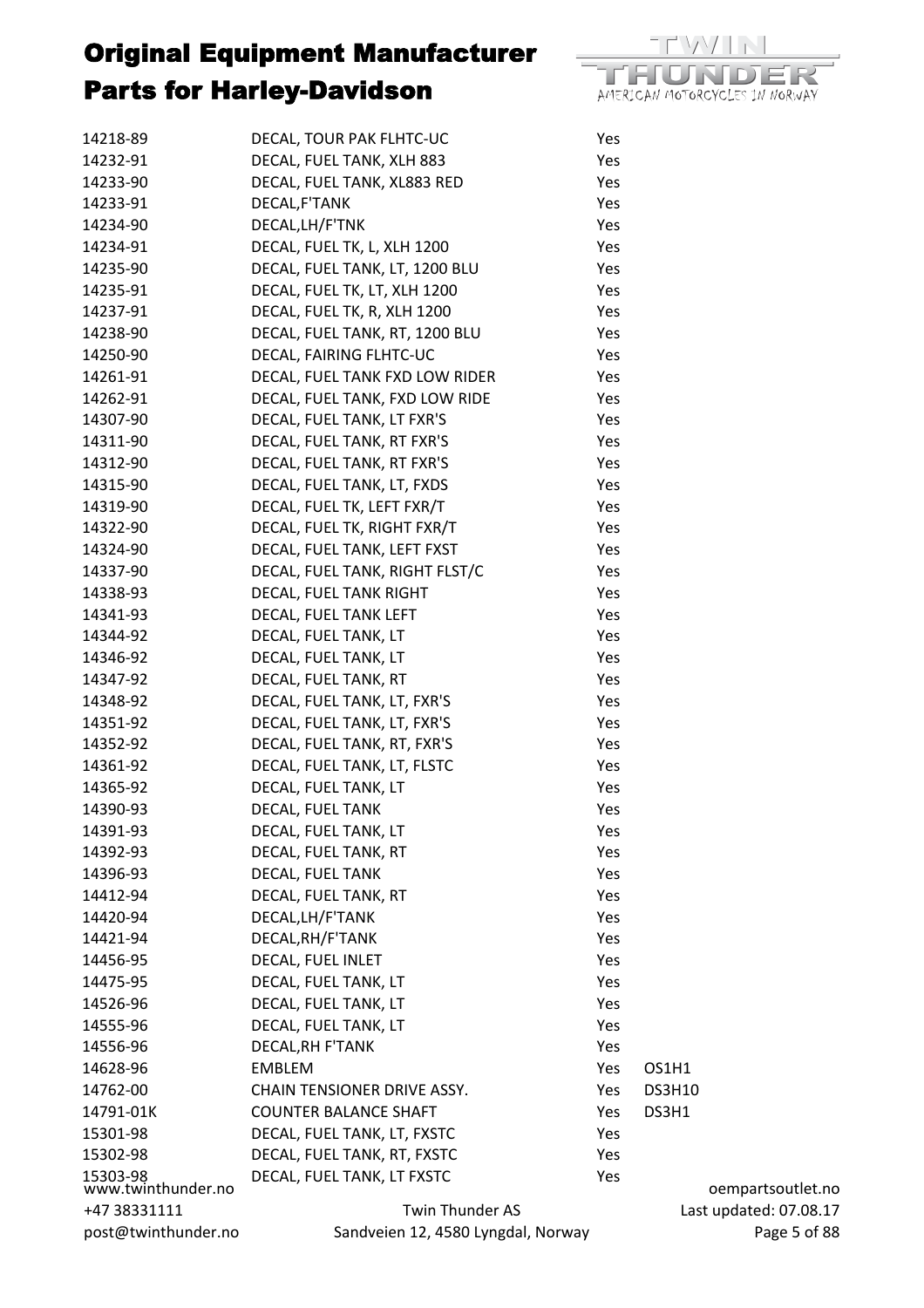

| 14218-89                       | DECAL, TOUR PAK FLHTC-UC           | Yes |               |
|--------------------------------|------------------------------------|-----|---------------|
| 14232-91                       | DECAL, FUEL TANK, XLH 883          | Yes |               |
| 14233-90                       | DECAL, FUEL TANK, XL883 RED        | Yes |               |
| 14233-91                       | DECAL, F'TANK                      | Yes |               |
| 14234-90                       | DECAL, LH/F'TNK                    | Yes |               |
| 14234-91                       | DECAL, FUEL TK, L, XLH 1200        | Yes |               |
| 14235-90                       | DECAL, FUEL TANK, LT, 1200 BLU     | Yes |               |
| 14235-91                       | DECAL, FUEL TK, LT, XLH 1200       | Yes |               |
| 14237-91                       | DECAL, FUEL TK, R, XLH 1200        | Yes |               |
| 14238-90                       | DECAL, FUEL TANK, RT, 1200 BLU     | Yes |               |
| 14250-90                       | DECAL, FAIRING FLHTC-UC            | Yes |               |
| 14261-91                       | DECAL, FUEL TANK FXD LOW RIDER     | Yes |               |
| 14262-91                       | DECAL, FUEL TANK, FXD LOW RIDE     | Yes |               |
| 14307-90                       | DECAL, FUEL TANK, LT FXR'S         | Yes |               |
| 14311-90                       | DECAL, FUEL TANK, RT FXR'S         | Yes |               |
| 14312-90                       | DECAL, FUEL TANK, RT FXR'S         | Yes |               |
| 14315-90                       | DECAL, FUEL TANK, LT, FXDS         | Yes |               |
| 14319-90                       | DECAL, FUEL TK, LEFT FXR/T         | Yes |               |
| 14322-90                       | DECAL, FUEL TK, RIGHT FXR/T        | Yes |               |
| 14324-90                       | DECAL, FUEL TANK, LEFT FXST        | Yes |               |
| 14337-90                       | DECAL, FUEL TANK, RIGHT FLST/C     | Yes |               |
| 14338-93                       | DECAL, FUEL TANK RIGHT             | Yes |               |
| 14341-93                       | DECAL, FUEL TANK LEFT              | Yes |               |
| 14344-92                       | DECAL, FUEL TANK, LT               | Yes |               |
| 14346-92                       | DECAL, FUEL TANK, LT               | Yes |               |
| 14347-92                       | DECAL, FUEL TANK, RT               | Yes |               |
| 14348-92                       | DECAL, FUEL TANK, LT, FXR'S        | Yes |               |
| 14351-92                       | DECAL, FUEL TANK, LT, FXR'S        | Yes |               |
| 14352-92                       | DECAL, FUEL TANK, RT, FXR'S        | Yes |               |
| 14361-92                       | DECAL, FUEL TANK, LT, FLSTC        | Yes |               |
| 14365-92                       | DECAL, FUEL TANK, LT               | Yes |               |
| 14390-93                       | DECAL, FUEL TANK                   | Yes |               |
| 14391-93                       | DECAL, FUEL TANK, LT               | Yes |               |
| 14392-93                       | DECAL, FUEL TANK, RT               | Yes |               |
| 14396-93                       | DECAL, FUEL TANK                   | Yes |               |
| 14412-94                       | DECAL, FUEL TANK, RT               | Yes |               |
| 14420-94                       | DECAL, LH/F'TANK                   | Yes |               |
| 14421-94                       | DECAL, RH/F'TANK                   | Yes |               |
| 14456-95                       | DECAL, FUEL INLET                  | Yes |               |
| 14475-95                       | DECAL, FUEL TANK, LT               | Yes |               |
| 14526-96                       | DECAL, FUEL TANK, LT               | Yes |               |
| 14555-96                       | DECAL, FUEL TANK, LT               | Yes |               |
| 14556-96                       | DECAL, RH F'TANK                   | Yes |               |
| 14628-96                       | <b>EMBLEM</b>                      | Yes | OS1H1         |
| 14762-00                       | CHAIN TENSIONER DRIVE ASSY.        | Yes | <b>DS3H10</b> |
| 14791-01K                      | <b>COUNTER BALANCE SHAFT</b>       | Yes | DS3H1         |
| 15301-98                       | DECAL, FUEL TANK, LT, FXSTC        | Yes |               |
| 15302-98                       | DECAL, FUEL TANK, RT, FXSTC        | Yes |               |
|                                | DECAL, FUEL TANK, LT FXSTC         | Yes |               |
| 15303-98<br>www.twinthunder.no |                                    |     | oempa         |
| +47 38331111                   | Twin Thunder AS                    |     | Last updat    |
| post@twinthunder.no            | Sandveien 12, 4580 Lyngdal, Norway |     |               |

artsoutlet.no ed: 07.08.17 Page 5 of 88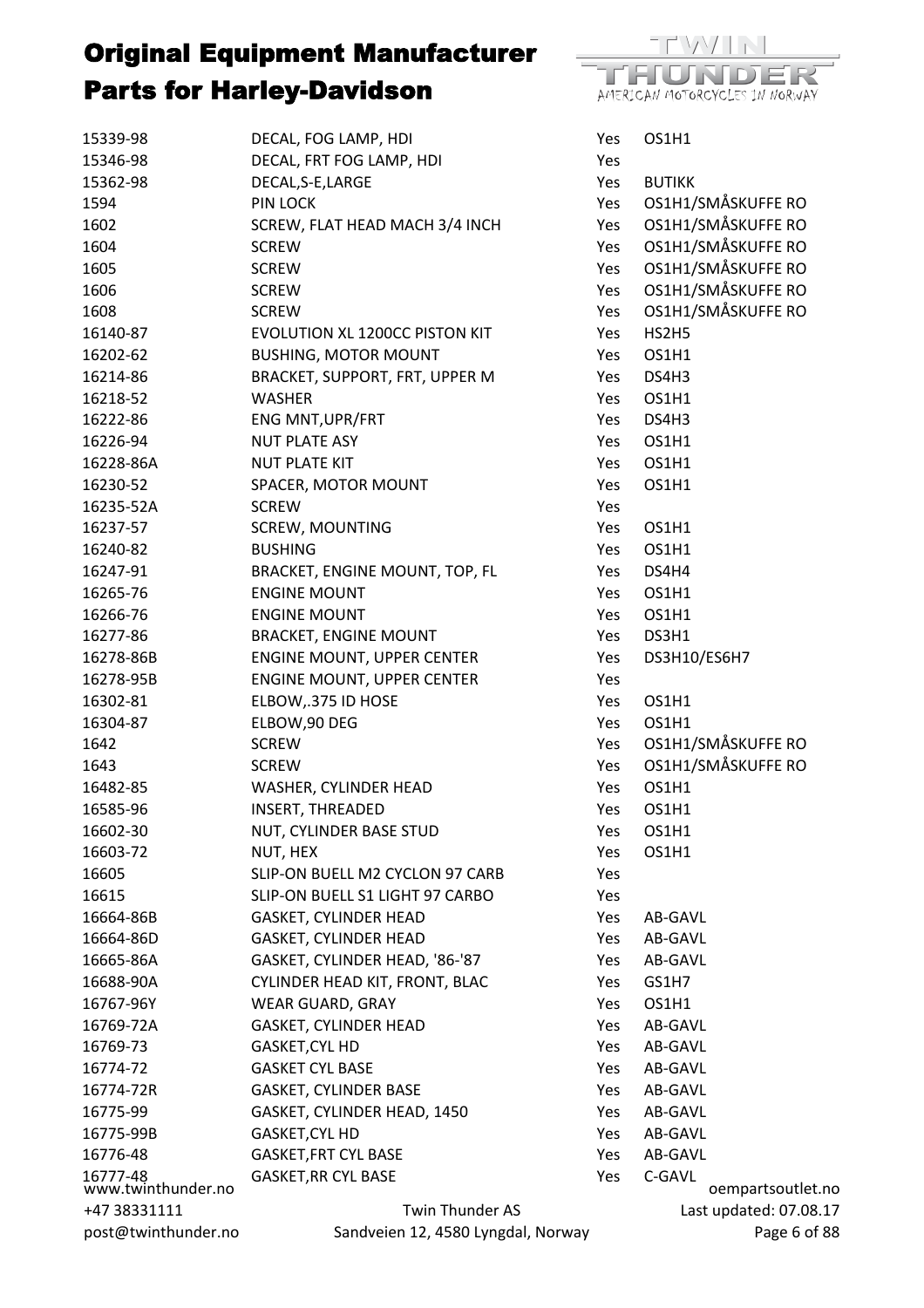

| 15339-98                       | DECAL, FOG LAMP, HDI               | Yes  | OS1H1                  |
|--------------------------------|------------------------------------|------|------------------------|
| 15346-98                       | DECAL, FRT FOG LAMP, HDI           | Yes  |                        |
| 15362-98                       | DECAL, S-E, LARGE                  | Yes  | <b>BUTIKK</b>          |
| 1594                           | <b>PIN LOCK</b>                    | Yes  | OS1H1/SMÅSKUFFE RO     |
| 1602                           | SCREW, FLAT HEAD MACH 3/4 INCH     | Yes  | OS1H1/SMÅSKUFFE RO     |
| 1604                           | <b>SCREW</b>                       | Yes  | OS1H1/SMÅSKUFFE RO     |
| 1605                           | <b>SCREW</b>                       | Yes  | OS1H1/SMÅSKUFFE RO     |
| 1606                           | <b>SCREW</b>                       | Yes  | OS1H1/SMÅSKUFFE RO     |
| 1608                           | <b>SCREW</b>                       | Yes  | OS1H1/SMÅSKUFFE RO     |
| 16140-87                       | EVOLUTION XL 1200CC PISTON KIT     | Yes  | HS2H5                  |
| 16202-62                       | <b>BUSHING, MOTOR MOUNT</b>        | Yes  | OS1H1                  |
| 16214-86                       | BRACKET, SUPPORT, FRT, UPPER M     | Yes  | DS4H3                  |
| 16218-52                       | <b>WASHER</b>                      | Yes. | OS1H1                  |
| 16222-86                       | ENG MNT, UPR/FRT                   | Yes  | DS4H3                  |
| 16226-94                       | <b>NUT PLATE ASY</b>               | Yes  | OS1H1                  |
| 16228-86A                      | <b>NUT PLATE KIT</b>               | Yes  | OS1H1                  |
| 16230-52                       | SPACER, MOTOR MOUNT                | Yes  | OS1H1                  |
| 16235-52A                      | <b>SCREW</b>                       | Yes  |                        |
| 16237-57                       | <b>SCREW, MOUNTING</b>             | Yes  | OS1H1                  |
| 16240-82                       | <b>BUSHING</b>                     | Yes  | OS1H1                  |
| 16247-91                       | BRACKET, ENGINE MOUNT, TOP, FL     | Yes  | DS4H4                  |
| 16265-76                       | <b>ENGINE MOUNT</b>                | Yes  | OS1H1                  |
| 16266-76                       | <b>ENGINE MOUNT</b>                | Yes  | OS1H1                  |
| 16277-86                       | <b>BRACKET, ENGINE MOUNT</b>       | Yes  | DS3H1                  |
| 16278-86B                      | ENGINE MOUNT, UPPER CENTER         | Yes  | DS3H10/ES6H7           |
| 16278-95B                      | <b>ENGINE MOUNT, UPPER CENTER</b>  | Yes  |                        |
| 16302-81                       | ELBOW, 375 ID HOSE                 | Yes  | OS1H1                  |
| 16304-87                       | ELBOW, 90 DEG                      | Yes  | OS1H1                  |
| 1642                           | <b>SCREW</b>                       | Yes  | OS1H1/SMÅSKUFFE RO     |
| 1643                           | <b>SCREW</b>                       | Yes  | OS1H1/SMÅSKUFFE RO     |
| 16482-85                       | WASHER, CYLINDER HEAD              | Yes  | OS1H1                  |
| 16585-96                       | <b>INSERT, THREADED</b>            | Yes  | OS1H1                  |
| 16602-30                       | NUT, CYLINDER BASE STUD            | Yes  | OS1H1                  |
| 16603-72                       | NUT, HEX                           | Yes  | OS1H1                  |
| 16605                          | SLIP-ON BUELL M2 CYCLON 97 CARB    | Yes  |                        |
| 16615                          | SLIP-ON BUELL S1 LIGHT 97 CARBO    | Yes  |                        |
| 16664-86B                      | GASKET, CYLINDER HEAD              | Yes  | AB-GAVL                |
| 16664-86D                      | <b>GASKET, CYLINDER HEAD</b>       | Yes  | AB-GAVL                |
| 16665-86A                      | GASKET, CYLINDER HEAD, '86-'87     | Yes  | AB-GAVL                |
| 16688-90A                      | CYLINDER HEAD KIT, FRONT, BLAC     | Yes  | GS1H7                  |
| 16767-96Y                      | <b>WEAR GUARD, GRAY</b>            | Yes  | OS1H1                  |
| 16769-72A                      | GASKET, CYLINDER HEAD              | Yes  | AB-GAVL                |
| 16769-73                       | GASKET, CYL HD                     | Yes  | AB-GAVL                |
| 16774-72                       | <b>GASKET CYL BASE</b>             | Yes  | AB-GAVL                |
| 16774-72R                      | <b>GASKET, CYLINDER BASE</b>       | Yes  | AB-GAVL                |
| 16775-99                       | GASKET, CYLINDER HEAD, 1450        | Yes  | AB-GAVL                |
| 16775-99B                      | GASKET, CYL HD                     | Yes  | AB-GAVL                |
| 16776-48                       | <b>GASKET, FRT CYL BASE</b>        | Yes  | AB-GAVL                |
|                                | <b>GASKET, RR CYL BASE</b>         | Yes  | C-GAVL                 |
| 16777-48<br>www.twinthunder.no |                                    |      | oempartsoutlet.no      |
| +47 38331111                   | Twin Thunder AS                    |      | Last updated: 07.08.17 |
| post@twinthunder.no            | Sandveien 12, 4580 Lyngdal, Norway |      | Page 6 of 88           |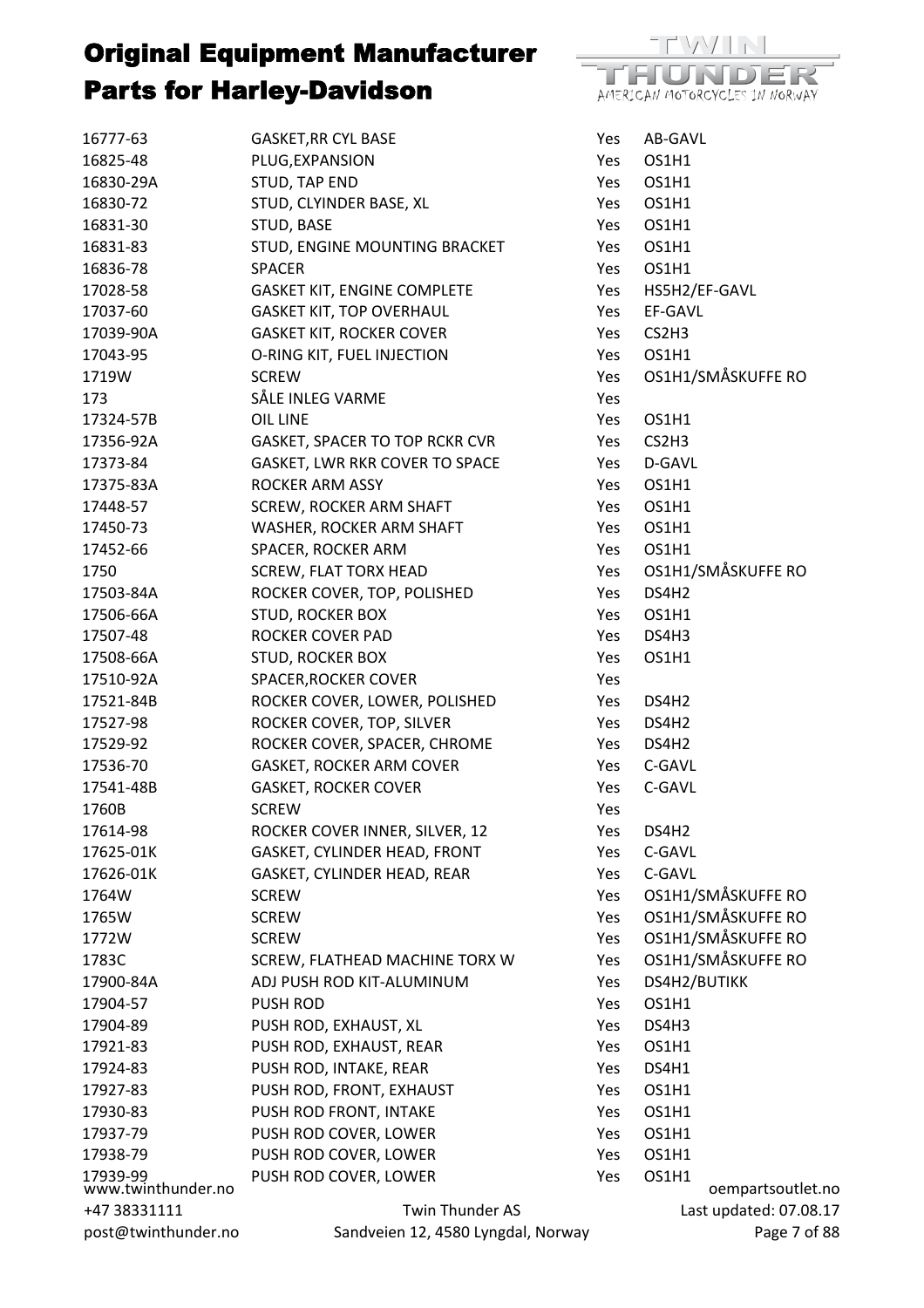

| 16777-63                       | <b>GASKET, RR CYL BASE</b>         | Yes | AB-GAVL           |                        |
|--------------------------------|------------------------------------|-----|-------------------|------------------------|
| 16825-48                       | PLUG, EXPANSION                    | Yes | OS1H1             |                        |
| 16830-29A                      | STUD, TAP END                      | Yes | OS1H1             |                        |
| 16830-72                       | STUD, CLYINDER BASE, XL            | Yes | OS1H1             |                        |
| 16831-30                       | STUD, BASE                         | Yes | OS1H1             |                        |
| 16831-83                       | STUD, ENGINE MOUNTING BRACKET      | Yes | OS1H1             |                        |
| 16836-78                       | <b>SPACER</b>                      | Yes | OS1H1             |                        |
| 17028-58                       | <b>GASKET KIT, ENGINE COMPLETE</b> | Yes |                   | HS5H2/EF-GAVL          |
| 17037-60                       | <b>GASKET KIT, TOP OVERHAUL</b>    | Yes | EF-GAVL           |                        |
| 17039-90A                      | <b>GASKET KIT, ROCKER COVER</b>    | Yes | CS2H3             |                        |
| 17043-95                       | O-RING KIT, FUEL INJECTION         | Yes | OS1H1             |                        |
| 1719W                          | <b>SCREW</b>                       | Yes |                   | OS1H1/SMÅSKUFFE RO     |
| 173                            | SÅLE INLEG VARME                   | Yes |                   |                        |
| 17324-57B                      | <b>OIL LINE</b>                    | Yes | OS1H1             |                        |
| 17356-92A                      | GASKET, SPACER TO TOP RCKR CVR     | Yes | CS2H3             |                        |
| 17373-84                       | GASKET, LWR RKR COVER TO SPACE     | Yes | D-GAVL            |                        |
| 17375-83A                      | <b>ROCKER ARM ASSY</b>             | Yes | OS1H1             |                        |
| 17448-57                       | SCREW, ROCKER ARM SHAFT            | Yes | OS1H1             |                        |
| 17450-73                       | WASHER, ROCKER ARM SHAFT           | Yes | OS1H1             |                        |
| 17452-66                       | SPACER, ROCKER ARM                 | Yes | OS1H1             |                        |
| 1750                           | <b>SCREW, FLAT TORX HEAD</b>       | Yes |                   | OS1H1/SMÅSKUFFE RO     |
| 17503-84A                      | ROCKER COVER, TOP, POLISHED        | Yes | DS4H2             |                        |
| 17506-66A                      | STUD, ROCKER BOX                   | Yes | OS1H1             |                        |
| 17507-48                       | ROCKER COVER PAD                   | Yes | DS4H3             |                        |
| 17508-66A                      | <b>STUD, ROCKER BOX</b>            | Yes | OS1H1             |                        |
| 17510-92A                      | <b>SPACER, ROCKER COVER</b>        | Yes |                   |                        |
| 17521-84B                      | ROCKER COVER, LOWER, POLISHED      | Yes | DS4H2             |                        |
| 17527-98                       | ROCKER COVER, TOP, SILVER          | Yes | DS4H <sub>2</sub> |                        |
| 17529-92                       | ROCKER COVER, SPACER, CHROME       | Yes | DS4H <sub>2</sub> |                        |
| 17536-70                       | <b>GASKET, ROCKER ARM COVER</b>    | Yes | C-GAVL            |                        |
| 17541-48B                      | <b>GASKET, ROCKER COVER</b>        | Yes | C-GAVL            |                        |
| 1760B                          | <b>SCREW</b>                       | Yes |                   |                        |
| 17614-98                       | ROCKER COVER INNER, SILVER, 12     | Yes | DS4H2             |                        |
| 17625-01K                      | GASKET, CYLINDER HEAD, FRONT       | Yes | C-GAVL            |                        |
| 17626-01K                      | GASKET, CYLINDER HEAD, REAR        | Yes | C-GAVL            |                        |
| 1764W                          | <b>SCREW</b>                       | Yes |                   | OS1H1/SMÅSKUFFE RO     |
| 1765W                          | <b>SCREW</b>                       | Yes |                   | OS1H1/SMÅSKUFFE RO     |
| 1772W                          | <b>SCREW</b>                       | Yes |                   | OS1H1/SMÅSKUFFE RO     |
| 1783C                          | SCREW, FLATHEAD MACHINE TORX W     | Yes |                   | OS1H1/SMÅSKUFFE RO     |
| 17900-84A                      | ADJ PUSH ROD KIT-ALUMINUM          | Yes | DS4H2/BUTIKK      |                        |
| 17904-57                       | <b>PUSH ROD</b>                    | Yes | OS1H1             |                        |
| 17904-89                       | PUSH ROD, EXHAUST, XL              | Yes | DS4H3             |                        |
| 17921-83                       | PUSH ROD, EXHAUST, REAR            | Yes | OS1H1             |                        |
| 17924-83                       | PUSH ROD, INTAKE, REAR             | Yes | DS4H1             |                        |
| 17927-83                       | PUSH ROD, FRONT, EXHAUST           | Yes | OS1H1             |                        |
| 17930-83                       | PUSH ROD FRONT, INTAKE             | Yes | OS1H1             |                        |
| 17937-79                       | PUSH ROD COVER, LOWER              | Yes | OS1H1             |                        |
| 17938-79                       | PUSH ROD COVER, LOWER              | Yes | OS1H1             |                        |
|                                | PUSH ROD COVER, LOWER              | Yes | OS1H1             |                        |
| 17939-99<br>www.twinthunder.no |                                    |     |                   | oempartsoutlet.no      |
| +47 38331111                   | <b>Twin Thunder AS</b>             |     |                   | Last updated: 07.08.17 |
| post@twinthunder.no            | Sandveien 12, 4580 Lyngdal, Norway |     |                   | Page 7 of 88           |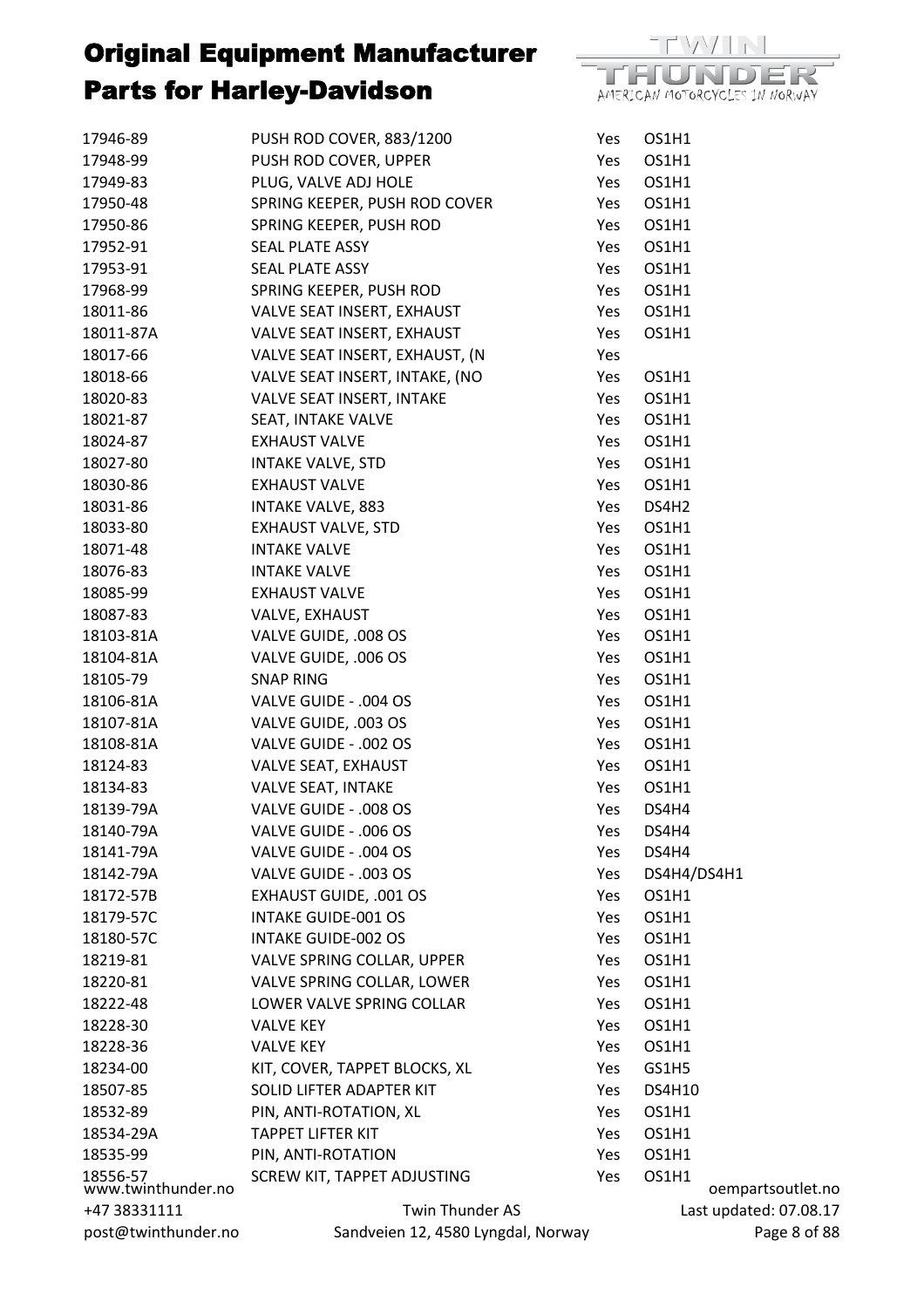

| 17946-89                       | PUSH ROD COVER, 883/1200           | Yes | OS1H1         |            |
|--------------------------------|------------------------------------|-----|---------------|------------|
| 17948-99                       | PUSH ROD COVER, UPPER              | Yes | OS1H1         |            |
| 17949-83                       | PLUG, VALVE ADJ HOLE               | Yes | OS1H1         |            |
| 17950-48                       | SPRING KEEPER, PUSH ROD COVER      | Yes | OS1H1         |            |
| 17950-86                       | SPRING KEEPER, PUSH ROD            | Yes | OS1H1         |            |
| 17952-91                       | SEAL PLATE ASSY                    | Yes | OS1H1         |            |
| 17953-91                       | SEAL PLATE ASSY                    | Yes | OS1H1         |            |
| 17968-99                       | SPRING KEEPER, PUSH ROD            | Yes | OS1H1         |            |
| 18011-86                       | VALVE SEAT INSERT, EXHAUST         | Yes | OS1H1         |            |
| 18011-87A                      | VALVE SEAT INSERT, EXHAUST         | Yes | OS1H1         |            |
| 18017-66                       | VALVE SEAT INSERT, EXHAUST, (N     | Yes |               |            |
| 18018-66                       | VALVE SEAT INSERT, INTAKE, (NO     | Yes | OS1H1         |            |
| 18020-83                       | VALVE SEAT INSERT, INTAKE          | Yes | OS1H1         |            |
| 18021-87                       | SEAT, INTAKE VALVE                 | Yes | OS1H1         |            |
| 18024-87                       | <b>EXHAUST VALVE</b>               | Yes | OS1H1         |            |
| 18027-80                       | <b>INTAKE VALVE, STD</b>           | Yes | OS1H1         |            |
| 18030-86                       | <b>EXHAUST VALVE</b>               | Yes | OS1H1         |            |
| 18031-86                       | <b>INTAKE VALVE, 883</b>           | Yes | DS4H2         |            |
| 18033-80                       | <b>EXHAUST VALVE, STD</b>          | Yes | OS1H1         |            |
| 18071-48                       | <b>INTAKE VALVE</b>                | Yes | OS1H1         |            |
| 18076-83                       | <b>INTAKE VALVE</b>                | Yes | OS1H1         |            |
| 18085-99                       | <b>EXHAUST VALVE</b>               | Yes | OS1H1         |            |
| 18087-83                       | VALVE, EXHAUST                     | Yes | OS1H1         |            |
| 18103-81A                      | VALVE GUIDE, .008 OS               | Yes | OS1H1         |            |
| 18104-81A                      | VALVE GUIDE, .006 OS               | Yes | OS1H1         |            |
| 18105-79                       | <b>SNAP RING</b>                   | Yes | OS1H1         |            |
| 18106-81A                      | VALVE GUIDE - .004 OS              | Yes | OS1H1         |            |
| 18107-81A                      | VALVE GUIDE, .003 OS               | Yes | OS1H1         |            |
| 18108-81A                      | VALVE GUIDE - .002 OS              | Yes | OS1H1         |            |
| 18124-83                       | VALVE SEAT, EXHAUST                | Yes | OS1H1         |            |
| 18134-83                       | VALVE SEAT, INTAKE                 | Yes | OS1H1         |            |
| 18139-79A                      | VALVE GUIDE - .008 OS              | Yes | DS4H4         |            |
| 18140-79A                      | VALVE GUIDE - .006 OS              | Yes | DS4H4         |            |
| 18141-79A                      | VALVE GUIDE - .004 OS              | Yes | DS4H4         |            |
| 18142-79A                      | VALVE GUIDE - .003 OS              | Yes | DS4H4/DS4H1   |            |
| 18172-57B                      | <b>EXHAUST GUIDE, .001 OS</b>      | Yes | OS1H1         |            |
| 18179-57C                      | <b>INTAKE GUIDE-001 OS</b>         | Yes | OS1H1         |            |
| 18180-57C                      | <b>INTAKE GUIDE-002 OS</b>         | Yes | OS1H1         |            |
| 18219-81                       | VALVE SPRING COLLAR, UPPER         | Yes | OS1H1         |            |
| 18220-81                       | VALVE SPRING COLLAR, LOWER         | Yes | OS1H1         |            |
| 18222-48                       | LOWER VALVE SPRING COLLAR          | Yes | OS1H1         |            |
| 18228-30                       | <b>VALVE KEY</b>                   | Yes | OS1H1         |            |
| 18228-36                       | <b>VALVE KEY</b>                   | Yes | OS1H1         |            |
| 18234-00                       | KIT, COVER, TAPPET BLOCKS, XL      | Yes | GS1H5         |            |
| 18507-85                       | SOLID LIFTER ADAPTER KIT           | Yes | <b>DS4H10</b> |            |
| 18532-89                       | PIN, ANTI-ROTATION, XL             | Yes | OS1H1         |            |
| 18534-29A                      | <b>TAPPET LIFTER KIT</b>           | Yes | OS1H1         |            |
| 18535-99                       | PIN, ANTI-ROTATION                 | Yes | OS1H1         |            |
|                                | SCREW KIT, TAPPET ADJUSTING        | Yes | OS1H1         |            |
| 18556-57<br>www.twinthunder.no |                                    |     |               | oempa      |
| +47 38331111                   | Twin Thunder AS                    |     |               | Last updat |
| post@twinthunder.no            | Sandveien 12, 4580 Lyngdal, Norway |     |               |            |

artsoutlet.no ted: 07.08.17 Page 8 of 88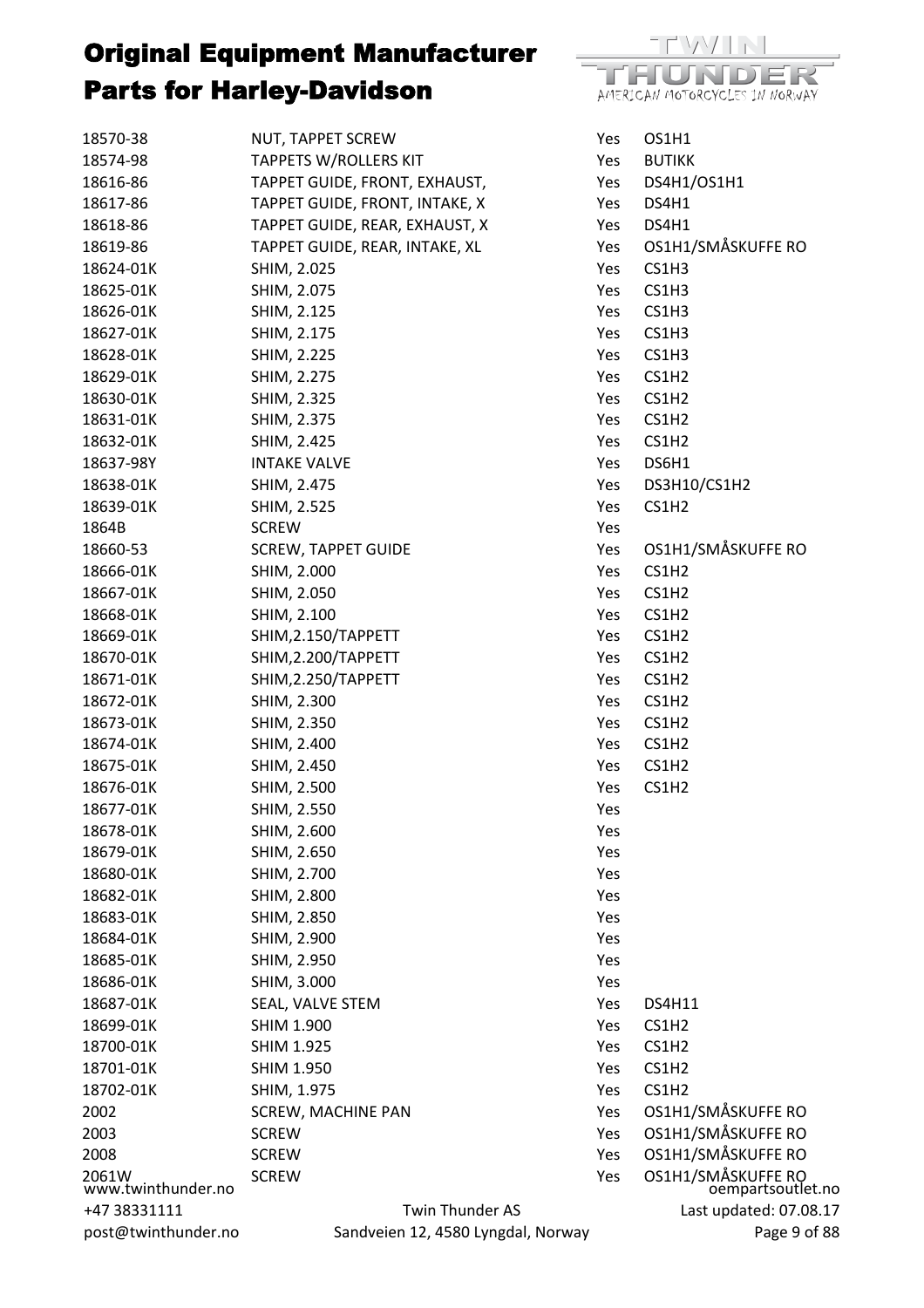| 18570-38                    | NUT, TAPPET SCREW                  | Yes | OS1H1                                   |
|-----------------------------|------------------------------------|-----|-----------------------------------------|
| 18574-98                    | <b>TAPPETS W/ROLLERS KIT</b>       | Yes | <b>BUTIKK</b>                           |
| 18616-86                    | TAPPET GUIDE, FRONT, EXHAUST,      | Yes | DS4H1/OS1H1                             |
| 18617-86                    | TAPPET GUIDE, FRONT, INTAKE, X     | Yes | DS4H1                                   |
| 18618-86                    | TAPPET GUIDE, REAR, EXHAUST, X     | Yes | DS4H1                                   |
| 18619-86                    | TAPPET GUIDE, REAR, INTAKE, XL     | Yes | OS1H1/SMÅSKUFFE RO                      |
| 18624-01K                   | SHIM, 2.025                        | Yes | CS1H3                                   |
| 18625-01K                   | SHIM, 2.075                        | Yes | CS1H3                                   |
| 18626-01K                   | SHIM, 2.125                        | Yes | CS1H3                                   |
| 18627-01K                   | SHIM, 2.175                        | Yes | CS1H3                                   |
| 18628-01K                   | SHIM, 2.225                        | Yes | CS1H3                                   |
| 18629-01K                   | SHIM, 2.275                        | Yes | CS1H <sub>2</sub>                       |
| 18630-01K                   | SHIM, 2.325                        | Yes | CS1H <sub>2</sub>                       |
| 18631-01K                   | SHIM, 2.375                        | Yes | CS1H <sub>2</sub>                       |
| 18632-01K                   | SHIM, 2.425                        | Yes | CS1H <sub>2</sub>                       |
| 18637-98Y                   | <b>INTAKE VALVE</b>                | Yes | DS6H1                                   |
| 18638-01K                   | SHIM, 2.475                        | Yes | DS3H10/CS1H2                            |
| 18639-01K                   | SHIM, 2.525                        | Yes | CS1H <sub>2</sub>                       |
| 1864B                       | <b>SCREW</b>                       | Yes |                                         |
| 18660-53                    | <b>SCREW, TAPPET GUIDE</b>         | Yes | OS1H1/SMÅSKUFFE RO                      |
| 18666-01K                   | SHIM, 2.000                        | Yes | CS1H <sub>2</sub>                       |
| 18667-01K                   | SHIM, 2.050                        | Yes | CS1H2                                   |
| 18668-01K                   | SHIM, 2.100                        | Yes | CS1H <sub>2</sub>                       |
| 18669-01K                   | SHIM, 2.150/TAPPETT                | Yes | CS1H <sub>2</sub>                       |
| 18670-01K                   | SHIM, 2.200/TAPPETT                | Yes | CS1H <sub>2</sub>                       |
| 18671-01K                   | SHIM, 2.250/TAPPETT                | Yes | CS1H <sub>2</sub>                       |
| 18672-01K                   | SHIM, 2.300                        | Yes | CS1H <sub>2</sub>                       |
| 18673-01K                   | SHIM, 2.350                        | Yes | CS1H <sub>2</sub>                       |
| 18674-01K                   | SHIM, 2.400                        | Yes | CS1H <sub>2</sub>                       |
| 18675-01K                   | SHIM, 2.450                        | Yes | CS1H <sub>2</sub>                       |
| 18676-01K                   | SHIM, 2.500                        | Yes | CS1H2                                   |
| 18677-01K                   | SHIM, 2.550                        | Yes |                                         |
| 18678-01K                   | SHIM, 2.600                        | Yes |                                         |
| 18679-01K                   | SHIM, 2.650                        | Yes |                                         |
| 18680-01K                   | SHIM, 2.700                        | Yes |                                         |
| 18682-01K                   | SHIM, 2.800                        | Yes |                                         |
| 18683-01K                   | SHIM, 2.850                        | Yes |                                         |
| 18684-01K                   | SHIM, 2.900                        | Yes |                                         |
| 18685-01K                   | SHIM, 2.950                        | Yes |                                         |
| 18686-01K                   | SHIM, 3.000                        | Yes |                                         |
| 18687-01K                   | SEAL, VALVE STEM                   | Yes | <b>DS4H11</b>                           |
| 18699-01K                   | <b>SHIM 1.900</b>                  | Yes | CS1H2                                   |
| 18700-01K                   | <b>SHIM 1.925</b>                  | Yes | CS1H <sub>2</sub>                       |
| 18701-01K                   | <b>SHIM 1.950</b>                  | Yes | CS1H2                                   |
| 18702-01K                   | SHIM, 1.975                        | Yes | CS1H <sub>2</sub>                       |
| 2002                        | SCREW, MACHINE PAN                 | Yes | OS1H1/SMÅSKUFFE RO                      |
| 2003                        | <b>SCREW</b>                       | Yes | OS1H1/SMÅSKUFFE RO                      |
| 2008                        | <b>SCREW</b>                       | Yes | OS1H1/SMÅSKUFFE RO                      |
| 2061W<br>www.twinthunder.no | <b>SCREW</b>                       | Yes | OS1H1/SMÅSKUFFE RO<br>oempartsoutlet.no |
| +47 38331111                | Twin Thunder AS                    |     | Last updated: 07.08.17                  |
| post@twinthunder.no         | Sandveien 12, 4580 Lyngdal, Norway |     | Page 9 of 88                            |
|                             |                                    |     |                                         |

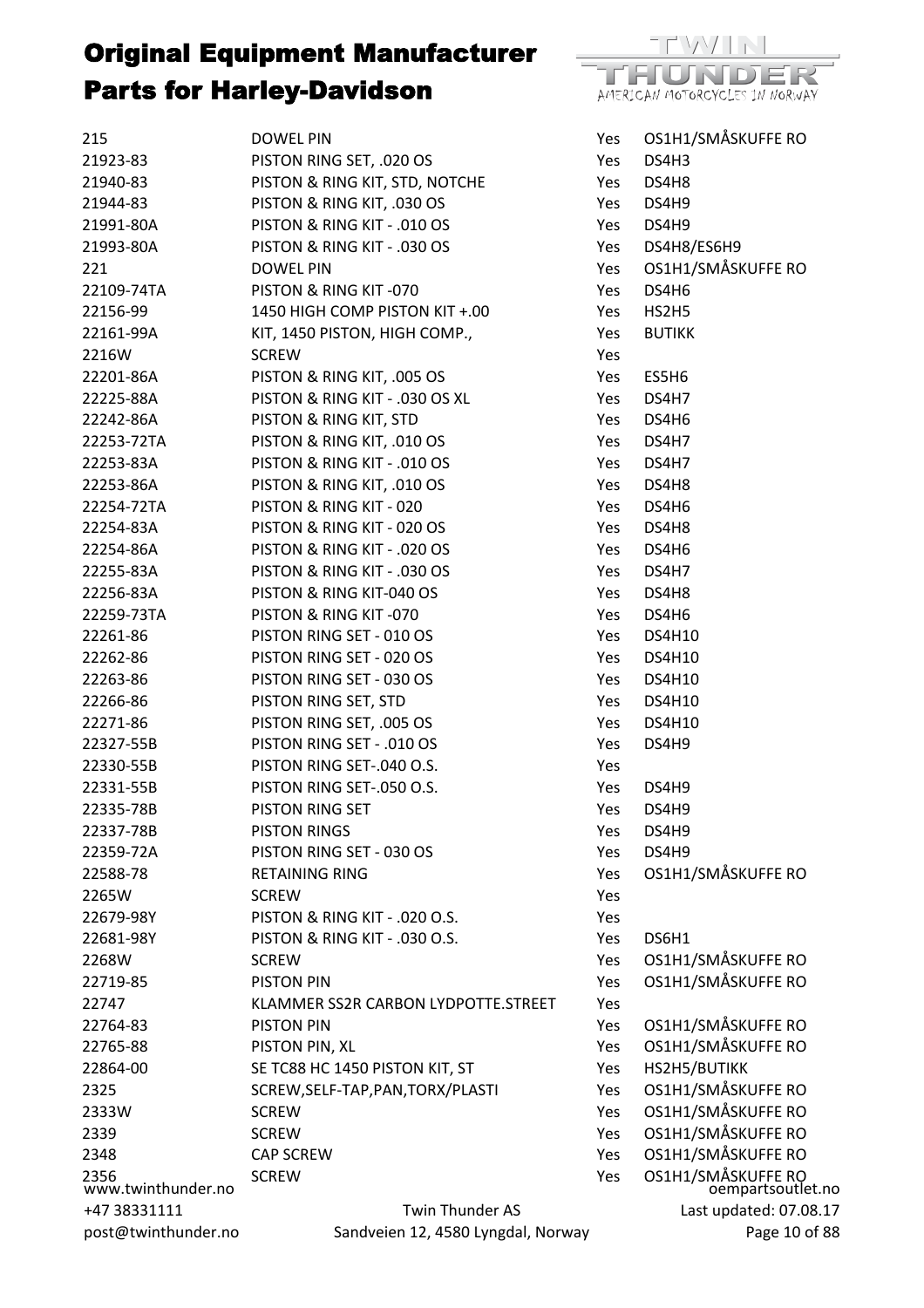

| 215                        | <b>DOWEL PIN</b>                    | Yes        | OS1H1/SMÅSKUFFE RO                      |
|----------------------------|-------------------------------------|------------|-----------------------------------------|
| 21923-83                   | PISTON RING SET, .020 OS            | Yes        | DS4H3                                   |
| 21940-83                   | PISTON & RING KIT, STD, NOTCHE      | Yes        | DS4H8                                   |
| 21944-83                   | PISTON & RING KIT, .030 OS          | Yes        | DS4H9                                   |
| 21991-80A                  | PISTON & RING KIT - .010 OS         | Yes        | DS4H9                                   |
| 21993-80A                  | PISTON & RING KIT - .030 OS         | Yes        | DS4H8/ES6H9                             |
| 221                        | <b>DOWEL PIN</b>                    | Yes        | OS1H1/SMÅSKUFFE RO                      |
| 22109-74TA                 | PISTON & RING KIT-070               | Yes        | DS4H6                                   |
| 22156-99                   | 1450 HIGH COMP PISTON KIT +.00      | Yes        | HS2H5                                   |
| 22161-99A                  | KIT, 1450 PISTON, HIGH COMP.,       | Yes        | <b>BUTIKK</b>                           |
| 2216W                      | <b>SCREW</b>                        | Yes        |                                         |
| 22201-86A                  | PISTON & RING KIT, .005 OS          | Yes        | ES5H6                                   |
| 22225-88A                  | PISTON & RING KIT - .030 OS XL      | Yes        | DS4H7                                   |
| 22242-86A                  | PISTON & RING KIT, STD              | Yes        | DS4H6                                   |
| 22253-72TA                 | PISTON & RING KIT, .010 OS          | Yes        | DS4H7                                   |
| 22253-83A                  | PISTON & RING KIT - .010 OS         | Yes        | DS4H7                                   |
| 22253-86A                  | PISTON & RING KIT, .010 OS          | Yes        | DS4H8                                   |
| 22254-72TA                 | PISTON & RING KIT - 020             | Yes        | DS4H6                                   |
| 22254-83A                  | PISTON & RING KIT - 020 OS          | Yes        | DS4H8                                   |
| 22254-86A                  | PISTON & RING KIT - .020 OS         | Yes        | DS4H6                                   |
| 22255-83A                  | PISTON & RING KIT - .030 OS         | Yes        | DS4H7                                   |
| 22256-83A                  | PISTON & RING KIT-040 OS            | Yes        | DS4H8                                   |
| 22259-73TA                 | PISTON & RING KIT-070               | Yes        | DS4H6                                   |
| 22261-86                   | PISTON RING SET - 010 OS            | Yes        | <b>DS4H10</b>                           |
| 22262-86                   | PISTON RING SET - 020 OS            | Yes        | <b>DS4H10</b>                           |
| 22263-86                   | PISTON RING SET - 030 OS            | Yes        | <b>DS4H10</b>                           |
| 22266-86                   | PISTON RING SET, STD                | Yes        | <b>DS4H10</b>                           |
| 22271-86                   | PISTON RING SET, .005 OS            | Yes        | <b>DS4H10</b>                           |
| 22327-55B                  | PISTON RING SET - .010 OS           | Yes        | DS4H9                                   |
| 22330-55B                  | PISTON RING SET-.040 O.S.           | Yes        |                                         |
| 22331-55B                  | PISTON RING SET-.050 O.S.           | Yes        | DS4H9                                   |
| 22335-78B                  | PISTON RING SET                     | Yes        | DS4H9                                   |
| 22337-78B                  | <b>PISTON RINGS</b>                 | Yes        | DS4H9                                   |
| 22359-72A                  | PISTON RING SET - 030 OS            | Yes        | DS4H9                                   |
| 22588-78                   | <b>RETAINING RING</b>               | Yes        | OS1H1/SMÅSKUFFE RO                      |
| 2265W                      | <b>SCREW</b>                        | Yes        |                                         |
| 22679-98Y                  | PISTON & RING KIT - .020 O.S.       | Yes        |                                         |
| 22681-98Y                  | PISTON & RING KIT - .030 O.S.       | Yes        | DS6H1                                   |
| 2268W                      | <b>SCREW</b>                        | Yes        | OS1H1/SMÅSKUFFE RO                      |
| 22719-85                   | <b>PISTON PIN</b>                   | Yes        | OS1H1/SMÅSKUFFE RO                      |
| 22747                      | KLAMMER SS2R CARBON LYDPOTTE.STREET | Yes        |                                         |
| 22764-83                   | <b>PISTON PIN</b>                   | Yes        | OS1H1/SMÅSKUFFE RO                      |
| 22765-88                   | PISTON PIN, XL                      | Yes        | OS1H1/SMÅSKUFFE RO                      |
| 22864-00                   | SE TC88 HC 1450 PISTON KIT, ST      | Yes        | HS2H5/BUTIKK                            |
| 2325                       | SCREW, SELF-TAP, PAN, TORX/PLASTI   | Yes        | OS1H1/SMÅSKUFFE RO                      |
| 2333W                      | <b>SCREW</b>                        | Yes        | OS1H1/SMÅSKUFFE RO                      |
| 2339                       | <b>SCREW</b>                        | <b>Yes</b> | OS1H1/SMÅSKUFFE RO                      |
| 2348                       | <b>CAP SCREW</b>                    | Yes        | OS1H1/SMÅSKUFFE RO                      |
| 2356<br>www.twinthunder.no | <b>SCREW</b>                        | Yes        | OS1H1/SMÅSKUFFE RO<br>oempartsoutlet.no |
| +47 38331111               | Twin Thunder AS                     |            | Last updated: 07.08.17                  |
| post@twinthunder.no        | Sandveien 12, 4580 Lyngdal, Norway  |            | Page 10 of 88                           |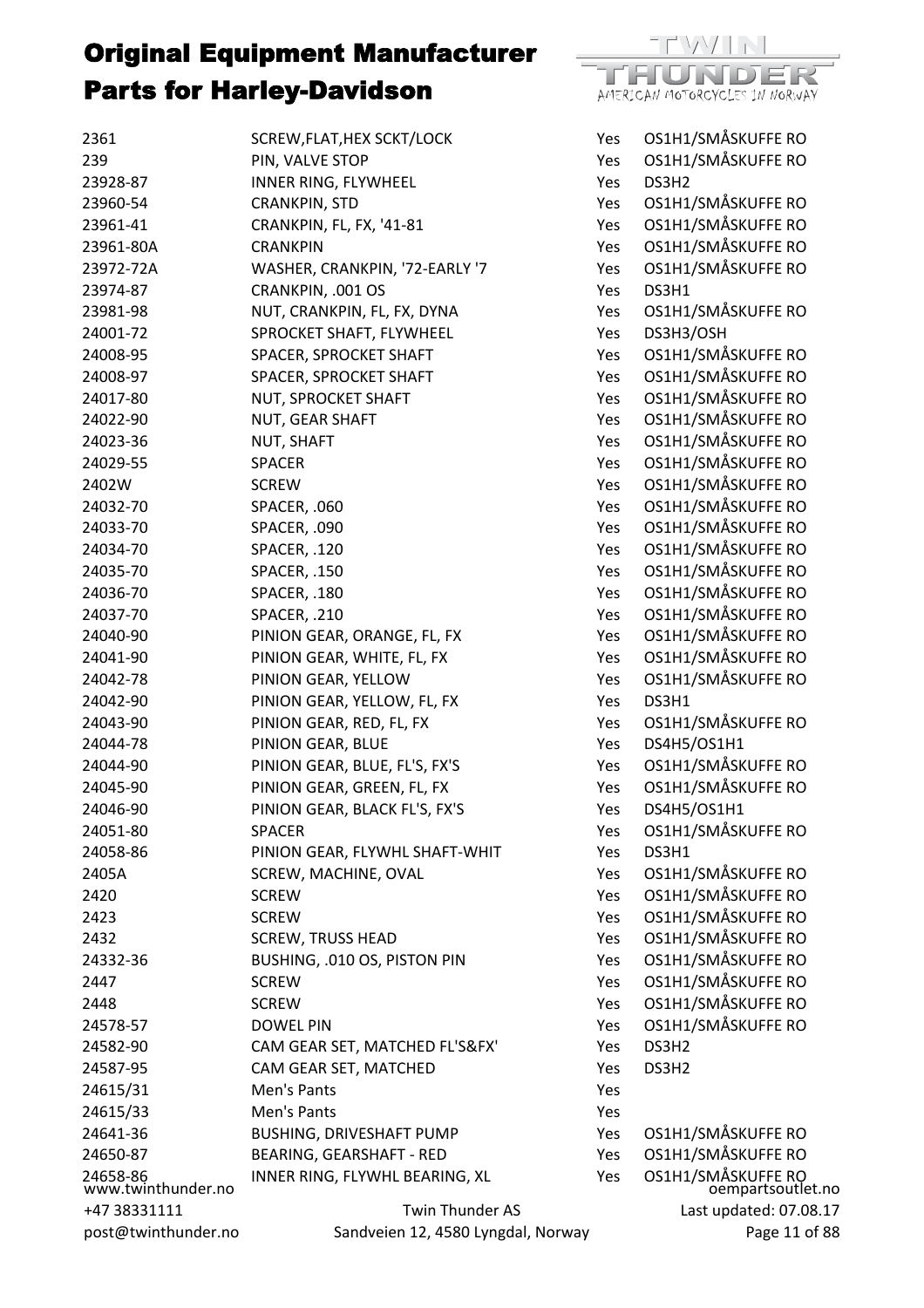

| 2361                           | SCREW, FLAT, HEX SCKT/LOCK         | Yes        | OS1H1/SMÅSKUFFE RO                      |
|--------------------------------|------------------------------------|------------|-----------------------------------------|
| 239                            | PIN, VALVE STOP                    | Yes        | OS1H1/SMÅSKUFFE RO                      |
| 23928-87                       | INNER RING, FLYWHEEL               | Yes        | DS3H2                                   |
| 23960-54                       | <b>CRANKPIN, STD</b>               | Yes        | OS1H1/SMÅSKUFFE RO                      |
| 23961-41                       | CRANKPIN, FL, FX, '41-81           | Yes        | OS1H1/SMÅSKUFFE RO                      |
| 23961-80A                      | <b>CRANKPIN</b>                    | Yes        | OS1H1/SMÅSKUFFE RO                      |
| 23972-72A                      | WASHER, CRANKPIN, '72-EARLY '7     | Yes        | OS1H1/SMÅSKUFFE RO                      |
| 23974-87                       | CRANKPIN, .001 OS                  | Yes        | DS3H1                                   |
| 23981-98                       | NUT, CRANKPIN, FL, FX, DYNA        | Yes        | OS1H1/SMÅSKUFFE RO                      |
| 24001-72                       | SPROCKET SHAFT, FLYWHEEL           | Yes        | DS3H3/OSH                               |
| 24008-95                       | SPACER, SPROCKET SHAFT             | Yes        | OS1H1/SMÅSKUFFE RO                      |
| 24008-97                       | SPACER, SPROCKET SHAFT             | Yes        | OS1H1/SMÅSKUFFE RO                      |
| 24017-80                       | NUT, SPROCKET SHAFT                | Yes        | OS1H1/SMÅSKUFFE RO                      |
| 24022-90                       | NUT, GEAR SHAFT                    | Yes        | OS1H1/SMÅSKUFFE RO                      |
| 24023-36                       | NUT, SHAFT                         | Yes        | OS1H1/SMÅSKUFFE RO                      |
| 24029-55                       | <b>SPACER</b>                      | Yes        | OS1H1/SMÅSKUFFE RO                      |
| 2402W                          | <b>SCREW</b>                       | Yes        | OS1H1/SMÅSKUFFE RO                      |
| 24032-70                       | SPACER, .060                       | Yes        | OS1H1/SMÅSKUFFE RO                      |
| 24033-70                       | SPACER, .090                       | Yes        | OS1H1/SMÅSKUFFE RO                      |
| 24034-70                       | SPACER, .120                       | Yes        | OS1H1/SMÅSKUFFE RO                      |
| 24035-70                       | SPACER, .150                       | Yes        | OS1H1/SMÅSKUFFE RO                      |
| 24036-70                       | SPACER, .180                       | Yes        | OS1H1/SMÅSKUFFE RO                      |
| 24037-70                       | SPACER, .210                       | Yes        | OS1H1/SMÅSKUFFE RO                      |
| 24040-90                       | PINION GEAR, ORANGE, FL, FX        | Yes        | OS1H1/SMÅSKUFFE RO                      |
| 24041-90                       |                                    |            | OS1H1/SMÅSKUFFE RO                      |
| 24042-78                       | PINION GEAR, WHITE, FL, FX         | Yes<br>Yes | OS1H1/SMÅSKUFFE RO                      |
|                                | PINION GEAR, YELLOW                |            | DS3H1                                   |
| 24042-90<br>24043-90           | PINION GEAR, YELLOW, FL, FX        | Yes        | OS1H1/SMÅSKUFFE RO                      |
| 24044-78                       | PINION GEAR, RED, FL, FX           | Yes        | DS4H5/OS1H1                             |
|                                | PINION GEAR, BLUE                  | Yes        |                                         |
| 24044-90                       | PINION GEAR, BLUE, FL'S, FX'S      | Yes        | OS1H1/SMÅSKUFFE RO                      |
| 24045-90                       | PINION GEAR, GREEN, FL, FX         | Yes        | OS1H1/SMÅSKUFFE RO                      |
| 24046-90                       | PINION GEAR, BLACK FL'S, FX'S      | Yes        | DS4H5/OS1H1                             |
| 24051-80                       | <b>SPACER</b>                      | Yes        | OS1H1/SMÅSKUFFE RO                      |
| 24058-86                       | PINION GEAR, FLYWHL SHAFT-WHIT     | Yes        | DS3H1                                   |
| 2405A                          | SCREW, MACHINE, OVAL               | <b>Yes</b> | OS1H1/SMÅSKUFFE RO                      |
| 2420                           | <b>SCREW</b>                       | Yes        | OS1H1/SMÅSKUFFE RO                      |
| 2423                           | <b>SCREW</b>                       | Yes        | OS1H1/SMÅSKUFFE RO                      |
| 2432                           | <b>SCREW, TRUSS HEAD</b>           | <b>Yes</b> | OS1H1/SMÅSKUFFE RO                      |
| 24332-36                       | BUSHING, .010 OS, PISTON PIN       | Yes        | OS1H1/SMÅSKUFFE RO                      |
| 2447                           | <b>SCREW</b>                       | Yes        | OS1H1/SMÅSKUFFE RO                      |
| 2448                           | <b>SCREW</b>                       | Yes        | OS1H1/SMÅSKUFFE RO                      |
| 24578-57                       | <b>DOWEL PIN</b>                   | Yes        | OS1H1/SMÅSKUFFE RO                      |
| 24582-90                       | CAM GEAR SET, MATCHED FL'S&FX'     | Yes        | DS3H2                                   |
| 24587-95                       | CAM GEAR SET, MATCHED              | Yes        | DS3H2                                   |
| 24615/31                       | Men's Pants                        | Yes        |                                         |
| 24615/33                       | Men's Pants                        | Yes        |                                         |
| 24641-36                       | <b>BUSHING, DRIVESHAFT PUMP</b>    | Yes        | OS1H1/SMÅSKUFFE RO                      |
| 24650-87                       | BEARING, GEARSHAFT - RED           | Yes        | OS1H1/SMÅSKUFFE RO                      |
| 24658-86<br>www.twinthunder.no | INNER RING, FLYWHL BEARING, XL     | Yes        | OS1H1/SMÅSKUFFE RO<br>oempartsoutlet.no |
| +47 38331111                   | Twin Thunder AS                    |            | Last updated: 07.08.17                  |
| post@twinthunder.no            | Sandveien 12, 4580 Lyngdal, Norway |            | Page 11 of 88                           |

Page 11 of 88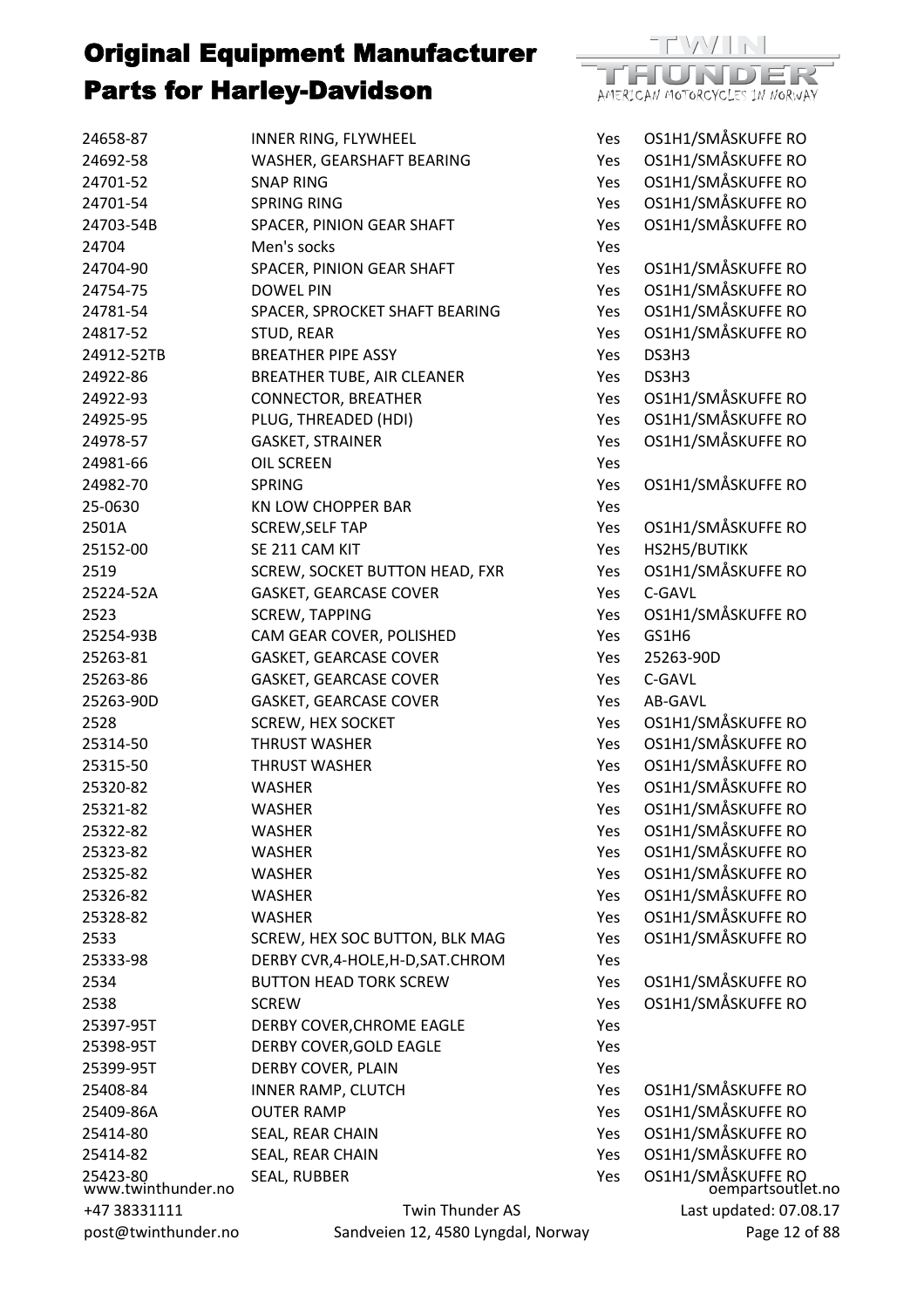

| 24658-87                       | INNER RING, FLYWHEEL               | Yes        | OS1H1/SMÅSKUFFE RO                      |
|--------------------------------|------------------------------------|------------|-----------------------------------------|
| 24692-58                       | WASHER, GEARSHAFT BEARING          | Yes        | OS1H1/SMÅSKUFFE RO                      |
| 24701-52                       | <b>SNAP RING</b>                   | Yes        | OS1H1/SMÅSKUFFE RO                      |
| 24701-54                       | <b>SPRING RING</b>                 | Yes        | OS1H1/SMÅSKUFFE RO                      |
| 24703-54B                      | SPACER, PINION GEAR SHAFT          | Yes        | OS1H1/SMÅSKUFFE RO                      |
| 24704                          | Men's socks                        | Yes        |                                         |
| 24704-90                       | SPACER, PINION GEAR SHAFT          | Yes        | OS1H1/SMÅSKUFFE RO                      |
| 24754-75                       | <b>DOWEL PIN</b>                   | Yes        | OS1H1/SMÅSKUFFE RO                      |
| 24781-54                       | SPACER, SPROCKET SHAFT BEARING     | Yes        | OS1H1/SMÅSKUFFE RO                      |
| 24817-52                       | STUD, REAR                         | Yes        | OS1H1/SMÅSKUFFE RO                      |
| 24912-52TB                     | <b>BREATHER PIPE ASSY</b>          | Yes        | DS3H3                                   |
| 24922-86                       | BREATHER TUBE, AIR CLEANER         | Yes        | DS3H3                                   |
| 24922-93                       | <b>CONNECTOR, BREATHER</b>         | Yes        | OS1H1/SMÅSKUFFE RO                      |
| 24925-95                       | PLUG, THREADED (HDI)               | Yes        | OS1H1/SMÅSKUFFE RO                      |
| 24978-57                       | <b>GASKET, STRAINER</b>            | Yes        | OS1H1/SMÅSKUFFE RO                      |
| 24981-66                       | <b>OIL SCREEN</b>                  | Yes        |                                         |
| 24982-70                       | <b>SPRING</b>                      | Yes        | OS1H1/SMÅSKUFFE RO                      |
| 25-0630                        | <b>KN LOW CHOPPER BAR</b>          | Yes        |                                         |
| 2501A                          | <b>SCREW, SELF TAP</b>             | Yes        | OS1H1/SMÅSKUFFE RO                      |
| 25152-00                       | SE 211 CAM KIT                     | Yes        | HS2H5/BUTIKK                            |
| 2519                           | SCREW, SOCKET BUTTON HEAD, FXR     | Yes        | OS1H1/SMÅSKUFFE RO                      |
| 25224-52A                      | <b>GASKET, GEARCASE COVER</b>      | Yes        | C-GAVL                                  |
| 2523                           | <b>SCREW, TAPPING</b>              | Yes        | OS1H1/SMÅSKUFFE RO                      |
| 25254-93B                      | CAM GEAR COVER, POLISHED           | Yes        | GS1H6                                   |
| 25263-81                       | <b>GASKET, GEARCASE COVER</b>      | <b>Yes</b> | 25263-90D                               |
| 25263-86                       | <b>GASKET, GEARCASE COVER</b>      | Yes        | C-GAVL                                  |
| 25263-90D                      | <b>GASKET, GEARCASE COVER</b>      | Yes        | AB-GAVL                                 |
| 2528                           | <b>SCREW, HEX SOCKET</b>           | Yes        | OS1H1/SMÅSKUFFE RO                      |
| 25314-50                       | <b>THRUST WASHER</b>               | Yes        | OS1H1/SMÅSKUFFE RO                      |
| 25315-50                       | <b>THRUST WASHER</b>               | Yes        | OS1H1/SMÅSKUFFE RO                      |
| 25320-82                       | <b>WASHER</b>                      | Yes        | OS1H1/SMÅSKUFFE RO                      |
| 25321-82                       | <b>WASHER</b>                      | Yes        | OS1H1/SMÅSKUFFE RO                      |
| 25322-82                       | <b>WASHER</b>                      | Yes        | OS1H1/SMÅSKUFFE RO                      |
| 25323-82                       | <b>WASHER</b>                      | Yes        | OS1H1/SMÅSKUFFE RO                      |
| 25325-82                       | <b>WASHER</b>                      | Yes        | OS1H1/SMÅSKUFFE RO                      |
| 25326-82                       | <b>WASHER</b>                      | Yes        | OS1H1/SMÅSKUFFE RO                      |
| 25328-82                       | <b>WASHER</b>                      | Yes        | OS1H1/SMÅSKUFFE RO                      |
| 2533                           | SCREW, HEX SOC BUTTON, BLK MAG     | Yes        | OS1H1/SMÅSKUFFE RO                      |
| 25333-98                       | DERBY CVR, 4-HOLE, H-D, SAT. CHROM | Yes        |                                         |
| 2534                           | <b>BUTTON HEAD TORK SCREW</b>      | Yes        | OS1H1/SMÅSKUFFE RO                      |
| 2538                           | <b>SCREW</b>                       | Yes        | OS1H1/SMÅSKUFFE RO                      |
| 25397-95T                      | DERBY COVER, CHROME EAGLE          | Yes        |                                         |
| 25398-95T                      | DERBY COVER, GOLD EAGLE            | Yes        |                                         |
| 25399-95T                      | DERBY COVER, PLAIN                 | Yes        |                                         |
| 25408-84                       | <b>INNER RAMP, CLUTCH</b>          | Yes        | OS1H1/SMÅSKUFFE RO                      |
| 25409-86A                      | <b>OUTER RAMP</b>                  | Yes        | OS1H1/SMÅSKUFFE RO                      |
| 25414-80                       | SEAL, REAR CHAIN                   | Yes        | OS1H1/SMÅSKUFFE RO                      |
| 25414-82                       | SEAL, REAR CHAIN                   | Yes        | OS1H1/SMÅSKUFFE RO                      |
| 25423-80<br>www.twinthunder.no | SEAL, RUBBER                       | Yes        | OS1H1/SMÅSKUFFE RO<br>oempartsoutlet.no |
| +47 38331111                   | <b>Twin Thunder AS</b>             |            | Last updated: 07.08.17                  |
| post@twinthunder.no            | Sandveien 12, 4580 Lyngdal, Norway |            | Page 12 of 88                           |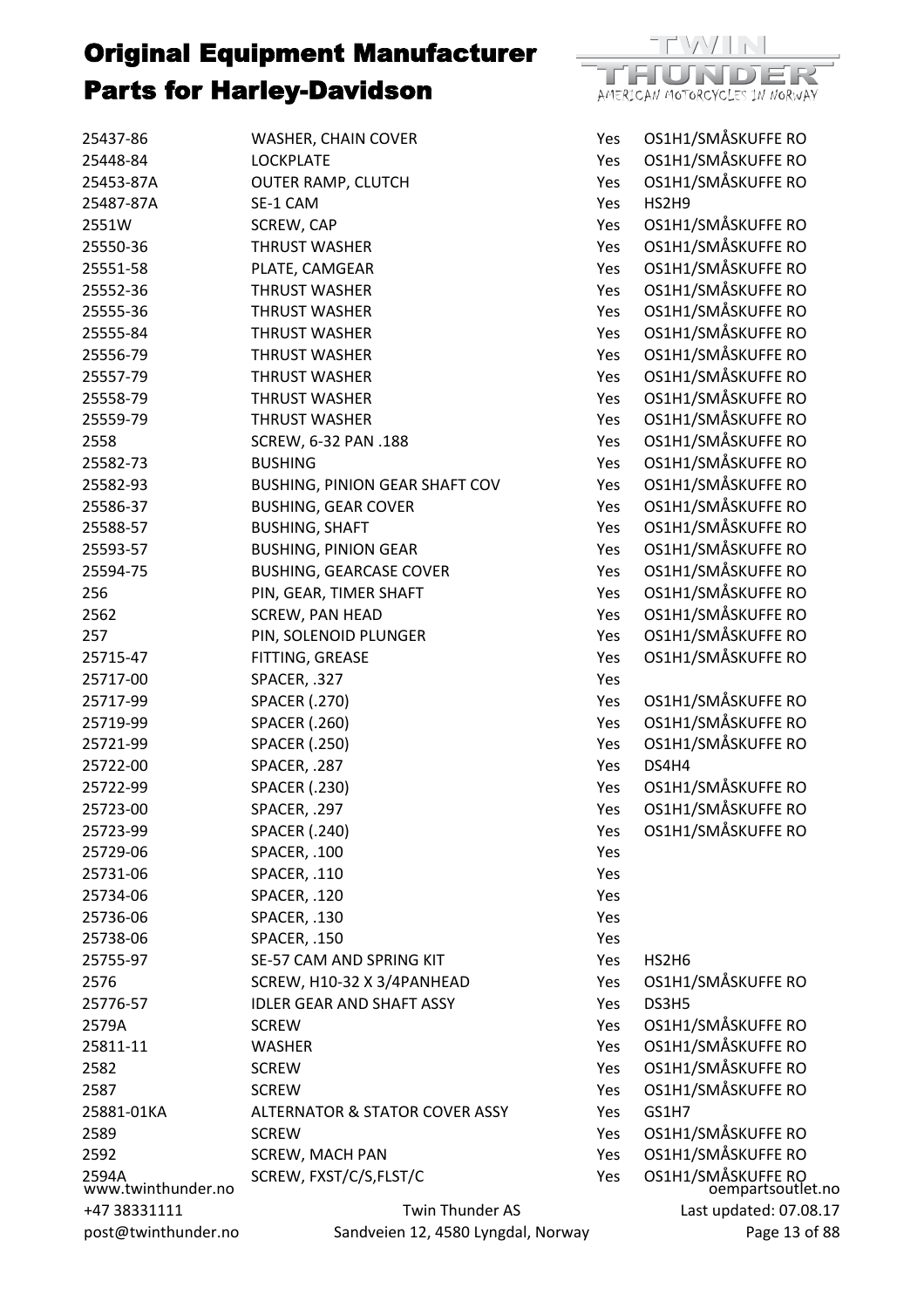

| 25437-86                    | WASHER, CHAIN COVER                       | Yes        | OS1H1/SMÅSKUFFE RO                      |
|-----------------------------|-------------------------------------------|------------|-----------------------------------------|
| 25448-84                    | <b>LOCKPLATE</b>                          | Yes        | OS1H1/SMÅSKUFFE RO                      |
| 25453-87A                   | <b>OUTER RAMP, CLUTCH</b>                 | Yes        | OS1H1/SMÅSKUFFE RO                      |
| 25487-87A                   | SE-1 CAM                                  | Yes        | HS2H9                                   |
| 2551W                       | SCREW, CAP                                | Yes        | OS1H1/SMÅSKUFFE RO                      |
| 25550-36                    | <b>THRUST WASHER</b>                      | Yes        | OS1H1/SMÅSKUFFE RO                      |
| 25551-58                    | PLATE, CAMGEAR                            | Yes        | OS1H1/SMÅSKUFFE RO                      |
| 25552-36                    | <b>THRUST WASHER</b>                      | Yes        | OS1H1/SMÅSKUFFE RO                      |
| 25555-36                    | <b>THRUST WASHER</b>                      | Yes        | OS1H1/SMÅSKUFFE RO                      |
| 25555-84                    | <b>THRUST WASHER</b>                      | Yes        | OS1H1/SMÅSKUFFE RO                      |
| 25556-79                    | <b>THRUST WASHER</b>                      | Yes        | OS1H1/SMÅSKUFFE RO                      |
| 25557-79                    | <b>THRUST WASHER</b>                      | Yes        | OS1H1/SMÅSKUFFE RO                      |
| 25558-79                    | <b>THRUST WASHER</b>                      | Yes        | OS1H1/SMÅSKUFFE RO                      |
| 25559-79                    | <b>THRUST WASHER</b>                      | Yes        | OS1H1/SMÅSKUFFE RO                      |
| 2558                        | SCREW, 6-32 PAN .188                      | Yes        | OS1H1/SMÅSKUFFE RO                      |
| 25582-73                    | <b>BUSHING</b>                            | Yes        | OS1H1/SMÅSKUFFE RO                      |
| 25582-93                    | BUSHING, PINION GEAR SHAFT COV            | Yes        | OS1H1/SMÅSKUFFE RO                      |
| 25586-37                    | <b>BUSHING, GEAR COVER</b>                | Yes        | OS1H1/SMÅSKUFFE RO                      |
| 25588-57                    | <b>BUSHING, SHAFT</b>                     | Yes        | OS1H1/SMÅSKUFFE RO                      |
| 25593-57                    | <b>BUSHING, PINION GEAR</b>               | Yes        | OS1H1/SMÅSKUFFE RO                      |
| 25594-75                    | <b>BUSHING, GEARCASE COVER</b>            | Yes        | OS1H1/SMÅSKUFFE RO                      |
| 256                         | PIN, GEAR, TIMER SHAFT                    | Yes        | OS1H1/SMÅSKUFFE RO                      |
| 2562                        | SCREW, PAN HEAD                           | Yes        | OS1H1/SMÅSKUFFE RO                      |
| 257                         | PIN, SOLENOID PLUNGER                     | Yes        | OS1H1/SMÅSKUFFE RO                      |
| 25715-47                    | FITTING, GREASE                           | Yes        | OS1H1/SMÅSKUFFE RO                      |
| 25717-00                    | SPACER, .327                              | Yes        |                                         |
| 25717-99                    | <b>SPACER (.270)</b>                      | Yes        | OS1H1/SMÅSKUFFE RO                      |
| 25719-99                    | <b>SPACER (.260)</b>                      | Yes        | OS1H1/SMÅSKUFFE RO                      |
| 25721-99                    | <b>SPACER (.250)</b>                      | Yes        | OS1H1/SMÅSKUFFE RO                      |
| 25722-00                    | SPACER, .287                              | Yes        | DS4H4                                   |
| 25722-99                    | <b>SPACER (.230)</b>                      | Yes        | OS1H1/SMÅSKUFFE RO                      |
| 25723-00                    | SPACER, .297                              | Yes        | OS1H1/SMÅSKUFFE RO                      |
| 25723-99                    | <b>SPACER (.240)</b>                      | Yes        | OS1H1/SMÅSKUFFE RO                      |
| 25729-06                    | SPACER, .100                              | Yes        |                                         |
| 25731-06                    | SPACER, .110                              | Yes        |                                         |
| 25734-06                    | SPACER, .120                              | Yes        |                                         |
| 25736-06                    | SPACER, .130                              | Yes        |                                         |
| 25738-06                    | SPACER, .150                              | Yes        |                                         |
| 25755-97                    | SE-57 CAM AND SPRING KIT                  | Yes        | HS2H6                                   |
| 2576                        | SCREW, H10-32 X 3/4PANHEAD                | Yes        | OS1H1/SMÅSKUFFE RO                      |
| 25776-57                    | <b>IDLER GEAR AND SHAFT ASSY</b>          | Yes        | DS3H5                                   |
| 2579A                       | <b>SCREW</b>                              | <b>Yes</b> | OS1H1/SMÅSKUFFE RO                      |
| 25811-11                    | <b>WASHER</b>                             | Yes        | OS1H1/SMÅSKUFFE RO                      |
| 2582                        | <b>SCREW</b>                              | Yes        | OS1H1/SMÅSKUFFE RO                      |
| 2587                        | <b>SCREW</b>                              | Yes        | OS1H1/SMÅSKUFFE RO                      |
| 25881-01KA                  | <b>ALTERNATOR &amp; STATOR COVER ASSY</b> | Yes        | GS1H7                                   |
| 2589                        | <b>SCREW</b>                              | Yes        | OS1H1/SMÅSKUFFE RO                      |
| 2592                        | <b>SCREW, MACH PAN</b>                    | Yes        | OS1H1/SMÅSKUFFE RO                      |
| 2594A<br>www.twinthunder.no | SCREW, FXST/C/S, FLST/C                   | Yes        | OS1H1/SMÅSKUFFE RO<br>oempartsoutlet.no |
| +47 38331111                | <b>Twin Thunder AS</b>                    |            | Last updated: 07.08.17                  |
| post@twinthunder.no         | Sandveien 12, 4580 Lyngdal, Norway        |            | Page 13 of 88                           |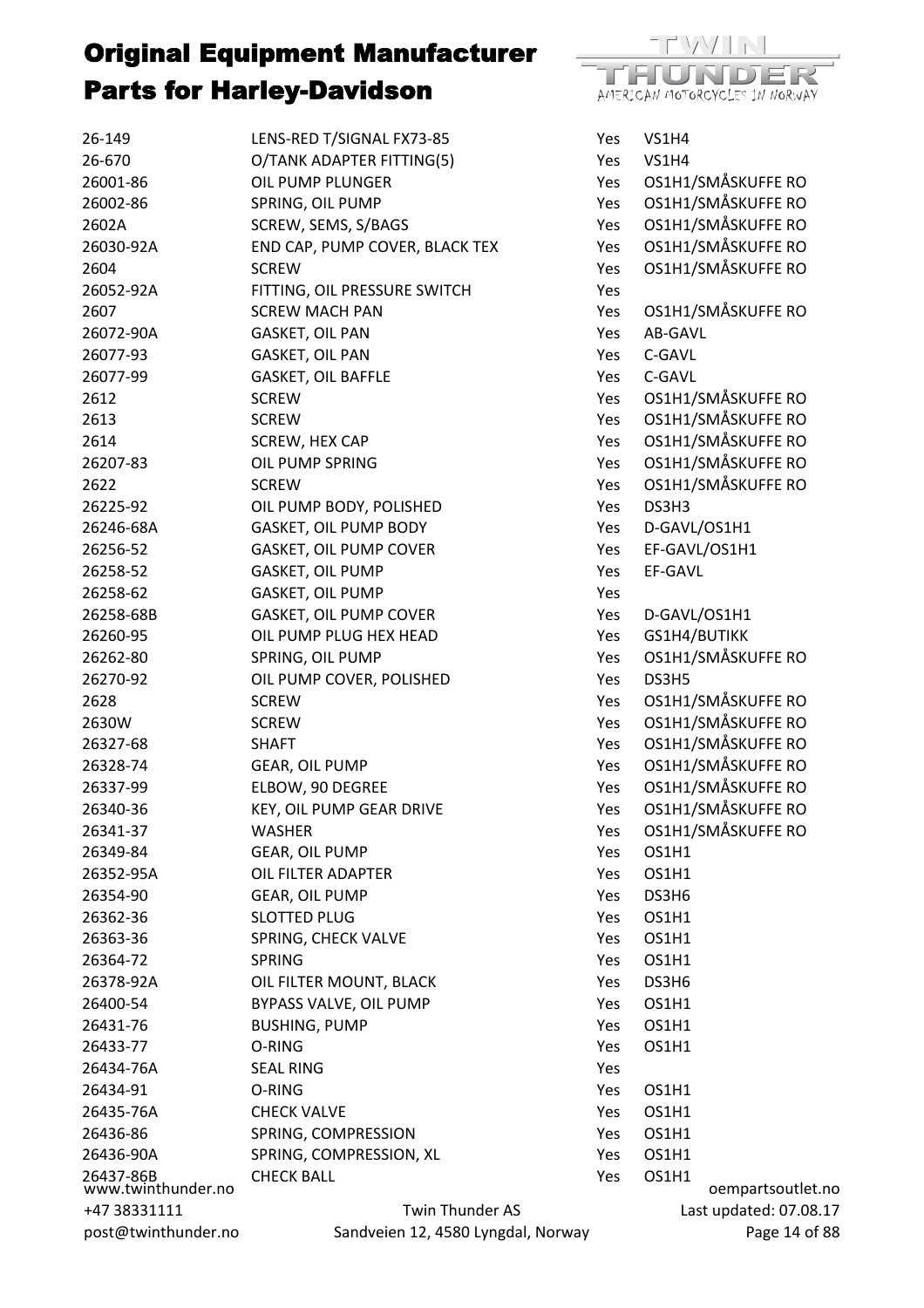

| 26-149                          | LENS-RED T/SIGNAL FX73-85      | Yes | <b>VS1H4</b>       |
|---------------------------------|--------------------------------|-----|--------------------|
| 26-670                          | O/TANK ADAPTER FITTING(5)      | Yes | <b>VS1H4</b>       |
| 26001-86                        | OIL PUMP PLUNGER               | Yes | OS1H1/SMÅSKUFFE RO |
| 26002-86                        | SPRING, OIL PUMP               | Yes | OS1H1/SMÅSKUFFE RO |
| 2602A                           | SCREW, SEMS, S/BAGS            | Yes | OS1H1/SMÅSKUFFE RO |
| 26030-92A                       | END CAP, PUMP COVER, BLACK TEX | Yes | OS1H1/SMÅSKUFFE RO |
| 2604                            | <b>SCREW</b>                   | Yes | OS1H1/SMÅSKUFFE RO |
| 26052-92A                       | FITTING, OIL PRESSURE SWITCH   | Yes |                    |
| 2607                            | <b>SCREW MACH PAN</b>          | Yes | OS1H1/SMÅSKUFFE RO |
| 26072-90A                       | GASKET, OIL PAN                | Yes | AB-GAVL            |
| 26077-93                        | GASKET, OIL PAN                | Yes | C-GAVL             |
| 26077-99                        | GASKET, OIL BAFFLE             | Yes | C-GAVL             |
| 2612                            | <b>SCREW</b>                   | Yes | OS1H1/SMÅSKUFFE RO |
| 2613                            | <b>SCREW</b>                   | Yes | OS1H1/SMÅSKUFFE RO |
| 2614                            | SCREW, HEX CAP                 | Yes | OS1H1/SMÅSKUFFE RO |
| 26207-83                        | OIL PUMP SPRING                | Yes | OS1H1/SMÅSKUFFE RO |
| 2622                            | <b>SCREW</b>                   | Yes | OS1H1/SMÅSKUFFE RO |
| 26225-92                        | OIL PUMP BODY, POLISHED        | Yes | DS3H3              |
| 26246-68A                       | <b>GASKET, OIL PUMP BODY</b>   | Yes | D-GAVL/OS1H1       |
| 26256-52                        | <b>GASKET, OIL PUMP COVER</b>  | Yes | EF-GAVL/OS1H1      |
| 26258-52                        | GASKET, OIL PUMP               | Yes | EF-GAVL            |
| 26258-62                        | GASKET, OIL PUMP               | Yes |                    |
| 26258-68B                       | <b>GASKET, OIL PUMP COVER</b>  | Yes | D-GAVL/OS1H1       |
| 26260-95                        | OIL PUMP PLUG HEX HEAD         | Yes | GS1H4/BUTIKK       |
| 26262-80                        | SPRING, OIL PUMP               | Yes | OS1H1/SMÅSKUFFE RO |
| 26270-92                        | OIL PUMP COVER, POLISHED       | Yes | DS3H5              |
| 2628                            | <b>SCREW</b>                   | Yes | OS1H1/SMÅSKUFFE RO |
| 2630W                           | <b>SCREW</b>                   | Yes | OS1H1/SMÅSKUFFE RO |
| 26327-68                        | <b>SHAFT</b>                   | Yes | OS1H1/SMÅSKUFFE RO |
| 26328-74                        | GEAR, OIL PUMP                 | Yes | OS1H1/SMÅSKUFFE RO |
| 26337-99                        | ELBOW, 90 DEGREE               | Yes | OS1H1/SMÅSKUFFE RO |
| 26340-36                        | KEY, OIL PUMP GEAR DRIVE       | Yes | OS1H1/SMÅSKUFFE RO |
| 26341-37                        | WASHER                         | Yes | OS1H1/SMÅSKUFFE RO |
| 26349-84                        | <b>GEAR, OIL PUMP</b>          | Yes | OS1H1              |
| 26352-95A                       | OIL FILTER ADAPTER             | Yes | OS1H1              |
| 26354-90                        | <b>GEAR, OIL PUMP</b>          | Yes | DS3H6              |
| 26362-36                        | <b>SLOTTED PLUG</b>            | Yes | OS1H1              |
| 26363-36                        | SPRING, CHECK VALVE            | Yes | OS1H1              |
| 26364-72                        | <b>SPRING</b>                  | Yes | OS1H1              |
| 26378-92A                       | OIL FILTER MOUNT, BLACK        | Yes | DS3H6              |
| 26400-54                        | BYPASS VALVE, OIL PUMP         | Yes | OS1H1              |
| 26431-76                        | <b>BUSHING, PUMP</b>           | Yes | OS1H1              |
| 26433-77                        | O-RING                         | Yes | OS1H1              |
| 26434-76A                       | <b>SEAL RING</b>               | Yes |                    |
| 26434-91                        | O-RING                         | Yes | OS1H1              |
| 26435-76A                       | <b>CHECK VALVE</b>             | Yes | OS1H1              |
| 26436-86                        | SPRING, COMPRESSION            | Yes | OS1H1              |
| 26436-90A                       | SPRING, COMPRESSION, XL        | Yes | OS1H1              |
| 26437-86B<br>www.twinthunder.no | <b>CHECK BALL</b>              | Yes | OS1H1              |
|                                 |                                |     | oempartsoutle      |
| +47 38331111                    | Twin Thunder AS                |     | Last updated: 07.0 |

post@twinthunder.no

Sandveien 12, 4580 Lyngdal, Norway

et.no  $8.17$ Page 14 of 88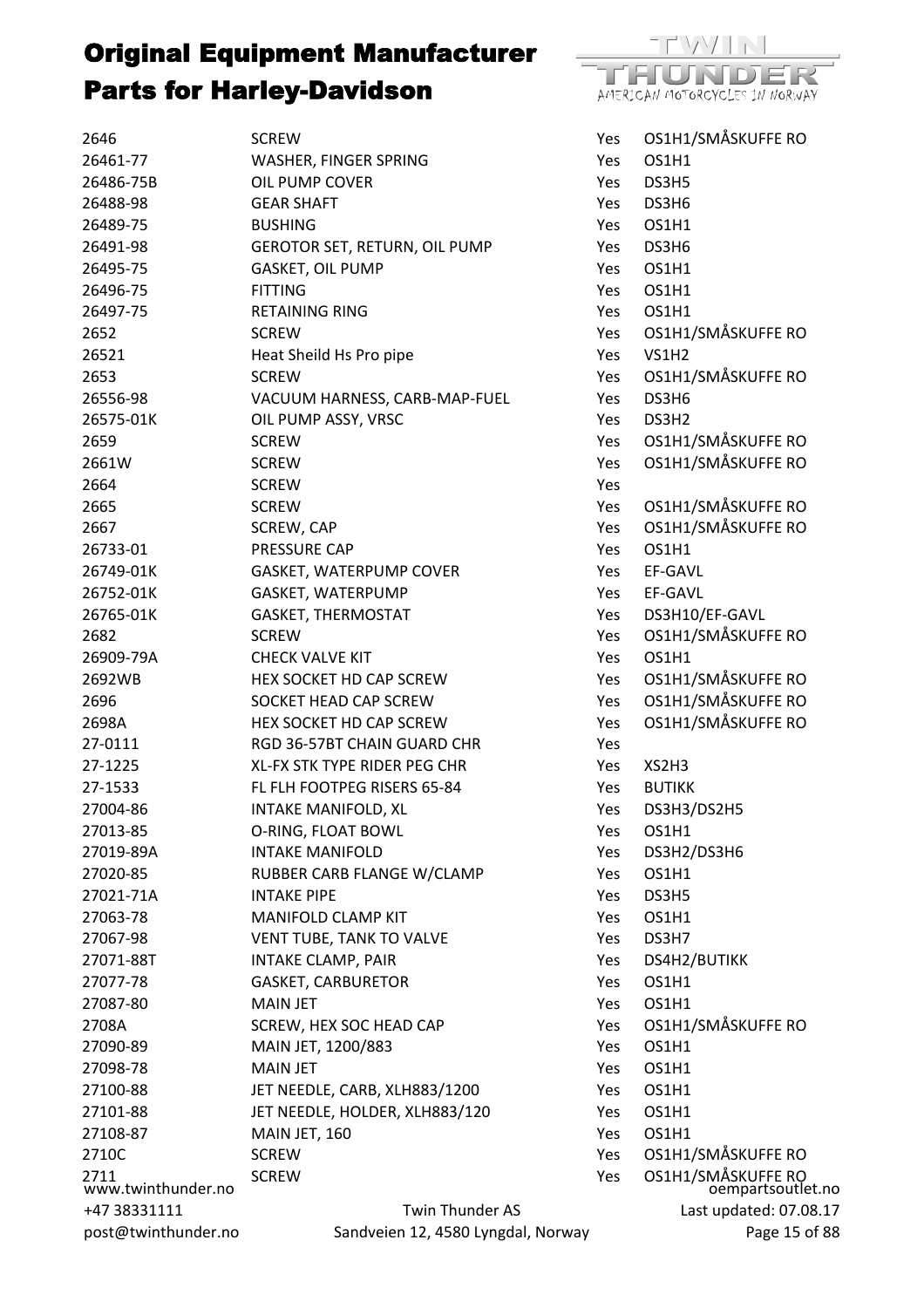

| 2646                       | <b>SCREW</b>                       | Yes | OS1H1/SMÅSKUFFE RO                      |
|----------------------------|------------------------------------|-----|-----------------------------------------|
| 26461-77                   | WASHER, FINGER SPRING              | Yes | OS1H1                                   |
| 26486-75B                  | OIL PUMP COVER                     | Yes | DS3H5                                   |
| 26488-98                   | <b>GEAR SHAFT</b>                  | Yes | DS3H6                                   |
| 26489-75                   | <b>BUSHING</b>                     | Yes | OS1H1                                   |
| 26491-98                   | GEROTOR SET, RETURN, OIL PUMP      | Yes | DS3H6                                   |
| 26495-75                   | GASKET, OIL PUMP                   | Yes | OS1H1                                   |
| 26496-75                   | <b>FITTING</b>                     | Yes | OS1H1                                   |
| 26497-75                   | <b>RETAINING RING</b>              | Yes | OS1H1                                   |
| 2652                       | <b>SCREW</b>                       | Yes | OS1H1/SMÅSKUFFE RO                      |
| 26521                      | Heat Sheild Hs Pro pipe            | Yes | <b>VS1H2</b>                            |
| 2653                       | <b>SCREW</b>                       | Yes | OS1H1/SMÅSKUFFE RO                      |
| 26556-98                   | VACUUM HARNESS, CARB-MAP-FUEL      | Yes | DS3H6                                   |
| 26575-01K                  | OIL PUMP ASSY, VRSC                | Yes | DS3H2                                   |
| 2659                       | <b>SCREW</b>                       | Yes | OS1H1/SMÅSKUFFE RO                      |
| 2661W                      | <b>SCREW</b>                       | Yes | OS1H1/SMÅSKUFFE RO                      |
| 2664                       | <b>SCREW</b>                       | Yes |                                         |
| 2665                       | <b>SCREW</b>                       | Yes | OS1H1/SMÅSKUFFE RO                      |
| 2667                       | SCREW, CAP                         | Yes | OS1H1/SMÅSKUFFE RO                      |
| 26733-01                   | PRESSURE CAP                       | Yes | OS1H1                                   |
| 26749-01K                  | GASKET, WATERPUMP COVER            | Yes | EF-GAVL                                 |
| 26752-01K                  | GASKET, WATERPUMP                  | Yes | EF-GAVL                                 |
| 26765-01K                  | <b>GASKET, THERMOSTAT</b>          | Yes | DS3H10/EF-GAVL                          |
| 2682                       | <b>SCREW</b>                       | Yes | OS1H1/SMÅSKUFFE RO                      |
| 26909-79A                  | <b>CHECK VALVE KIT</b>             | Yes | OS1H1                                   |
| 2692WB                     | HEX SOCKET HD CAP SCREW            | Yes | OS1H1/SMÅSKUFFE RO                      |
| 2696                       | SOCKET HEAD CAP SCREW              | Yes | OS1H1/SMÅSKUFFE RO                      |
| 2698A                      | HEX SOCKET HD CAP SCREW            | Yes | OS1H1/SMÅSKUFFE RO                      |
| 27-0111                    | RGD 36-57BT CHAIN GUARD CHR        | Yes |                                         |
| 27-1225                    | XL-FX STK TYPE RIDER PEG CHR       | Yes | XS2H3                                   |
| 27-1533                    | FL FLH FOOTPEG RISERS 65-84        | Yes | <b>BUTIKK</b>                           |
| 27004-86                   | INTAKE MANIFOLD, XL                | Yes | DS3H3/DS2H5                             |
| 27013-85                   | O-RING, FLOAT BOWL                 | Yes | OS1H1                                   |
| 27019-89A                  | <b>INTAKE MANIFOLD</b>             | Yes | DS3H2/DS3H6                             |
| 27020-85                   | RUBBER CARB FLANGE W/CLAMP         | Yes | OS1H1                                   |
| 27021-71A                  | <b>INTAKE PIPE</b>                 | Yes | DS3H5                                   |
| 27063-78                   | <b>MANIFOLD CLAMP KIT</b>          | Yes | OS1H1                                   |
| 27067-98                   | VENT TUBE, TANK TO VALVE           | Yes | DS3H7                                   |
| 27071-88T                  | INTAKE CLAMP, PAIR                 | Yes | DS4H2/BUTIKK                            |
| 27077-78                   | <b>GASKET, CARBURETOR</b>          | Yes | OS1H1                                   |
| 27087-80                   | <b>MAIN JET</b>                    | Yes | OS1H1                                   |
| 2708A                      | SCREW, HEX SOC HEAD CAP            | Yes | OS1H1/SMÅSKUFFE RO                      |
| 27090-89                   | MAIN JET, 1200/883                 | Yes | OS1H1                                   |
| 27098-78                   | <b>MAIN JET</b>                    | Yes | OS1H1                                   |
| 27100-88                   | JET NEEDLE, CARB, XLH883/1200      | Yes | OS1H1                                   |
| 27101-88                   | JET NEEDLE, HOLDER, XLH883/120     | Yes | OS1H1                                   |
| 27108-87                   | MAIN JET, 160                      | Yes | OS1H1                                   |
| 2710C                      | <b>SCREW</b>                       | Yes | OS1H1/SMÅSKUFFE RO                      |
| 2711<br>www.twinthunder.no | <b>SCREW</b>                       | Yes | OS1H1/SMÅSKUFFE RO<br>oempartsoutlet.no |
| +47 38331111               | Twin Thunder AS                    |     | Last updated: 07.08.17                  |
| post@twinthunder.no        | Sandveien 12, 4580 Lyngdal, Norway |     | Page 15 of 88                           |
|                            |                                    |     |                                         |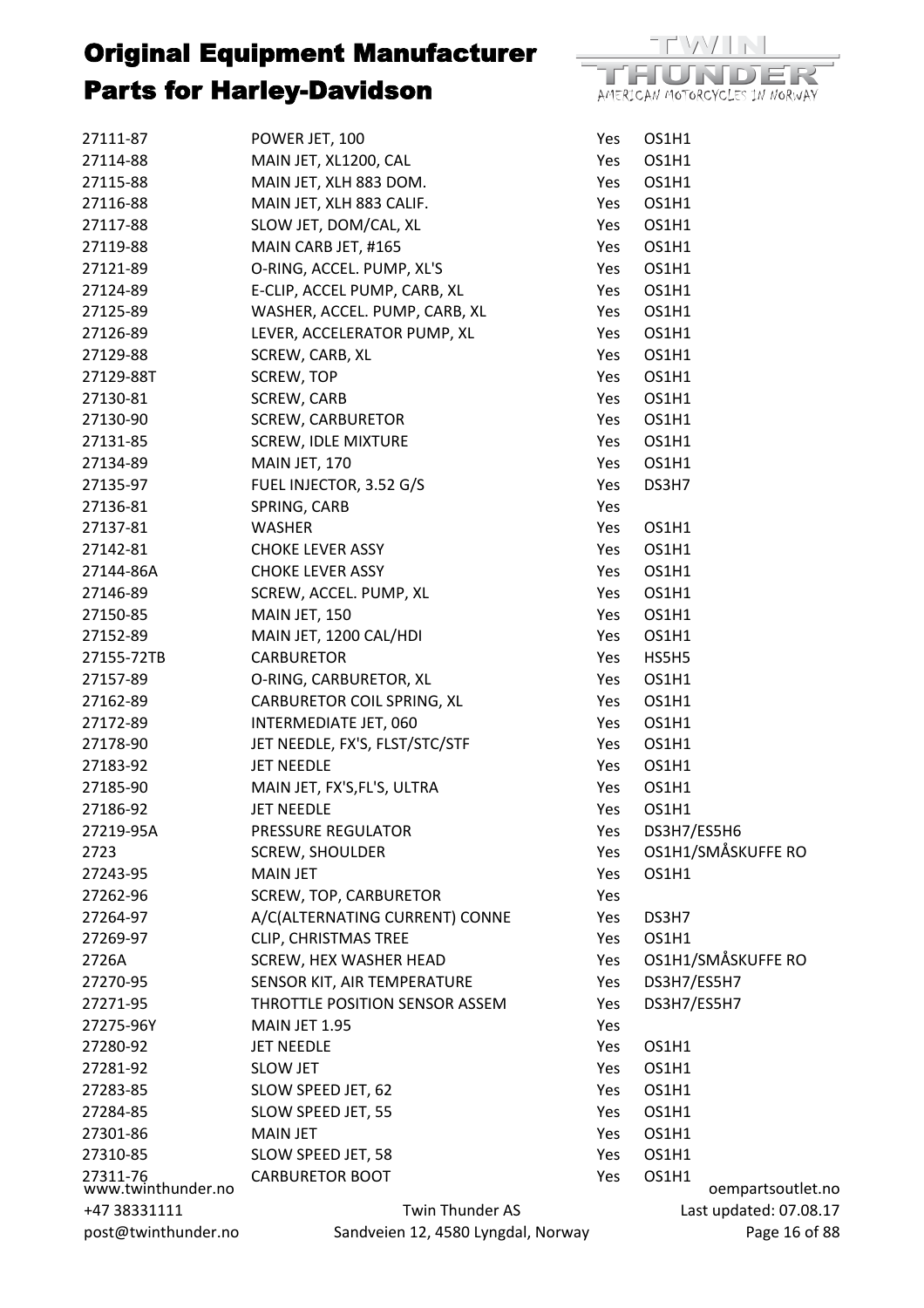

| 27111-87                       | POWER JET, 100                     | Yes | OS1H1                      |
|--------------------------------|------------------------------------|-----|----------------------------|
| 27114-88                       | MAIN JET, XL1200, CAL              | Yes | OS1H1                      |
| 27115-88                       | MAIN JET, XLH 883 DOM.             | Yes | OS1H1                      |
| 27116-88                       | MAIN JET, XLH 883 CALIF.           | Yes | OS1H1                      |
| 27117-88                       | SLOW JET, DOM/CAL, XL              | Yes | OS1H1                      |
| 27119-88                       | MAIN CARB JET, #165                | Yes | OS1H1                      |
| 27121-89                       | O-RING, ACCEL. PUMP, XL'S          | Yes | OS1H1                      |
| 27124-89                       | E-CLIP, ACCEL PUMP, CARB, XL       | Yes | OS1H1                      |
| 27125-89                       | WASHER, ACCEL. PUMP, CARB, XL      | Yes | OS1H1                      |
| 27126-89                       | LEVER, ACCELERATOR PUMP, XL        | Yes | OS1H1                      |
| 27129-88                       | SCREW, CARB, XL                    | Yes | OS1H1                      |
| 27129-88T                      | SCREW, TOP                         | Yes | OS1H1                      |
| 27130-81                       | SCREW, CARB                        | Yes | OS1H1                      |
| 27130-90                       | <b>SCREW, CARBURETOR</b>           | Yes | OS1H1                      |
| 27131-85                       | <b>SCREW, IDLE MIXTURE</b>         | Yes | OS1H1                      |
| 27134-89                       | MAIN JET, 170                      | Yes | OS1H1                      |
| 27135-97                       | FUEL INJECTOR, 3.52 G/S            | Yes | DS3H7                      |
| 27136-81                       | SPRING, CARB                       | Yes |                            |
| 27137-81                       | <b>WASHER</b>                      | Yes | OS1H1                      |
| 27142-81                       | <b>CHOKE LEVER ASSY</b>            | Yes | OS1H1                      |
| 27144-86A                      | <b>CHOKE LEVER ASSY</b>            | Yes | OS1H1                      |
| 27146-89                       | SCREW, ACCEL. PUMP, XL             | Yes | OS1H1                      |
| 27150-85                       | MAIN JET, 150                      | Yes | OS1H1                      |
| 27152-89                       |                                    |     | OS1H1                      |
| 27155-72TB                     | MAIN JET, 1200 CAL/HDI             | Yes |                            |
|                                | <b>CARBURETOR</b>                  | Yes | HS5H5                      |
| 27157-89                       | O-RING, CARBURETOR, XL             | Yes | OS1H1                      |
| 27162-89                       | CARBURETOR COIL SPRING, XL         | Yes | OS1H1                      |
| 27172-89                       | INTERMEDIATE JET, 060              | Yes | OS1H1                      |
| 27178-90                       | JET NEEDLE, FX'S, FLST/STC/STF     | Yes | OS1H1                      |
| 27183-92                       | <b>JET NEEDLE</b>                  | Yes | OS1H1                      |
| 27185-90                       | MAIN JET, FX'S, FL'S, ULTRA        | Yes | OS1H1                      |
| 27186-92                       | <b>JET NEEDLE</b>                  | Yes | OS1H1                      |
| 27219-95A                      | PRESSURE REGULATOR                 | Yes | DS3H7/ES5H6                |
| 2723                           | <b>SCREW, SHOULDER</b>             | Yes | OS1H1/SMÅSKUFFE RO         |
| 27243-95                       | <b>MAIN JET</b>                    | Yes | OS1H1                      |
| 27262-96                       | <b>SCREW, TOP, CARBURETOR</b>      | Yes |                            |
| 27264-97                       | A/C(ALTERNATING CURRENT) CONNE     | Yes | DS3H7                      |
| 27269-97                       | <b>CLIP, CHRISTMAS TREE</b>        | Yes | OS1H1                      |
| 2726A                          | <b>SCREW, HEX WASHER HEAD</b>      | Yes | OS1H1/SMÅSKUFFE RO         |
| 27270-95                       | SENSOR KIT, AIR TEMPERATURE        | Yes | DS3H7/ES5H7                |
| 27271-95                       | THROTTLE POSITION SENSOR ASSEM     | Yes | DS3H7/ES5H7                |
| 27275-96Y                      | MAIN JET 1.95                      | Yes |                            |
| 27280-92                       | <b>JET NEEDLE</b>                  | Yes | OS1H1                      |
| 27281-92                       | <b>SLOW JET</b>                    | Yes | OS1H1                      |
| 27283-85                       | SLOW SPEED JET, 62                 | Yes | OS1H1                      |
| 27284-85                       | SLOW SPEED JET, 55                 | Yes | OS1H1                      |
| 27301-86                       | <b>MAIN JET</b>                    | Yes | OS1H1                      |
| 27310-85                       | SLOW SPEED JET, 58                 | Yes | OS1H1                      |
| 27311-76<br>www.twinthunder.no | <b>CARBURETOR BOOT</b>             | Yes | OS1H1<br>oempartsoutlet.no |
| +47 38331111                   | Twin Thunder AS                    |     | Last updated: 07.08.17     |
| post@twinthunder.no            | Sandveien 12, 4580 Lyngdal, Norway |     | Page 16 of 88              |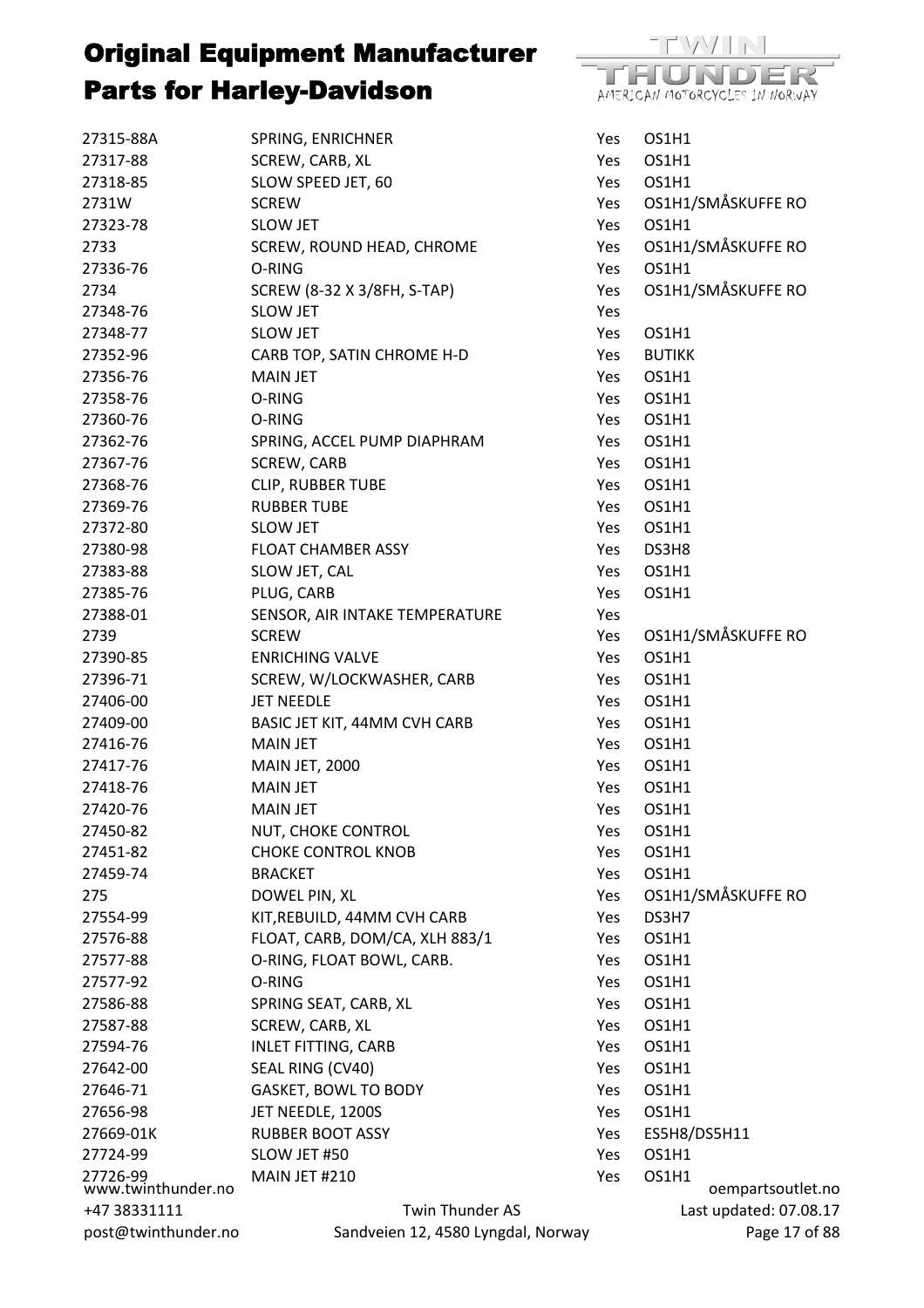

| 27315-88A                      | SPRING, ENRICHNER                  | Yes | OS1H1                      |
|--------------------------------|------------------------------------|-----|----------------------------|
| 27317-88                       | SCREW, CARB, XL                    | Yes | OS1H1                      |
| 27318-85                       | SLOW SPEED JET, 60                 | Yes | OS1H1                      |
| 2731W                          | <b>SCREW</b>                       | Yes | OS1H1/SMÅSKUFFE RO         |
| 27323-78                       | <b>SLOW JET</b>                    | Yes | OS1H1                      |
| 2733                           | SCREW, ROUND HEAD, CHROME          | Yes | OS1H1/SMÅSKUFFE RO         |
| 27336-76                       | O-RING                             | Yes | OS1H1                      |
| 2734                           | SCREW (8-32 X 3/8FH, S-TAP)        | Yes | OS1H1/SMÅSKUFFE RO         |
| 27348-76                       | <b>SLOW JET</b>                    | Yes |                            |
| 27348-77                       | <b>SLOW JET</b>                    | Yes | OS1H1                      |
| 27352-96                       | CARB TOP, SATIN CHROME H-D         | Yes | <b>BUTIKK</b>              |
| 27356-76                       | <b>MAIN JET</b>                    | Yes | OS1H1                      |
| 27358-76                       | O-RING                             | Yes | OS1H1                      |
| 27360-76                       | O-RING                             | Yes | OS1H1                      |
| 27362-76                       | SPRING, ACCEL PUMP DIAPHRAM        | Yes | OS1H1                      |
| 27367-76                       | SCREW, CARB                        | Yes | OS1H1                      |
| 27368-76                       | <b>CLIP, RUBBER TUBE</b>           | Yes | OS1H1                      |
| 27369-76                       | <b>RUBBER TUBE</b>                 | Yes | OS1H1                      |
| 27372-80                       | <b>SLOW JET</b>                    | Yes | OS1H1                      |
| 27380-98                       | <b>FLOAT CHAMBER ASSY</b>          | Yes | DS3H8                      |
| 27383-88                       | SLOW JET, CAL                      | Yes | OS1H1                      |
| 27385-76                       | PLUG, CARB                         | Yes | OS1H1                      |
| 27388-01                       | SENSOR, AIR INTAKE TEMPERATURE     | Yes |                            |
| 2739                           | <b>SCREW</b>                       | Yes | OS1H1/SMÅSKUFFE RO         |
| 27390-85                       | <b>ENRICHING VALVE</b>             | Yes | OS1H1                      |
| 27396-71                       | SCREW, W/LOCKWASHER, CARB          | Yes | OS1H1                      |
| 27406-00                       | <b>JET NEEDLE</b>                  | Yes | OS1H1                      |
| 27409-00                       | BASIC JET KIT, 44MM CVH CARB       | Yes | OS1H1                      |
| 27416-76                       | <b>MAIN JET</b>                    | Yes | OS1H1                      |
| 27417-76                       | <b>MAIN JET, 2000</b>              | Yes | OS1H1                      |
| 27418-76                       | <b>MAIN JET</b>                    | Yes | OS1H1                      |
| 27420-76                       | <b>MAIN JET</b>                    | Yes | OS1H1                      |
| 27450-82                       | NUT, CHOKE CONTROL                 | Yes | OS1H1                      |
| 27451-82                       | <b>CHOKE CONTROL KNOB</b>          | Yes | OS1H1                      |
| 27459-74                       | <b>BRACKET</b>                     | Yes | OS1H1                      |
| 275                            | DOWEL PIN, XL                      | Yes | OS1H1/SMÅSKUFFE RO         |
| 27554-99                       | KIT, REBUILD, 44MM CVH CARB        | Yes | DS3H7                      |
| 27576-88                       | FLOAT, CARB, DOM/CA, XLH 883/1     | Yes | OS1H1                      |
| 27577-88                       | O-RING, FLOAT BOWL, CARB.          | Yes | OS1H1                      |
| 27577-92                       | O-RING                             | Yes | OS1H1                      |
| 27586-88                       | SPRING SEAT, CARB, XL              | Yes | OS1H1                      |
| 27587-88                       | SCREW, CARB, XL                    | Yes | OS1H1                      |
| 27594-76                       | <b>INLET FITTING, CARB</b>         | Yes | OS1H1                      |
| 27642-00                       | SEAL RING (CV40)                   | Yes | OS1H1                      |
| 27646-71                       | <b>GASKET, BOWL TO BODY</b>        | Yes | OS1H1                      |
| 27656-98                       | JET NEEDLE, 1200S                  |     | OS1H1                      |
|                                |                                    | Yes |                            |
| 27669-01K                      | <b>RUBBER BOOT ASSY</b>            | Yes | ES5H8/DS5H11               |
| 27724-99                       | SLOW JET #50                       | Yes | OS1H1                      |
| 27726-99<br>www.twinthunder.no | MAIN JET #210                      | Yes | OS1H1<br>oempartsoutlet.no |
| +47 38331111                   | Twin Thunder AS                    |     | Last updated: 07.08.17     |
| post@twinthunder.no            | Sandveien 12, 4580 Lyngdal, Norway |     | Page 17 of 88              |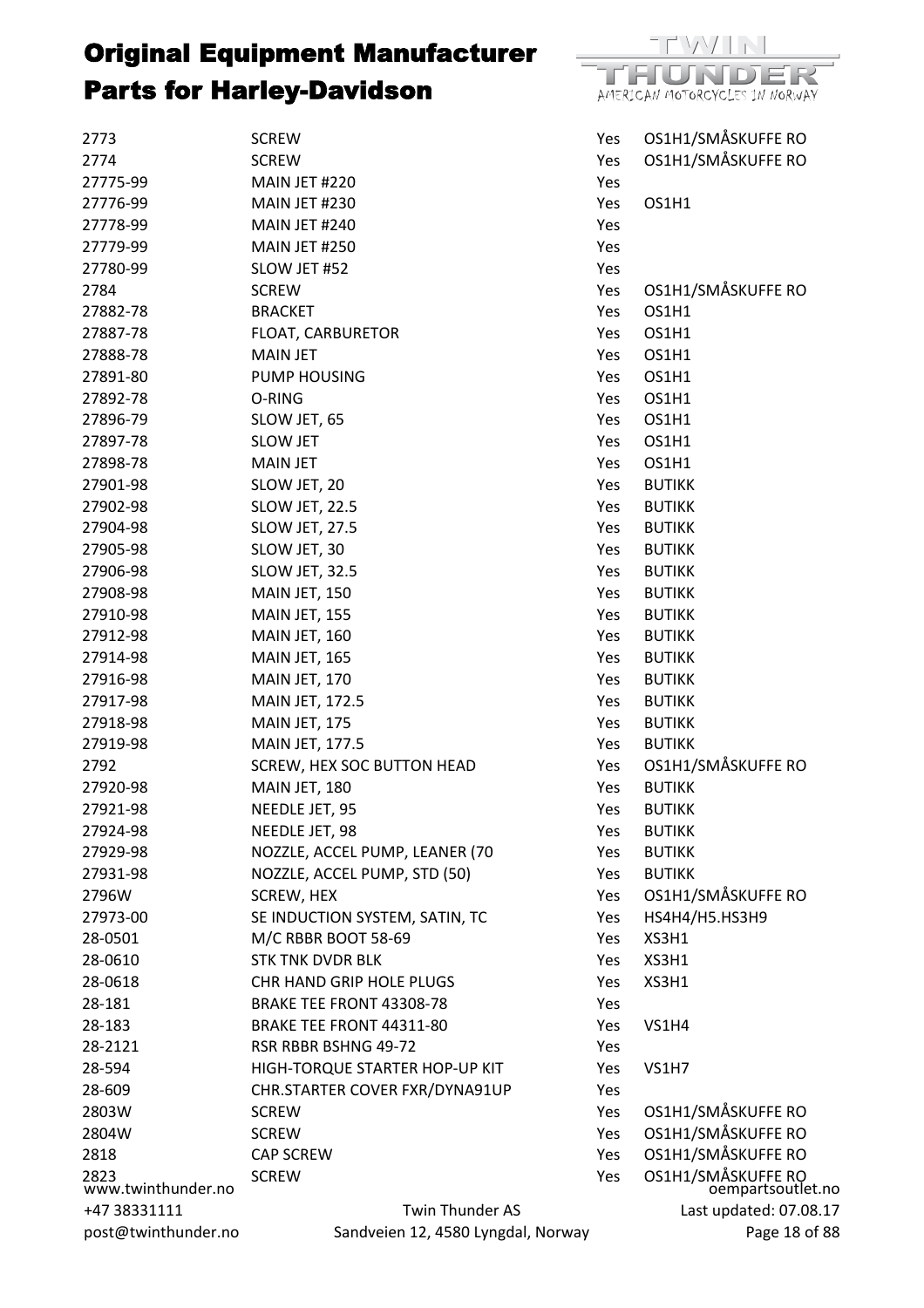

| 2773                       | <b>SCREW</b>                       | Yes | OS1H1/SMÅSKUFFE RO                      |
|----------------------------|------------------------------------|-----|-----------------------------------------|
| 2774                       | <b>SCREW</b>                       | Yes | OS1H1/SMÅSKUFFE RO                      |
| 27775-99                   | MAIN JET #220                      | Yes |                                         |
| 27776-99                   | MAIN JET #230                      | Yes | OS1H1                                   |
| 27778-99                   | MAIN JET #240                      | Yes |                                         |
| 27779-99                   | MAIN JET #250                      | Yes |                                         |
| 27780-99                   | SLOW JET #52                       | Yes |                                         |
| 2784                       | <b>SCREW</b>                       | Yes | OS1H1/SMÅSKUFFE RO                      |
| 27882-78                   | <b>BRACKET</b>                     | Yes | OS1H1                                   |
| 27887-78                   | FLOAT, CARBURETOR                  | Yes | OS1H1                                   |
| 27888-78                   | <b>MAIN JET</b>                    | Yes | OS1H1                                   |
| 27891-80                   | PUMP HOUSING                       | Yes | OS1H1                                   |
| 27892-78                   | O-RING                             | Yes | OS1H1                                   |
| 27896-79                   | SLOW JET, 65                       | Yes | OS1H1                                   |
| 27897-78                   | <b>SLOW JET</b>                    | Yes | OS1H1                                   |
| 27898-78                   | <b>MAIN JET</b>                    | Yes | OS1H1                                   |
| 27901-98                   | SLOW JET, 20                       | Yes | <b>BUTIKK</b>                           |
| 27902-98                   | SLOW JET, 22.5                     | Yes | <b>BUTIKK</b>                           |
| 27904-98                   | SLOW JET, 27.5                     | Yes | <b>BUTIKK</b>                           |
| 27905-98                   | SLOW JET, 30                       | Yes | <b>BUTIKK</b>                           |
| 27906-98                   | SLOW JET, 32.5                     | Yes | <b>BUTIKK</b>                           |
| 27908-98                   | MAIN JET, 150                      | Yes | <b>BUTIKK</b>                           |
| 27910-98                   | MAIN JET, 155                      | Yes | <b>BUTIKK</b>                           |
| 27912-98                   | MAIN JET, 160                      | Yes | <b>BUTIKK</b>                           |
| 27914-98                   | MAIN JET, 165                      | Yes | <b>BUTIKK</b>                           |
| 27916-98                   | MAIN JET, 170                      | Yes | <b>BUTIKK</b>                           |
| 27917-98                   | <b>MAIN JET, 172.5</b>             | Yes | <b>BUTIKK</b>                           |
| 27918-98                   | MAIN JET, 175                      | Yes | <b>BUTIKK</b>                           |
| 27919-98                   | MAIN JET, 177.5                    | Yes | <b>BUTIKK</b>                           |
| 2792                       | SCREW, HEX SOC BUTTON HEAD         | Yes | OS1H1/SMÅSKUFFE RO                      |
| 27920-98                   | MAIN JET, 180                      | Yes | <b>BUTIKK</b>                           |
| 27921-98                   | NEEDLE JET, 95                     | Yes | <b>BUTIKK</b>                           |
| 27924-98                   | NEEDLE JET, 98                     | Yes | <b>BUTIKK</b>                           |
| 27929-98                   | NOZZLE, ACCEL PUMP, LEANER (70     | Yes | <b>BUTIKK</b>                           |
| 27931-98                   | NOZZLE, ACCEL PUMP, STD (50)       | Yes | <b>BUTIKK</b>                           |
| 2796W                      | SCREW, HEX                         | Yes | OS1H1/SMÅSKUFFE RO                      |
| 27973-00                   | SE INDUCTION SYSTEM, SATIN, TC     | Yes | HS4H4/H5.HS3H9                          |
| 28-0501                    | M/C RBBR BOOT 58-69                | Yes | XS3H1                                   |
| 28-0610                    | <b>STK TNK DVDR BLK</b>            | Yes | XS3H1                                   |
| 28-0618                    | CHR HAND GRIP HOLE PLUGS           | Yes | XS3H1                                   |
| 28-181                     | BRAKE TEE FRONT 43308-78           | Yes |                                         |
| 28-183                     | BRAKE TEE FRONT 44311-80           | Yes | VS1H4                                   |
| 28-2121                    | RSR RBBR BSHNG 49-72               | Yes |                                         |
| 28-594                     | HIGH-TORQUE STARTER HOP-UP KIT     | Yes | <b>VS1H7</b>                            |
| 28-609                     | CHR.STARTER COVER FXR/DYNA91UP     | Yes |                                         |
| 2803W                      | <b>SCREW</b>                       | Yes | OS1H1/SMÅSKUFFE RO                      |
| 2804W                      | <b>SCREW</b>                       | Yes | OS1H1/SMÅSKUFFE RO                      |
| 2818                       | <b>CAP SCREW</b>                   | Yes | OS1H1/SMÅSKUFFE RO                      |
| 2823<br>www.twinthunder.no | <b>SCREW</b>                       | Yes | OS1H1/SMÅSKUFFE RO<br>oempartsoutlet.no |
| +47 38331111               | Twin Thunder AS                    |     | Last updated: 07.08.17                  |
| post@twinthunder.no        | Sandveien 12, 4580 Lyngdal, Norway |     | Page 18 of 88                           |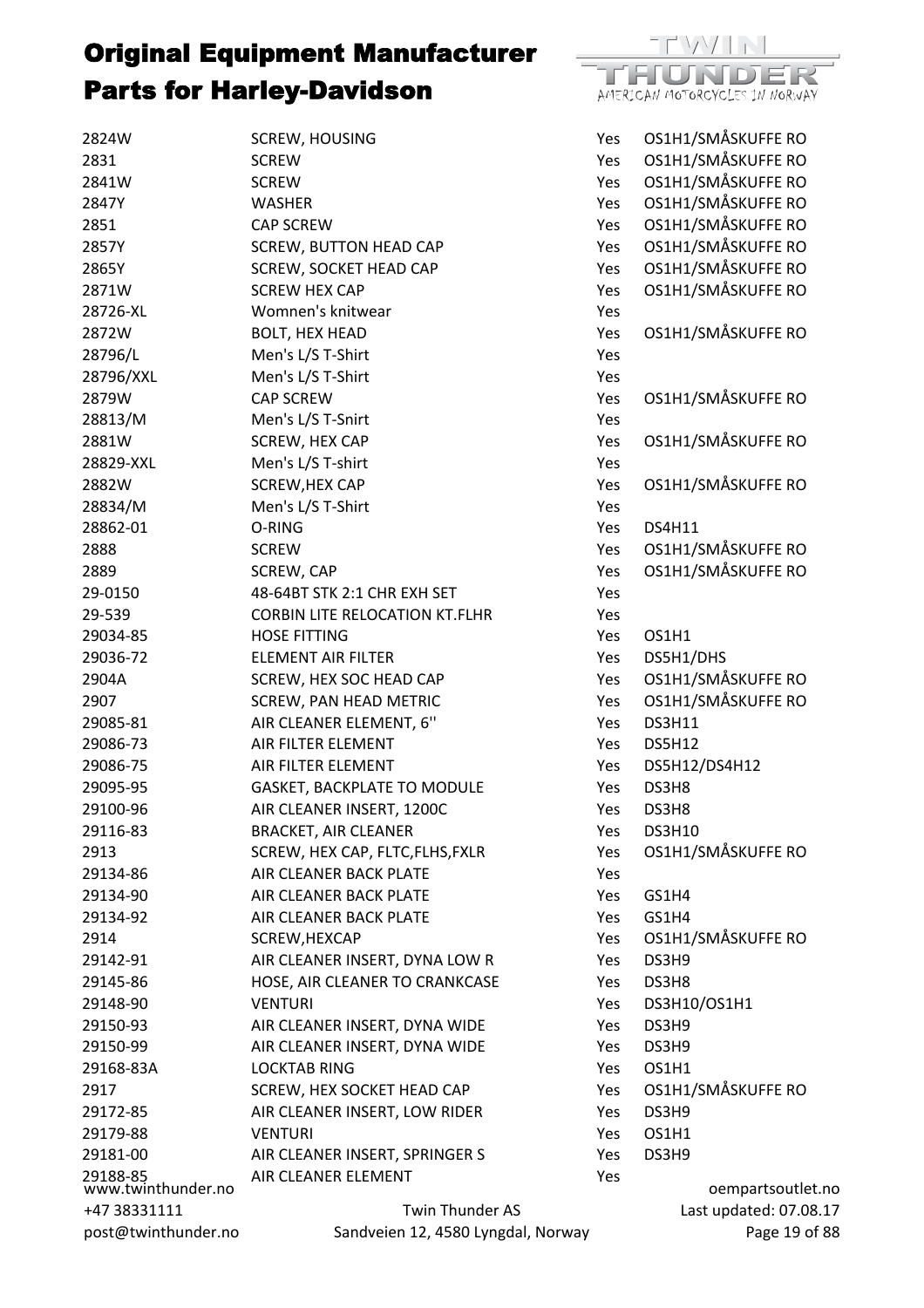

| 2824W                          | <b>SCREW, HOUSING</b>                 | Yes        | OS1H1/SMÅSKUFFE RO     |
|--------------------------------|---------------------------------------|------------|------------------------|
| 2831                           | <b>SCREW</b>                          | Yes        | OS1H1/SMÅSKUFFE RO     |
| 2841W                          | <b>SCREW</b>                          | Yes        | OS1H1/SMÅSKUFFE RO     |
| 2847Y                          | <b>WASHER</b>                         | Yes        | OS1H1/SMÅSKUFFE RO     |
| 2851                           | <b>CAP SCREW</b>                      | Yes        | OS1H1/SMÅSKUFFE RO     |
| 2857Y                          | <b>SCREW, BUTTON HEAD CAP</b>         | Yes        | OS1H1/SMÅSKUFFE RO     |
| 2865Y                          | SCREW, SOCKET HEAD CAP                | Yes        | OS1H1/SMÅSKUFFE RO     |
| 2871W                          | <b>SCREW HEX CAP</b>                  | Yes        | OS1H1/SMÅSKUFFE RO     |
| 28726-XL                       | Womnen's knitwear                     | Yes        |                        |
| 2872W                          | <b>BOLT, HEX HEAD</b>                 | Yes        | OS1H1/SMÅSKUFFE RO     |
| 28796/L                        | Men's L/S T-Shirt                     | Yes        |                        |
| 28796/XXL                      | Men's L/S T-Shirt                     | Yes        |                        |
| 2879W                          | <b>CAP SCREW</b>                      | Yes        | OS1H1/SMÅSKUFFE RO     |
| 28813/M                        | Men's L/S T-Snirt                     | Yes        |                        |
| 2881W                          | SCREW, HEX CAP                        | Yes        | OS1H1/SMÅSKUFFE RO     |
| 28829-XXL                      | Men's L/S T-shirt                     | Yes        |                        |
| 2882W                          | SCREW, HEX CAP                        | Yes        | OS1H1/SMÅSKUFFE RO     |
| 28834/M                        | Men's L/S T-Shirt                     | Yes        |                        |
| 28862-01                       | O-RING                                | <b>Yes</b> | <b>DS4H11</b>          |
| 2888                           | <b>SCREW</b>                          | Yes        | OS1H1/SMÅSKUFFE RO     |
| 2889                           | SCREW, CAP                            | Yes        | OS1H1/SMÅSKUFFE RO     |
| 29-0150                        | 48-64BT STK 2:1 CHR EXH SET           | Yes        |                        |
| 29-539                         | <b>CORBIN LITE RELOCATION KT.FLHR</b> | Yes        |                        |
| 29034-85                       | <b>HOSE FITTING</b>                   | Yes        | OS1H1                  |
| 29036-72                       | <b>ELEMENT AIR FILTER</b>             | Yes        | DS5H1/DHS              |
| 2904A                          | SCREW, HEX SOC HEAD CAP               | Yes        | OS1H1/SMÅSKUFFE RO     |
| 2907                           | <b>SCREW, PAN HEAD METRIC</b>         | Yes        | OS1H1/SMÅSKUFFE RO     |
| 29085-81                       | AIR CLEANER ELEMENT, 6"               | Yes        | <b>DS3H11</b>          |
| 29086-73                       | AIR FILTER ELEMENT                    | <b>Yes</b> | <b>DS5H12</b>          |
| 29086-75                       | AIR FILTER ELEMENT                    | Yes        | DS5H12/DS4H12          |
| 29095-95                       | <b>GASKET, BACKPLATE TO MODULE</b>    | Yes        | DS3H8                  |
| 29100-96                       | AIR CLEANER INSERT, 1200C             | Yes        | DS3H8                  |
| 29116-83                       | <b>BRACKET, AIR CLEANER</b>           | Yes        | <b>DS3H10</b>          |
| 2913                           | SCREW, HEX CAP, FLTC, FLHS, FXLR      | Yes        | OS1H1/SMÅSKUFFE RO     |
| 29134-86                       | AIR CLEANER BACK PLATE                | Yes        |                        |
| 29134-90                       | AIR CLEANER BACK PLATE                | Yes        | GS1H4                  |
| 29134-92                       | AIR CLEANER BACK PLATE                | Yes        | GS1H4                  |
| 2914                           | SCREW, HEXCAP                         | Yes        | OS1H1/SMÅSKUFFE RO     |
| 29142-91                       | AIR CLEANER INSERT, DYNA LOW R        | Yes        | DS3H9                  |
| 29145-86                       | HOSE, AIR CLEANER TO CRANKCASE        | Yes        | DS3H8                  |
| 29148-90                       | <b>VENTURI</b>                        | Yes        | DS3H10/OS1H1           |
| 29150-93                       | AIR CLEANER INSERT, DYNA WIDE         | Yes        | DS3H9                  |
| 29150-99                       | AIR CLEANER INSERT, DYNA WIDE         | Yes        | DS3H9                  |
| 29168-83A                      | <b>LOCKTAB RING</b>                   | Yes        | OS1H1                  |
| 2917                           |                                       |            | OS1H1/SMÅSKUFFE RO     |
|                                | SCREW, HEX SOCKET HEAD CAP            | Yes        |                        |
| 29172-85                       | AIR CLEANER INSERT, LOW RIDER         | Yes        | DS3H9                  |
| 29179-88                       | <b>VENTURI</b>                        | Yes        | OS1H1                  |
| 29181-00                       | AIR CLEANER INSERT, SPRINGER S        | Yes        | DS3H9                  |
| 29188-85<br>www.twinthunder.no | AIR CLEANER ELEMENT                   | Yes        | oempartsoutlet.no      |
| +47 38331111                   | Twin Thunder AS                       |            | Last updated: 07.08.17 |
| post@twinthunder.no            | Sandveien 12, 4580 Lyngdal, Norway    |            | Page 19 of 88          |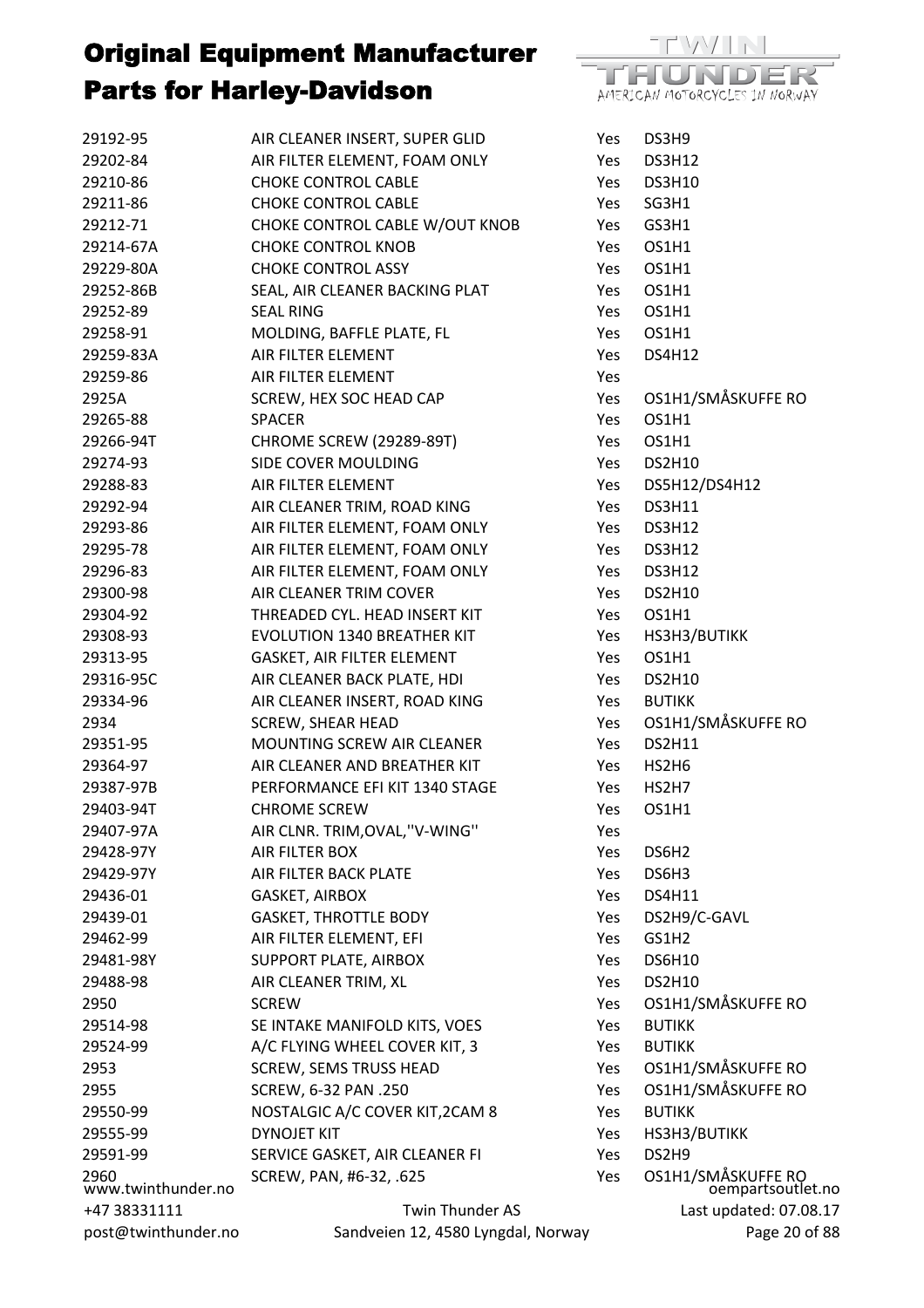

| post@twinthunder.no        | Sandveien 12, 4580 Lyngdal, Norway |      | Page 20 of 88                           |
|----------------------------|------------------------------------|------|-----------------------------------------|
| +47 38331111               | Twin Thunder AS                    |      | Last updated: 07.08.17                  |
| 2960<br>www.twinthunder.no | SCREW, PAN, #6-32, .625            | Yes  | OS1H1/SMÅSKUFFE RO<br>oempartsoutlet.no |
| 29591-99                   | SERVICE GASKET, AIR CLEANER FI     | Yes  | DS2H9                                   |
| 29555-99                   | <b>DYNOJET KIT</b>                 | Yes  | HS3H3/BUTIKK                            |
| 29550-99                   | NOSTALGIC A/C COVER KIT, 2CAM 8    | Yes  | <b>BUTIKK</b>                           |
| 2955                       | SCREW, 6-32 PAN .250               | Yes  | OS1H1/SMÅSKUFFE RO                      |
| 2953                       | <b>SCREW, SEMS TRUSS HEAD</b>      | Yes  | OS1H1/SMÅSKUFFE RO                      |
| 29524-99                   | A/C FLYING WHEEL COVER KIT, 3      | Yes  | <b>BUTIKK</b>                           |
| 29514-98                   | SE INTAKE MANIFOLD KITS, VOES      | Yes  | <b>BUTIKK</b>                           |
| 2950                       | <b>SCREW</b>                       | Yes  | OS1H1/SMÅSKUFFE RO                      |
| 29488-98                   | AIR CLEANER TRIM, XL               | Yes  | <b>DS2H10</b>                           |
| 29481-98Y                  | SUPPORT PLATE, AIRBOX              | Yes  | <b>DS6H10</b>                           |
| 29462-99                   | AIR FILTER ELEMENT, EFI            | Yes  | GS1H2                                   |
| 29439-01                   | <b>GASKET, THROTTLE BODY</b>       | Yes  | DS2H9/C-GAVL                            |
| 29436-01                   | <b>GASKET, AIRBOX</b>              | Yes. | <b>DS4H11</b>                           |
| 29429-97Y                  | AIR FILTER BACK PLATE              | Yes  | DS6H3                                   |
| 29428-97Y                  | AIR FILTER BOX                     | Yes  | DS6H <sub>2</sub>                       |
| 29407-97A                  | AIR CLNR. TRIM, OVAL, "V-WING"     | Yes  |                                         |
| 29403-94T                  | <b>CHROME SCREW</b>                | Yes  | OS1H1                                   |
| 29387-97B                  | PERFORMANCE EFI KIT 1340 STAGE     | Yes  | HS2H7                                   |
| 29364-97                   | AIR CLEANER AND BREATHER KIT       | Yes  | HS2H6                                   |
| 29351-95                   | MOUNTING SCREW AIR CLEANER         | Yes  | <b>DS2H11</b>                           |
| 2934                       | <b>SCREW, SHEAR HEAD</b>           | Yes  | OS1H1/SMÅSKUFFE RO                      |
| 29334-96                   | AIR CLEANER INSERT, ROAD KING      | Yes  | <b>BUTIKK</b>                           |
| 29316-95C                  | AIR CLEANER BACK PLATE, HDI        | Yes  | <b>DS2H10</b>                           |
| 29313-95                   | GASKET, AIR FILTER ELEMENT         | Yes  | OS1H1                                   |
| 29308-93                   | <b>EVOLUTION 1340 BREATHER KIT</b> | Yes  | HS3H3/BUTIKK                            |
| 29304-92                   | THREADED CYL. HEAD INSERT KIT      | Yes  | OS1H1                                   |
| 29300-98                   | AIR CLEANER TRIM COVER             | Yes  | <b>DS2H10</b>                           |
| 29296-83                   | AIR FILTER ELEMENT, FOAM ONLY      | Yes  | <b>DS3H12</b>                           |
| 29295-78                   | AIR FILTER ELEMENT, FOAM ONLY      | Yes  | <b>DS3H12</b>                           |
| 29293-86                   | AIR FILTER ELEMENT, FOAM ONLY      | Yes  | <b>DS3H12</b>                           |
| 29292-94                   | AIR CLEANER TRIM, ROAD KING        | Yes  | <b>DS3H11</b>                           |
| 29288-83                   | AIR FILTER ELEMENT                 | Yes  | DS5H12/DS4H12                           |
| 29274-93                   | SIDE COVER MOULDING                | Yes  | <b>DS2H10</b>                           |
| 29266-94T                  | CHROME SCREW (29289-89T)           | Yes  | OS1H1                                   |
| 29265-88                   | <b>SPACER</b>                      | Yes  | OS1H1                                   |
| 2925A                      | SCREW, HEX SOC HEAD CAP            | Yes  | OS1H1/SMÅSKUFFE RO                      |
| 29259-86                   | AIR FILTER ELEMENT                 | Yes  |                                         |
| 29259-83A                  | AIR FILTER ELEMENT                 | Yes  | <b>DS4H12</b>                           |
| 29258-91                   | MOLDING, BAFFLE PLATE, FL          | Yes  | OS1H1                                   |
| 29252-89                   | <b>SEAL RING</b>                   | Yes  | OS1H1                                   |
| 29252-86B                  | SEAL, AIR CLEANER BACKING PLAT     | Yes  | OS1H1                                   |
| 29229-80A                  | <b>CHOKE CONTROL ASSY</b>          | Yes  | OS1H1                                   |
| 29214-67A                  | <b>CHOKE CONTROL KNOB</b>          | Yes  | OS1H1                                   |
| 29212-71                   | CHOKE CONTROL CABLE W/OUT KNOB     | Yes  | GS3H1                                   |
| 29211-86                   | <b>CHOKE CONTROL CABLE</b>         | Yes  | SG3H1                                   |
| 29210-86                   | <b>CHOKE CONTROL CABLE</b>         | Yes  | <b>DS3H10</b>                           |
| 29202-84                   | AIR FILTER ELEMENT, FOAM ONLY      | Yes  | <b>DS3H12</b>                           |
| 29192-95                   | AIR CLEANER INSERT, SUPER GLID     | Yes  | DS3H9                                   |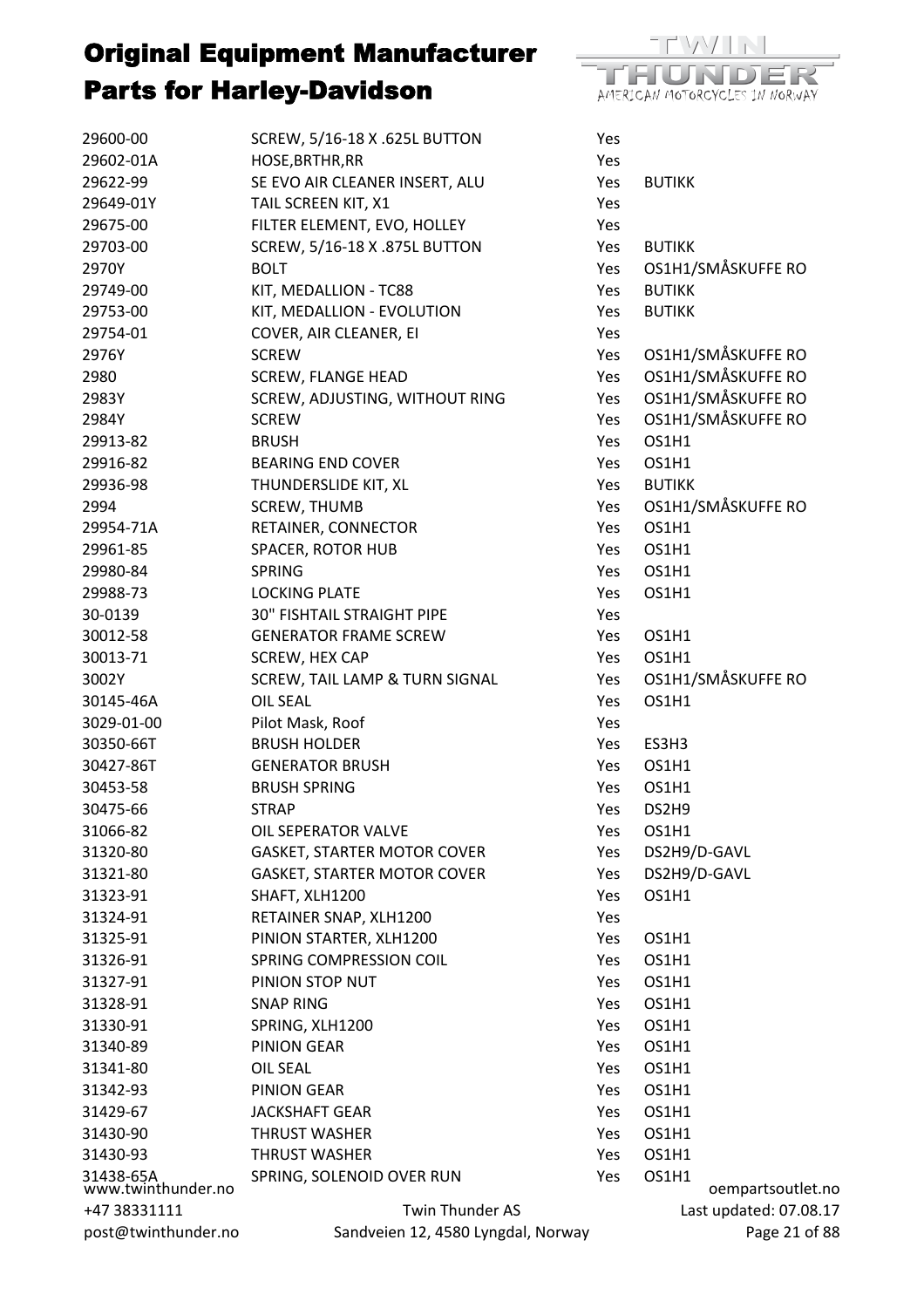

| 29602-01A<br>HOSE, BRTHR, RR<br>Yes<br>29622-99<br>SE EVO AIR CLEANER INSERT, ALU<br>Yes<br><b>BUTIKK</b><br>TAIL SCREEN KIT, X1<br>29649-01Y<br>Yes<br>FILTER ELEMENT, EVO, HOLLEY<br>29675-00<br>Yes<br>29703-00<br>SCREW, 5/16-18 X .875L BUTTON<br><b>BUTIKK</b><br>Yes<br>OS1H1/SMÅSKUFFE RO<br>2970Y<br><b>BOLT</b><br>Yes<br>29749-00<br>KIT, MEDALLION - TC88<br><b>BUTIKK</b><br>Yes<br>29753-00<br>KIT, MEDALLION - EVOLUTION<br><b>BUTIKK</b><br>Yes<br>29754-01<br>COVER, AIR CLEANER, EI<br>Yes<br>OS1H1/SMÅSKUFFE RO<br>2976Y<br><b>SCREW</b><br>Yes<br>OS1H1/SMÅSKUFFE RO<br>2980<br><b>SCREW, FLANGE HEAD</b><br>Yes<br>OS1H1/SMÅSKUFFE RO<br>SCREW, ADJUSTING, WITHOUT RING<br>2983Y<br>Yes<br>OS1H1/SMÅSKUFFE RO<br>2984Y<br><b>SCREW</b><br>Yes<br>OS1H1<br>29913-82<br><b>BRUSH</b><br>Yes<br>29916-82<br>OS1H1<br><b>BEARING END COVER</b><br>Yes<br><b>BUTIKK</b><br>29936-98<br>THUNDERSLIDE KIT, XL<br>Yes<br>OS1H1/SMÅSKUFFE RO<br>2994<br><b>SCREW, THUMB</b><br>Yes<br>OS1H1<br>29954-71A<br>RETAINER, CONNECTOR<br>Yes<br>SPACER, ROTOR HUB<br>29961-85<br>OS1H1<br>Yes<br>29980-84<br><b>SPRING</b><br>OS1H1<br>Yes<br>29988-73<br><b>LOCKING PLATE</b><br>OS1H1<br><b>Yes</b><br><b>30" FISHTAIL STRAIGHT PIPE</b><br>30-0139<br>Yes<br>30012-58<br><b>GENERATOR FRAME SCREW</b><br>OS1H1<br>Yes<br>OS1H1<br>30013-71<br>SCREW, HEX CAP<br>Yes<br>OS1H1/SMÅSKUFFE RO<br>3002Y<br>SCREW, TAIL LAMP & TURN SIGNAL<br>Yes<br><b>OIL SEAL</b><br>OS1H1<br>30145-46A<br>Yes<br>Pilot Mask, Roof<br>3029-01-00<br>Yes<br>30350-66T<br><b>BRUSH HOLDER</b><br>ES3H3<br>Yes<br>30427-86T<br><b>GENERATOR BRUSH</b><br>OS1H1<br>Yes<br>30453-58<br><b>BRUSH SPRING</b><br>OS1H1<br>Yes<br>30475-66<br>Yes<br>DS2H9<br><b>STRAP</b><br>31066-82<br>OIL SEPERATOR VALVE<br>OS1H1<br>Yes<br>31320-80<br><b>GASKET, STARTER MOTOR COVER</b><br>DS2H9/D-GAVL<br>Yes<br><b>GASKET, STARTER MOTOR COVER</b><br>DS2H9/D-GAVL<br>31321-80<br>Yes<br>31323-91<br>SHAFT, XLH1200<br>OS1H1<br>Yes<br>31324-91<br>RETAINER SNAP, XLH1200<br>Yes<br>31325-91<br>PINION STARTER, XLH1200<br>OS1H1<br>Yes<br>31326-91<br>SPRING COMPRESSION COIL<br>OS1H1<br>Yes<br>31327-91<br>PINION STOP NUT<br>OS1H1<br>Yes<br>31328-91<br><b>SNAP RING</b><br>OS1H1<br>Yes<br>31330-91<br>SPRING, XLH1200<br>OS1H1<br>Yes<br>31340-89<br>PINION GEAR<br>OS1H1<br>Yes<br>31341-80<br><b>OIL SEAL</b><br>OS1H1<br>Yes<br>31342-93<br>PINION GEAR<br>OS1H1<br>Yes<br>31429-67<br><b>JACKSHAFT GEAR</b><br>OS1H1<br>Yes<br>31430-90<br><b>THRUST WASHER</b><br>OS1H1<br>Yes<br>31430-93<br><b>THRUST WASHER</b><br>OS1H1<br>Yes<br>31438-65A<br>www.twinthunder.no<br>SPRING, SOLENOID OVER RUN<br>OS1H1<br>Yes<br>oempartsoutlet.no<br>Twin Thunder AS<br>Last updated: 07.08.17<br>+47 38331111 | 29600-00            | SCREW, 5/16-18 X .625L BUTTON      | Yes |               |
|-----------------------------------------------------------------------------------------------------------------------------------------------------------------------------------------------------------------------------------------------------------------------------------------------------------------------------------------------------------------------------------------------------------------------------------------------------------------------------------------------------------------------------------------------------------------------------------------------------------------------------------------------------------------------------------------------------------------------------------------------------------------------------------------------------------------------------------------------------------------------------------------------------------------------------------------------------------------------------------------------------------------------------------------------------------------------------------------------------------------------------------------------------------------------------------------------------------------------------------------------------------------------------------------------------------------------------------------------------------------------------------------------------------------------------------------------------------------------------------------------------------------------------------------------------------------------------------------------------------------------------------------------------------------------------------------------------------------------------------------------------------------------------------------------------------------------------------------------------------------------------------------------------------------------------------------------------------------------------------------------------------------------------------------------------------------------------------------------------------------------------------------------------------------------------------------------------------------------------------------------------------------------------------------------------------------------------------------------------------------------------------------------------------------------------------------------------------------------------------------------------------------------------------------------------------------------------------------------------------------------------------------------------------------------------------------------------------------------------------------------------------------------------------------|---------------------|------------------------------------|-----|---------------|
|                                                                                                                                                                                                                                                                                                                                                                                                                                                                                                                                                                                                                                                                                                                                                                                                                                                                                                                                                                                                                                                                                                                                                                                                                                                                                                                                                                                                                                                                                                                                                                                                                                                                                                                                                                                                                                                                                                                                                                                                                                                                                                                                                                                                                                                                                                                                                                                                                                                                                                                                                                                                                                                                                                                                                                                         |                     |                                    |     |               |
|                                                                                                                                                                                                                                                                                                                                                                                                                                                                                                                                                                                                                                                                                                                                                                                                                                                                                                                                                                                                                                                                                                                                                                                                                                                                                                                                                                                                                                                                                                                                                                                                                                                                                                                                                                                                                                                                                                                                                                                                                                                                                                                                                                                                                                                                                                                                                                                                                                                                                                                                                                                                                                                                                                                                                                                         |                     |                                    |     |               |
|                                                                                                                                                                                                                                                                                                                                                                                                                                                                                                                                                                                                                                                                                                                                                                                                                                                                                                                                                                                                                                                                                                                                                                                                                                                                                                                                                                                                                                                                                                                                                                                                                                                                                                                                                                                                                                                                                                                                                                                                                                                                                                                                                                                                                                                                                                                                                                                                                                                                                                                                                                                                                                                                                                                                                                                         |                     |                                    |     |               |
|                                                                                                                                                                                                                                                                                                                                                                                                                                                                                                                                                                                                                                                                                                                                                                                                                                                                                                                                                                                                                                                                                                                                                                                                                                                                                                                                                                                                                                                                                                                                                                                                                                                                                                                                                                                                                                                                                                                                                                                                                                                                                                                                                                                                                                                                                                                                                                                                                                                                                                                                                                                                                                                                                                                                                                                         |                     |                                    |     |               |
|                                                                                                                                                                                                                                                                                                                                                                                                                                                                                                                                                                                                                                                                                                                                                                                                                                                                                                                                                                                                                                                                                                                                                                                                                                                                                                                                                                                                                                                                                                                                                                                                                                                                                                                                                                                                                                                                                                                                                                                                                                                                                                                                                                                                                                                                                                                                                                                                                                                                                                                                                                                                                                                                                                                                                                                         |                     |                                    |     |               |
|                                                                                                                                                                                                                                                                                                                                                                                                                                                                                                                                                                                                                                                                                                                                                                                                                                                                                                                                                                                                                                                                                                                                                                                                                                                                                                                                                                                                                                                                                                                                                                                                                                                                                                                                                                                                                                                                                                                                                                                                                                                                                                                                                                                                                                                                                                                                                                                                                                                                                                                                                                                                                                                                                                                                                                                         |                     |                                    |     |               |
|                                                                                                                                                                                                                                                                                                                                                                                                                                                                                                                                                                                                                                                                                                                                                                                                                                                                                                                                                                                                                                                                                                                                                                                                                                                                                                                                                                                                                                                                                                                                                                                                                                                                                                                                                                                                                                                                                                                                                                                                                                                                                                                                                                                                                                                                                                                                                                                                                                                                                                                                                                                                                                                                                                                                                                                         |                     |                                    |     |               |
|                                                                                                                                                                                                                                                                                                                                                                                                                                                                                                                                                                                                                                                                                                                                                                                                                                                                                                                                                                                                                                                                                                                                                                                                                                                                                                                                                                                                                                                                                                                                                                                                                                                                                                                                                                                                                                                                                                                                                                                                                                                                                                                                                                                                                                                                                                                                                                                                                                                                                                                                                                                                                                                                                                                                                                                         |                     |                                    |     |               |
|                                                                                                                                                                                                                                                                                                                                                                                                                                                                                                                                                                                                                                                                                                                                                                                                                                                                                                                                                                                                                                                                                                                                                                                                                                                                                                                                                                                                                                                                                                                                                                                                                                                                                                                                                                                                                                                                                                                                                                                                                                                                                                                                                                                                                                                                                                                                                                                                                                                                                                                                                                                                                                                                                                                                                                                         |                     |                                    |     |               |
|                                                                                                                                                                                                                                                                                                                                                                                                                                                                                                                                                                                                                                                                                                                                                                                                                                                                                                                                                                                                                                                                                                                                                                                                                                                                                                                                                                                                                                                                                                                                                                                                                                                                                                                                                                                                                                                                                                                                                                                                                                                                                                                                                                                                                                                                                                                                                                                                                                                                                                                                                                                                                                                                                                                                                                                         |                     |                                    |     |               |
|                                                                                                                                                                                                                                                                                                                                                                                                                                                                                                                                                                                                                                                                                                                                                                                                                                                                                                                                                                                                                                                                                                                                                                                                                                                                                                                                                                                                                                                                                                                                                                                                                                                                                                                                                                                                                                                                                                                                                                                                                                                                                                                                                                                                                                                                                                                                                                                                                                                                                                                                                                                                                                                                                                                                                                                         |                     |                                    |     |               |
|                                                                                                                                                                                                                                                                                                                                                                                                                                                                                                                                                                                                                                                                                                                                                                                                                                                                                                                                                                                                                                                                                                                                                                                                                                                                                                                                                                                                                                                                                                                                                                                                                                                                                                                                                                                                                                                                                                                                                                                                                                                                                                                                                                                                                                                                                                                                                                                                                                                                                                                                                                                                                                                                                                                                                                                         |                     |                                    |     |               |
|                                                                                                                                                                                                                                                                                                                                                                                                                                                                                                                                                                                                                                                                                                                                                                                                                                                                                                                                                                                                                                                                                                                                                                                                                                                                                                                                                                                                                                                                                                                                                                                                                                                                                                                                                                                                                                                                                                                                                                                                                                                                                                                                                                                                                                                                                                                                                                                                                                                                                                                                                                                                                                                                                                                                                                                         |                     |                                    |     |               |
|                                                                                                                                                                                                                                                                                                                                                                                                                                                                                                                                                                                                                                                                                                                                                                                                                                                                                                                                                                                                                                                                                                                                                                                                                                                                                                                                                                                                                                                                                                                                                                                                                                                                                                                                                                                                                                                                                                                                                                                                                                                                                                                                                                                                                                                                                                                                                                                                                                                                                                                                                                                                                                                                                                                                                                                         |                     |                                    |     |               |
|                                                                                                                                                                                                                                                                                                                                                                                                                                                                                                                                                                                                                                                                                                                                                                                                                                                                                                                                                                                                                                                                                                                                                                                                                                                                                                                                                                                                                                                                                                                                                                                                                                                                                                                                                                                                                                                                                                                                                                                                                                                                                                                                                                                                                                                                                                                                                                                                                                                                                                                                                                                                                                                                                                                                                                                         |                     |                                    |     |               |
|                                                                                                                                                                                                                                                                                                                                                                                                                                                                                                                                                                                                                                                                                                                                                                                                                                                                                                                                                                                                                                                                                                                                                                                                                                                                                                                                                                                                                                                                                                                                                                                                                                                                                                                                                                                                                                                                                                                                                                                                                                                                                                                                                                                                                                                                                                                                                                                                                                                                                                                                                                                                                                                                                                                                                                                         |                     |                                    |     |               |
|                                                                                                                                                                                                                                                                                                                                                                                                                                                                                                                                                                                                                                                                                                                                                                                                                                                                                                                                                                                                                                                                                                                                                                                                                                                                                                                                                                                                                                                                                                                                                                                                                                                                                                                                                                                                                                                                                                                                                                                                                                                                                                                                                                                                                                                                                                                                                                                                                                                                                                                                                                                                                                                                                                                                                                                         |                     |                                    |     |               |
|                                                                                                                                                                                                                                                                                                                                                                                                                                                                                                                                                                                                                                                                                                                                                                                                                                                                                                                                                                                                                                                                                                                                                                                                                                                                                                                                                                                                                                                                                                                                                                                                                                                                                                                                                                                                                                                                                                                                                                                                                                                                                                                                                                                                                                                                                                                                                                                                                                                                                                                                                                                                                                                                                                                                                                                         |                     |                                    |     |               |
|                                                                                                                                                                                                                                                                                                                                                                                                                                                                                                                                                                                                                                                                                                                                                                                                                                                                                                                                                                                                                                                                                                                                                                                                                                                                                                                                                                                                                                                                                                                                                                                                                                                                                                                                                                                                                                                                                                                                                                                                                                                                                                                                                                                                                                                                                                                                                                                                                                                                                                                                                                                                                                                                                                                                                                                         |                     |                                    |     |               |
|                                                                                                                                                                                                                                                                                                                                                                                                                                                                                                                                                                                                                                                                                                                                                                                                                                                                                                                                                                                                                                                                                                                                                                                                                                                                                                                                                                                                                                                                                                                                                                                                                                                                                                                                                                                                                                                                                                                                                                                                                                                                                                                                                                                                                                                                                                                                                                                                                                                                                                                                                                                                                                                                                                                                                                                         |                     |                                    |     |               |
|                                                                                                                                                                                                                                                                                                                                                                                                                                                                                                                                                                                                                                                                                                                                                                                                                                                                                                                                                                                                                                                                                                                                                                                                                                                                                                                                                                                                                                                                                                                                                                                                                                                                                                                                                                                                                                                                                                                                                                                                                                                                                                                                                                                                                                                                                                                                                                                                                                                                                                                                                                                                                                                                                                                                                                                         |                     |                                    |     |               |
|                                                                                                                                                                                                                                                                                                                                                                                                                                                                                                                                                                                                                                                                                                                                                                                                                                                                                                                                                                                                                                                                                                                                                                                                                                                                                                                                                                                                                                                                                                                                                                                                                                                                                                                                                                                                                                                                                                                                                                                                                                                                                                                                                                                                                                                                                                                                                                                                                                                                                                                                                                                                                                                                                                                                                                                         |                     |                                    |     |               |
|                                                                                                                                                                                                                                                                                                                                                                                                                                                                                                                                                                                                                                                                                                                                                                                                                                                                                                                                                                                                                                                                                                                                                                                                                                                                                                                                                                                                                                                                                                                                                                                                                                                                                                                                                                                                                                                                                                                                                                                                                                                                                                                                                                                                                                                                                                                                                                                                                                                                                                                                                                                                                                                                                                                                                                                         |                     |                                    |     |               |
|                                                                                                                                                                                                                                                                                                                                                                                                                                                                                                                                                                                                                                                                                                                                                                                                                                                                                                                                                                                                                                                                                                                                                                                                                                                                                                                                                                                                                                                                                                                                                                                                                                                                                                                                                                                                                                                                                                                                                                                                                                                                                                                                                                                                                                                                                                                                                                                                                                                                                                                                                                                                                                                                                                                                                                                         |                     |                                    |     |               |
|                                                                                                                                                                                                                                                                                                                                                                                                                                                                                                                                                                                                                                                                                                                                                                                                                                                                                                                                                                                                                                                                                                                                                                                                                                                                                                                                                                                                                                                                                                                                                                                                                                                                                                                                                                                                                                                                                                                                                                                                                                                                                                                                                                                                                                                                                                                                                                                                                                                                                                                                                                                                                                                                                                                                                                                         |                     |                                    |     |               |
|                                                                                                                                                                                                                                                                                                                                                                                                                                                                                                                                                                                                                                                                                                                                                                                                                                                                                                                                                                                                                                                                                                                                                                                                                                                                                                                                                                                                                                                                                                                                                                                                                                                                                                                                                                                                                                                                                                                                                                                                                                                                                                                                                                                                                                                                                                                                                                                                                                                                                                                                                                                                                                                                                                                                                                                         |                     |                                    |     |               |
|                                                                                                                                                                                                                                                                                                                                                                                                                                                                                                                                                                                                                                                                                                                                                                                                                                                                                                                                                                                                                                                                                                                                                                                                                                                                                                                                                                                                                                                                                                                                                                                                                                                                                                                                                                                                                                                                                                                                                                                                                                                                                                                                                                                                                                                                                                                                                                                                                                                                                                                                                                                                                                                                                                                                                                                         |                     |                                    |     |               |
|                                                                                                                                                                                                                                                                                                                                                                                                                                                                                                                                                                                                                                                                                                                                                                                                                                                                                                                                                                                                                                                                                                                                                                                                                                                                                                                                                                                                                                                                                                                                                                                                                                                                                                                                                                                                                                                                                                                                                                                                                                                                                                                                                                                                                                                                                                                                                                                                                                                                                                                                                                                                                                                                                                                                                                                         |                     |                                    |     |               |
|                                                                                                                                                                                                                                                                                                                                                                                                                                                                                                                                                                                                                                                                                                                                                                                                                                                                                                                                                                                                                                                                                                                                                                                                                                                                                                                                                                                                                                                                                                                                                                                                                                                                                                                                                                                                                                                                                                                                                                                                                                                                                                                                                                                                                                                                                                                                                                                                                                                                                                                                                                                                                                                                                                                                                                                         |                     |                                    |     |               |
|                                                                                                                                                                                                                                                                                                                                                                                                                                                                                                                                                                                                                                                                                                                                                                                                                                                                                                                                                                                                                                                                                                                                                                                                                                                                                                                                                                                                                                                                                                                                                                                                                                                                                                                                                                                                                                                                                                                                                                                                                                                                                                                                                                                                                                                                                                                                                                                                                                                                                                                                                                                                                                                                                                                                                                                         |                     |                                    |     |               |
|                                                                                                                                                                                                                                                                                                                                                                                                                                                                                                                                                                                                                                                                                                                                                                                                                                                                                                                                                                                                                                                                                                                                                                                                                                                                                                                                                                                                                                                                                                                                                                                                                                                                                                                                                                                                                                                                                                                                                                                                                                                                                                                                                                                                                                                                                                                                                                                                                                                                                                                                                                                                                                                                                                                                                                                         |                     |                                    |     |               |
|                                                                                                                                                                                                                                                                                                                                                                                                                                                                                                                                                                                                                                                                                                                                                                                                                                                                                                                                                                                                                                                                                                                                                                                                                                                                                                                                                                                                                                                                                                                                                                                                                                                                                                                                                                                                                                                                                                                                                                                                                                                                                                                                                                                                                                                                                                                                                                                                                                                                                                                                                                                                                                                                                                                                                                                         |                     |                                    |     |               |
|                                                                                                                                                                                                                                                                                                                                                                                                                                                                                                                                                                                                                                                                                                                                                                                                                                                                                                                                                                                                                                                                                                                                                                                                                                                                                                                                                                                                                                                                                                                                                                                                                                                                                                                                                                                                                                                                                                                                                                                                                                                                                                                                                                                                                                                                                                                                                                                                                                                                                                                                                                                                                                                                                                                                                                                         |                     |                                    |     |               |
|                                                                                                                                                                                                                                                                                                                                                                                                                                                                                                                                                                                                                                                                                                                                                                                                                                                                                                                                                                                                                                                                                                                                                                                                                                                                                                                                                                                                                                                                                                                                                                                                                                                                                                                                                                                                                                                                                                                                                                                                                                                                                                                                                                                                                                                                                                                                                                                                                                                                                                                                                                                                                                                                                                                                                                                         |                     |                                    |     |               |
|                                                                                                                                                                                                                                                                                                                                                                                                                                                                                                                                                                                                                                                                                                                                                                                                                                                                                                                                                                                                                                                                                                                                                                                                                                                                                                                                                                                                                                                                                                                                                                                                                                                                                                                                                                                                                                                                                                                                                                                                                                                                                                                                                                                                                                                                                                                                                                                                                                                                                                                                                                                                                                                                                                                                                                                         |                     |                                    |     |               |
|                                                                                                                                                                                                                                                                                                                                                                                                                                                                                                                                                                                                                                                                                                                                                                                                                                                                                                                                                                                                                                                                                                                                                                                                                                                                                                                                                                                                                                                                                                                                                                                                                                                                                                                                                                                                                                                                                                                                                                                                                                                                                                                                                                                                                                                                                                                                                                                                                                                                                                                                                                                                                                                                                                                                                                                         |                     |                                    |     |               |
|                                                                                                                                                                                                                                                                                                                                                                                                                                                                                                                                                                                                                                                                                                                                                                                                                                                                                                                                                                                                                                                                                                                                                                                                                                                                                                                                                                                                                                                                                                                                                                                                                                                                                                                                                                                                                                                                                                                                                                                                                                                                                                                                                                                                                                                                                                                                                                                                                                                                                                                                                                                                                                                                                                                                                                                         |                     |                                    |     |               |
|                                                                                                                                                                                                                                                                                                                                                                                                                                                                                                                                                                                                                                                                                                                                                                                                                                                                                                                                                                                                                                                                                                                                                                                                                                                                                                                                                                                                                                                                                                                                                                                                                                                                                                                                                                                                                                                                                                                                                                                                                                                                                                                                                                                                                                                                                                                                                                                                                                                                                                                                                                                                                                                                                                                                                                                         |                     |                                    |     |               |
|                                                                                                                                                                                                                                                                                                                                                                                                                                                                                                                                                                                                                                                                                                                                                                                                                                                                                                                                                                                                                                                                                                                                                                                                                                                                                                                                                                                                                                                                                                                                                                                                                                                                                                                                                                                                                                                                                                                                                                                                                                                                                                                                                                                                                                                                                                                                                                                                                                                                                                                                                                                                                                                                                                                                                                                         |                     |                                    |     |               |
|                                                                                                                                                                                                                                                                                                                                                                                                                                                                                                                                                                                                                                                                                                                                                                                                                                                                                                                                                                                                                                                                                                                                                                                                                                                                                                                                                                                                                                                                                                                                                                                                                                                                                                                                                                                                                                                                                                                                                                                                                                                                                                                                                                                                                                                                                                                                                                                                                                                                                                                                                                                                                                                                                                                                                                                         |                     |                                    |     |               |
|                                                                                                                                                                                                                                                                                                                                                                                                                                                                                                                                                                                                                                                                                                                                                                                                                                                                                                                                                                                                                                                                                                                                                                                                                                                                                                                                                                                                                                                                                                                                                                                                                                                                                                                                                                                                                                                                                                                                                                                                                                                                                                                                                                                                                                                                                                                                                                                                                                                                                                                                                                                                                                                                                                                                                                                         |                     |                                    |     |               |
|                                                                                                                                                                                                                                                                                                                                                                                                                                                                                                                                                                                                                                                                                                                                                                                                                                                                                                                                                                                                                                                                                                                                                                                                                                                                                                                                                                                                                                                                                                                                                                                                                                                                                                                                                                                                                                                                                                                                                                                                                                                                                                                                                                                                                                                                                                                                                                                                                                                                                                                                                                                                                                                                                                                                                                                         |                     |                                    |     |               |
|                                                                                                                                                                                                                                                                                                                                                                                                                                                                                                                                                                                                                                                                                                                                                                                                                                                                                                                                                                                                                                                                                                                                                                                                                                                                                                                                                                                                                                                                                                                                                                                                                                                                                                                                                                                                                                                                                                                                                                                                                                                                                                                                                                                                                                                                                                                                                                                                                                                                                                                                                                                                                                                                                                                                                                                         |                     |                                    |     |               |
|                                                                                                                                                                                                                                                                                                                                                                                                                                                                                                                                                                                                                                                                                                                                                                                                                                                                                                                                                                                                                                                                                                                                                                                                                                                                                                                                                                                                                                                                                                                                                                                                                                                                                                                                                                                                                                                                                                                                                                                                                                                                                                                                                                                                                                                                                                                                                                                                                                                                                                                                                                                                                                                                                                                                                                                         |                     |                                    |     |               |
|                                                                                                                                                                                                                                                                                                                                                                                                                                                                                                                                                                                                                                                                                                                                                                                                                                                                                                                                                                                                                                                                                                                                                                                                                                                                                                                                                                                                                                                                                                                                                                                                                                                                                                                                                                                                                                                                                                                                                                                                                                                                                                                                                                                                                                                                                                                                                                                                                                                                                                                                                                                                                                                                                                                                                                                         |                     |                                    |     |               |
|                                                                                                                                                                                                                                                                                                                                                                                                                                                                                                                                                                                                                                                                                                                                                                                                                                                                                                                                                                                                                                                                                                                                                                                                                                                                                                                                                                                                                                                                                                                                                                                                                                                                                                                                                                                                                                                                                                                                                                                                                                                                                                                                                                                                                                                                                                                                                                                                                                                                                                                                                                                                                                                                                                                                                                                         |                     |                                    |     |               |
|                                                                                                                                                                                                                                                                                                                                                                                                                                                                                                                                                                                                                                                                                                                                                                                                                                                                                                                                                                                                                                                                                                                                                                                                                                                                                                                                                                                                                                                                                                                                                                                                                                                                                                                                                                                                                                                                                                                                                                                                                                                                                                                                                                                                                                                                                                                                                                                                                                                                                                                                                                                                                                                                                                                                                                                         |                     |                                    |     |               |
|                                                                                                                                                                                                                                                                                                                                                                                                                                                                                                                                                                                                                                                                                                                                                                                                                                                                                                                                                                                                                                                                                                                                                                                                                                                                                                                                                                                                                                                                                                                                                                                                                                                                                                                                                                                                                                                                                                                                                                                                                                                                                                                                                                                                                                                                                                                                                                                                                                                                                                                                                                                                                                                                                                                                                                                         |                     |                                    |     |               |
|                                                                                                                                                                                                                                                                                                                                                                                                                                                                                                                                                                                                                                                                                                                                                                                                                                                                                                                                                                                                                                                                                                                                                                                                                                                                                                                                                                                                                                                                                                                                                                                                                                                                                                                                                                                                                                                                                                                                                                                                                                                                                                                                                                                                                                                                                                                                                                                                                                                                                                                                                                                                                                                                                                                                                                                         |                     |                                    |     |               |
|                                                                                                                                                                                                                                                                                                                                                                                                                                                                                                                                                                                                                                                                                                                                                                                                                                                                                                                                                                                                                                                                                                                                                                                                                                                                                                                                                                                                                                                                                                                                                                                                                                                                                                                                                                                                                                                                                                                                                                                                                                                                                                                                                                                                                                                                                                                                                                                                                                                                                                                                                                                                                                                                                                                                                                                         |                     |                                    |     |               |
|                                                                                                                                                                                                                                                                                                                                                                                                                                                                                                                                                                                                                                                                                                                                                                                                                                                                                                                                                                                                                                                                                                                                                                                                                                                                                                                                                                                                                                                                                                                                                                                                                                                                                                                                                                                                                                                                                                                                                                                                                                                                                                                                                                                                                                                                                                                                                                                                                                                                                                                                                                                                                                                                                                                                                                                         | post@twinthunder.no | Sandveien 12, 4580 Lyngdal, Norway |     | Page 21 of 88 |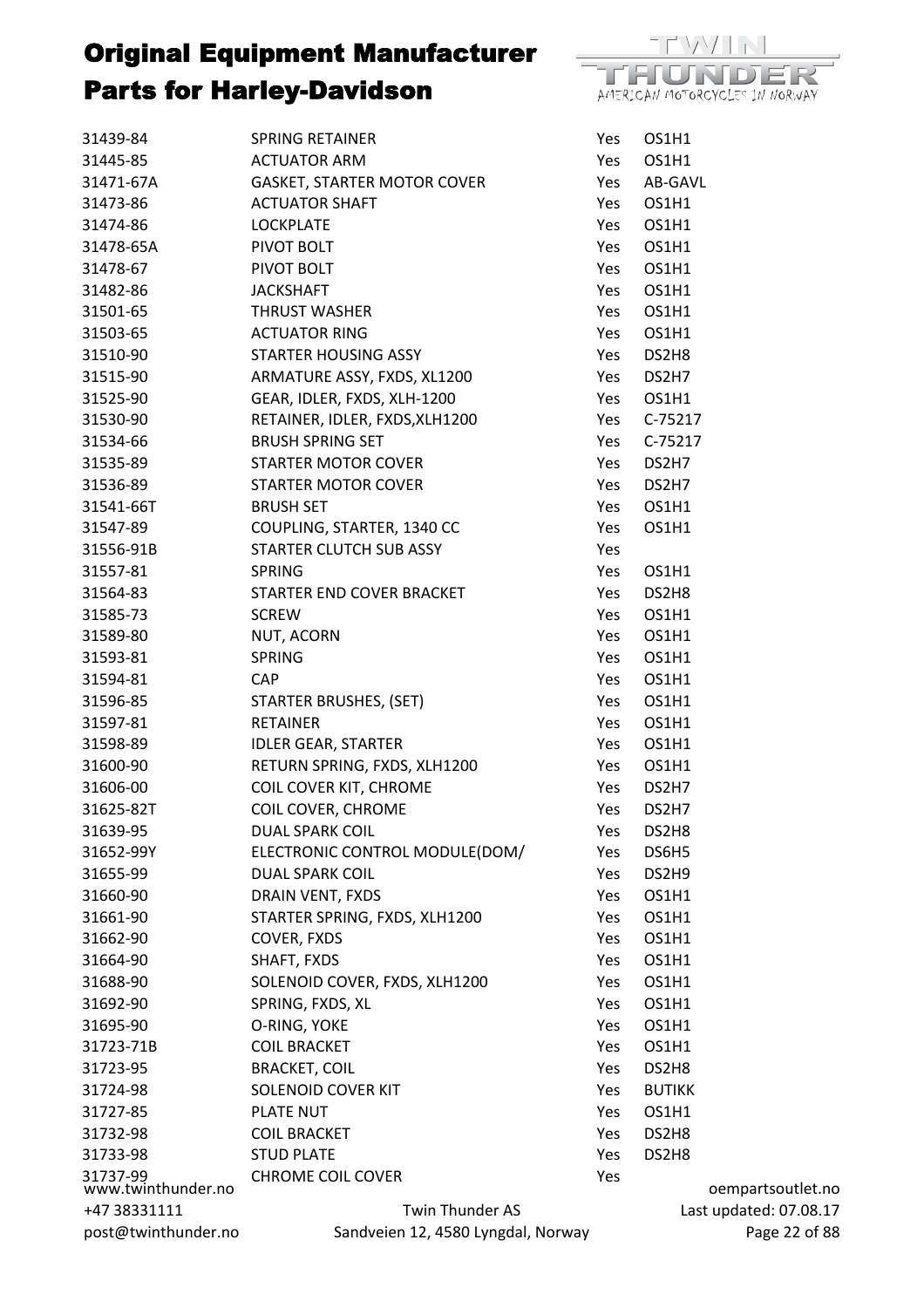

| 31439-84                       | <b>SPRING RETAINER</b>             | Yes | OS1H1         |
|--------------------------------|------------------------------------|-----|---------------|
| 31445-85                       | <b>ACTUATOR ARM</b>                | Yes | OS1H1         |
| 31471-67A                      | <b>GASKET, STARTER MOTOR COVER</b> | Yes | AB-GAVL       |
| 31473-86                       | <b>ACTUATOR SHAFT</b>              | Yes | OS1H1         |
| 31474-86                       | <b>LOCKPLATE</b>                   | Yes | OS1H1         |
| 31478-65A                      | PIVOT BOLT                         | Yes | OS1H1         |
| 31478-67                       | PIVOT BOLT                         | Yes | OS1H1         |
| 31482-86                       | <b>JACKSHAFT</b>                   | Yes | OS1H1         |
| 31501-65                       | THRUST WASHER                      | Yes | OS1H1         |
| 31503-65                       | <b>ACTUATOR RING</b>               | Yes | OS1H1         |
| 31510-90                       | <b>STARTER HOUSING ASSY</b>        | Yes | DS2H8         |
| 31515-90                       | ARMATURE ASSY, FXDS, XL1200        | Yes | DS2H7         |
| 31525-90                       | GEAR, IDLER, FXDS, XLH-1200        | Yes | OS1H1         |
| 31530-90                       | RETAINER, IDLER, FXDS, XLH1200     | Yes | C-75217       |
| 31534-66                       | <b>BRUSH SPRING SET</b>            | Yes | C-75217       |
| 31535-89                       | <b>STARTER MOTOR COVER</b>         | Yes | DS2H7         |
| 31536-89                       | <b>STARTER MOTOR COVER</b>         | Yes | DS2H7         |
| 31541-66T                      | <b>BRUSH SET</b>                   | Yes | OS1H1         |
| 31547-89                       | COUPLING, STARTER, 1340 CC         | Yes | OS1H1         |
| 31556-91B                      | STARTER CLUTCH SUB ASSY            | Yes |               |
| 31557-81                       | <b>SPRING</b>                      | Yes | OS1H1         |
| 31564-83                       | STARTER END COVER BRACKET          | Yes | DS2H8         |
| 31585-73                       | <b>SCREW</b>                       | Yes | OS1H1         |
| 31589-80                       | NUT, ACORN                         | Yes | OS1H1         |
| 31593-81                       | <b>SPRING</b>                      | Yes | OS1H1         |
| 31594-81                       | <b>CAP</b>                         | Yes | OS1H1         |
| 31596-85                       | STARTER BRUSHES, (SET)             | Yes | OS1H1         |
| 31597-81                       | <b>RETAINER</b>                    | Yes | OS1H1         |
| 31598-89                       | <b>IDLER GEAR, STARTER</b>         | Yes | OS1H1         |
| 31600-90                       | RETURN SPRING, FXDS, XLH1200       |     |               |
|                                |                                    | Yes | OS1H1         |
| 31606-00                       | COIL COVER KIT, CHROME             | Yes | DS2H7         |
| 31625-82T                      | COIL COVER, CHROME                 | Yes | DS2H7         |
| 31639-95                       | <b>DUAL SPARK COIL</b>             | Yes | DS2H8         |
| 31652-99Y                      | ELECTRONIC CONTROL MODULE(DOM/     | Yes | DS6H5         |
| 31655-99                       | <b>DUAL SPARK COIL</b>             | Yes | DS2H9         |
| 31660-90                       | DRAIN VENT, FXDS                   | Yes | OS1H1         |
| 31661-90                       | STARTER SPRING, FXDS, XLH1200      | Yes | OS1H1         |
| 31662-90                       | COVER, FXDS                        | Yes | OS1H1         |
| 31664-90                       | SHAFT, FXDS                        | Yes | OS1H1         |
| 31688-90                       | SOLENOID COVER, FXDS, XLH1200      | Yes | OS1H1         |
| 31692-90                       | SPRING, FXDS, XL                   | Yes | OS1H1         |
| 31695-90                       | O-RING, YOKE                       | Yes | OS1H1         |
| 31723-71B                      | <b>COIL BRACKET</b>                | Yes | OS1H1         |
| 31723-95                       | <b>BRACKET, COIL</b>               | Yes | DS2H8         |
| 31724-98                       | <b>SOLENOID COVER KIT</b>          | Yes | <b>BUTIKK</b> |
| 31727-85                       | PLATE NUT                          | Yes | OS1H1         |
| 31732-98                       | <b>COIL BRACKET</b>                | Yes | DS2H8         |
| 31733-98                       | <b>STUD PLATE</b>                  | Yes | DS2H8         |
| 31737-99<br>www.twinthunder.no | <b>CHROME COIL COVER</b>           | Yes | O             |
| +47 38331111                   | Twin Thunder AS                    |     | Last u        |
| post@twinthunder.no            | Sandveien 12, 4580 Lyngdal, Norway |     |               |

oempartsoutlet.no updated: 07.08.17 Page 22 of 88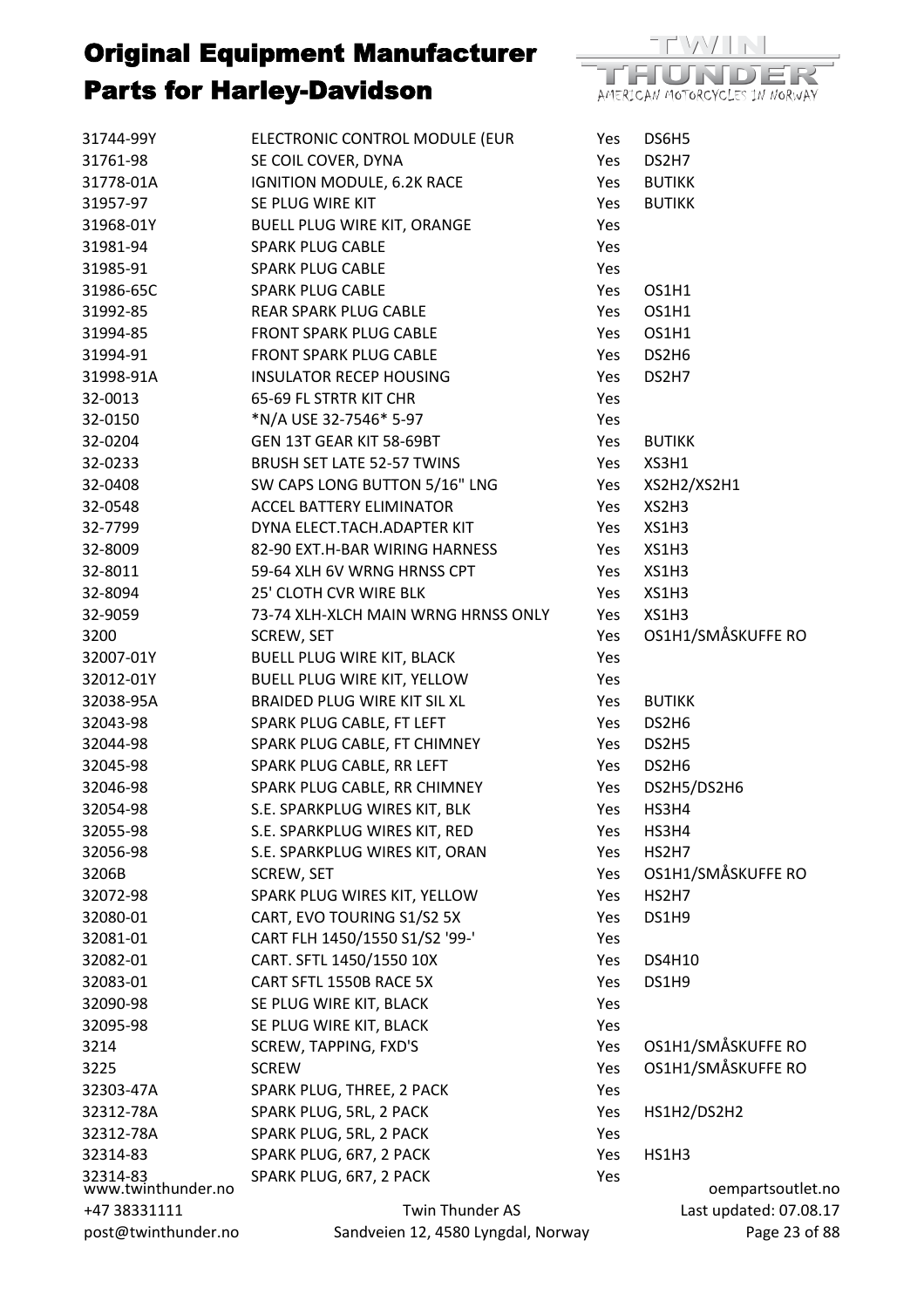

| 31744-99Y                      | ELECTRONIC CONTROL MODULE (EUR      | Yes | DS6H5              |
|--------------------------------|-------------------------------------|-----|--------------------|
| 31761-98                       | SE COIL COVER, DYNA                 | Yes | DS2H7              |
| 31778-01A                      | IGNITION MODULE, 6.2K RACE          | Yes | <b>BUTIKK</b>      |
| 31957-97                       | SE PLUG WIRE KIT                    | Yes | <b>BUTIKK</b>      |
| 31968-01Y                      | <b>BUELL PLUG WIRE KIT, ORANGE</b>  | Yes |                    |
| 31981-94                       | <b>SPARK PLUG CABLE</b>             | Yes |                    |
| 31985-91                       | <b>SPARK PLUG CABLE</b>             | Yes |                    |
| 31986-65C                      | <b>SPARK PLUG CABLE</b>             | Yes | OS1H1              |
| 31992-85                       | REAR SPARK PLUG CABLE               | Yes | OS1H1              |
| 31994-85                       | FRONT SPARK PLUG CABLE              | Yes | OS1H1              |
| 31994-91                       | FRONT SPARK PLUG CABLE              | Yes | DS2H6              |
| 31998-91A                      | <b>INSULATOR RECEP HOUSING</b>      | Yes | DS2H7              |
| 32-0013                        | 65-69 FL STRTR KIT CHR              | Yes |                    |
| 32-0150                        | *N/A USE 32-7546* 5-97              | Yes |                    |
| 32-0204                        | GEN 13T GEAR KIT 58-69BT            | Yes | <b>BUTIKK</b>      |
| 32-0233                        | BRUSH SET LATE 52-57 TWINS          | Yes | XS3H1              |
| 32-0408                        | SW CAPS LONG BUTTON 5/16" LNG       | Yes | XS2H2/XS2H1        |
| 32-0548                        | <b>ACCEL BATTERY ELIMINATOR</b>     | Yes | XS2H3              |
| 32-7799                        | DYNA ELECT.TACH.ADAPTER KIT         | Yes | XS1H3              |
| 32-8009                        | 82-90 EXT.H-BAR WIRING HARNESS      | Yes | XS1H3              |
| 32-8011                        | 59-64 XLH 6V WRNG HRNSS CPT         | Yes | XS1H3              |
| 32-8094                        | 25' CLOTH CVR WIRE BLK              | Yes | XS1H3              |
| 32-9059                        | 73-74 XLH-XLCH MAIN WRNG HRNSS ONLY | Yes | XS1H3              |
| 3200                           | SCREW, SET                          | Yes | OS1H1/SMÅSKUFFE RO |
| 32007-01Y                      | <b>BUELL PLUG WIRE KIT, BLACK</b>   | Yes |                    |
| 32012-01Y                      | BUELL PLUG WIRE KIT, YELLOW         | Yes |                    |
| 32038-95A                      | BRAIDED PLUG WIRE KIT SIL XL        | Yes | <b>BUTIKK</b>      |
| 32043-98                       | SPARK PLUG CABLE, FT LEFT           | Yes | DS2H6              |
| 32044-98                       | SPARK PLUG CABLE, FT CHIMNEY        | Yes | DS2H5              |
| 32045-98                       | SPARK PLUG CABLE, RR LEFT           | Yes | DS2H6              |
| 32046-98                       | SPARK PLUG CABLE, RR CHIMNEY        | Yes | DS2H5/DS2H6        |
| 32054-98                       | S.E. SPARKPLUG WIRES KIT, BLK       | Yes | HS3H4              |
| 32055-98                       | S.E. SPARKPLUG WIRES KIT, RED       | Yes | HS3H4              |
| 32056-98                       | S.E. SPARKPLUG WIRES KIT, ORAN      | Yes | HS2H7              |
| 3206B                          | <b>SCREW, SET</b>                   | Yes | OS1H1/SMÅSKUFFE RO |
| 32072-98                       | SPARK PLUG WIRES KIT, YELLOW        | Yes | HS2H7              |
| 32080-01                       | CART, EVO TOURING S1/S2 5X          | Yes | DS1H9              |
| 32081-01                       | CART FLH 1450/1550 S1/S2 '99-'      | Yes |                    |
| 32082-01                       | CART. SFTL 1450/1550 10X            | Yes | <b>DS4H10</b>      |
| 32083-01                       | CART SFTL 1550B RACE 5X             | Yes | DS1H9              |
| 32090-98                       | SE PLUG WIRE KIT, BLACK             | Yes |                    |
| 32095-98                       | SE PLUG WIRE KIT, BLACK             | Yes |                    |
| 3214                           | SCREW, TAPPING, FXD'S               | Yes | OS1H1/SMÅSKUFFE RO |
| 3225                           | <b>SCREW</b>                        | Yes | OS1H1/SMÅSKUFFE RO |
| 32303-47A                      | SPARK PLUG, THREE, 2 PACK           | Yes |                    |
| 32312-78A                      | SPARK PLUG, 5RL, 2 PACK             | Yes | HS1H2/DS2H2        |
| 32312-78A                      | SPARK PLUG, 5RL, 2 PACK             | Yes |                    |
| 32314-83                       | SPARK PLUG, 6R7, 2 PACK             | Yes | HS1H3              |
| 32314-83<br>www.twinthunder.no | SPARK PLUG, 6R7, 2 PACK             | Yes | oempartsoutle      |
| +47 38331111                   | <b>Twin Thunder AS</b>              |     | Last updated: 07.0 |
| post@twinthunder.no            | Sandveien 12, 4580 Lyngdal, Norway  |     | Page 23            |

tsoutlet.no d: 07.08.17 Page 23 of 88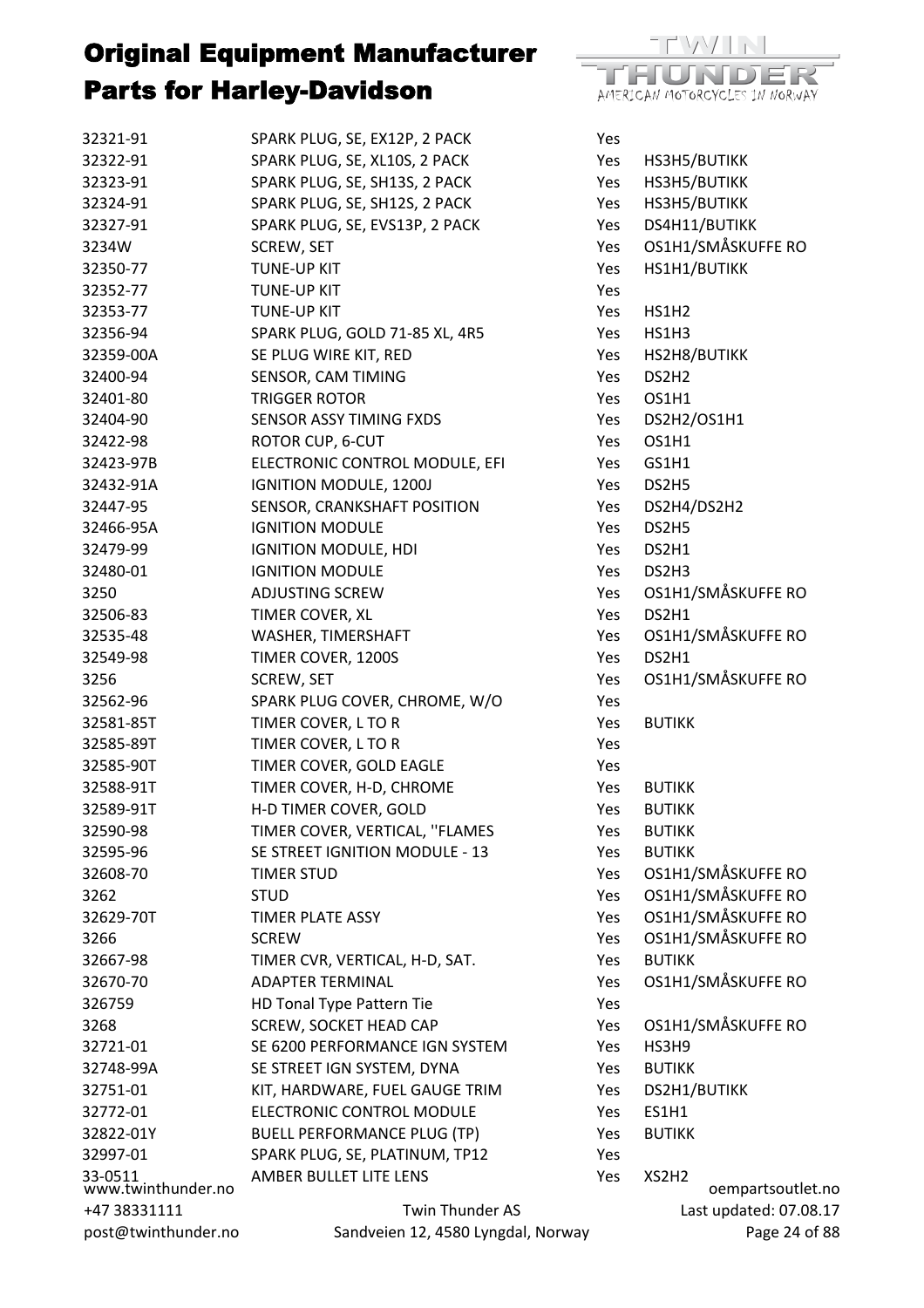

| 32321-91                      | SPARK PLUG, SE, EX12P, 2 PACK                                   | Yes        |                   |                        |
|-------------------------------|-----------------------------------------------------------------|------------|-------------------|------------------------|
| 32322-91                      | SPARK PLUG, SE, XL10S, 2 PACK                                   | Yes        | HS3H5/BUTIKK      |                        |
| 32323-91                      | SPARK PLUG, SE, SH13S, 2 PACK                                   | Yes        | HS3H5/BUTIKK      |                        |
| 32324-91                      | SPARK PLUG, SE, SH12S, 2 PACK                                   | Yes        | HS3H5/BUTIKK      |                        |
| 32327-91                      | SPARK PLUG, SE, EVS13P, 2 PACK                                  | Yes        | DS4H11/BUTIKK     |                        |
| 3234W                         | SCREW, SET                                                      | Yes        |                   | OS1H1/SMÅSKUFFE RO     |
| 32350-77                      | <b>TUNE-UP KIT</b>                                              | Yes        | HS1H1/BUTIKK      |                        |
| 32352-77                      | <b>TUNE-UP KIT</b>                                              | Yes        |                   |                        |
| 32353-77                      | <b>TUNE-UP KIT</b>                                              | Yes        | HS1H <sub>2</sub> |                        |
| 32356-94                      | SPARK PLUG, GOLD 71-85 XL, 4R5                                  | Yes        | HS1H3             |                        |
| 32359-00A                     | SE PLUG WIRE KIT, RED                                           | Yes        | HS2H8/BUTIKK      |                        |
| 32400-94                      | SENSOR, CAM TIMING                                              | Yes        | DS2H <sub>2</sub> |                        |
| 32401-80                      | <b>TRIGGER ROTOR</b>                                            | Yes        | OS1H1             |                        |
| 32404-90                      | SENSOR ASSY TIMING FXDS                                         | Yes        | DS2H2/OS1H1       |                        |
| 32422-98                      | <b>ROTOR CUP, 6-CUT</b>                                         | <b>Yes</b> | OS1H1             |                        |
| 32423-97B                     | ELECTRONIC CONTROL MODULE, EFI                                  | Yes        | GS1H1             |                        |
| 32432-91A                     | <b>IGNITION MODULE, 1200J</b>                                   | Yes        | DS2H5             |                        |
| 32447-95                      | SENSOR, CRANKSHAFT POSITION                                     | Yes        | DS2H4/DS2H2       |                        |
| 32466-95A                     | <b>IGNITION MODULE</b>                                          | Yes        | DS2H5             |                        |
| 32479-99                      | <b>IGNITION MODULE, HDI</b>                                     | Yes        | DS2H1             |                        |
| 32480-01                      | <b>IGNITION MODULE</b>                                          | Yes        | DS2H3             |                        |
| 3250                          | <b>ADJUSTING SCREW</b>                                          | Yes        |                   | OS1H1/SMÅSKUFFE RO     |
| 32506-83                      | TIMER COVER, XL                                                 | Yes        | DS2H1             |                        |
| 32535-48                      | WASHER, TIMERSHAFT                                              | Yes        |                   | OS1H1/SMÅSKUFFE RO     |
| 32549-98                      | TIMER COVER, 1200S                                              | Yes        | DS2H1             |                        |
| 3256                          | <b>SCREW, SET</b>                                               | Yes        |                   | OS1H1/SMÅSKUFFE RO     |
| 32562-96                      | SPARK PLUG COVER, CHROME, W/O                                   | Yes        |                   |                        |
| 32581-85T                     | TIMER COVER, L TO R                                             | Yes        | <b>BUTIKK</b>     |                        |
| 32585-89T                     | TIMER COVER, L TO R                                             | Yes        |                   |                        |
| 32585-90T                     | TIMER COVER, GOLD EAGLE                                         | Yes        |                   |                        |
| 32588-91T                     | TIMER COVER, H-D, CHROME                                        | Yes        | <b>BUTIKK</b>     |                        |
| 32589-91T                     | H-D TIMER COVER, GOLD                                           | Yes        | <b>BUTIKK</b>     |                        |
| 32590-98                      | TIMER COVER, VERTICAL, "FLAMES                                  | Yes        | <b>BUTIKK</b>     |                        |
| 32595-96                      | SE STREET IGNITION MODULE - 13                                  | Yes        | <b>BUTIKK</b>     |                        |
| 32608-70                      | <b>TIMER STUD</b>                                               | Yes        |                   | OS1H1/SMÅSKUFFE RO     |
| 3262                          | <b>STUD</b>                                                     | Yes        |                   | OS1H1/SMÅSKUFFE RO     |
| 32629-70T                     | <b>TIMER PLATE ASSY</b>                                         | Yes        |                   | OS1H1/SMÅSKUFFE RO     |
| 3266                          | <b>SCREW</b>                                                    | Yes        |                   | OS1H1/SMÅSKUFFE RO     |
| 32667-98                      | TIMER CVR, VERTICAL, H-D, SAT.                                  | Yes        | <b>BUTIKK</b>     |                        |
| 32670-70                      | <b>ADAPTER TERMINAL</b>                                         | Yes        |                   | OS1H1/SMÅSKUFFE RO     |
| 326759                        |                                                                 |            |                   |                        |
|                               | HD Tonal Type Pattern Tie                                       | Yes        |                   | OS1H1/SMÅSKUFFE RO     |
| 3268<br>32721-01              | <b>SCREW, SOCKET HEAD CAP</b><br>SE 6200 PERFORMANCE IGN SYSTEM | Yes        | HS3H9             |                        |
|                               |                                                                 | Yes        |                   |                        |
| 32748-99A                     | SE STREET IGN SYSTEM, DYNA                                      | Yes        | <b>BUTIKK</b>     |                        |
| 32751-01                      | KIT, HARDWARE, FUEL GAUGE TRIM                                  | Yes        | DS2H1/BUTIKK      |                        |
| 32772-01                      | ELECTRONIC CONTROL MODULE                                       | Yes        | <b>ES1H1</b>      |                        |
| 32822-01Y                     | <b>BUELL PERFORMANCE PLUG (TP)</b>                              | Yes        | <b>BUTIKK</b>     |                        |
| 32997-01                      | SPARK PLUG, SE, PLATINUM, TP12                                  | Yes        |                   |                        |
| 33-0511<br>www.twinthunder.no | AMBER BULLET LITE LENS                                          | Yes        | XS2H2             | oempartsoutlet.no      |
| +47 38331111                  | Twin Thunder AS                                                 |            |                   | Last updated: 07.08.17 |
| post@twinthunder.no           | Sandveien 12, 4580 Lyngdal, Norway                              |            |                   | Page 24 of 88          |
|                               |                                                                 |            |                   |                        |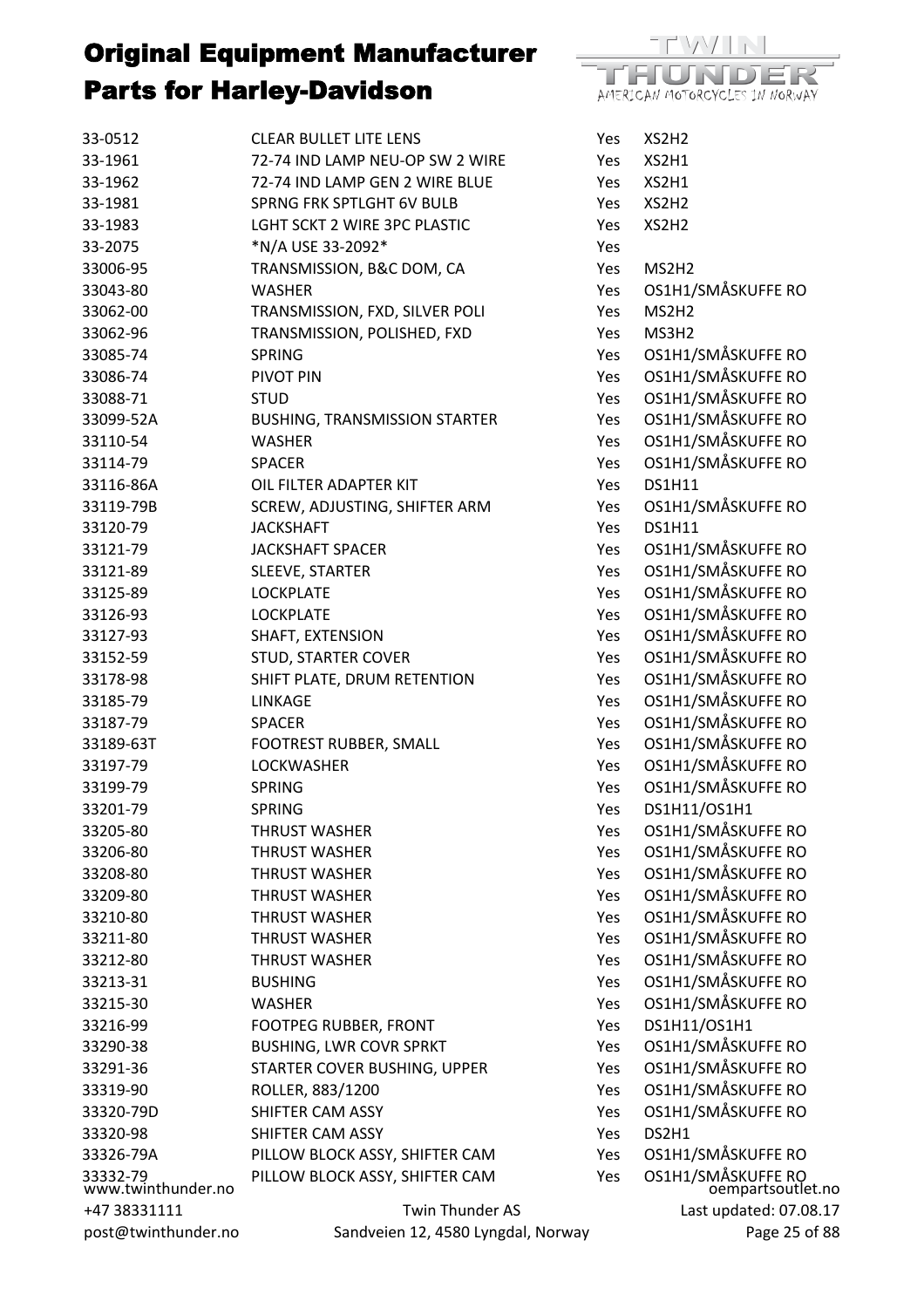| 33-0512                        | <b>CLEAR BULLET LITE LENS</b>        | Yes | XS2H2         |
|--------------------------------|--------------------------------------|-----|---------------|
| 33-1961                        | 72-74 IND LAMP NEU-OP SW 2 WIRE      | Yes | XS2H1         |
| 33-1962                        | 72-74 IND LAMP GEN 2 WIRE BLUE       | Yes | XS2H1         |
| 33-1981                        | <b>SPRNG FRK SPTLGHT 6V BULB</b>     | Yes | XS2H2         |
| 33-1983                        | LGHT SCKT 2 WIRE 3PC PLASTIC         | Yes | XS2H2         |
| 33-2075                        | *N/A USE 33-2092*                    | Yes |               |
| 33006-95                       | TRANSMISSION, B&C DOM, CA            | Yes | MS2H2         |
| 33043-80                       | <b>WASHER</b>                        | Yes | OS1H1/        |
| 33062-00                       | TRANSMISSION, FXD, SILVER POLI       | Yes | MS2H2         |
| 33062-96                       | TRANSMISSION, POLISHED, FXD          | Yes | MS3H2         |
| 33085-74                       | <b>SPRING</b>                        | Yes | OS1H1/        |
| 33086-74                       | PIVOT PIN                            | Yes | OS1H1/        |
| 33088-71                       | <b>STUD</b>                          | Yes | OS1H1/        |
| 33099-52A                      | <b>BUSHING, TRANSMISSION STARTER</b> | Yes | OS1H1/        |
| 33110-54                       | <b>WASHER</b>                        | Yes | OS1H1/        |
| 33114-79                       | <b>SPACER</b>                        | Yes | OS1H1/        |
| 33116-86A                      | OIL FILTER ADAPTER KIT               | Yes | <b>DS1H11</b> |
| 33119-79B                      | SCREW, ADJUSTING, SHIFTER ARM        | Yes | OS1H1/        |
| 33120-79                       | <b>JACKSHAFT</b>                     | Yes | <b>DS1H11</b> |
| 33121-79                       | <b>JACKSHAFT SPACER</b>              | Yes | OS1H1/        |
| 33121-89                       | SLEEVE, STARTER                      | Yes | OS1H1/        |
| 33125-89                       | <b>LOCKPLATE</b>                     | Yes | OS1H1/        |
| 33126-93                       | <b>LOCKPLATE</b>                     | Yes | OS1H1/        |
| 33127-93                       | SHAFT, EXTENSION                     | Yes | OS1H1/        |
| 33152-59                       | <b>STUD, STARTER COVER</b>           | Yes | OS1H1/        |
| 33178-98                       | SHIFT PLATE, DRUM RETENTION          | Yes | OS1H1/        |
| 33185-79                       | <b>LINKAGE</b>                       | Yes | OS1H1/        |
| 33187-79                       | <b>SPACER</b>                        | Yes | OS1H1/        |
| 33189-63T                      | FOOTREST RUBBER, SMALL               | Yes | OS1H1/        |
| 33197-79                       | <b>LOCKWASHER</b>                    | Yes | OS1H1/        |
| 33199-79                       | <b>SPRING</b>                        | Yes | OS1H1/        |
| 33201-79                       | <b>SPRING</b>                        | Yes | <b>DS1H11</b> |
| 33205-80                       | <b>THRUST WASHER</b>                 | Yes | OS1H1/        |
| 33206-80                       | <b>THRUST WASHER</b>                 | Yes | OS1H1/        |
| 33208-80                       | <b>THRUST WASHER</b>                 | Yes | OS1H1/        |
| 33209-80                       | <b>THRUST WASHER</b>                 | Yes | OS1H1/        |
| 33210-80                       | <b>THRUST WASHER</b>                 | Yes | OS1H1/        |
| 33211-80                       | <b>THRUST WASHER</b>                 | Yes | OS1H1/        |
| 33212-80                       | <b>THRUST WASHER</b>                 | Yes | OS1H1/        |
| 33213-31                       | <b>BUSHING</b>                       | Yes | OS1H1/        |
| 33215-30                       | WASHER                               | Yes | OS1H1/        |
| 33216-99                       | <b>FOOTPEG RUBBER, FRONT</b>         | Yes | <b>DS1H11</b> |
| 33290-38                       | <b>BUSHING, LWR COVR SPRKT</b>       | Yes | OS1H1/        |
| 33291-36                       | STARTER COVER BUSHING, UPPER         | Yes | OS1H1/        |
| 33319-90                       | ROLLER, 883/1200                     | Yes | OS1H1/        |
| 33320-79D                      | SHIFTER CAM ASSY                     | Yes | OS1H1/        |
| 33320-98                       | SHIFTER CAM ASSY                     | Yes | DS2H1         |
| 33326-79A                      | PILLOW BLOCK ASSY, SHIFTER CAM       | Yes | OS1H1/        |
| 33332-79<br>www.twinthunder.no | PILLOW BLOCK ASSY, SHIFTER CAM       | Yes | OS1H1/        |
| +47 38331111                   | Twin Thunder AS                      |     | Las           |
| post@twinthunder.no            | Sandveien 12, 4580 Lyngdal, Norway   |     |               |



oempartsoutlet.no Last updated: 07.08.17 Page 25 of 88 Yes OS1H1/SMÅSKUFFE RO Yes OS1H1/SMÅSKUFFE RO Yes OS1H1/SMÅSKUFFE RO Yes OS1H1/SMÅSKUFFE RO Yes OS1H1/SMÅSKUFFE RO Yes OS1H1/SMÅSKUFFE RO Yes OS1H1/SMÅSKUFFF RO Yes OS1H1/SMÅSKUFFE RO Yes OS1H1/SMÅSKUFFE RO Yes OS1H1/SMÅSKUFFE RO Yes OS1H1/SMÅSKUFFE RO Yes OS1H1/SMÅSKUFFE RO Yes OS1H1/SMÅSKUFFE RO Yes OS1H1/SMÅSKUFFE RO Yes OS1H1/SMÅSKUFFE RO Yes OS1H1/SMÅSKUFFE RO Yes OS1H1/SMÅSKUFFE RO Yes OS1H1/SMÅSKUFFE RO Yes OS1H1/SMÅSKUFFE RO Yes OS1H1/SMÅSKUFFE RO Yes DS1H11/OS1H1 Yes OS1H1/SMÅSKUFFE RO Yes OS1H1/SMÅSKUFFE RO Yes OS1H1/SMÅSKUFFE RO Yes OS1H1/SMÅSKUFFE RO Yes OS1H1/SMÅSKUFFE RO Yes OS1H1/SMÅSKUFFE RO Yes OS1H1/SMÅSKUFFE RO Yes OS1H1/SMÅSKUFFE RO Yes OS1H1/SMÅSKUFFF RO Yes DS1H11/OS1H1 Yes OS1H1/SMÅSKUFFE RO Yes OS1H1/SMÅSKUFFE RO Yes OS1H1/SMÅSKUFFE RO Yes OS1H1/SMÅSKUFFE RO Yes OS1H1/SMÅSKUFFE RO Yes OS1H1/SMÅSKUFFE RO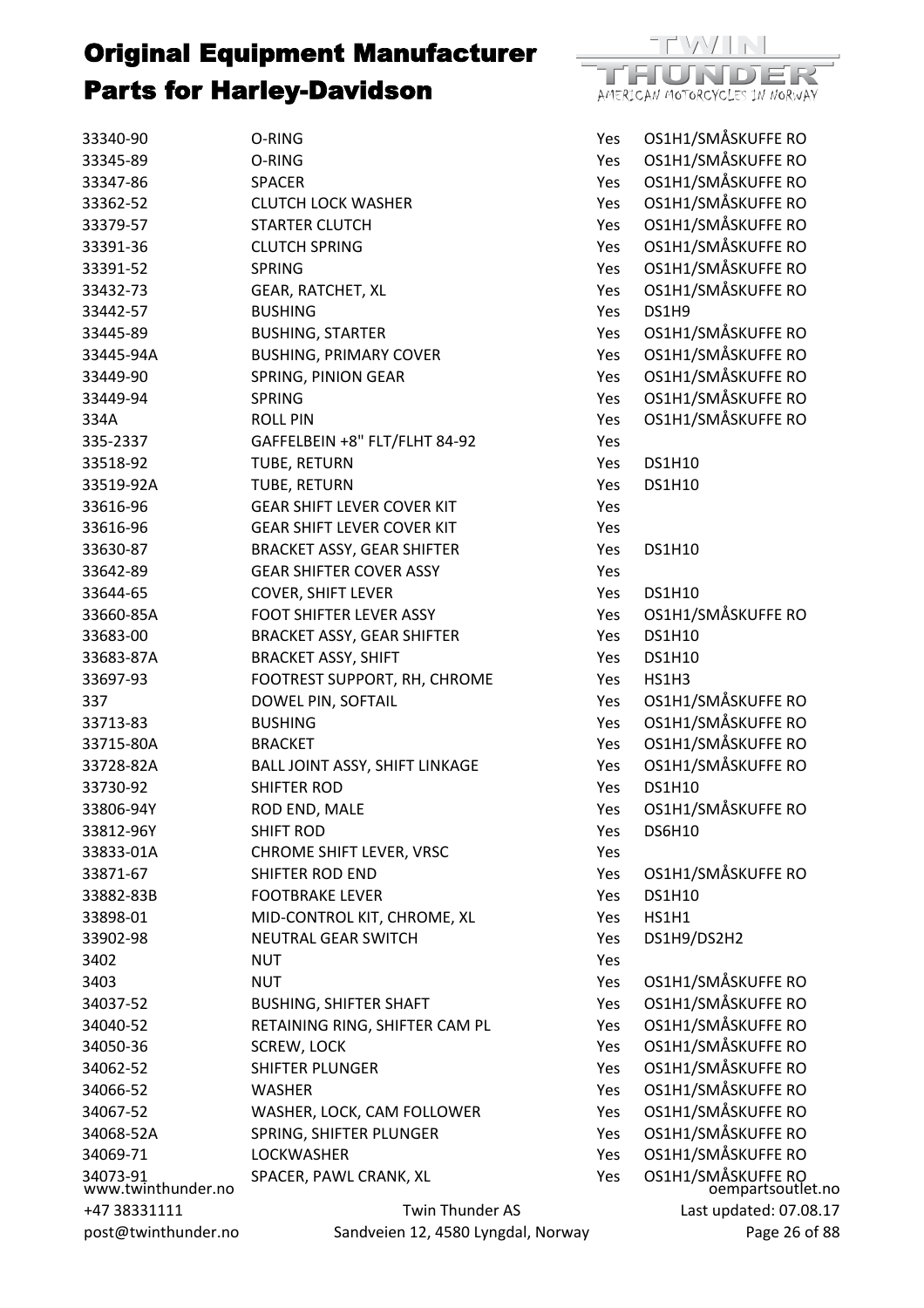

| 33340-90                                                    | O-RING                                                | Yes | OS1H1/SMÅSKUFFE RO                      |
|-------------------------------------------------------------|-------------------------------------------------------|-----|-----------------------------------------|
| 33345-89                                                    | O-RING                                                | Yes | OS1H1/SMÅSKUFFE RO                      |
| 33347-86                                                    | <b>SPACER</b>                                         | Yes | OS1H1/SMÅSKUFFE RO                      |
| 33362-52                                                    | <b>CLUTCH LOCK WASHER</b>                             | Yes | OS1H1/SMÅSKUFFE RO                      |
| 33379-57                                                    | <b>STARTER CLUTCH</b>                                 | Yes | OS1H1/SMÅSKUFFE RO                      |
| 33391-36                                                    | <b>CLUTCH SPRING</b>                                  | Yes | OS1H1/SMÅSKUFFE RO                      |
| 33391-52                                                    | <b>SPRING</b>                                         | Yes | OS1H1/SMÅSKUFFE RO                      |
| 33432-73                                                    | GEAR, RATCHET, XL                                     | Yes | OS1H1/SMÅSKUFFE RO                      |
| 33442-57                                                    | <b>BUSHING</b>                                        | Yes | DS1H9                                   |
| 33445-89                                                    | <b>BUSHING, STARTER</b>                               | Yes | OS1H1/SMÅSKUFFE RO                      |
| 33445-94A                                                   | <b>BUSHING, PRIMARY COVER</b>                         | Yes | OS1H1/SMÅSKUFFE RO                      |
| 33449-90                                                    | SPRING, PINION GEAR                                   | Yes | OS1H1/SMÅSKUFFE RO                      |
| 33449-94                                                    | <b>SPRING</b>                                         | Yes | OS1H1/SMÅSKUFFE RO                      |
| 334A                                                        | <b>ROLL PIN</b>                                       | Yes | OS1H1/SMÅSKUFFE RO                      |
| 335-2337                                                    | GAFFELBEIN +8" FLT/FLHT 84-92                         | Yes |                                         |
| 33518-92                                                    | TUBE, RETURN                                          | Yes | <b>DS1H10</b>                           |
| 33519-92A                                                   | TUBE, RETURN                                          | Yes | <b>DS1H10</b>                           |
| 33616-96                                                    | <b>GEAR SHIFT LEVER COVER KIT</b>                     | Yes |                                         |
| 33616-96                                                    | <b>GEAR SHIFT LEVER COVER KIT</b>                     | Yes |                                         |
| 33630-87                                                    | <b>BRACKET ASSY, GEAR SHIFTER</b>                     | Yes | <b>DS1H10</b>                           |
| 33642-89                                                    | <b>GEAR SHIFTER COVER ASSY</b>                        | Yes |                                         |
| 33644-65                                                    | <b>COVER, SHIFT LEVER</b>                             | Yes | <b>DS1H10</b>                           |
| 33660-85A                                                   | <b>FOOT SHIFTER LEVER ASSY</b>                        | Yes | OS1H1/SMÅSKUFFE RO                      |
| 33683-00                                                    | <b>BRACKET ASSY, GEAR SHIFTER</b>                     | Yes | <b>DS1H10</b>                           |
| 33683-87A                                                   | <b>BRACKET ASSY, SHIFT</b>                            | Yes | <b>DS1H10</b>                           |
| 33697-93                                                    | FOOTREST SUPPORT, RH, CHROME                          | Yes | HS1H3                                   |
| 337                                                         | DOWEL PIN, SOFTAIL                                    | Yes | OS1H1/SMÅSKUFFE RO                      |
| 33713-83                                                    | <b>BUSHING</b>                                        | Yes | OS1H1/SMÅSKUFFE RO                      |
| 33715-80A                                                   | <b>BRACKET</b>                                        | Yes | OS1H1/SMÅSKUFFE RO                      |
| 33728-82A                                                   |                                                       | Yes | OS1H1/SMÅSKUFFE RO                      |
|                                                             | BALL JOINT ASSY, SHIFT LINKAGE<br><b>SHIFTER ROD</b>  |     | DS1H10                                  |
| 33730-92                                                    |                                                       | Yes | OS1H1/SMÅSKUFFE RO                      |
| 33806-94Y                                                   | ROD END, MALE                                         | Yes |                                         |
| 33812-96Y                                                   | <b>SHIFT ROD</b>                                      | Yes | <b>DS6H10</b>                           |
| 33833-01A                                                   | CHROME SHIFT LEVER, VRSC                              | Yes |                                         |
| 33871-67                                                    | <b>SHIFTER ROD END</b>                                | Yes | OS1H1/SMÅSKUFFE RO                      |
| 33882-83B                                                   | <b>FOOTBRAKE LEVER</b>                                | Yes | <b>DS1H10</b>                           |
| 33898-01                                                    | MID-CONTROL KIT, CHROME, XL                           | Yes | <b>HS1H1</b>                            |
| 33902-98                                                    | <b>NEUTRAL GEAR SWITCH</b>                            | Yes | DS1H9/DS2H2                             |
| 3402                                                        | NUT                                                   | Yes |                                         |
| 3403                                                        | <b>NUT</b>                                            | Yes | OS1H1/SMÅSKUFFE RO                      |
| 34037-52                                                    | <b>BUSHING, SHIFTER SHAFT</b>                         | Yes | OS1H1/SMÅSKUFFE RO                      |
| 34040-52                                                    | RETAINING RING, SHIFTER CAM PL                        | Yes | OS1H1/SMÅSKUFFE RO                      |
| 34050-36                                                    | <b>SCREW, LOCK</b>                                    | Yes | OS1H1/SMÅSKUFFE RO                      |
| 34062-52                                                    | <b>SHIFTER PLUNGER</b>                                | Yes | OS1H1/SMÅSKUFFE RO                      |
| 34066-52                                                    | <b>WASHER</b>                                         | Yes | OS1H1/SMÅSKUFFE RO                      |
| 34067-52                                                    | WASHER, LOCK, CAM FOLLOWER                            | Yes | OS1H1/SMÅSKUFFE RO                      |
| 34068-52A                                                   | SPRING, SHIFTER PLUNGER                               | Yes | OS1H1/SMÅSKUFFE RO                      |
| 34069-71                                                    | <b>LOCKWASHER</b>                                     | Yes | OS1H1/SMÅSKUFFE RO                      |
| 34073-91<br>www.twinthunder.no                              | SPACER, PAWL CRANK, XL                                | Yes | OS1H1/SMÅSKUFFE RO<br>oempartsoutlet.no |
| +47 38331111<br>$not$ $\omega$ most $\omega$ twinthunder no | Twin Thunder AS<br>Sandveien 12, 4580 Lyngdal, Norway |     | Last updated: 07.08.17<br>Page 26 of 88 |
|                                                             |                                                       |     |                                         |

+47 383 post@twinthunder.no Sandveien 12, 4580 Lyngdal, Norway

08.17 Page 26 of 88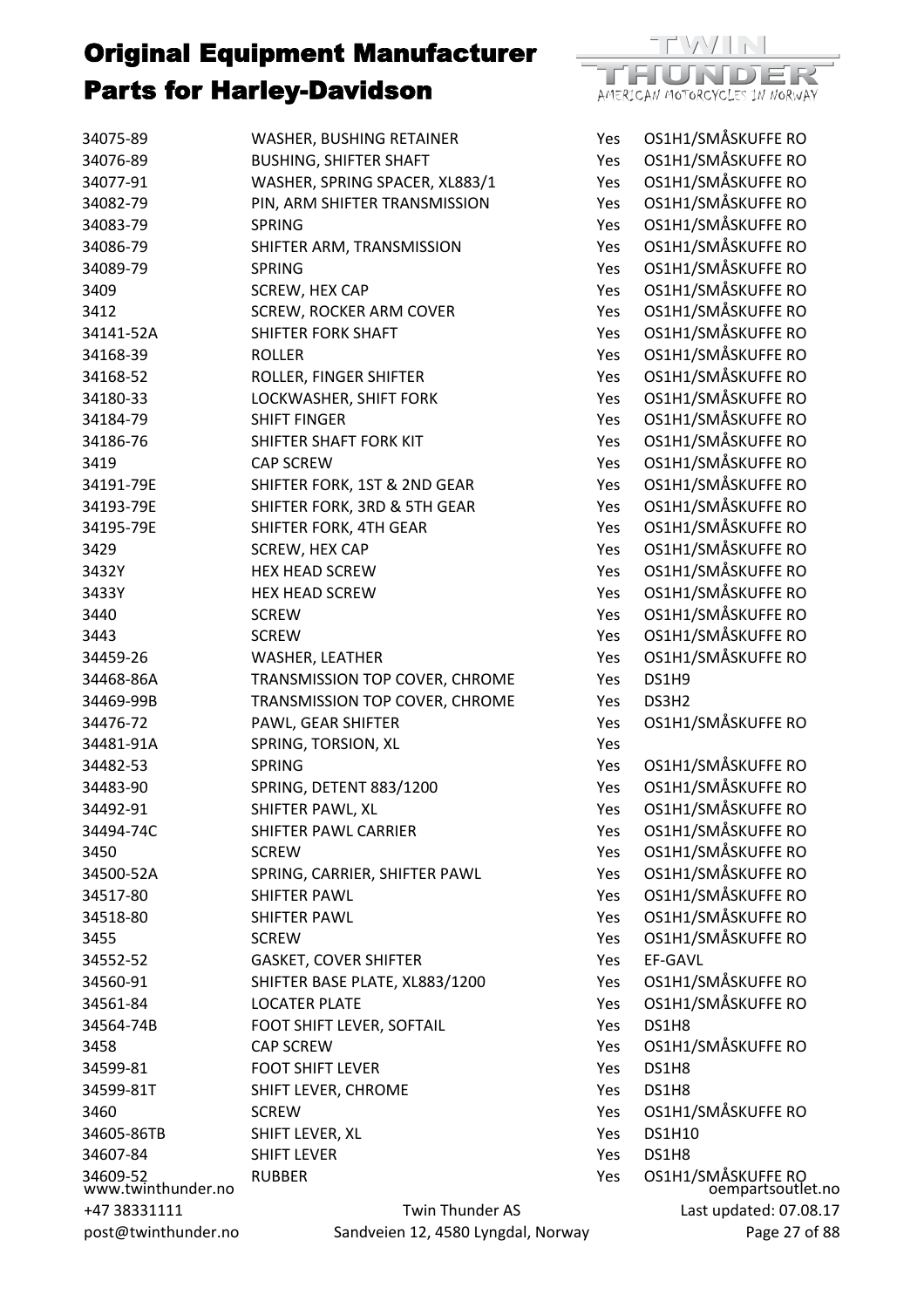

| 34075-89                       | WASHER, BUSHING RETAINER           | Yes | <b>OS1H1/S</b> |
|--------------------------------|------------------------------------|-----|----------------|
| 34076-89                       | <b>BUSHING, SHIFTER SHAFT</b>      | Yes | <b>OS1H1/S</b> |
| 34077-91                       | WASHER, SPRING SPACER, XL883/1     | Yes | <b>OS1H1/S</b> |
| 34082-79                       | PIN, ARM SHIFTER TRANSMISSION      | Yes | <b>OS1H1/S</b> |
| 34083-79                       | <b>SPRING</b>                      | Yes | OS1H1/S        |
| 34086-79                       | SHIFTER ARM, TRANSMISSION          | Yes | <b>OS1H1/S</b> |
| 34089-79                       | <b>SPRING</b>                      | Yes | <b>OS1H1/S</b> |
| 3409                           | SCREW, HEX CAP                     | Yes | OS1H1/S        |
| 3412                           | <b>SCREW, ROCKER ARM COVER</b>     | Yes | <b>OS1H1/S</b> |
| 34141-52A                      | SHIFTER FORK SHAFT                 | Yes | <b>OS1H1/S</b> |
| 34168-39                       | <b>ROLLER</b>                      | Yes | <b>OS1H1/S</b> |
| 34168-52                       | ROLLER, FINGER SHIFTER             | Yes | <b>OS1H1/S</b> |
| 34180-33                       | LOCKWASHER, SHIFT FORK             | Yes | <b>OS1H1/S</b> |
| 34184-79                       | <b>SHIFT FINGER</b>                | Yes | OS1H1/S        |
| 34186-76                       | SHIFTER SHAFT FORK KIT             | Yes | <b>OS1H1/S</b> |
| 3419                           | <b>CAP SCREW</b>                   | Yes | <b>OS1H1/S</b> |
| 34191-79E                      | SHIFTER FORK, 1ST & 2ND GEAR       | Yes | <b>OS1H1/S</b> |
| 34193-79E                      | SHIFTER FORK, 3RD & 5TH GEAR       | Yes | <b>OS1H1/S</b> |
| 34195-79E                      | SHIFTER FORK, 4TH GEAR             | Yes | <b>OS1H1/S</b> |
| 3429                           | SCREW, HEX CAP                     | Yes | OS1H1/S        |
| 3432Y                          | <b>HEX HEAD SCREW</b>              | Yes | OS1H1/S        |
| 3433Y                          | <b>HEX HEAD SCREW</b>              | Yes | OS1H1/S        |
| 3440                           | <b>SCREW</b>                       | Yes | <b>OS1H1/S</b> |
| 3443                           | <b>SCREW</b>                       | Yes | <b>OS1H1/S</b> |
| 34459-26                       | WASHER, LEATHER                    | Yes | <b>OS1H1/S</b> |
| 34468-86A                      | TRANSMISSION TOP COVER, CHROME     | Yes | DS1H9          |
| 34469-99B                      | TRANSMISSION TOP COVER, CHROME     | Yes | DS3H2          |
| 34476-72                       | PAWL, GEAR SHIFTER                 | Yes | <b>OS1H1/S</b> |
| 34481-91A                      | SPRING, TORSION, XL                | Yes |                |
| 34482-53                       | <b>SPRING</b>                      | Yes | OS1H1/S        |
| 34483-90                       | SPRING, DETENT 883/1200            | Yes | OS1H1/S        |
| 34492-91                       | SHIFTER PAWL, XL                   | Yes | OS1H1/S        |
| 34494-74C                      | SHIFTER PAWL CARRIER               | Yes | OS1H1/S        |
| 3450                           | <b>SCREW</b>                       | Yes | <b>OS1H1/S</b> |
| 34500-52A                      | SPRING, CARRIER, SHIFTER PAWL      | Yes | <b>OS1H1/S</b> |
| 34517-80                       | <b>SHIFTER PAWL</b>                | Yes | OS1H1/S        |
| 34518-80                       | <b>SHIFTER PAWL</b>                | Yes | <b>OS1H1/S</b> |
| 3455                           | <b>SCREW</b>                       | Yes | <b>OS1H1/S</b> |
| 34552-52                       | <b>GASKET, COVER SHIFTER</b>       | Yes | EF-GAVL        |
| 34560-91                       | SHIFTER BASE PLATE, XL883/1200     | Yes | OS1H1/S        |
| 34561-84                       | <b>LOCATER PLATE</b>               | Yes | <b>OS1H1/S</b> |
| 34564-74B                      | FOOT SHIFT LEVER, SOFTAIL          | Yes | DS1H8          |
| 3458                           | <b>CAP SCREW</b>                   | Yes | <b>OS1H1/S</b> |
| 34599-81                       | <b>FOOT SHIFT LEVER</b>            | Yes | DS1H8          |
| 34599-81T                      | SHIFT LEVER, CHROME                | Yes | DS1H8          |
| 3460                           | <b>SCREW</b>                       | Yes | OS1H1/S        |
| 34605-86TB                     | SHIFT LEVER, XL                    | Yes | <b>DS1H10</b>  |
| 34607-84                       | <b>SHIFT LEVER</b>                 | Yes | DS1H8          |
| 34609-52<br>www.twinthunder.no | <b>RUBBER</b>                      | Yes | OS1H1/S        |
| +47 38331111                   | Twin Thunder AS                    |     | Las            |
| post@twinthunder.no            | Sandveien 12, 4580 Lyngdal, Norway |     |                |

oempartsoutlet.no Last updated: 07.08.17 Page 27 of 88 Yes OS1H1/SMÅSKUFFE RO Yes OS1H1/SMÅSKUFFE RO Yes OS1H1/SMÅSKUFFE RO Yes OS1H1/SMÅSKUFFE RO Yes OS1H1/SMÅSKUFFE RO Yes OS1H1/SMÅSKUFFE RO Yes OS1H1/SMÅSKUFFE RO Yes OS1H1/SMÅSKUFFE RO Yes OS1H1/SMÅSKUFFE RO Yes OS1H1/SMÅSKUFFE RO Yes OS1H1/SMÅSKUFFE RO Yes OS1H1/SMÅSKUFFE RO Yes OS1H1/SMÅSKUFFE RO Yes OS1H1/SMÅSKUFFE RO Yes OS1H1/SMÅSKUFFE RO Yes OS1H1/SMÅSKUFFE RO Yes OS1H1/SMÅSKUFFE RO Yes OS1H1/SMÅSKUFFF RO Yes OS1H1/SMÅSKUFFE RO Yes OS1H1/SMÅSKUFFE RO Yes OS1H1/SMÅSKUFFE RO Yes OS1H1/SMÅSKUFFE RO Yes OS1H1/SMÅSKUFFE RO Yes OS1H1/SMÅSKUFFE RO Yes OS1H1/SMÅSKUFFF RO Yes OS1H1/SMÅSKUFFE RO Yes OS1H1/SMÅSKUFFE RO Yes OS1H1/SMÅSKUFFE RO Yes OS1H1/SMÅSKUFFE RO Yes OS1H1/SMÅSKUFFE RO Yes OS1H1/SMÅSKUFFE RO Yes OS1H1/SMÅSKUFFE RO Yes OS1H1/SMÅSKUFFE RO Yes OS1H1/SMÅSKUFFE RO Yes OS1H1/SMÅSKUFFE RO Yes OS1H1/SMÅSKUFFE RO Yes OS1H1/SMÅSKUFFF RO Yes OS1H1/SMÅSKUFFE RO Yes OS1H1/SMÅSKUFFE RO Yes OS1H1/SMÅSKUFFE RO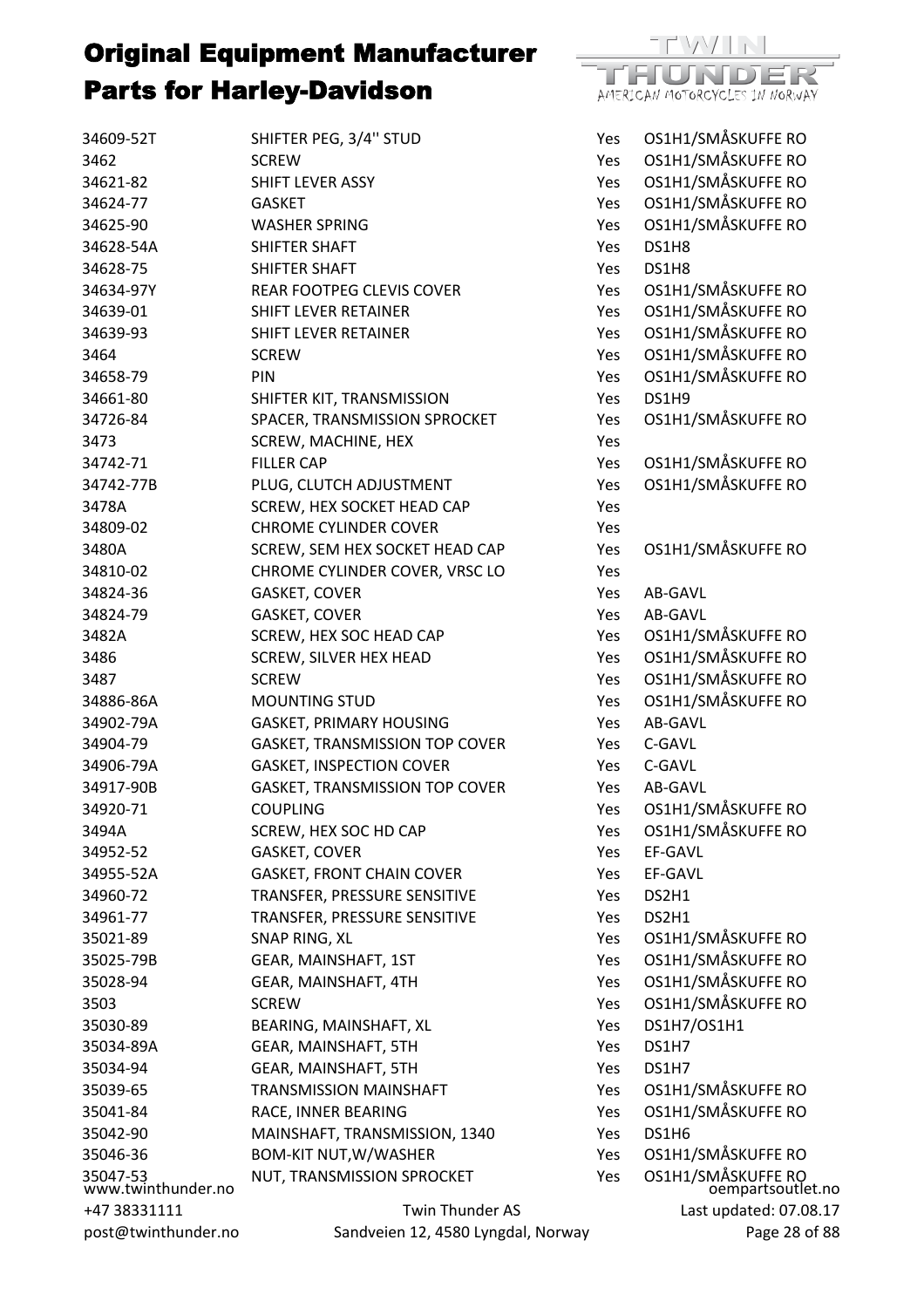

| 34609-52T                      | SHIFTER PEG, 3/4" STUD             | Yes        | OS1H1/SMÅSKUFFE RO                      |
|--------------------------------|------------------------------------|------------|-----------------------------------------|
| 3462                           | <b>SCREW</b>                       | Yes        | OS1H1/SMÅSKUFFE RO                      |
| 34621-82                       | SHIFT LEVER ASSY                   | Yes        | OS1H1/SMÅSKUFFE RO                      |
| 34624-77                       | <b>GASKET</b>                      | Yes        | OS1H1/SMÅSKUFFE RO                      |
| 34625-90                       | <b>WASHER SPRING</b>               | Yes        | OS1H1/SMÅSKUFFE RO                      |
| 34628-54A                      | <b>SHIFTER SHAFT</b>               | Yes        | DS1H8                                   |
| 34628-75                       | SHIFTER SHAFT                      | Yes        | DS1H8                                   |
| 34634-97Y                      | REAR FOOTPEG CLEVIS COVER          | Yes        | OS1H1/SMÅSKUFFE RO                      |
| 34639-01                       | SHIFT LEVER RETAINER               | Yes        | OS1H1/SMÅSKUFFE RO                      |
| 34639-93                       | <b>SHIFT LEVER RETAINER</b>        | Yes        | OS1H1/SMÅSKUFFE RO                      |
| 3464                           | <b>SCREW</b>                       | Yes        | OS1H1/SMÅSKUFFE RO                      |
| 34658-79                       | PIN                                | Yes        | OS1H1/SMÅSKUFFE RO                      |
| 34661-80                       | SHIFTER KIT, TRANSMISSION          | Yes        | DS1H9                                   |
| 34726-84                       | SPACER, TRANSMISSION SPROCKET      | Yes        | OS1H1/SMÅSKUFFE RO                      |
| 3473                           | SCREW, MACHINE, HEX                | Yes        |                                         |
| 34742-71                       | <b>FILLER CAP</b>                  | Yes        | OS1H1/SMÅSKUFFE RO                      |
| 34742-77B                      | PLUG, CLUTCH ADJUSTMENT            | Yes        | OS1H1/SMÅSKUFFE RO                      |
| 3478A                          | SCREW, HEX SOCKET HEAD CAP         | Yes        |                                         |
| 34809-02                       | <b>CHROME CYLINDER COVER</b>       | Yes        |                                         |
| 3480A                          | SCREW, SEM HEX SOCKET HEAD CAP     | Yes        | OS1H1/SMÅSKUFFE RO                      |
| 34810-02                       | CHROME CYLINDER COVER, VRSC LO     | Yes        |                                         |
| 34824-36                       | <b>GASKET, COVER</b>               | Yes        | AB-GAVL                                 |
| 34824-79                       | <b>GASKET, COVER</b>               | Yes        | AB-GAVL                                 |
| 3482A                          | SCREW, HEX SOC HEAD CAP            | Yes        | OS1H1/SMÅSKUFFE RO                      |
| 3486                           | <b>SCREW, SILVER HEX HEAD</b>      | Yes        | OS1H1/SMÅSKUFFE RO                      |
| 3487                           | <b>SCREW</b>                       | Yes        | OS1H1/SMÅSKUFFE RO                      |
| 34886-86A                      | <b>MOUNTING STUD</b>               | Yes        | OS1H1/SMÅSKUFFE RO                      |
| 34902-79A                      | <b>GASKET, PRIMARY HOUSING</b>     | <b>Yes</b> | AB-GAVL                                 |
| 34904-79                       | GASKET, TRANSMISSION TOP COVER     | Yes        | C-GAVL                                  |
| 34906-79A                      | <b>GASKET, INSPECTION COVER</b>    | <b>Yes</b> | C-GAVL                                  |
| 34917-90B                      | GASKET, TRANSMISSION TOP COVER     | Yes        | AB-GAVL                                 |
| 34920-71                       | <b>COUPLING</b>                    | Yes        | OS1H1/SMÅSKUFFE RO                      |
| 3494A                          | SCREW, HEX SOC HD CAP              | Yes        | OS1H1/SMÅSKUFFE RO                      |
| 34952-52                       | <b>GASKET, COVER</b>               | Yes        | EF-GAVL                                 |
| 34955-52A                      | <b>GASKET, FRONT CHAIN COVER</b>   | Yes        | EF-GAVL                                 |
| 34960-72                       | TRANSFER, PRESSURE SENSITIVE       | Yes        | DS2H1                                   |
| 34961-77                       | TRANSFER, PRESSURE SENSITIVE       | Yes        | DS2H1                                   |
| 35021-89                       | SNAP RING, XL                      | <b>Yes</b> | OS1H1/SMÅSKUFFE RO                      |
| 35025-79B                      | GEAR, MAINSHAFT, 1ST               | Yes        | OS1H1/SMÅSKUFFE RO                      |
| 35028-94                       | GEAR, MAINSHAFT, 4TH               |            | OS1H1/SMÅSKUFFE RO                      |
| 3503                           |                                    | Yes        | OS1H1/SMÅSKUFFE RO                      |
|                                | <b>SCREW</b>                       | <b>Yes</b> |                                         |
| 35030-89                       | BEARING, MAINSHAFT, XL             | Yes        | DS1H7/OS1H1                             |
| 35034-89A                      | GEAR, MAINSHAFT, 5TH               | Yes        | DS1H7                                   |
| 35034-94                       | GEAR, MAINSHAFT, 5TH               | Yes        | DS1H7                                   |
| 35039-65                       | <b>TRANSMISSION MAINSHAFT</b>      | Yes        | OS1H1/SMÅSKUFFE RO                      |
| 35041-84                       | RACE, INNER BEARING                | Yes        | OS1H1/SMÅSKUFFE RO                      |
| 35042-90                       | MAINSHAFT, TRANSMISSION, 1340      | Yes        | DS1H6                                   |
| 35046-36                       | <b>BOM-KIT NUT, W/WASHER</b>       | Yes        | OS1H1/SMÅSKUFFE RO                      |
| 35047-53<br>www.twinthunder.no | NUT, TRANSMISSION SPROCKET         | Yes        | OS1H1/SMÅSKUFFE RO<br>oempartsoutlet.no |
| +47 38331111                   | Twin Thunder AS                    |            | Last updated: 07.08.17                  |
| post@twinthunder.no            | Sandveien 12, 4580 Lyngdal, Norway |            | Page 28 of 88                           |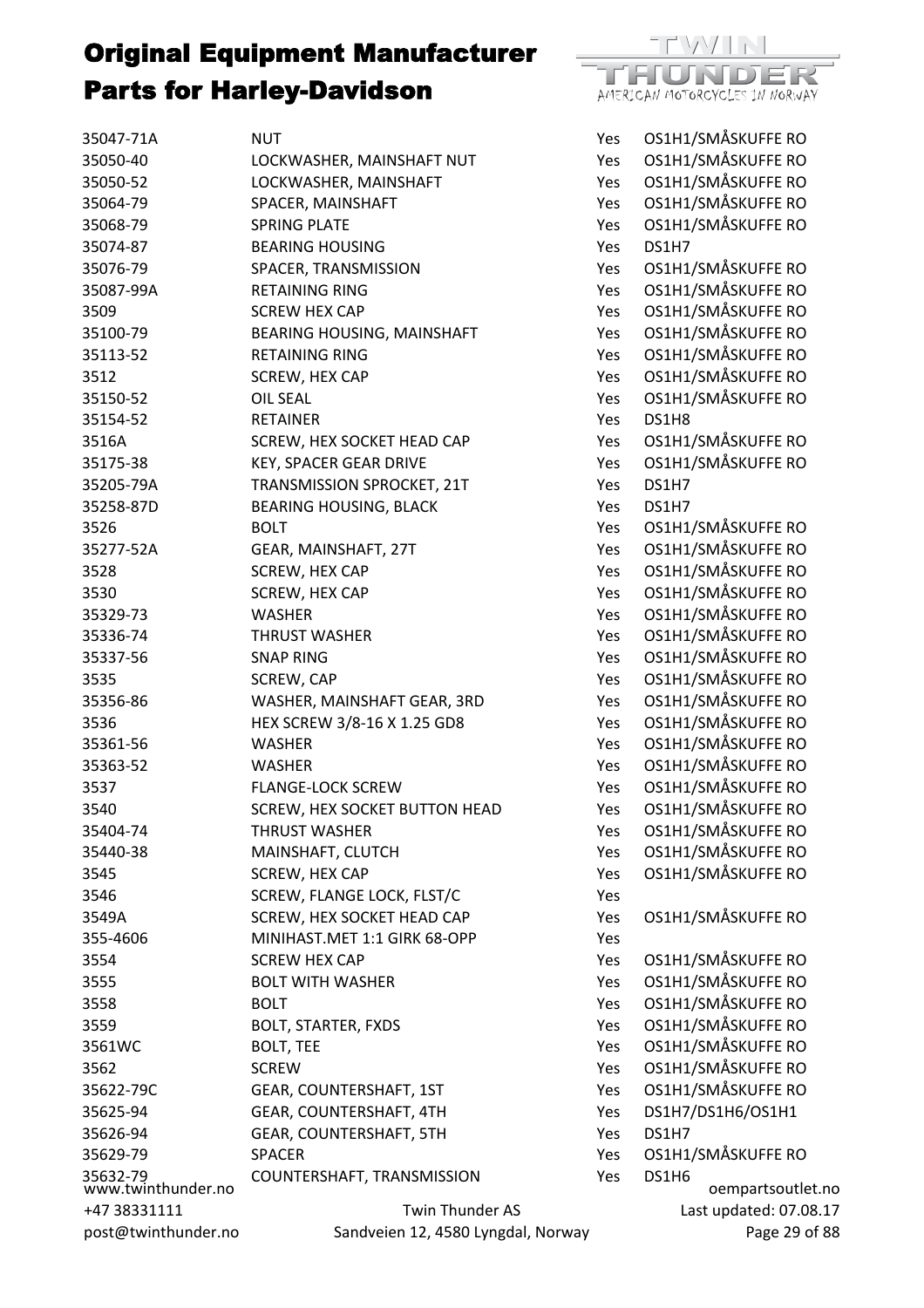| 35047-71A                      | NUT                                | Yes        | OS1H1 |
|--------------------------------|------------------------------------|------------|-------|
| 35050-40                       | LOCKWASHER, MAINSHAFT NUT          | Yes        | OS1H1 |
| 35050-52                       | LOCKWASHER, MAINSHAFT              | Yes        | OS1H1 |
| 35064-79                       | SPACER, MAINSHAFT                  | Yes        | OS1H1 |
| 35068-79                       | <b>SPRING PLATE</b>                | Yes        | OS1H1 |
| 35074-87                       | <b>BEARING HOUSING</b>             | Yes        | DS1H7 |
| 35076-79                       | SPACER, TRANSMISSION               | Yes        | OS1H1 |
| 35087-99A                      | <b>RETAINING RING</b>              | Yes        | OS1H1 |
| 3509                           | <b>SCREW HEX CAP</b>               | Yes        | OS1H1 |
| 35100-79                       | BEARING HOUSING, MAINSHAFT         | Yes        | OS1H1 |
| 35113-52                       | <b>RETAINING RING</b>              | Yes        | OS1H1 |
| 3512                           | SCREW, HEX CAP                     | Yes        | OS1H1 |
| 35150-52                       | <b>OIL SEAL</b>                    | Yes        | OS1H1 |
| 35154-52                       | <b>RETAINER</b>                    | Yes        | DS1H8 |
| 3516A                          | SCREW, HEX SOCKET HEAD CAP         | Yes        | OS1H1 |
| 35175-38                       | <b>KEY, SPACER GEAR DRIVE</b>      | Yes        | OS1H1 |
| 35205-79A                      | TRANSMISSION SPROCKET, 21T         | Yes        | DS1H7 |
| 35258-87D                      | <b>BEARING HOUSING, BLACK</b>      | Yes        | DS1H7 |
| 3526                           | <b>BOLT</b>                        | Yes        | OS1H1 |
| 35277-52A                      | GEAR, MAINSHAFT, 27T               | Yes        | OS1H1 |
| 3528                           | SCREW, HEX CAP                     | Yes        | OS1H1 |
| 3530                           | SCREW, HEX CAP                     | Yes        | OS1H1 |
| 35329-73                       | <b>WASHER</b>                      | Yes        | OS1H1 |
| 35336-74                       | <b>THRUST WASHER</b>               | Yes        | OS1H1 |
| 35337-56                       | <b>SNAP RING</b>                   | Yes        | OS1H1 |
| 3535                           | SCREW, CAP                         | Yes        | OS1H1 |
| 35356-86                       | WASHER, MAINSHAFT GEAR, 3RD        | Yes        | OS1H1 |
| 3536                           | HEX SCREW 3/8-16 X 1.25 GD8        | Yes        | OS1H1 |
| 35361-56                       | <b>WASHER</b>                      | Yes        | OS1H1 |
| 35363-52                       | <b>WASHER</b>                      | Yes        | OS1H1 |
| 3537                           | <b>FLANGE-LOCK SCREW</b>           | Yes        | OS1H1 |
| 3540                           | SCREW, HEX SOCKET BUTTON HEAD      | Yes        | OS1H1 |
| 35404-74                       | <b>THRUST WASHER</b>               | Yes        | OS1H1 |
| 35440-38                       | MAINSHAFT, CLUTCH                  | Yes        | OS1H1 |
| 3545                           | SCREW, HEX CAP                     | Yes        | OS1H1 |
| 3546                           | SCREW, FLANGE LOCK, FLST/C         | Yes        |       |
| 3549A                          | SCREW, HEX SOCKET HEAD CAP         | Yes        | OS1H1 |
| 355-4606                       | MINIHAST.MET 1:1 GIRK 68-OPP       | Yes        |       |
| 3554                           | <b>SCREW HEX CAP</b>               | Yes        | OS1H1 |
| 3555                           | <b>BOLT WITH WASHER</b>            | Yes        | OS1H1 |
| 3558                           | <b>BOLT</b>                        | <b>Yes</b> | OS1H1 |
| 3559                           | <b>BOLT, STARTER, FXDS</b>         | Yes        | OS1H1 |
| 3561WC                         | <b>BOLT, TEE</b>                   | Yes        | OS1H1 |
| 3562                           | <b>SCREW</b>                       | Yes        | OS1H1 |
| 35622-79C                      | GEAR, COUNTERSHAFT, 1ST            | Yes        | OS1H1 |
| 35625-94                       | GEAR, COUNTERSHAFT, 4TH            | <b>Yes</b> | DS1H7 |
| 35626-94                       | GEAR, COUNTERSHAFT, 5TH            | Yes        | DS1H7 |
| 35629-79                       | <b>SPACER</b>                      | Yes        | OS1H1 |
| 35632-79<br>www.twinthunder.no | COUNTERSHAFT, TRANSMISSION         | Yes        | DS1H6 |
| +47 38331111                   | Twin Thunder AS                    |            | L     |
| post@twinthunder.no            | Sandveien 12, 4580 Lyngdal, Norway |            |       |



oempartsoutlet.no Last updated: 07.08.17 Page 29 of 88 6505051H1/SMÅSKUFFE RO /es OS1H1/SMÅSKUFFE RO <sup>2</sup>es OS1H1/SMÅSKUFFE RO /es OS1H1/SMÅSKUFFE RO /es OS1H1/SMÅSKUFFE RO 650076-7051H1/SMÅSKUFFE RO /es OS1H1/SMÅSKUFFE RO /es OS1H1/SMÅSKUFFE RO /es OS1H1/SMÅSKUFFE RO /es OS1H1/SMÅSKUFFE RO 7es OS1H1/SMÅSKUFFE RO /es OS1H1/SMÅSKUFFE RO /es OS1H1/SMÅSKUFFE RO /es OS1H1/SMÅSKUFFE RO 3526 BOLT Yes OS1H1/SMÅSKUFFE RO 7es OS1H1/SMÅSKUFFE RO 6528 OS1H1/SMÅSKUFFE RO 6530 SCREW, OS1H1/SMÅSKUFFE RO 35329-73 WASHER Yes OS1H1/SMÅSKUFFE RO 7es OS1H1/SMÅSKUFFE RO Yes OS1H1/SMÅSKUFFE RO /es OS1H1/SMÅSKUFFE RO /es OS1H1/SMÅSKUFFE RO Yes OS1H1/SMÅSKUFFE RO /es OS1H1/SMÅSKUFFE RO 6539555635645 MASKUFFE RO /es OS1H1/SMÅSKUFFE RO 65 OS1H1/SMÅSKUFFE RO /es OS1H1/SMÅSKUFFE RO /es OS1H1/SMÅSKUFFE RO /es OS1H1/SMÅSKUFFE RO /es OS1H1/SMÅSKUFFE RO es OS1H1/SMÅSKUFFE RO 3555 BOLT WITH WASHER Yes OS1H1/SMÅSKUFFE RO 3558 BOLT Yes OS1H1/SMÅSKUFFE RO /es OS1H1/SMÅSKUFFE RO es OS1H1/SMÅSKUFFE RO 7es OS1H1/SMÅSKUFFE RO Yes OS1H1/SMÅSKUFFE RO es DS1H7/DS1H6/OS1H1 656625656568 / Yes OS1H1/SMÅSKUFFE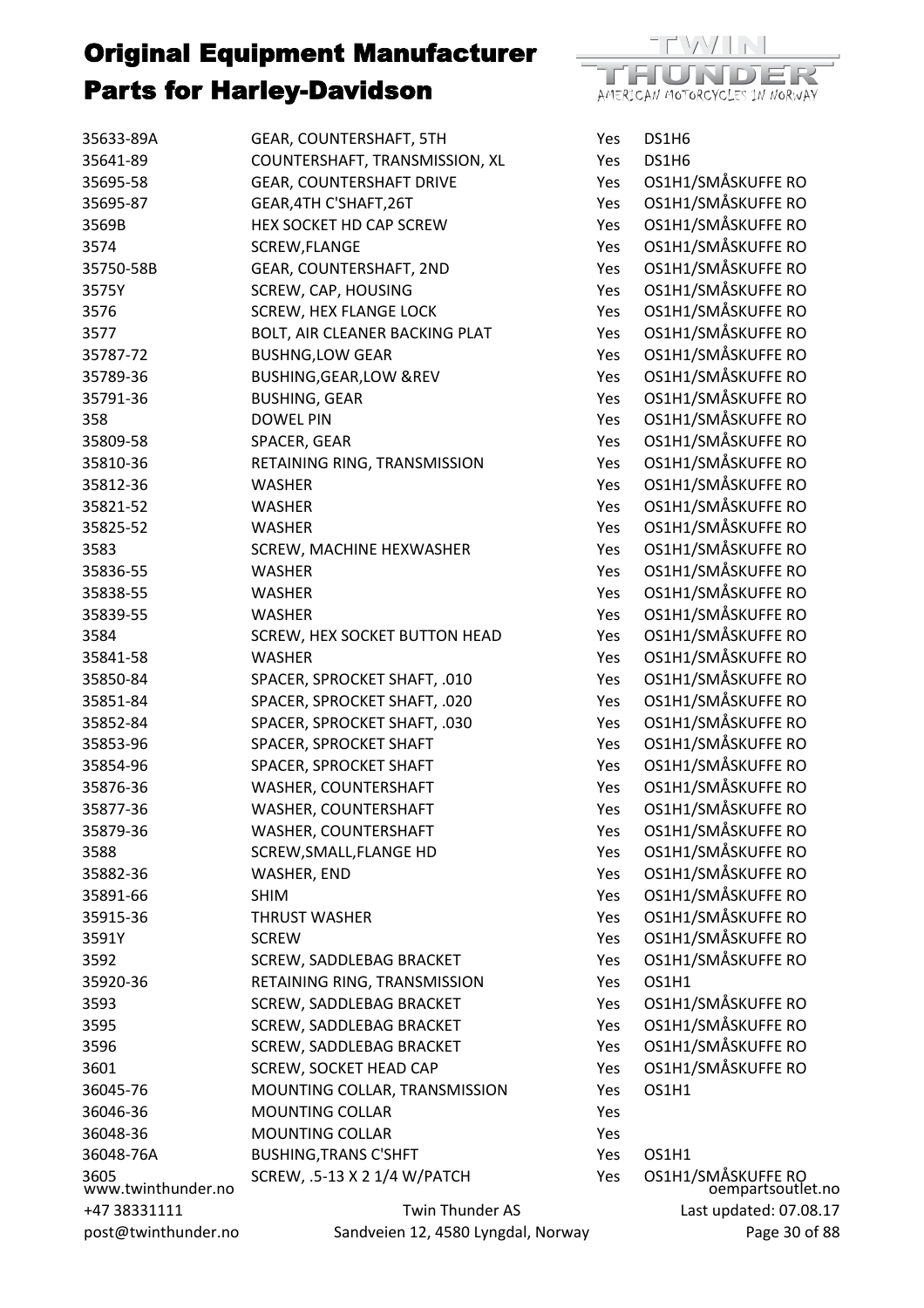

| 35633-89A                  | GEAR, COUNTERSHAFT, 5TH             | Yes        | DS1H6                                   |
|----------------------------|-------------------------------------|------------|-----------------------------------------|
| 35641-89                   | COUNTERSHAFT, TRANSMISSION, XL      | Yes        | DS1H6                                   |
| 35695-58                   | <b>GEAR, COUNTERSHAFT DRIVE</b>     | Yes        | OS1H1/SMÅSKUFFE RO                      |
| 35695-87                   | GEAR, 4TH C'SHAFT, 26T              | Yes        | OS1H1/SMÅSKUFFE RO                      |
| 3569B                      | HEX SOCKET HD CAP SCREW             | Yes        | OS1H1/SMÅSKUFFE RO                      |
| 3574                       | SCREW, FLANGE                       | Yes        | OS1H1/SMÅSKUFFE RO                      |
| 35750-58B                  | <b>GEAR, COUNTERSHAFT, 2ND</b>      | Yes        | OS1H1/SMÅSKUFFE RO                      |
| 3575Y                      | SCREW, CAP, HOUSING                 | Yes        | OS1H1/SMÅSKUFFE RO                      |
| 3576                       | <b>SCREW, HEX FLANGE LOCK</b>       | Yes        | OS1H1/SMÅSKUFFE RO                      |
| 3577                       | BOLT, AIR CLEANER BACKING PLAT      | Yes        | OS1H1/SMÅSKUFFE RO                      |
| 35787-72                   | <b>BUSHNG, LOW GEAR</b>             | Yes        | OS1H1/SMÅSKUFFE RO                      |
| 35789-36                   | <b>BUSHING, GEAR, LOW &amp; REV</b> | Yes        | OS1H1/SMÅSKUFFE RO                      |
| 35791-36                   | <b>BUSHING, GEAR</b>                | Yes        | OS1H1/SMÅSKUFFE RO                      |
| 358                        | <b>DOWEL PIN</b>                    | Yes        | OS1H1/SMÅSKUFFE RO                      |
| 35809-58                   | SPACER, GEAR                        | Yes        | OS1H1/SMÅSKUFFE RO                      |
| 35810-36                   | RETAINING RING, TRANSMISSION        | Yes        | OS1H1/SMÅSKUFFE RO                      |
| 35812-36                   | <b>WASHER</b>                       | Yes        | OS1H1/SMÅSKUFFE RO                      |
| 35821-52                   | <b>WASHER</b>                       | Yes        | OS1H1/SMÅSKUFFE RO                      |
| 35825-52                   | <b>WASHER</b>                       | Yes        | OS1H1/SMÅSKUFFE RO                      |
| 3583                       | SCREW, MACHINE HEXWASHER            | Yes        | OS1H1/SMÅSKUFFE RO                      |
| 35836-55                   | <b>WASHER</b>                       | Yes        | OS1H1/SMÅSKUFFE RO                      |
| 35838-55                   | <b>WASHER</b>                       | Yes        | OS1H1/SMÅSKUFFE RO                      |
| 35839-55                   | <b>WASHER</b>                       | Yes        | OS1H1/SMÅSKUFFE RO                      |
| 3584                       | SCREW, HEX SOCKET BUTTON HEAD       | Yes        | OS1H1/SMÅSKUFFE RO                      |
| 35841-58                   | <b>WASHER</b>                       | Yes        | OS1H1/SMÅSKUFFE RO                      |
| 35850-84                   | SPACER, SPROCKET SHAFT, .010        | Yes        | OS1H1/SMÅSKUFFE RO                      |
| 35851-84                   | SPACER, SPROCKET SHAFT, .020        | Yes        | OS1H1/SMÅSKUFFE RO                      |
| 35852-84                   | SPACER, SPROCKET SHAFT, .030        | Yes        | OS1H1/SMÅSKUFFE RO                      |
| 35853-96                   | SPACER, SPROCKET SHAFT              | Yes        | OS1H1/SMÅSKUFFE RO                      |
| 35854-96                   | SPACER, SPROCKET SHAFT              | Yes        | OS1H1/SMÅSKUFFE RO                      |
| 35876-36                   | WASHER, COUNTERSHAFT                | Yes        | OS1H1/SMÅSKUFFE RO                      |
| 35877-36                   | WASHER, COUNTERSHAFT                | Yes        | OS1H1/SMÅSKUFFE RO                      |
|                            |                                     |            | OS1H1/SMÅSKUFFE RO                      |
| 35879-36<br>3588           | WASHER, COUNTERSHAFT                | Yes        | OS1H1/SMÅSKUFFE RO                      |
|                            | SCREW, SMALL, FLANGE HD             | Yes        | OS1H1/SMÅSKUFFE RO                      |
| 35882-36                   | WASHER, END                         | Yes        | OS1H1/SMÅSKUFFE RO                      |
| 35891-66                   | <b>SHIM</b>                         | Yes        |                                         |
| 35915-36                   | <b>THRUST WASHER</b>                | Yes        | OS1H1/SMÅSKUFFE RO                      |
| 3591Y                      | <b>SCREW</b>                        | Yes        | OS1H1/SMÅSKUFFE RO                      |
| 3592                       | SCREW, SADDLEBAG BRACKET            | <b>Yes</b> | OS1H1/SMÅSKUFFE RO                      |
| 35920-36                   | RETAINING RING, TRANSMISSION        | Yes        | OS1H1                                   |
| 3593                       | <b>SCREW, SADDLEBAG BRACKET</b>     | Yes        | OS1H1/SMÅSKUFFE RO                      |
| 3595                       | SCREW, SADDLEBAG BRACKET            | Yes        | OS1H1/SMÅSKUFFE RO                      |
| 3596                       | SCREW, SADDLEBAG BRACKET            | Yes        | OS1H1/SMÅSKUFFE RO                      |
| 3601                       | <b>SCREW, SOCKET HEAD CAP</b>       | <b>Yes</b> | OS1H1/SMÅSKUFFE RO                      |
| 36045-76                   | MOUNTING COLLAR, TRANSMISSION       | Yes        | OS1H1                                   |
| 36046-36                   | <b>MOUNTING COLLAR</b>              | Yes        |                                         |
| 36048-36                   | <b>MOUNTING COLLAR</b>              | Yes        |                                         |
| 36048-76A                  | <b>BUSHING, TRANS C'SHFT</b>        | Yes        | OS1H1                                   |
| 3605<br>www.twinthunder.no | SCREW, .5-13 X 2 1/4 W/PATCH        | Yes        | OS1H1/SMÅSKUFFE RO<br>oempartsoutlet.no |
| +47 38331111               | Twin Thunder AS                     |            | Last updated: 07.08.17                  |
| post@twinthunder.no        | Sandveien 12, 4580 Lyngdal, Norway  |            | Page 30 of 88                           |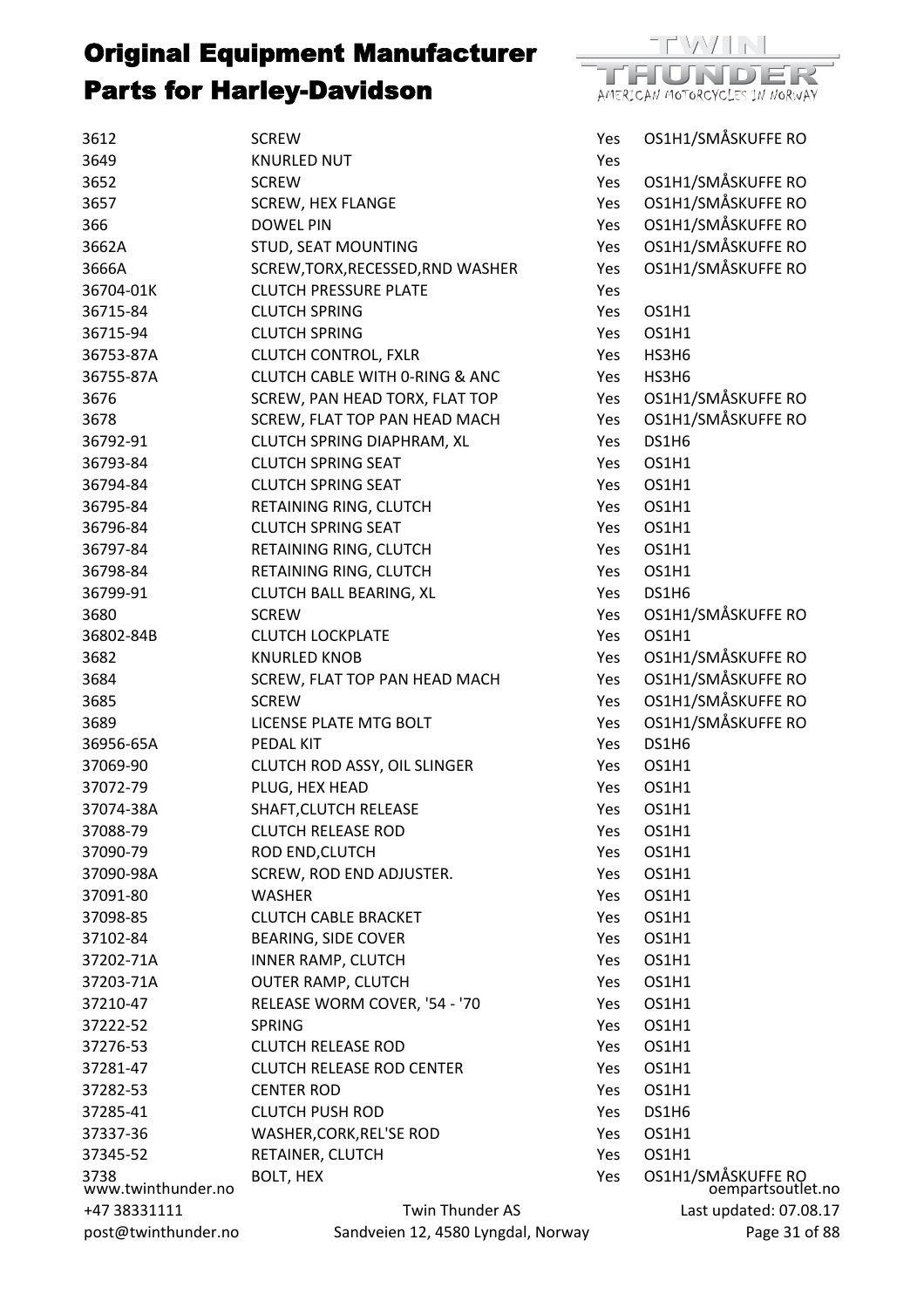

| 3612                       | <b>SCREW</b>                              | Yes        | OS1H1/SMÅSKUFFE RO                      |
|----------------------------|-------------------------------------------|------------|-----------------------------------------|
| 3649                       | <b>KNURLED NUT</b>                        | Yes        |                                         |
| 3652                       | <b>SCREW</b>                              | Yes        | OS1H1/SMÅSKUFFE RO                      |
| 3657                       | <b>SCREW, HEX FLANGE</b>                  | Yes        | OS1H1/SMÅSKUFFE RO                      |
| 366                        | <b>DOWEL PIN</b>                          | Yes        | OS1H1/SMÅSKUFFE RO                      |
| 3662A                      | STUD, SEAT MOUNTING                       | Yes        | OS1H1/SMÅSKUFFE RO                      |
| 3666A                      | SCREW, TORX, RECESSED, RND WASHER         | Yes        | OS1H1/SMÅSKUFFE RO                      |
| 36704-01K                  | <b>CLUTCH PRESSURE PLATE</b>              | Yes        |                                         |
| 36715-84                   | <b>CLUTCH SPRING</b>                      | Yes        | OS1H1                                   |
| 36715-94                   | <b>CLUTCH SPRING</b>                      | Yes        | OS1H1                                   |
| 36753-87A                  | <b>CLUTCH CONTROL, FXLR</b>               | Yes        | HS3H6                                   |
| 36755-87A                  | <b>CLUTCH CABLE WITH 0-RING &amp; ANC</b> | Yes        | HS3H6                                   |
| 3676                       | SCREW, PAN HEAD TORX, FLAT TOP            | Yes        | OS1H1/SMÅSKUFFE RO                      |
| 3678                       | SCREW, FLAT TOP PAN HEAD MACH             | Yes        | OS1H1/SMÅSKUFFE RO                      |
| 36792-91                   | <b>CLUTCH SPRING DIAPHRAM, XL</b>         | Yes        | DS1H6                                   |
| 36793-84                   | <b>CLUTCH SPRING SEAT</b>                 | <b>Yes</b> | OS1H1                                   |
| 36794-84                   | <b>CLUTCH SPRING SEAT</b>                 | Yes        | OS1H1                                   |
| 36795-84                   | RETAINING RING, CLUTCH                    | Yes        | OS1H1                                   |
| 36796-84                   | <b>CLUTCH SPRING SEAT</b>                 | Yes        | OS1H1                                   |
| 36797-84                   | RETAINING RING, CLUTCH                    | <b>Yes</b> | OS1H1                                   |
| 36798-84                   | RETAINING RING, CLUTCH                    | Yes        | OS1H1                                   |
| 36799-91                   | <b>CLUTCH BALL BEARING, XL</b>            | Yes        | DS1H6                                   |
| 3680                       | <b>SCREW</b>                              | Yes        | OS1H1/SMÅSKUFFE RO                      |
| 36802-84B                  | <b>CLUTCH LOCKPLATE</b>                   | Yes        | OS1H1                                   |
| 3682                       | <b>KNURLED KNOB</b>                       | Yes        | OS1H1/SMÅSKUFFE RO                      |
| 3684                       | SCREW, FLAT TOP PAN HEAD MACH             | Yes        | OS1H1/SMÅSKUFFE RO                      |
| 3685                       | <b>SCREW</b>                              | Yes        | OS1H1/SMÅSKUFFE RO                      |
| 3689                       | LICENSE PLATE MTG BOLT                    | Yes        | OS1H1/SMÅSKUFFE RO                      |
| 36956-65A                  | PEDAL KIT                                 | Yes        | DS1H6                                   |
| 37069-90                   | CLUTCH ROD ASSY, OIL SLINGER              | Yes        | OS1H1                                   |
| 37072-79                   | PLUG, HEX HEAD                            | <b>Yes</b> | OS1H1                                   |
| 37074-38A                  | SHAFT, CLUTCH RELEASE                     | Yes        | OS1H1                                   |
| 37088-79                   | <b>CLUTCH RELEASE ROD</b>                 | Yes        | OS1H1                                   |
| 37090-79                   | ROD END, CLUTCH                           | Yes        | OS1H1                                   |
| 37090-98A                  | SCREW, ROD END ADJUSTER.                  | Yes        | OS1H1                                   |
| 37091-80                   | <b>WASHER</b>                             | Yes        | OS1H1                                   |
| 37098-85                   | <b>CLUTCH CABLE BRACKET</b>               | Yes        | OS1H1                                   |
| 37102-84                   | <b>BEARING, SIDE COVER</b>                | Yes        | OS1H1                                   |
| 37202-71A                  | <b>INNER RAMP, CLUTCH</b>                 | Yes        | OS1H1                                   |
| 37203-71A                  | <b>OUTER RAMP, CLUTCH</b>                 | Yes        | OS1H1                                   |
| 37210-47                   | RELEASE WORM COVER, '54 - '70             | Yes        | OS1H1                                   |
| 37222-52                   | <b>SPRING</b>                             | Yes        | OS1H1                                   |
| 37276-53                   | <b>CLUTCH RELEASE ROD</b>                 | Yes        | <b>OS1H1</b>                            |
| 37281-47                   | <b>CLUTCH RELEASE ROD CENTER</b>          | Yes        | OS1H1                                   |
| 37282-53                   | <b>CENTER ROD</b>                         | Yes        | OS1H1                                   |
| 37285-41                   | <b>CLUTCH PUSH ROD</b>                    | Yes        | DS1H6                                   |
| 37337-36                   | WASHER, CORK, REL'SE ROD                  | Yes        | OS1H1                                   |
| 37345-52                   | RETAINER, CLUTCH                          | Yes        | OS1H1                                   |
|                            | BOLT, HEX                                 | Yes        |                                         |
| 3738<br>www.twinthunder.no |                                           |            | OS1H1/SMÅSKUFFE RO<br>oempartsoutlet.no |
| +47 38331111               | Twin Thunder AS                           |            | Last updated: 07.08.17                  |
| post@twinthunder.no        | Sandveien 12, 4580 Lyngdal, Norway        |            | Page 31 of 88                           |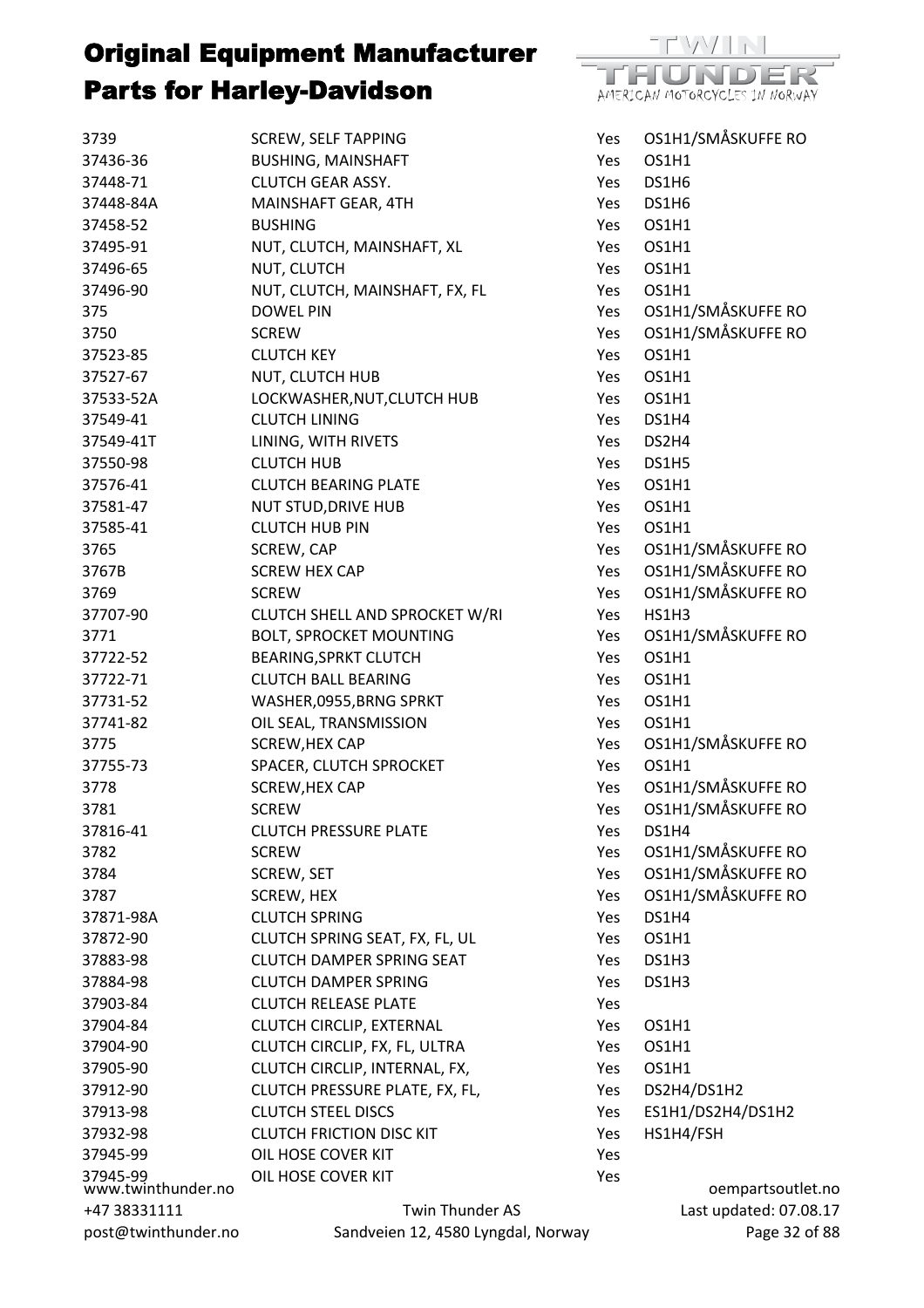

| 3739                           | <b>SCREW, SELF TAPPING</b>                                 | Yes        | OS1H1/SMÅSKUFFE RO     |
|--------------------------------|------------------------------------------------------------|------------|------------------------|
| 37436-36                       | <b>BUSHING, MAINSHAFT</b>                                  | Yes        | OS1H1                  |
| 37448-71                       | <b>CLUTCH GEAR ASSY.</b>                                   | Yes        | DS1H6                  |
| 37448-84A                      | MAINSHAFT GEAR, 4TH                                        | Yes.       | DS1H6                  |
| 37458-52                       | <b>BUSHING</b>                                             | Yes        | OS1H1                  |
| 37495-91                       | NUT, CLUTCH, MAINSHAFT, XL                                 | Yes        | OS1H1                  |
| 37496-65                       | NUT, CLUTCH                                                | Yes.       | OS1H1                  |
| 37496-90                       | NUT, CLUTCH, MAINSHAFT, FX, FL                             | Yes        | OS1H1                  |
| 375                            | <b>DOWEL PIN</b>                                           | Yes        | OS1H1/SMÅSKUFFE RO     |
| 3750                           | <b>SCREW</b>                                               | Yes        | OS1H1/SMÅSKUFFE RO     |
| 37523-85                       | <b>CLUTCH KEY</b>                                          | <b>Yes</b> | OS1H1                  |
| 37527-67                       | NUT, CLUTCH HUB                                            | Yes        | OS1H1                  |
| 37533-52A                      | LOCKWASHER, NUT, CLUTCH HUB                                | Yes        | OS1H1                  |
| 37549-41                       | <b>CLUTCH LINING</b>                                       | Yes        | DS1H4                  |
| 37549-41T                      | LINING, WITH RIVETS                                        | Yes        | DS2H4                  |
| 37550-98                       | <b>CLUTCH HUB</b>                                          | Yes        | DS1H5                  |
| 37576-41                       | <b>CLUTCH BEARING PLATE</b>                                | Yes        | OS1H1                  |
| 37581-47                       | <b>NUT STUD, DRIVE HUB</b>                                 | Yes.       | OS1H1                  |
| 37585-41                       | <b>CLUTCH HUB PIN</b>                                      | Yes        | OS1H1                  |
| 3765                           | SCREW, CAP                                                 | Yes        | OS1H1/SMÅSKUFFE RO     |
| 3767B                          | <b>SCREW HEX CAP</b>                                       | Yes        | OS1H1/SMÅSKUFFE RO     |
| 3769                           | <b>SCREW</b>                                               | Yes        | OS1H1/SMÅSKUFFE RO     |
| 37707-90                       | CLUTCH SHELL AND SPROCKET W/RI                             | Yes        | HS1H3                  |
| 3771                           | <b>BOLT, SPROCKET MOUNTING</b>                             | Yes        | OS1H1/SMÅSKUFFE RO     |
| 37722-52                       | <b>BEARING, SPRKT CLUTCH</b>                               | Yes        | OS1H1                  |
| 37722-71                       | <b>CLUTCH BALL BEARING</b>                                 | Yes        | OS1H1                  |
| 37731-52                       | WASHER,0955, BRNG SPRKT                                    | Yes        | OS1H1                  |
| 37741-82                       | OIL SEAL, TRANSMISSION                                     | Yes        | OS1H1                  |
| 3775                           | SCREW, HEX CAP                                             | Yes        | OS1H1/SMÅSKUFFE RO     |
| 37755-73                       | SPACER, CLUTCH SPROCKET                                    | Yes        | OS1H1                  |
| 3778                           | SCREW, HEX CAP                                             | Yes        | OS1H1/SMÅSKUFFE RO     |
| 3781                           | <b>SCREW</b>                                               | Yes        | OS1H1/SMÅSKUFFE RO     |
| 37816-41                       | <b>CLUTCH PRESSURE PLATE</b>                               | Yes        | DS1H4                  |
| 3782                           | <b>SCREW</b>                                               | Yes        | OS1H1/SMÅSKUFFE RO     |
| 3784                           | <b>SCREW, SET</b>                                          | Yes        | OS1H1/SMÅSKUFFE RO     |
| 3787                           | SCREW, HEX                                                 | Yes        | OS1H1/SMÅSKUFFE RO     |
| 37871-98A                      | <b>CLUTCH SPRING</b>                                       | Yes        | DS1H4                  |
| 37872-90                       | CLUTCH SPRING SEAT, FX, FL, UL                             |            | OS1H1                  |
| 37883-98                       | <b>CLUTCH DAMPER SPRING SEAT</b>                           | Yes        |                        |
|                                |                                                            | Yes        | DS1H3                  |
| 37884-98                       | <b>CLUTCH DAMPER SPRING</b><br><b>CLUTCH RELEASE PLATE</b> | Yes        | DS1H3                  |
| 37903-84                       |                                                            | Yes        | OS1H1                  |
| 37904-84                       | CLUTCH CIRCLIP, EXTERNAL                                   | Yes        |                        |
| 37904-90                       | CLUTCH CIRCLIP, FX, FL, ULTRA                              | Yes        | OS1H1                  |
| 37905-90                       | CLUTCH CIRCLIP, INTERNAL, FX,                              | Yes        | OS1H1                  |
| 37912-90                       | CLUTCH PRESSURE PLATE, FX, FL,                             | Yes        | DS2H4/DS1H2            |
| 37913-98                       | <b>CLUTCH STEEL DISCS</b>                                  | Yes        | ES1H1/DS2H4/DS1H2      |
| 37932-98                       | <b>CLUTCH FRICTION DISC KIT</b>                            | Yes        | HS1H4/FSH              |
| 37945-99                       | OIL HOSE COVER KIT                                         | Yes        |                        |
| 37945-99<br>www.twinthunder.no | OIL HOSE COVER KIT                                         | Yes        | oempartsoutlet.no      |
| +47 38331111                   | Twin Thunder AS                                            |            | Last updated: 07.08.17 |
| post@twinthunder.no            | Sandveien 12, 4580 Lyngdal, Norway                         |            | Page 32 of 88          |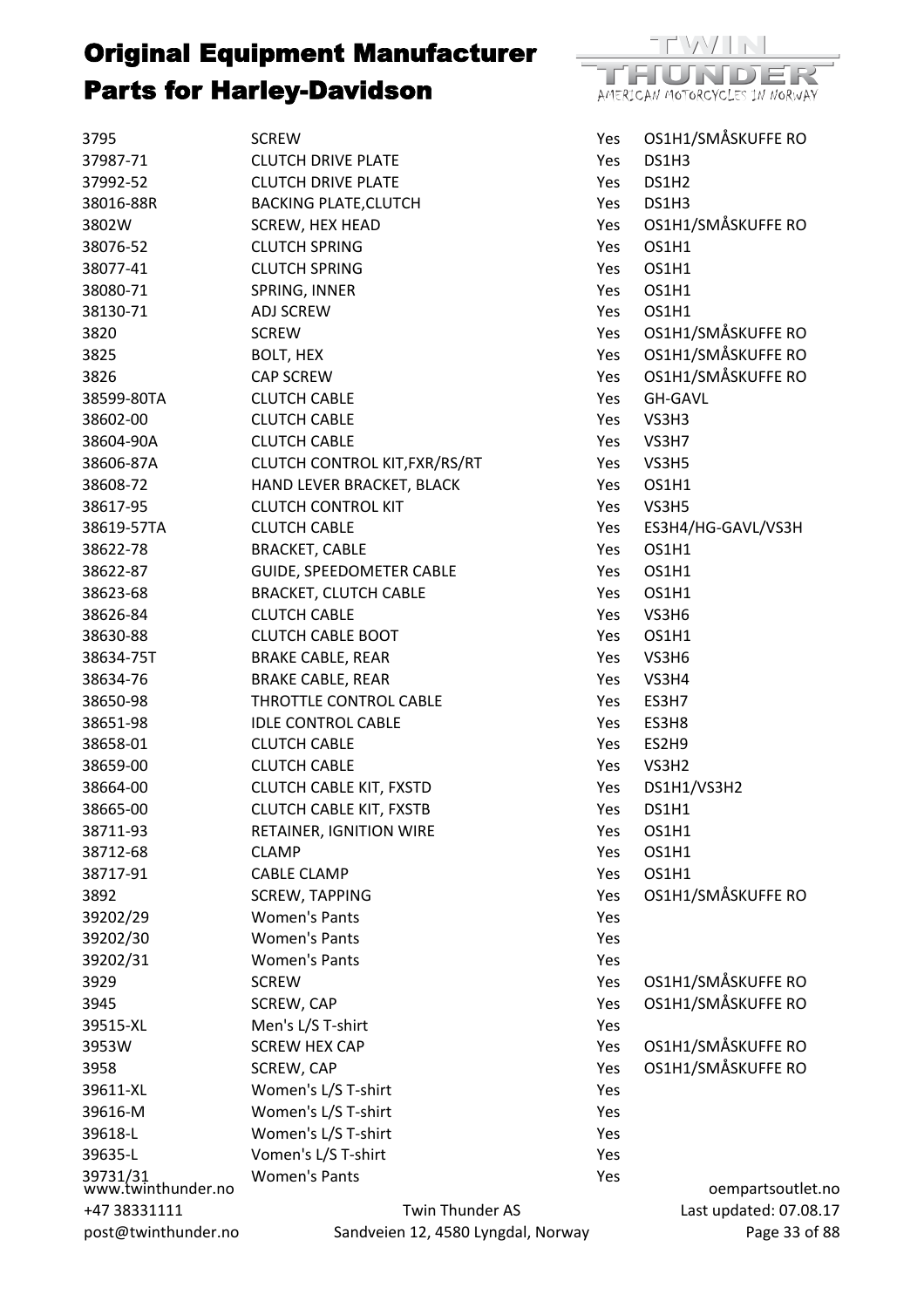

| 3795                           | <b>SCREW</b>                       | Yes  | OS1H1/SMÅSKUFFE RO     |
|--------------------------------|------------------------------------|------|------------------------|
| 37987-71                       | <b>CLUTCH DRIVE PLATE</b>          | Yes  | DS1H3                  |
| 37992-52                       | <b>CLUTCH DRIVE PLATE</b>          | Yes  | DS1H2                  |
| 38016-88R                      | <b>BACKING PLATE, CLUTCH</b>       | Yes  | DS1H3                  |
| 3802W                          | SCREW, HEX HEAD                    | Yes  | OS1H1/SMÅSKUFFE RO     |
| 38076-52                       | <b>CLUTCH SPRING</b>               | Yes  | OS1H1                  |
| 38077-41                       | <b>CLUTCH SPRING</b>               | Yes  | OS1H1                  |
| 38080-71                       | SPRING, INNER                      | Yes  | OS1H1                  |
| 38130-71                       | <b>ADJ SCREW</b>                   | Yes  | OS1H1                  |
| 3820                           | <b>SCREW</b>                       | Yes  | OS1H1/SMÅSKUFFE RO     |
| 3825                           | BOLT, HEX                          | Yes  | OS1H1/SMÅSKUFFE RO     |
| 3826                           | CAP SCREW                          | Yes  | OS1H1/SMÅSKUFFE RO     |
| 38599-80TA                     | <b>CLUTCH CABLE</b>                | Yes  | <b>GH-GAVL</b>         |
| 38602-00                       | <b>CLUTCH CABLE</b>                | Yes  | VS3H3                  |
| 38604-90A                      | <b>CLUTCH CABLE</b>                | Yes  | VS3H7                  |
| 38606-87A                      | CLUTCH CONTROL KIT, FXR/RS/RT      | Yes  | VS3H5                  |
| 38608-72                       | HAND LEVER BRACKET, BLACK          | Yes  | OS1H1                  |
| 38617-95                       | <b>CLUTCH CONTROL KIT</b>          | Yes  | VS3H5                  |
| 38619-57TA                     | <b>CLUTCH CABLE</b>                | Yes  | ES3H4/HG-GAVL/VS3H     |
| 38622-78                       | <b>BRACKET, CABLE</b>              | Yes  | OS1H1                  |
| 38622-87                       | GUIDE, SPEEDOMETER CABLE           | Yes  | OS1H1                  |
| 38623-68                       | <b>BRACKET, CLUTCH CABLE</b>       | Yes. | OS1H1                  |
| 38626-84                       | <b>CLUTCH CABLE</b>                | Yes  | VS3H6                  |
| 38630-88                       | <b>CLUTCH CABLE BOOT</b>           | Yes  | OS1H1                  |
| 38634-75T                      | <b>BRAKE CABLE, REAR</b>           | Yes  | VS3H6                  |
| 38634-76                       | <b>BRAKE CABLE, REAR</b>           | Yes  | VS3H4                  |
| 38650-98                       | THROTTLE CONTROL CABLE             | Yes  | ES3H7                  |
| 38651-98                       | <b>IDLE CONTROL CABLE</b>          | Yes  | ES3H8                  |
| 38658-01                       | <b>CLUTCH CABLE</b>                | Yes  | ES2H9                  |
| 38659-00                       | <b>CLUTCH CABLE</b>                | Yes  | VS3H2                  |
| 38664-00                       | <b>CLUTCH CABLE KIT, FXSTD</b>     | Yes  | DS1H1/VS3H2            |
| 38665-00                       | <b>CLUTCH CABLE KIT, FXSTB</b>     | Yes  | DS1H1                  |
| 38711-93                       | RETAINER, IGNITION WIRE            | Yes  | OS1H1                  |
| 38712-68                       | <b>CLAMP</b>                       | Yes  | OS1H1                  |
| 38717-91                       | <b>CABLE CLAMP</b>                 | Yes  | OS1H1                  |
| 3892                           | <b>SCREW, TAPPING</b>              | Yes  | OS1H1/SMÅSKUFFE RO     |
| 39202/29                       | <b>Women's Pants</b>               | Yes  |                        |
| 39202/30                       | <b>Women's Pants</b>               | Yes  |                        |
| 39202/31                       | <b>Women's Pants</b>               | Yes  |                        |
| 3929                           | <b>SCREW</b>                       | Yes  | OS1H1/SMÅSKUFFE RO     |
| 3945                           | SCREW, CAP                         | Yes  | OS1H1/SMÅSKUFFE RO     |
| 39515-XL                       | Men's L/S T-shirt                  | Yes  |                        |
| 3953W                          | <b>SCREW HEX CAP</b>               | Yes  | OS1H1/SMÅSKUFFE RO     |
| 3958                           | SCREW, CAP                         | Yes  | OS1H1/SMÅSKUFFE RO     |
| 39611-XL                       | Women's L/S T-shirt                | Yes  |                        |
| 39616-M                        | Women's L/S T-shirt                | Yes  |                        |
| 39618-L                        | Women's L/S T-shirt                | Yes  |                        |
| 39635-L                        | Vomen's L/S T-shirt                | Yes  |                        |
| 39731/31<br>www.twinthunder.no | <b>Women's Pants</b>               | Yes  | oempartsoutlet.no      |
| +47 38331111                   | Twin Thunder AS                    |      | Last updated: 07.08.17 |
| post@twinthunder.no            | Sandveien 12, 4580 Lyngdal, Norway |      | Page 33 of 88          |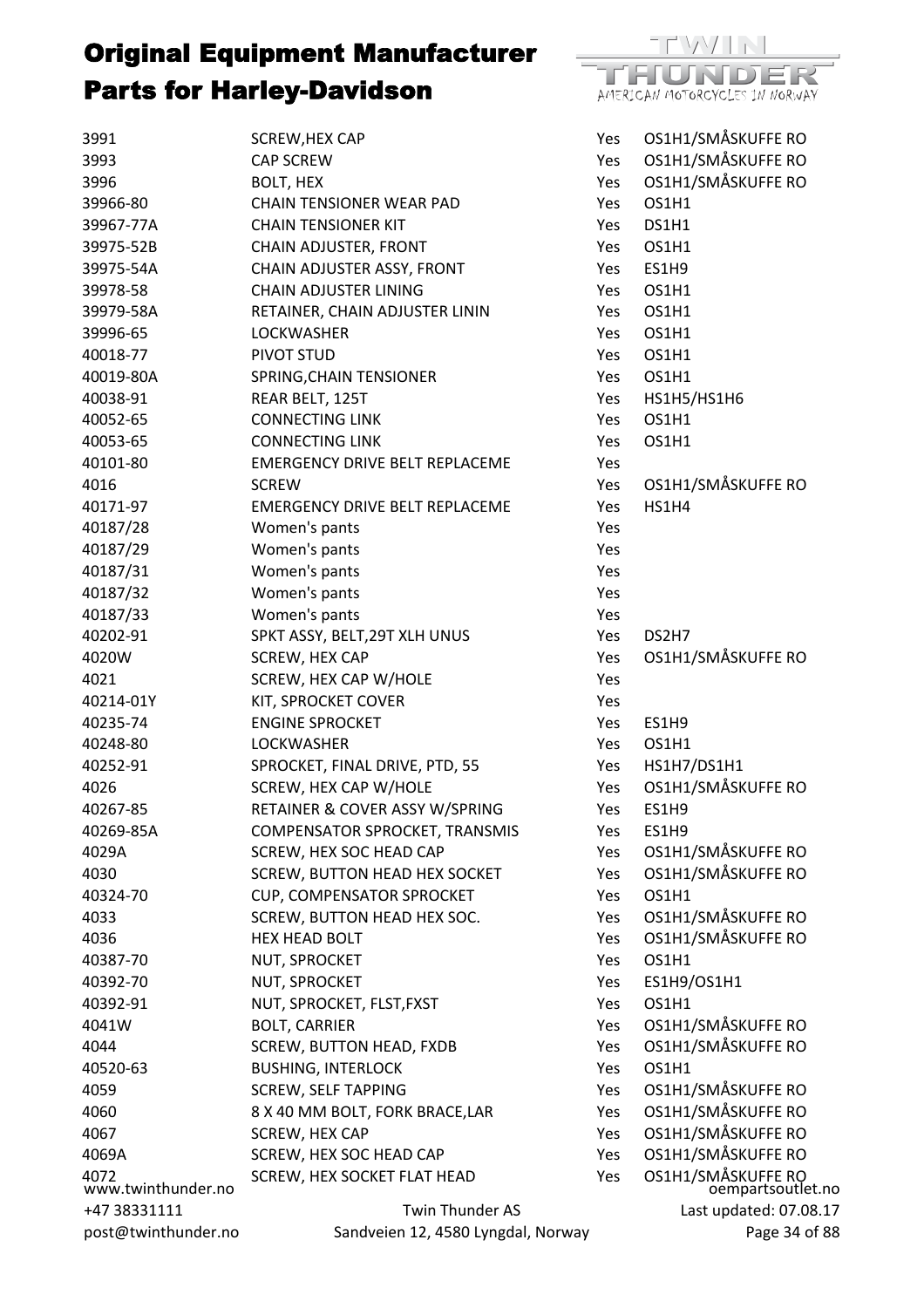

| 3991                | SCREW, HEX CAP                            | Yes        | OS1H1/SMÅSKUFFE RO                      |
|---------------------|-------------------------------------------|------------|-----------------------------------------|
| 3993                | <b>CAP SCREW</b>                          | Yes        | OS1H1/SMÅSKUFFE RO                      |
| 3996                | BOLT, HEX                                 | Yes        | OS1H1/SMÅSKUFFE RO                      |
| 39966-80            | <b>CHAIN TENSIONER WEAR PAD</b>           | Yes        | OS1H1                                   |
| 39967-77A           | <b>CHAIN TENSIONER KIT</b>                | <b>Yes</b> | DS1H1                                   |
| 39975-52B           | CHAIN ADJUSTER, FRONT                     | Yes        | OS1H1                                   |
| 39975-54A           | CHAIN ADJUSTER ASSY, FRONT                | Yes        | ES1H9                                   |
| 39978-58            | <b>CHAIN ADJUSTER LINING</b>              | Yes        | OS1H1                                   |
| 39979-58A           | RETAINER, CHAIN ADJUSTER LININ            | Yes        | OS1H1                                   |
| 39996-65            | <b>LOCKWASHER</b>                         | Yes        | OS1H1                                   |
| 40018-77            | PIVOT STUD                                | Yes        | OS1H1                                   |
| 40019-80A           | SPRING, CHAIN TENSIONER                   | Yes        | OS1H1                                   |
| 40038-91            | REAR BELT, 125T                           | Yes        | HS1H5/HS1H6                             |
| 40052-65            | <b>CONNECTING LINK</b>                    | Yes        | OS1H1                                   |
| 40053-65            | <b>CONNECTING LINK</b>                    | <b>Yes</b> | OS1H1                                   |
| 40101-80            | <b>EMERGENCY DRIVE BELT REPLACEME</b>     | <b>Yes</b> |                                         |
| 4016                | <b>SCREW</b>                              | Yes        | OS1H1/SMÅSKUFFE RO                      |
| 40171-97            | <b>EMERGENCY DRIVE BELT REPLACEME</b>     | Yes        | HS1H4                                   |
| 40187/28            | Women's pants                             | Yes        |                                         |
| 40187/29            | Women's pants                             | Yes        |                                         |
| 40187/31            | Women's pants                             | Yes        |                                         |
| 40187/32            | Women's pants                             | Yes        |                                         |
| 40187/33            | Women's pants                             | Yes        |                                         |
| 40202-91            | SPKT ASSY, BELT, 29T XLH UNUS             | Yes        | DS2H7                                   |
| 4020W               | SCREW, HEX CAP                            | Yes        | OS1H1/SMÅSKUFFE RO                      |
| 4021                | SCREW, HEX CAP W/HOLE                     | Yes        |                                         |
| 40214-01Y           | KIT, SPROCKET COVER                       | Yes        |                                         |
| 40235-74            | <b>ENGINE SPROCKET</b>                    | Yes        | <b>ES1H9</b>                            |
| 40248-80            | <b>LOCKWASHER</b>                         | Yes        | OS1H1                                   |
| 40252-91            | SPROCKET, FINAL DRIVE, PTD, 55            | Yes        | HS1H7/DS1H1                             |
| 4026                | SCREW, HEX CAP W/HOLE                     | Yes        | OS1H1/SMÅSKUFFE RO                      |
| 40267-85            | RETAINER & COVER ASSY W/SPRING            | Yes        | ES1H9                                   |
| 40269-85A           | COMPENSATOR SPROCKET, TRANSMIS            | Yes        | <b>ES1H9</b>                            |
| 4029A               | SCREW, HEX SOC HEAD CAP                   | Yes        | OS1H1/SMÅSKUFFE RO                      |
| 4030                | <b>SCREW, BUTTON HEAD HEX SOCKET</b>      | Yes        | OS1H1/SMÅSKUFFE RO                      |
| 40324-70            | CUP, COMPENSATOR SPROCKET                 | Yes        | OS1H1                                   |
| 4033                | SCREW, BUTTON HEAD HEX SOC.               | Yes        | OS1H1/SMÅSKUFFE RO                      |
| 4036                | <b>HEX HEAD BOLT</b>                      | Yes        | OS1H1/SMÅSKUFFE RO                      |
| 40387-70            | NUT, SPROCKET                             | Yes        | OS1H1                                   |
| 40392-70            | NUT, SPROCKET                             | Yes        | ES1H9/OS1H1                             |
| 40392-91            | NUT, SPROCKET, FLST, FXST                 | Yes        | OS1H1                                   |
| 4041W               | <b>BOLT, CARRIER</b>                      | Yes        | OS1H1/SMÅSKUFFE RO                      |
| 4044                | <b>SCREW, BUTTON HEAD, FXDB</b>           | Yes        | OS1H1/SMÅSKUFFE RO                      |
| 40520-63            | <b>BUSHING, INTERLOCK</b>                 | Yes        | OS1H1                                   |
| 4059                | <b>SCREW, SELF TAPPING</b>                | Yes        | OS1H1/SMÅSKUFFE RO                      |
| 4060                | 8 X 40 MM BOLT, FORK BRACE, LAR           |            | OS1H1/SMÅSKUFFE RO                      |
|                     |                                           | Yes        | OS1H1/SMÅSKUFFE RO                      |
| 4067<br>4069A       | SCREW, HEX CAP<br>SCREW, HEX SOC HEAD CAP | <b>Yes</b> | OS1H1/SMÅSKUFFE RO                      |
| 4072                | SCREW, HEX SOCKET FLAT HEAD               | Yes<br>Yes |                                         |
| www.twinthunder.no  |                                           |            | OS1H1/SMÅSKUFFE RO<br>oempartsoutlet.no |
| +47 38331111        | Twin Thunder AS                           |            | Last updated: 07.08.17                  |
| post@twinthunder.no | Sandveien 12, 4580 Lyngdal, Norway        |            | Page 34 of 88                           |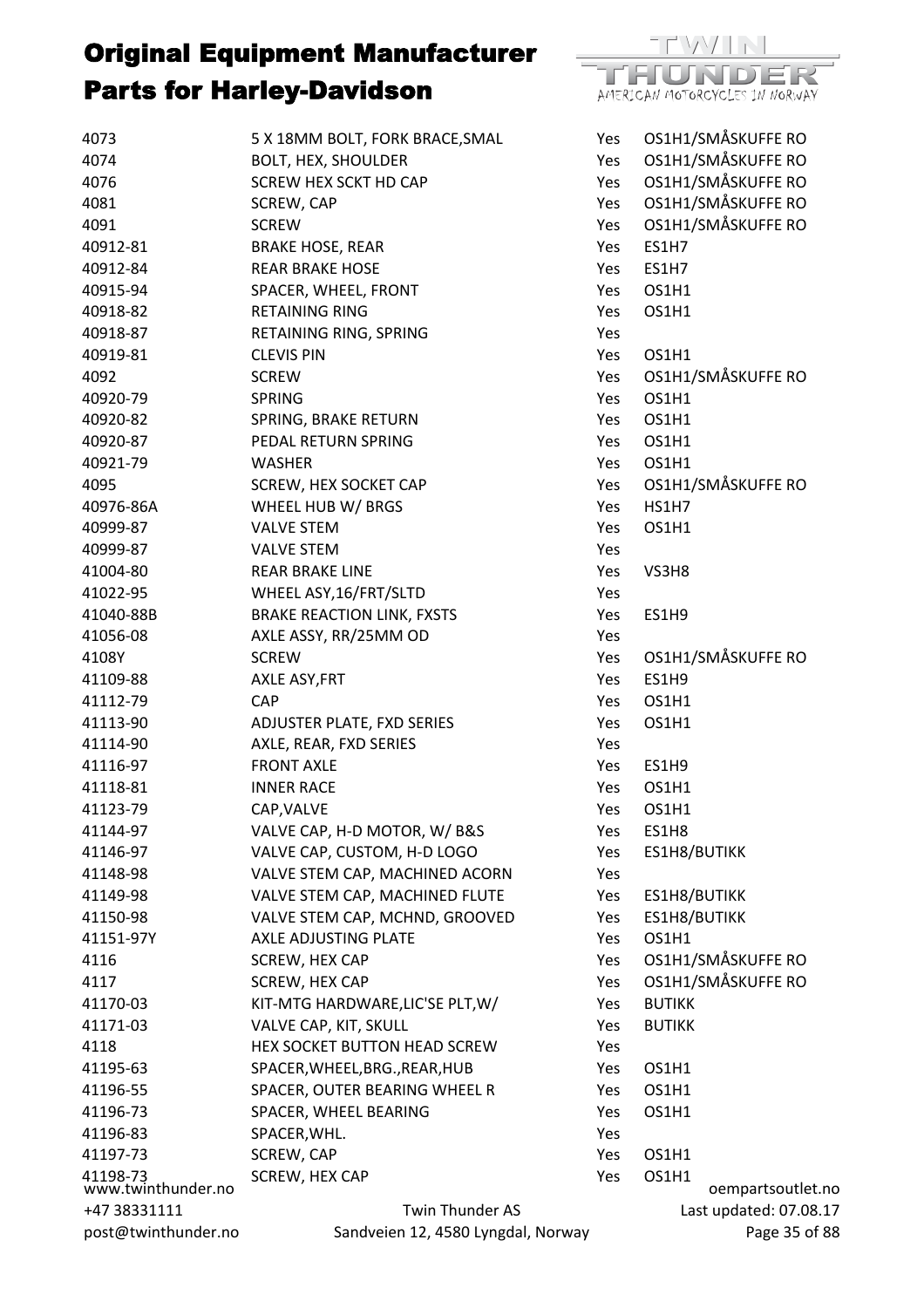

Last updated: 07.08.17 Page 35 of 88

TEVAZITE ΉΟΝDΕ AMERICAN MOTORCYCLES IN NORWAY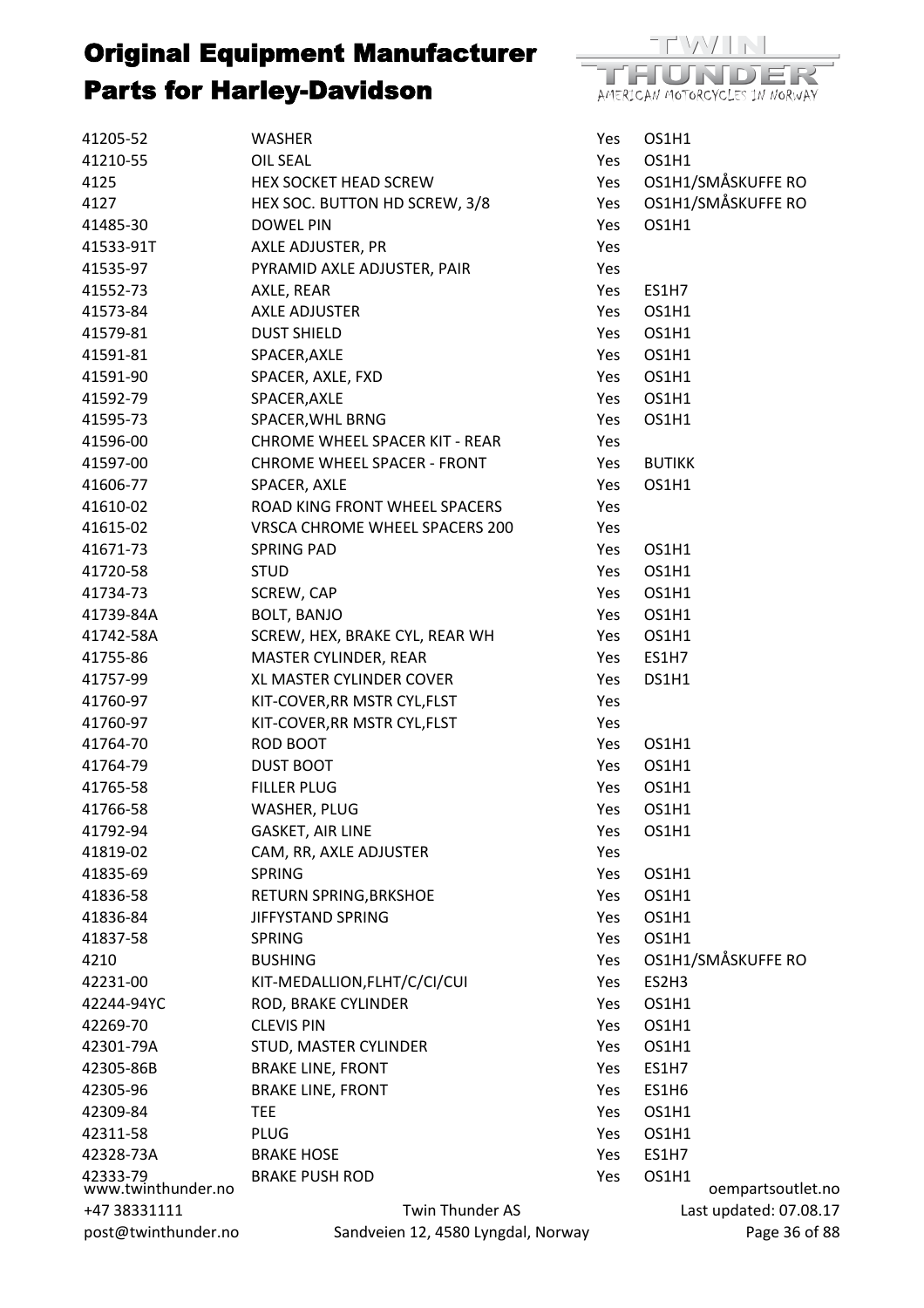

| 41205-52                       | <b>WASHER</b>                         | Yes | OS1H1                  |
|--------------------------------|---------------------------------------|-----|------------------------|
| 41210-55                       | <b>OIL SEAL</b>                       | Yes | OS1H1                  |
| 4125                           | HEX SOCKET HEAD SCREW                 | Yes | OS1H1/SMÅSKUFFE RO     |
| 4127                           | HEX SOC. BUTTON HD SCREW, 3/8         | Yes | OS1H1/SMÅSKUFFE RO     |
| 41485-30                       | <b>DOWEL PIN</b>                      | Yes | OS1H1                  |
| 41533-91T                      | AXLE ADJUSTER, PR                     | Yes |                        |
| 41535-97                       | PYRAMID AXLE ADJUSTER, PAIR           | Yes |                        |
| 41552-73                       | AXLE, REAR                            | Yes | ES1H7                  |
| 41573-84                       | <b>AXLE ADJUSTER</b>                  | Yes | OS1H1                  |
| 41579-81                       | <b>DUST SHIELD</b>                    | Yes | OS1H1                  |
| 41591-81                       | SPACER, AXLE                          | Yes | OS1H1                  |
| 41591-90                       | SPACER, AXLE, FXD                     | Yes | OS1H1                  |
| 41592-79                       | SPACER, AXLE                          | Yes | OS1H1                  |
| 41595-73                       | SPACER, WHL BRNG                      | Yes | OS1H1                  |
| 41596-00                       | <b>CHROME WHEEL SPACER KIT - REAR</b> | Yes |                        |
| 41597-00                       | <b>CHROME WHEEL SPACER - FRONT</b>    | Yes | <b>BUTIKK</b>          |
| 41606-77                       | SPACER, AXLE                          | Yes | OS1H1                  |
| 41610-02                       | ROAD KING FRONT WHEEL SPACERS         | Yes |                        |
| 41615-02                       | VRSCA CHROME WHEEL SPACERS 200        | Yes |                        |
| 41671-73                       | <b>SPRING PAD</b>                     | Yes | OS1H1                  |
| 41720-58                       | <b>STUD</b>                           | Yes | OS1H1                  |
| 41734-73                       | SCREW, CAP                            | Yes | OS1H1                  |
| 41739-84A                      | <b>BOLT, BANJO</b>                    | Yes | OS1H1                  |
| 41742-58A                      | SCREW, HEX, BRAKE CYL, REAR WH        | Yes | OS1H1                  |
| 41755-86                       | MASTER CYLINDER, REAR                 | Yes | ES1H7                  |
| 41757-99                       | XL MASTER CYLINDER COVER              | Yes | DS1H1                  |
| 41760-97                       | KIT-COVER, RR MSTR CYL, FLST          | Yes |                        |
| 41760-97                       | KIT-COVER, RR MSTR CYL, FLST          | Yes |                        |
| 41764-70                       | ROD BOOT                              | Yes | OS1H1                  |
| 41764-79                       | <b>DUST BOOT</b>                      | Yes | OS1H1                  |
| 41765-58                       | <b>FILLER PLUG</b>                    | Yes | OS1H1                  |
| 41766-58                       | <b>WASHER, PLUG</b>                   | Yes | OS1H1                  |
| 41792-94                       | <b>GASKET, AIR LINE</b>               | Yes | OS1H1                  |
| 41819-02                       | CAM, RR, AXLE ADJUSTER                | Yes |                        |
| 41835-69                       | <b>SPRING</b>                         | Yes | OS1H1                  |
| 41836-58                       | RETURN SPRING, BRKSHOE                | Yes | OS1H1                  |
| 41836-84                       | <b>JIFFYSTAND SPRING</b>              | Yes | OS1H1                  |
| 41837-58                       | <b>SPRING</b>                         | Yes | OS1H1                  |
| 4210                           | <b>BUSHING</b>                        | Yes | OS1H1/SMÅSKUFFE RO     |
| 42231-00                       | KIT-MEDALLION, FLHT/C/CI/CUI          | Yes | ES2H3                  |
| 42244-94YC                     | ROD, BRAKE CYLINDER                   | Yes | OS1H1                  |
| 42269-70                       | <b>CLEVIS PIN</b>                     | Yes | OS1H1                  |
| 42301-79A                      | STUD, MASTER CYLINDER                 | Yes | OS1H1                  |
| 42305-86B                      | <b>BRAKE LINE, FRONT</b>              | Yes | ES1H7                  |
| 42305-96                       | <b>BRAKE LINE, FRONT</b>              | Yes | ES1H6                  |
| 42309-84                       | <b>TEE</b>                            | Yes | OS1H1                  |
| 42311-58                       | <b>PLUG</b>                           | Yes | OS1H1                  |
| 42328-73A                      | <b>BRAKE HOSE</b>                     | Yes | ES1H7                  |
|                                | <b>BRAKE PUSH ROD</b>                 | Yes | OS1H1                  |
| 42333-79<br>www.twinthunder.no |                                       |     | oempartsoutlet.no      |
| +47 38331111                   | <b>Twin Thunder AS</b>                |     | Last updated: 07.08.17 |
| post@twinthunder.no            | Sandveien 12, 4580 Lyngdal, Norway    |     | Page 36 of 88          |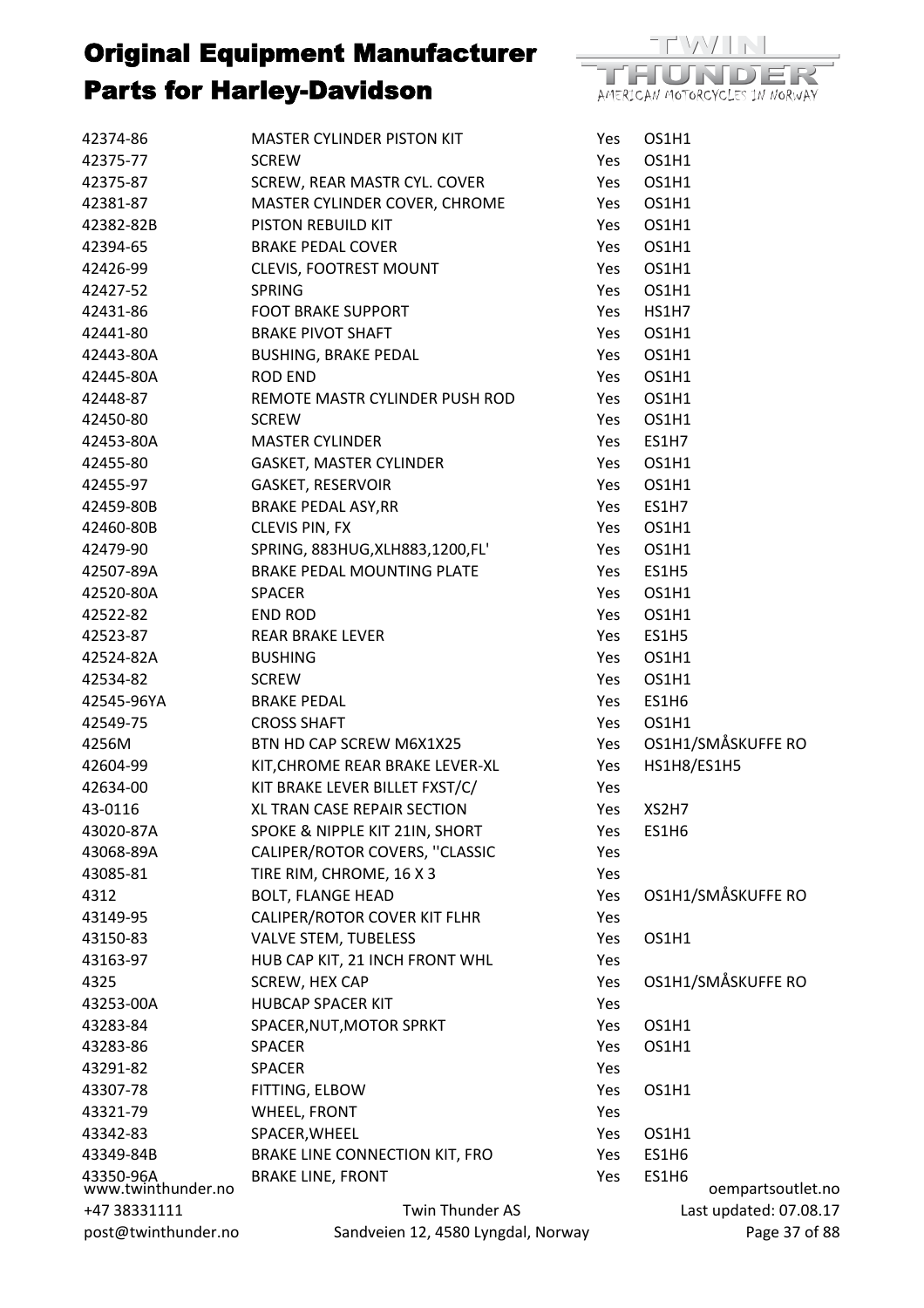

| 42374-86                        | <b>MASTER CYLINDER PISTON KIT</b>  | Yes | OS1H1        |                        |
|---------------------------------|------------------------------------|-----|--------------|------------------------|
| 42375-77                        | <b>SCREW</b>                       | Yes | OS1H1        |                        |
| 42375-87                        | SCREW, REAR MASTR CYL. COVER       | Yes | OS1H1        |                        |
| 42381-87                        | MASTER CYLINDER COVER, CHROME      | Yes | OS1H1        |                        |
| 42382-82B                       | PISTON REBUILD KIT                 | Yes | OS1H1        |                        |
| 42394-65                        | <b>BRAKE PEDAL COVER</b>           | Yes | OS1H1        |                        |
| 42426-99                        | <b>CLEVIS, FOOTREST MOUNT</b>      | Yes | OS1H1        |                        |
| 42427-52                        | <b>SPRING</b>                      | Yes | OS1H1        |                        |
| 42431-86                        | <b>FOOT BRAKE SUPPORT</b>          | Yes | <b>HS1H7</b> |                        |
| 42441-80                        | <b>BRAKE PIVOT SHAFT</b>           | Yes | OS1H1        |                        |
| 42443-80A                       | <b>BUSHING, BRAKE PEDAL</b>        | Yes | OS1H1        |                        |
| 42445-80A                       | <b>ROD END</b>                     | Yes | OS1H1        |                        |
| 42448-87                        | REMOTE MASTR CYLINDER PUSH ROD     | Yes | OS1H1        |                        |
| 42450-80                        | <b>SCREW</b>                       | Yes | OS1H1        |                        |
| 42453-80A                       | <b>MASTER CYLINDER</b>             | Yes | ES1H7        |                        |
| 42455-80                        | GASKET, MASTER CYLINDER            | Yes | OS1H1        |                        |
| 42455-97                        | <b>GASKET, RESERVOIR</b>           | Yes | OS1H1        |                        |
| 42459-80B                       | <b>BRAKE PEDAL ASY, RR</b>         | Yes | ES1H7        |                        |
| 42460-80B                       | CLEVIS PIN, FX                     | Yes | OS1H1        |                        |
| 42479-90                        | SPRING, 883HUG, XLH883, 1200, FL'  | Yes | OS1H1        |                        |
| 42507-89A                       | BRAKE PEDAL MOUNTING PLATE         | Yes | ES1H5        |                        |
| 42520-80A                       | <b>SPACER</b>                      | Yes | OS1H1        |                        |
| 42522-82                        | <b>END ROD</b>                     | Yes | OS1H1        |                        |
| 42523-87                        | <b>REAR BRAKE LEVER</b>            | Yes | ES1H5        |                        |
| 42524-82A                       | <b>BUSHING</b>                     | Yes | OS1H1        |                        |
| 42534-82                        | <b>SCREW</b>                       | Yes | OS1H1        |                        |
| 42545-96YA                      | <b>BRAKE PEDAL</b>                 | Yes | ES1H6        |                        |
| 42549-75                        | <b>CROSS SHAFT</b>                 | Yes | OS1H1        |                        |
| 4256M                           | BTN HD CAP SCREW M6X1X25           | Yes |              | OS1H1/SMÅSKUFFE RO     |
| 42604-99                        | KIT, CHROME REAR BRAKE LEVER-XL    | Yes | HS1H8/ES1H5  |                        |
| 42634-00                        | KIT BRAKE LEVER BILLET FXST/C/     | Yes |              |                        |
| 43-0116                         | XL TRAN CASE REPAIR SECTION        | Yes | XS2H7        |                        |
| 43020-87A                       | SPOKE & NIPPLE KIT 21IN, SHORT     | Yes | ES1H6        |                        |
| 43068-89A                       | CALIPER/ROTOR COVERS, "CLASSIC     | Yes |              |                        |
| 43085-81                        | TIRE RIM, CHROME, 16 X 3           | Yes |              |                        |
| 4312                            | <b>BOLT, FLANGE HEAD</b>           | Yes |              | OS1H1/SMÅSKUFFE RO     |
| 43149-95                        | CALIPER/ROTOR COVER KIT FLHR       | Yes |              |                        |
| 43150-83                        | <b>VALVE STEM, TUBELESS</b>        | Yes | OS1H1        |                        |
| 43163-97                        | HUB CAP KIT, 21 INCH FRONT WHL     | Yes |              |                        |
| 4325                            | SCREW, HEX CAP                     | Yes |              | OS1H1/SMÅSKUFFE RO     |
| 43253-00A                       | <b>HUBCAP SPACER KIT</b>           | Yes |              |                        |
| 43283-84                        | SPACER, NUT, MOTOR SPRKT           | Yes | OS1H1        |                        |
| 43283-86                        | <b>SPACER</b>                      | Yes | OS1H1        |                        |
| 43291-82                        | <b>SPACER</b>                      | Yes |              |                        |
| 43307-78                        | FITTING, ELBOW                     | Yes | OS1H1        |                        |
| 43321-79                        | <b>WHEEL, FRONT</b>                | Yes |              |                        |
| 43342-83                        | SPACER, WHEEL                      | Yes | OS1H1        |                        |
| 43349-84B                       | BRAKE LINE CONNECTION KIT, FRO     | Yes | ES1H6        |                        |
|                                 | <b>BRAKE LINE, FRONT</b>           | Yes | ES1H6        |                        |
| 43350-96A<br>www.twinthunder.no |                                    |     |              | oempartsoutlet.no      |
| +47 38331111                    | <b>Twin Thunder AS</b>             |     |              | Last updated: 07.08.17 |
| post@twinthunder.no             | Sandveien 12, 4580 Lyngdal, Norway |     |              | Page 37 of 88          |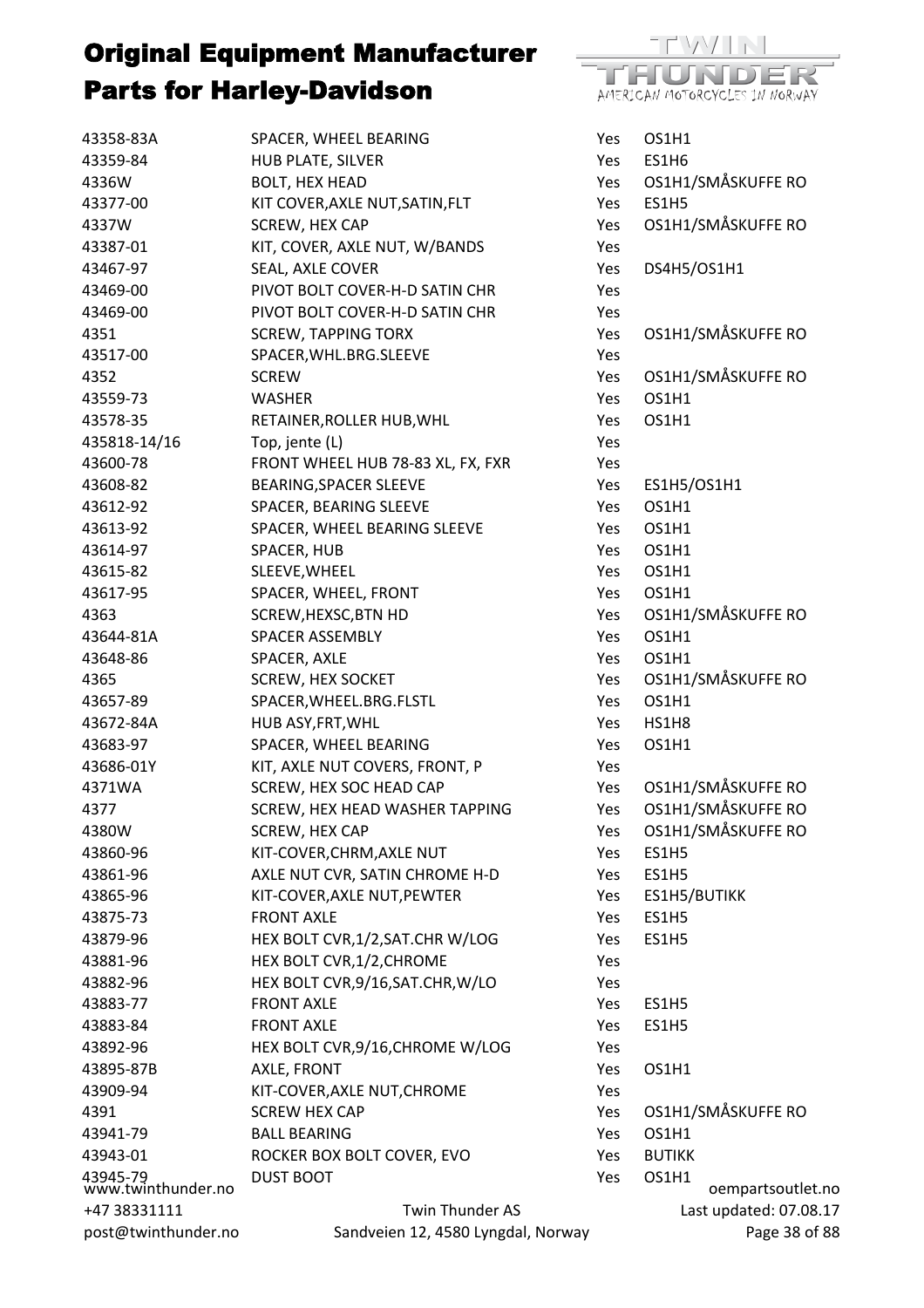

| 43358-83A                      | SPACER, WHEEL BEARING                          | Yes        | OS1H1                  |
|--------------------------------|------------------------------------------------|------------|------------------------|
| 43359-84                       | HUB PLATE, SILVER                              | Yes        | ES1H6                  |
| 4336W                          | <b>BOLT, HEX HEAD</b>                          | Yes        | OS1H1/SMÅSKUFFE RO     |
| 43377-00                       | KIT COVER, AXLE NUT, SATIN, FLT                | Yes        | <b>ES1H5</b>           |
| 4337W                          | SCREW, HEX CAP                                 | Yes        | OS1H1/SMÅSKUFFE RO     |
| 43387-01                       | KIT, COVER, AXLE NUT, W/BANDS                  | Yes        |                        |
| 43467-97                       | SEAL, AXLE COVER                               | Yes        | DS4H5/OS1H1            |
| 43469-00                       | PIVOT BOLT COVER-H-D SATIN CHR                 | Yes        |                        |
| 43469-00                       | PIVOT BOLT COVER-H-D SATIN CHR                 | Yes        |                        |
| 4351                           | <b>SCREW, TAPPING TORX</b>                     | Yes        | OS1H1/SMÅSKUFFE RO     |
| 43517-00                       | SPACER, WHL.BRG.SLEEVE                         | Yes        |                        |
| 4352                           | <b>SCREW</b>                                   | Yes        | OS1H1/SMÅSKUFFE RO     |
| 43559-73                       | <b>WASHER</b>                                  | Yes        | OS1H1                  |
| 43578-35                       | RETAINER, ROLLER HUB, WHL                      | Yes        | OS1H1                  |
| 435818-14/16                   | Top, jente (L)                                 | Yes        |                        |
| 43600-78                       | FRONT WHEEL HUB 78-83 XL, FX, FXR              | Yes        |                        |
| 43608-82                       | <b>BEARING, SPACER SLEEVE</b>                  | Yes        | ES1H5/OS1H1            |
| 43612-92                       | SPACER, BEARING SLEEVE                         | Yes        | OS1H1                  |
| 43613-92                       | SPACER, WHEEL BEARING SLEEVE                   | Yes        | OS1H1                  |
| 43614-97                       | SPACER, HUB                                    | Yes        | OS1H1                  |
| 43615-82                       | SLEEVE, WHEEL                                  | Yes        | OS1H1                  |
| 43617-95                       | SPACER, WHEEL, FRONT                           | Yes        | OS1H1                  |
| 4363                           | SCREW, HEXSC, BTN HD                           | Yes        | OS1H1/SMÅSKUFFE RO     |
| 43644-81A                      | SPACER ASSEMBLY                                | Yes        | OS1H1                  |
| 43648-86                       | SPACER, AXLE                                   | Yes        | OS1H1                  |
| 4365                           | <b>SCREW, HEX SOCKET</b>                       | Yes        | OS1H1/SMÅSKUFFE RO     |
| 43657-89                       | SPACER, WHEEL. BRG. FLSTL                      | Yes        | OS1H1                  |
| 43672-84A                      | HUB ASY, FRT, WHL                              | Yes        | HS1H8                  |
| 43683-97                       | SPACER, WHEEL BEARING                          | Yes        | OS1H1                  |
| 43686-01Y                      | KIT, AXLE NUT COVERS, FRONT, P                 | Yes        |                        |
| 4371WA                         | SCREW, HEX SOC HEAD CAP                        | Yes        | OS1H1/SMÅSKUFFE RO     |
| 4377                           | SCREW, HEX HEAD WASHER TAPPING                 | Yes        | OS1H1/SMÅSKUFFE RO     |
| 4380W                          | SCREW, HEX CAP                                 | Yes        | OS1H1/SMÅSKUFFE RO     |
| 43860-96                       | KIT-COVER, CHRM, AXLE NUT                      | Yes        | <b>ES1H5</b>           |
| 43861-96                       | AXLE NUT CVR, SATIN CHROME H-D                 | Yes        | ES1H5                  |
| 43865-96                       | KIT-COVER, AXLE NUT, PEWTER                    | Yes        | ES1H5/BUTIKK           |
| 43875-73                       | <b>FRONT AXLE</b>                              | Yes        | ES1H5                  |
| 43879-96                       | HEX BOLT CVR,1/2,SAT.CHR W/LOG                 | Yes        | <b>ES1H5</b>           |
| 43881-96                       | HEX BOLT CVR, 1/2, CHROME                      | Yes        |                        |
| 43882-96                       | HEX BOLT CVR, 9/16, SAT.CHR, W/LO              | Yes        |                        |
| 43883-77                       | <b>FRONT AXLE</b>                              | Yes        | ES1H5                  |
| 43883-84                       | <b>FRONT AXLE</b>                              | Yes        | ES1H5                  |
| 43892-96                       | HEX BOLT CVR, 9/16, CHROME W/LOG               | Yes        |                        |
| 43895-87B                      | AXLE, FRONT                                    | Yes        | OS1H1                  |
| 43909-94                       | KIT-COVER, AXLE NUT, CHROME                    | Yes        |                        |
| 4391                           | <b>SCREW HEX CAP</b>                           | Yes        | OS1H1/SMÅSKUFFE RO     |
| 43941-79                       | <b>BALL BEARING</b>                            | Yes        | OS1H1                  |
| 43943-01                       |                                                |            | <b>BUTIKK</b>          |
|                                | ROCKER BOX BOLT COVER, EVO<br><b>DUST BOOT</b> | Yes<br>Yes | OS1H1                  |
| 43945-79<br>www.twinthunder.no |                                                |            | oempartsoutlet.no      |
| +47 38331111                   | Twin Thunder AS                                |            | Last updated: 07.08.17 |
| post@twinthunder.no            | Sandveien 12, 4580 Lyngdal, Norway             |            | Page 38 of 88          |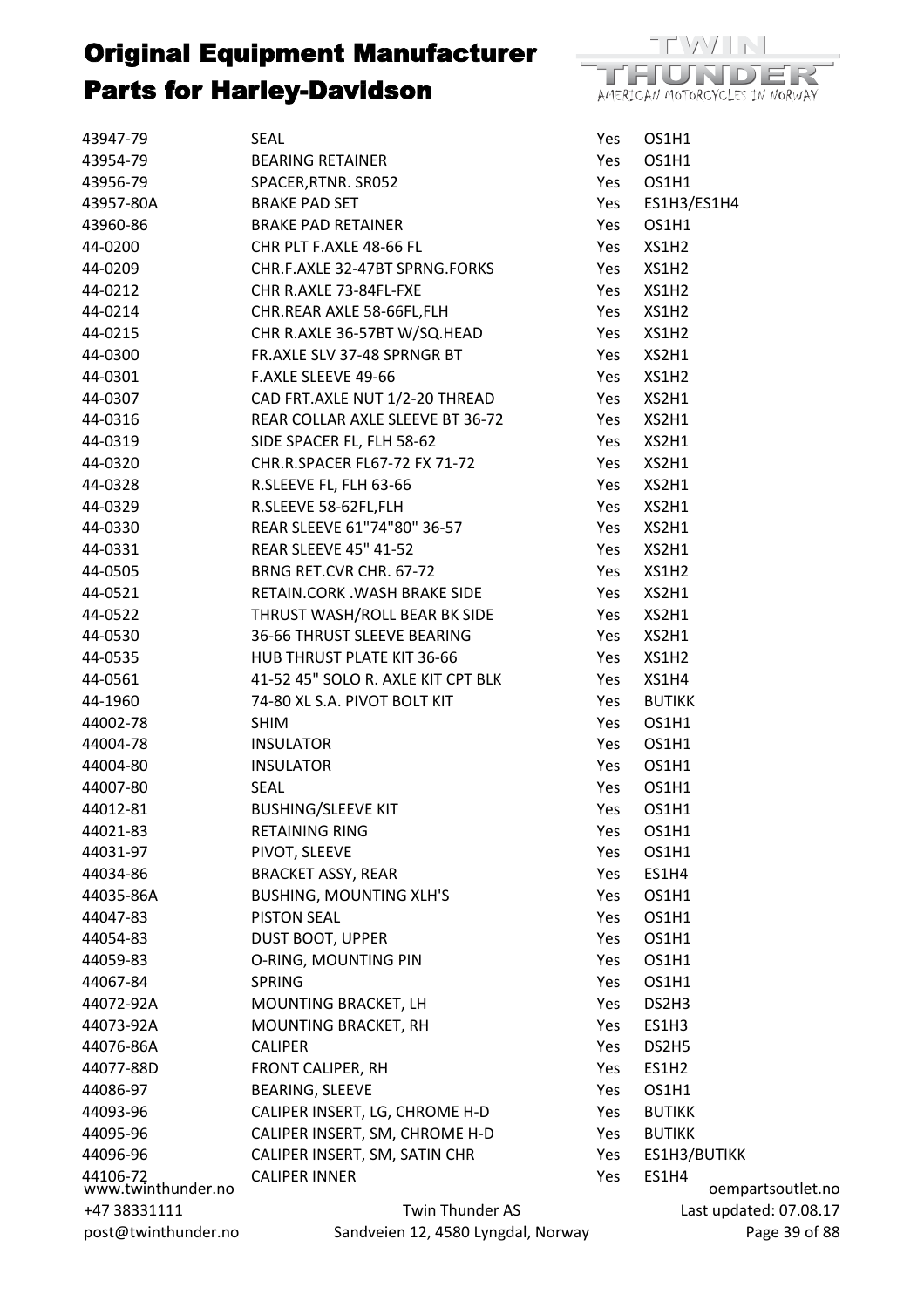

| 43947-79                       | SEAL                               | Yes | OS1H1                      |
|--------------------------------|------------------------------------|-----|----------------------------|
| 43954-79                       | <b>BEARING RETAINER</b>            | Yes | OS1H1                      |
| 43956-79                       | SPACER, RTNR. SR052                | Yes | OS1H1                      |
| 43957-80A                      | <b>BRAKE PAD SET</b>               | Yes | ES1H3/ES1H4                |
| 43960-86                       | <b>BRAKE PAD RETAINER</b>          | Yes | OS1H1                      |
| 44-0200                        | CHR PLT F.AXLE 48-66 FL            | Yes | XS1H2                      |
| 44-0209                        | CHR.F.AXLE 32-47BT SPRNG.FORKS     | Yes | XS1H2                      |
| 44-0212                        | CHR R.AXLE 73-84FL-FXE             | Yes | XS1H2                      |
| 44-0214                        | CHR.REAR AXLE 58-66FL,FLH          | Yes | XS1H2                      |
| 44-0215                        | CHR R.AXLE 36-57BT W/SQ.HEAD       | Yes | XS1H2                      |
| 44-0300                        | FR.AXLE SLV 37-48 SPRNGR BT        | Yes | XS2H1                      |
| 44-0301                        | F.AXLE SLEEVE 49-66                | Yes | XS1H2                      |
| 44-0307                        | CAD FRT.AXLE NUT 1/2-20 THREAD     | Yes | XS2H1                      |
| 44-0316                        | REAR COLLAR AXLE SLEEVE BT 36-72   | Yes | XS2H1                      |
| 44-0319                        | SIDE SPACER FL, FLH 58-62          | Yes | XS2H1                      |
| 44-0320                        | CHR.R.SPACER FL67-72 FX 71-72      | Yes | XS2H1                      |
| 44-0328                        | R.SLEEVE FL, FLH 63-66             | Yes | XS2H1                      |
| 44-0329                        | R.SLEEVE 58-62FL,FLH               | Yes | XS2H1                      |
| 44-0330                        | REAR SLEEVE 61"74"80" 36-57        | Yes | XS2H1                      |
| 44-0331                        | <b>REAR SLEEVE 45" 41-52</b>       | Yes | XS2H1                      |
| 44-0505                        | BRNG RET.CVR CHR. 67-72            | Yes | XS1H2                      |
| 44-0521                        | RETAIN.CORK .WASH BRAKE SIDE       | Yes | XS2H1                      |
| 44-0522                        | THRUST WASH/ROLL BEAR BK SIDE      | Yes | XS2H1                      |
| 44-0530                        | 36-66 THRUST SLEEVE BEARING        | Yes | XS2H1                      |
| 44-0535                        | HUB THRUST PLATE KIT 36-66         | Yes | XS1H2                      |
| 44-0561                        | 41-52 45" SOLO R. AXLE KIT CPT BLK | Yes | XS1H4                      |
| 44-1960                        | 74-80 XL S.A. PIVOT BOLT KIT       | Yes | <b>BUTIKK</b>              |
| 44002-78                       | <b>SHIM</b>                        | Yes | OS1H1                      |
| 44004-78                       | <b>INSULATOR</b>                   | Yes | OS1H1                      |
| 44004-80                       | <b>INSULATOR</b>                   | Yes | OS1H1                      |
| 44007-80                       | SEAL                               | Yes | OS1H1                      |
| 44012-81                       | <b>BUSHING/SLEEVE KIT</b>          | Yes | OS1H1                      |
| 44021-83                       | <b>RETAINING RING</b>              | Yes | OS1H1                      |
| 44031-97                       | PIVOT, SLEEVE                      | Yes | OS1H1                      |
| 44034-86                       | <b>BRACKET ASSY, REAR</b>          | Yes | ES1H4                      |
| 44035-86A                      | <b>BUSHING, MOUNTING XLH'S</b>     | Yes | OS1H1                      |
| 44047-83                       | <b>PISTON SEAL</b>                 | Yes | OS1H1                      |
| 44054-83                       | <b>DUST BOOT, UPPER</b>            | Yes | OS1H1                      |
| 44059-83                       | O-RING, MOUNTING PIN               | Yes | OS1H1                      |
| 44067-84                       | <b>SPRING</b>                      | Yes | OS1H1                      |
| 44072-92A                      | MOUNTING BRACKET, LH               | Yes | DS2H3                      |
| 44073-92A                      | MOUNTING BRACKET, RH               | Yes | ES1H3                      |
| 44076-86A                      | <b>CALIPER</b>                     | Yes | DS2H5                      |
| 44077-88D                      | FRONT CALIPER, RH                  | Yes | ES1H <sub>2</sub>          |
| 44086-97                       | <b>BEARING, SLEEVE</b>             | Yes | OS1H1                      |
| 44093-96                       | CALIPER INSERT, LG, CHROME H-D     | Yes | <b>BUTIKK</b>              |
| 44095-96                       | CALIPER INSERT, SM, CHROME H-D     | Yes | <b>BUTIKK</b>              |
| 44096-96                       | CALIPER INSERT, SM, SATIN CHR      | Yes | ES1H3/BUTIKK               |
| 44106-72<br>www.twinthunder.no | <b>CALIPER INNER</b>               | Yes | ES1H4<br>oempartsoutlet.no |
| +47 38331111                   | Twin Thunder AS                    |     | Last updated: 07.08.17     |
| post@twinthunder.no            | Sandveien 12, 4580 Lyngdal, Norway |     | Page 39 of 88              |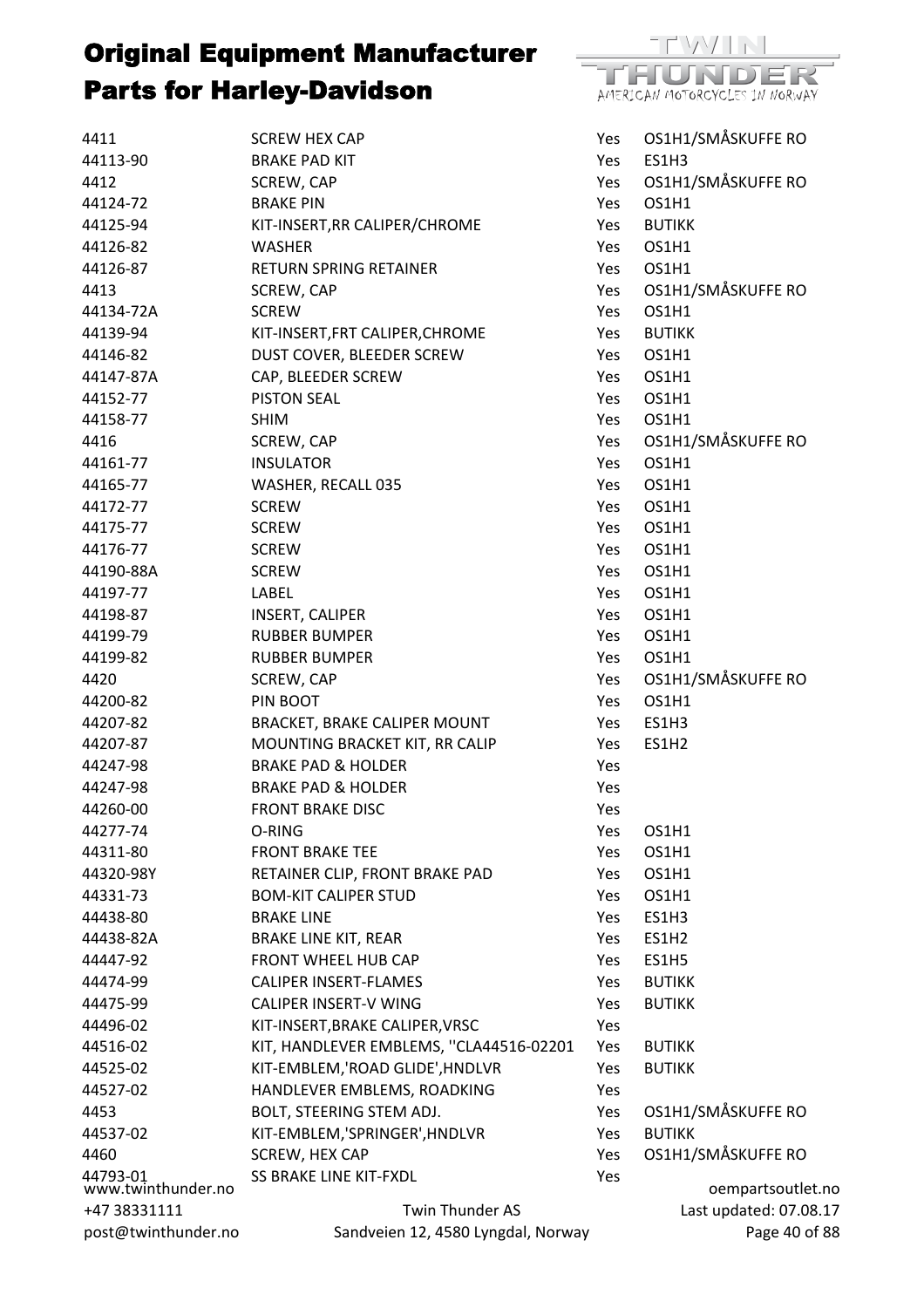

| 4411                           | <b>SCREW HEX CAP</b>                    | Yes        | OS1H1/SMÅSKUFFE RO     |
|--------------------------------|-----------------------------------------|------------|------------------------|
| 44113-90                       | <b>BRAKE PAD KIT</b>                    | Yes        | ES1H3                  |
| 4412                           | SCREW, CAP                              | Yes        | OS1H1/SMÅSKUFFE RO     |
| 44124-72                       | <b>BRAKE PIN</b>                        | Yes        | OS1H1                  |
| 44125-94                       | KIT-INSERT, RR CALIPER/CHROME           | Yes        | <b>BUTIKK</b>          |
| 44126-82                       | <b>WASHER</b>                           | Yes        | OS1H1                  |
| 44126-87                       | <b>RETURN SPRING RETAINER</b>           | Yes        | OS1H1                  |
| 4413                           | SCREW, CAP                              | Yes        | OS1H1/SMÅSKUFFE RO     |
| 44134-72A                      | <b>SCREW</b>                            | Yes        | OS1H1                  |
| 44139-94                       | KIT-INSERT, FRT CALIPER, CHROME         | Yes        | <b>BUTIKK</b>          |
| 44146-82                       | DUST COVER, BLEEDER SCREW               | Yes        | OS1H1                  |
| 44147-87A                      | CAP, BLEEDER SCREW                      | Yes        | OS1H1                  |
| 44152-77                       | <b>PISTON SEAL</b>                      | Yes        | OS1H1                  |
| 44158-77                       | <b>SHIM</b>                             | Yes        | OS1H1                  |
| 4416                           | SCREW, CAP                              | Yes        | OS1H1/SMÅSKUFFE RO     |
| 44161-77                       | <b>INSULATOR</b>                        | Yes        | OS1H1                  |
| 44165-77                       | WASHER, RECALL 035                      | Yes        | OS1H1                  |
| 44172-77                       | <b>SCREW</b>                            | Yes        | OS1H1                  |
| 44175-77                       | <b>SCREW</b>                            | Yes        | OS1H1                  |
| 44176-77                       | <b>SCREW</b>                            | Yes        | OS1H1                  |
| 44190-88A                      | <b>SCREW</b>                            | Yes        | OS1H1                  |
| 44197-77                       | LABEL                                   | Yes        | OS1H1                  |
| 44198-87                       | INSERT, CALIPER                         | Yes        | OS1H1                  |
| 44199-79                       | <b>RUBBER BUMPER</b>                    | <b>Yes</b> | OS1H1                  |
| 44199-82                       | <b>RUBBER BUMPER</b>                    | Yes        | OS1H1                  |
| 4420                           | SCREW, CAP                              | Yes        | OS1H1/SMÅSKUFFE RO     |
| 44200-82                       | PIN BOOT                                | Yes        | OS1H1                  |
| 44207-82                       | BRACKET, BRAKE CALIPER MOUNT            | Yes        | ES1H3                  |
| 44207-87                       | MOUNTING BRACKET KIT, RR CALIP          | Yes        | ES1H2                  |
| 44247-98                       | <b>BRAKE PAD &amp; HOLDER</b>           | Yes        |                        |
| 44247-98                       | <b>BRAKE PAD &amp; HOLDER</b>           | Yes        |                        |
| 44260-00                       | <b>FRONT BRAKE DISC</b>                 | Yes        |                        |
| 44277-74                       | O-RING                                  | Yes        | OS1H1                  |
| 44311-80                       | <b>FRONT BRAKE TEE</b>                  | Yes        | OS1H1                  |
| 44320-98Y                      | RETAINER CLIP, FRONT BRAKE PAD          | Yes        | OS1H1                  |
| 44331-73                       | <b>BOM-KIT CALIPER STUD</b>             | Yes        | OS1H1                  |
| 44438-80                       | <b>BRAKE LINE</b>                       | Yes        | ES1H3                  |
| 44438-82A                      | <b>BRAKE LINE KIT, REAR</b>             | Yes        | ES1H <sub>2</sub>      |
| 44447-92                       | FRONT WHEEL HUB CAP                     | Yes        | ES1H5                  |
| 44474-99                       | <b>CALIPER INSERT-FLAMES</b>            | Yes        | <b>BUTIKK</b>          |
| 44475-99                       | <b>CALIPER INSERT-V WING</b>            | Yes        | <b>BUTIKK</b>          |
| 44496-02                       | KIT-INSERT, BRAKE CALIPER, VRSC         | Yes        |                        |
| 44516-02                       | KIT, HANDLEVER EMBLEMS, "CLA44516-02201 | Yes        | <b>BUTIKK</b>          |
| 44525-02                       | KIT-EMBLEM,'ROAD GLIDE', HNDLVR         | Yes        | <b>BUTIKK</b>          |
| 44527-02                       | HANDLEVER EMBLEMS, ROADKING             | Yes        |                        |
| 4453                           | BOLT, STEERING STEM ADJ.                | Yes        | OS1H1/SMÅSKUFFE RO     |
| 44537-02                       | KIT-EMBLEM,'SPRINGER', HNDLVR           | Yes        | <b>BUTIKK</b>          |
| 4460                           | SCREW, HEX CAP                          | Yes        | OS1H1/SMÅSKUFFE RO     |
| 44793-01<br>www.twinthunder.no | SS BRAKE LINE KIT-FXDL                  | Yes        | oempartsoutlet.no      |
| +47 38331111                   | Twin Thunder AS                         |            | Last updated: 07.08.17 |
| post@twinthunder.no            | Sandveien 12, 4580 Lyngdal, Norway      |            | Page 40 of 88          |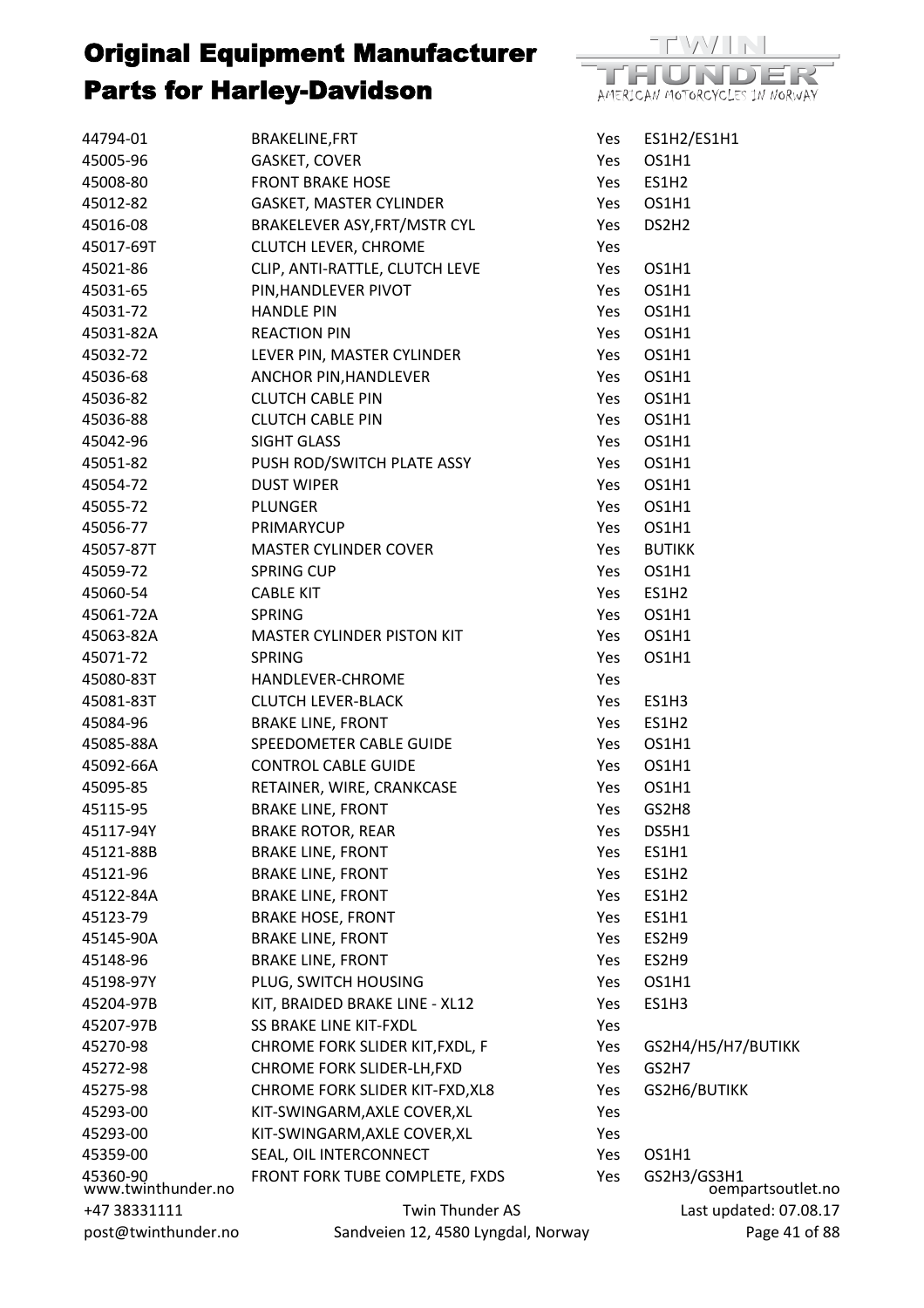

| 44794-01                       | <b>BRAKELINE,FRT</b>               | Yes | ES1H2/ES1H1                      |
|--------------------------------|------------------------------------|-----|----------------------------------|
| 45005-96                       | GASKET, COVER                      | Yes | OS1H1                            |
| 45008-80                       | <b>FRONT BRAKE HOSE</b>            | Yes | ES1H <sub>2</sub>                |
| 45012-82                       | GASKET, MASTER CYLINDER            | Yes | OS1H1                            |
| 45016-08                       | BRAKELEVER ASY, FRT/MSTR CYL       | Yes | DS2H <sub>2</sub>                |
| 45017-69T                      | CLUTCH LEVER, CHROME               | Yes |                                  |
| 45021-86                       | CLIP, ANTI-RATTLE, CLUTCH LEVE     | Yes | OS1H1                            |
| 45031-65                       | PIN, HANDLEVER PIVOT               | Yes | OS1H1                            |
| 45031-72                       | <b>HANDLE PIN</b>                  | Yes | OS1H1                            |
| 45031-82A                      | <b>REACTION PIN</b>                | Yes | OS1H1                            |
| 45032-72                       | LEVER PIN, MASTER CYLINDER         | Yes | OS1H1                            |
| 45036-68                       | ANCHOR PIN, HANDLEVER              | Yes | OS1H1                            |
| 45036-82                       | <b>CLUTCH CABLE PIN</b>            | Yes | OS1H1                            |
| 45036-88                       | <b>CLUTCH CABLE PIN</b>            | Yes | OS1H1                            |
| 45042-96                       | SIGHT GLASS                        | Yes | OS1H1                            |
| 45051-82                       | PUSH ROD/SWITCH PLATE ASSY         | Yes | OS1H1                            |
| 45054-72                       | <b>DUST WIPER</b>                  | Yes | OS1H1                            |
| 45055-72                       | <b>PLUNGER</b>                     | Yes | OS1H1                            |
| 45056-77                       | PRIMARYCUP                         | Yes | OS1H1                            |
| 45057-87T                      | MASTER CYLINDER COVER              | Yes | <b>BUTIKK</b>                    |
| 45059-72                       | <b>SPRING CUP</b>                  | Yes | OS1H1                            |
| 45060-54                       | <b>CABLE KIT</b>                   | Yes | ES1H2                            |
| 45061-72A                      | <b>SPRING</b>                      | Yes | OS1H1                            |
| 45063-82A                      | MASTER CYLINDER PISTON KIT         | Yes | OS1H1                            |
| 45071-72                       | <b>SPRING</b>                      | Yes | OS1H1                            |
| 45080-83T                      | HANDLEVER-CHROME                   | Yes |                                  |
| 45081-83T                      | <b>CLUTCH LEVER-BLACK</b>          | Yes | ES1H3                            |
| 45084-96                       | <b>BRAKE LINE, FRONT</b>           | Yes | ES1H <sub>2</sub>                |
| 45085-88A                      | SPEEDOMETER CABLE GUIDE            | Yes | OS1H1                            |
| 45092-66A                      | <b>CONTROL CABLE GUIDE</b>         | Yes | OS1H1                            |
| 45095-85                       | RETAINER, WIRE, CRANKCASE          | Yes | OS1H1                            |
| 45115-95                       | <b>BRAKE LINE, FRONT</b>           | Yes | GS2H8                            |
| 45117-94Y                      | <b>BRAKE ROTOR, REAR</b>           | Yes | DS5H1                            |
| 45121-88B                      | <b>BRAKE LINE, FRONT</b>           | Yes | ES1H1                            |
| 45121-96                       | <b>BRAKE LINE, FRONT</b>           | Yes | ES1H2                            |
| 45122-84A                      | <b>BRAKE LINE, FRONT</b>           | Yes | ES1H2                            |
| 45123-79                       | <b>BRAKE HOSE, FRONT</b>           | Yes | ES1H1                            |
| 45145-90A                      | <b>BRAKE LINE, FRONT</b>           | Yes | ES2H9                            |
| 45148-96                       | <b>BRAKE LINE, FRONT</b>           | Yes | ES2H9                            |
| 45198-97Y                      | PLUG, SWITCH HOUSING               | Yes | OS1H1                            |
| 45204-97B                      | KIT, BRAIDED BRAKE LINE - XL12     | Yes | <b>ES1H3</b>                     |
| 45207-97B                      | <b>SS BRAKE LINE KIT-FXDL</b>      | Yes |                                  |
| 45270-98                       | CHROME FORK SLIDER KIT, FXDL, F    | Yes | GS2H4/H5/H7/BUTIKK               |
| 45272-98                       | CHROME FORK SLIDER-LH, FXD         | Yes | GS2H7                            |
| 45275-98                       | CHROME FORK SLIDER KIT-FXD, XL8    | Yes | GS2H6/BUTIKK                     |
| 45293-00                       | KIT-SWINGARM, AXLE COVER, XL       | Yes |                                  |
| 45293-00                       | KIT-SWINGARM, AXLE COVER, XL       | Yes |                                  |
| 45359-00                       | SEAL, OIL INTERCONNECT             | Yes | OS1H1                            |
| 45360-90<br>www.twinthunder.no | FRONT FORK TUBE COMPLETE, FXDS     | Yes | GS2H3/GS3H1<br>oempartsoutlet.no |
| +47 38331111                   | Twin Thunder AS                    |     | Last updated: 07.08.17           |
| post@twinthunder.no            | Sandveien 12, 4580 Lyngdal, Norway |     | Page 41 of 88                    |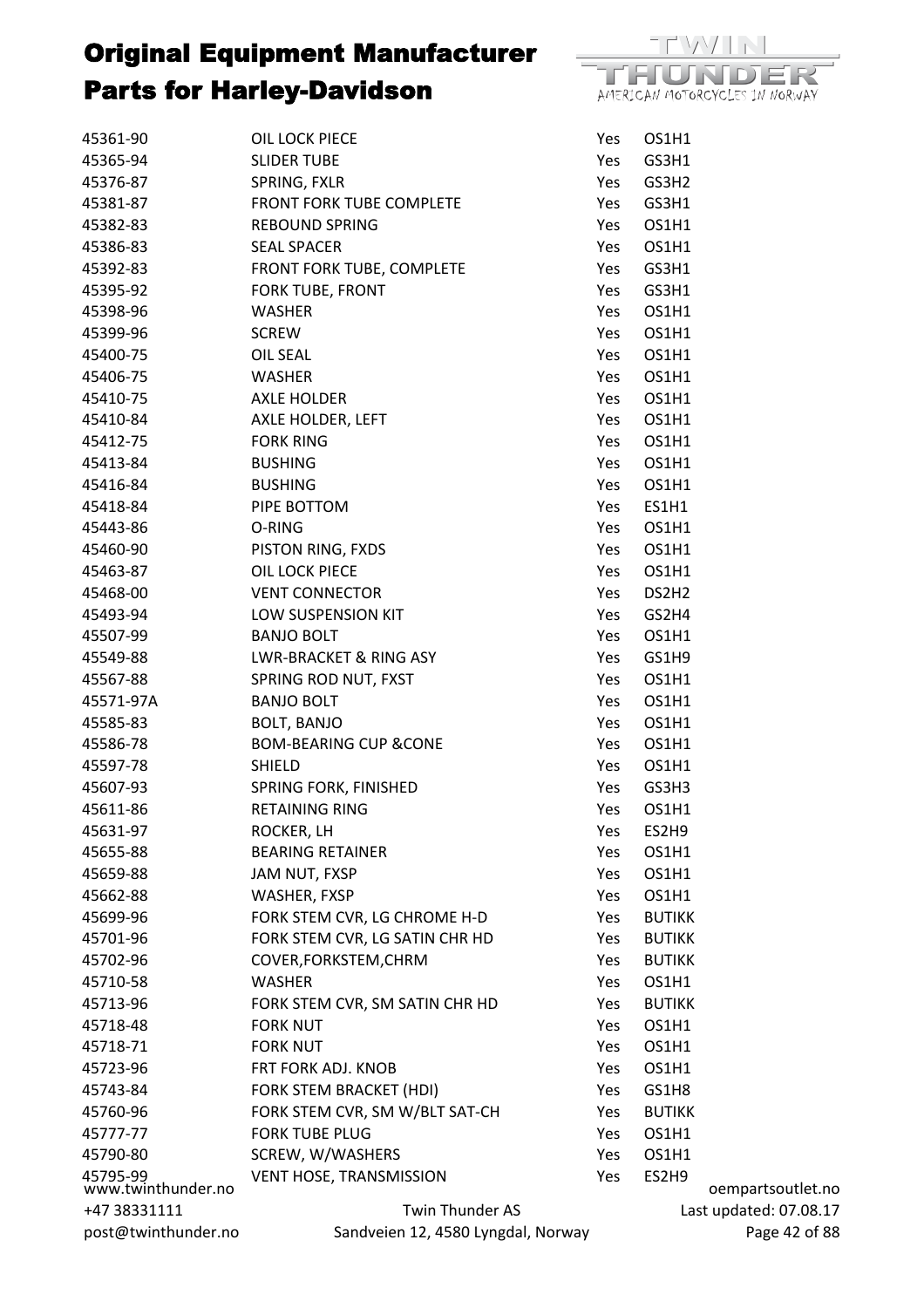

| 45361-90                       | OIL LOCK PIECE                     | Yes  | OS1H1             |                        |
|--------------------------------|------------------------------------|------|-------------------|------------------------|
| 45365-94                       | <b>SLIDER TUBE</b>                 | Yes  | GS3H1             |                        |
| 45376-87                       | SPRING, FXLR                       | Yes  | GS3H2             |                        |
| 45381-87                       | FRONT FORK TUBE COMPLETE           | Yes  | GS3H1             |                        |
| 45382-83                       | <b>REBOUND SPRING</b>              | Yes  | OS1H1             |                        |
| 45386-83                       | <b>SEAL SPACER</b>                 | Yes  | OS1H1             |                        |
| 45392-83                       | FRONT FORK TUBE, COMPLETE          | Yes  | GS3H1             |                        |
| 45395-92                       | FORK TUBE, FRONT                   | Yes  | GS3H1             |                        |
| 45398-96                       | WASHER                             | Yes  | OS1H1             |                        |
| 45399-96                       | <b>SCREW</b>                       | Yes  | OS1H1             |                        |
| 45400-75                       | OIL SEAL                           | Yes  | OS1H1             |                        |
| 45406-75                       | <b>WASHER</b>                      | Yes  | OS1H1             |                        |
| 45410-75                       | AXLE HOLDER                        | Yes  | OS1H1             |                        |
| 45410-84                       | AXLE HOLDER, LEFT                  | Yes  | OS1H1             |                        |
| 45412-75                       | <b>FORK RING</b>                   | Yes  | OS1H1             |                        |
| 45413-84                       | <b>BUSHING</b>                     | Yes  | OS1H1             |                        |
| 45416-84                       | <b>BUSHING</b>                     | Yes  | OS1H1             |                        |
| 45418-84                       | PIPE BOTTOM                        | Yes  | ES1H1             |                        |
| 45443-86                       | O-RING                             | Yes  | OS1H1             |                        |
| 45460-90                       | PISTON RING, FXDS                  | Yes  | OS1H1             |                        |
| 45463-87                       | OIL LOCK PIECE                     | Yes  | OS1H1             |                        |
| 45468-00                       | <b>VENT CONNECTOR</b>              | Yes  | DS2H <sub>2</sub> |                        |
| 45493-94                       | LOW SUSPENSION KIT                 | Yes  | GS2H4             |                        |
| 45507-99                       | <b>BANJO BOLT</b>                  | Yes  | OS1H1             |                        |
| 45549-88                       | LWR-BRACKET & RING ASY             | Yes  | GS1H9             |                        |
| 45567-88                       | SPRING ROD NUT, FXST               | Yes  | OS1H1             |                        |
| 45571-97A                      | <b>BANJO BOLT</b>                  | Yes. | OS1H1             |                        |
| 45585-83                       | BOLT, BANJO                        | Yes  | OS1H1             |                        |
| 45586-78                       | <b>BOM-BEARING CUP &amp;CONE</b>   | Yes  | OS1H1             |                        |
| 45597-78                       | <b>SHIELD</b>                      | Yes  | OS1H1             |                        |
| 45607-93                       | SPRING FORK, FINISHED              | Yes  | GS3H3             |                        |
| 45611-86                       | <b>RETAINING RING</b>              | Yes  | OS1H1             |                        |
| 45631-97                       | ROCKER, LH                         | Yes  | ES2H9             |                        |
| 45655-88                       | <b>BEARING RETAINER</b>            | Yes  | OS1H1             |                        |
| 45659-88                       | JAM NUT, FXSP                      | Yes  | OS1H1             |                        |
| 45662-88                       | WASHER, FXSP                       | Yes  | <b>OS1H1</b>      |                        |
| 45699-96                       | FORK STEM CVR, LG CHROME H-D       | Yes  | <b>BUTIKK</b>     |                        |
| 45701-96                       | FORK STEM CVR, LG SATIN CHR HD     | Yes  | <b>BUTIKK</b>     |                        |
| 45702-96                       | COVER, FORKSTEM, CHRM              | Yes  | <b>BUTIKK</b>     |                        |
| 45710-58                       | <b>WASHER</b>                      | Yes  | OS1H1             |                        |
| 45713-96                       | FORK STEM CVR, SM SATIN CHR HD     | Yes  | <b>BUTIKK</b>     |                        |
| 45718-48                       | <b>FORK NUT</b>                    | Yes  | <b>OS1H1</b>      |                        |
| 45718-71                       | <b>FORK NUT</b>                    | Yes  | <b>OS1H1</b>      |                        |
| 45723-96                       | FRT FORK ADJ. KNOB                 | Yes  | OS1H1             |                        |
| 45743-84                       | FORK STEM BRACKET (HDI)            | Yes  | GS1H8             |                        |
| 45760-96                       | FORK STEM CVR, SM W/BLT SAT-CH     | Yes  | <b>BUTIKK</b>     |                        |
| 45777-77                       | <b>FORK TUBE PLUG</b>              | Yes  | OS1H1             |                        |
| 45790-80                       | SCREW, W/WASHERS                   | Yes  | <b>OS1H1</b>      |                        |
|                                | <b>VENT HOSE, TRANSMISSION</b>     | Yes  | ES2H9             |                        |
| 45795-99<br>www.twinthunder.no |                                    |      |                   | oempartsoutlet.no      |
| +47 38331111                   | Twin Thunder AS                    |      |                   | Last updated: 07.08.17 |
| post@twinthunder.no            | Sandveien 12, 4580 Lyngdal, Norway |      |                   | Page 42 of 88          |

 $ed: 07.08.17$ Page 42 of 88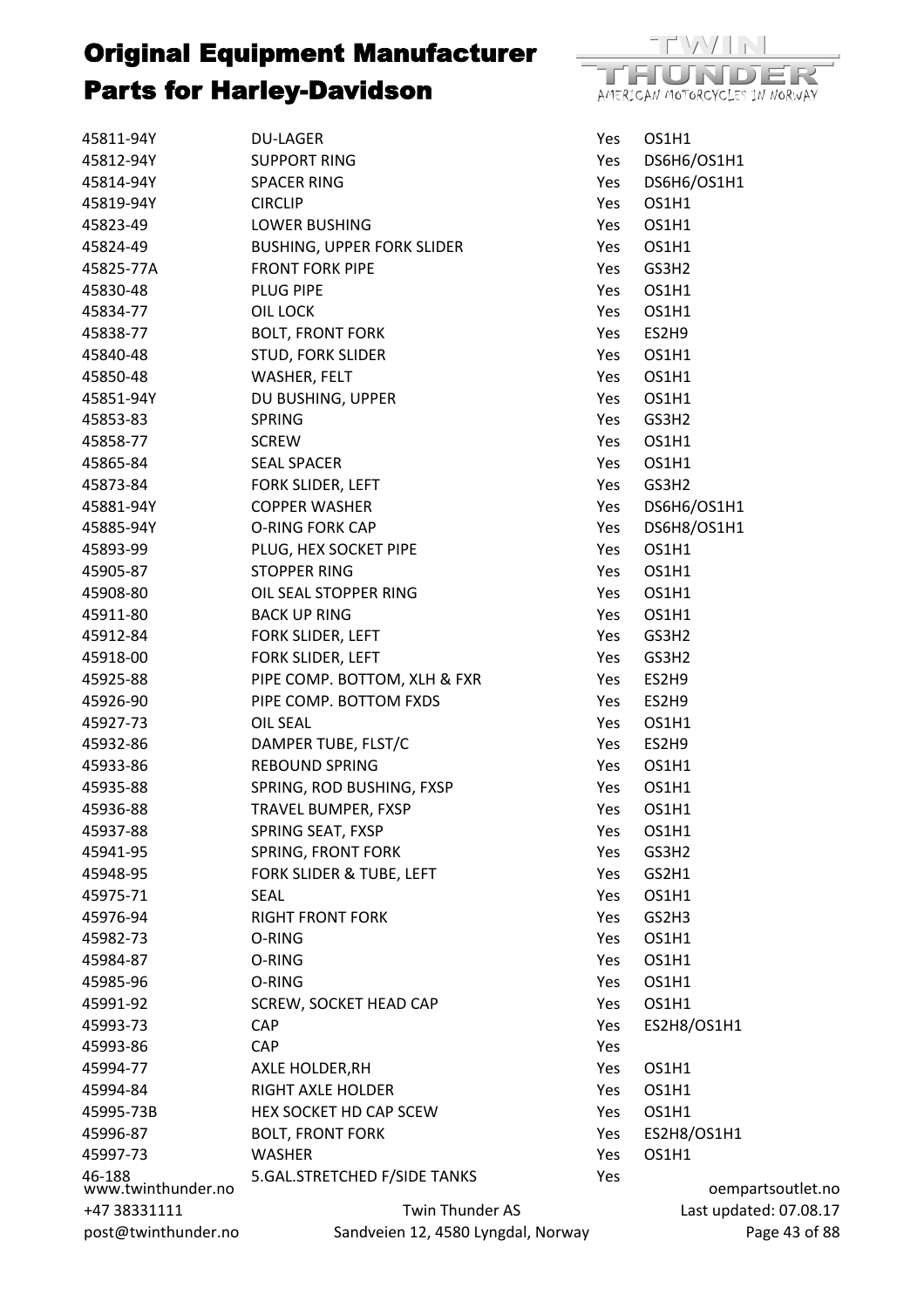

| 45811-94Y                    | <b>DU-LAGER</b>                    | Yes | OS1H1                  |
|------------------------------|------------------------------------|-----|------------------------|
| 45812-94Y                    | <b>SUPPORT RING</b>                | Yes | DS6H6/OS1H1            |
| 45814-94Y                    | <b>SPACER RING</b>                 | Yes | DS6H6/OS1H1            |
| 45819-94Y                    | <b>CIRCLIP</b>                     | Yes | OS1H1                  |
| 45823-49                     | <b>LOWER BUSHING</b>               | Yes | OS1H1                  |
| 45824-49                     | <b>BUSHING, UPPER FORK SLIDER</b>  | Yes | OS1H1                  |
| 45825-77A                    | <b>FRONT FORK PIPE</b>             | Yes | GS3H2                  |
| 45830-48                     | PLUG PIPE                          | Yes | OS1H1                  |
| 45834-77                     | OIL LOCK                           | Yes | OS1H1                  |
| 45838-77                     | <b>BOLT, FRONT FORK</b>            | Yes | ES2H9                  |
| 45840-48                     | <b>STUD, FORK SLIDER</b>           | Yes | OS1H1                  |
| 45850-48                     | <b>WASHER, FELT</b>                | Yes | OS1H1                  |
| 45851-94Y                    | DU BUSHING, UPPER                  | Yes | OS1H1                  |
| 45853-83                     | SPRING                             | Yes | GS3H2                  |
| 45858-77                     | <b>SCREW</b>                       | Yes | OS1H1                  |
| 45865-84                     | <b>SEAL SPACER</b>                 | Yes | OS1H1                  |
| 45873-84                     | FORK SLIDER, LEFT                  | Yes | GS3H2                  |
| 45881-94Y                    | <b>COPPER WASHER</b>               | Yes | DS6H6/OS1H1            |
| 45885-94Y                    | O-RING FORK CAP                    | Yes | DS6H8/OS1H1            |
| 45893-99                     | PLUG, HEX SOCKET PIPE              | Yes | OS1H1                  |
| 45905-87                     | STOPPER RING                       | Yes | OS1H1                  |
| 45908-80                     | OIL SEAL STOPPER RING              | Yes | OS1H1                  |
| 45911-80                     | <b>BACK UP RING</b>                | Yes | OS1H1                  |
| 45912-84                     | FORK SLIDER, LEFT                  | Yes | GS3H2                  |
| 45918-00                     | FORK SLIDER, LEFT                  | Yes | GS3H2                  |
| 45925-88                     | PIPE COMP. BOTTOM, XLH & FXR       | Yes | ES2H9                  |
| 45926-90                     | PIPE COMP. BOTTOM FXDS             | Yes | ES2H9                  |
| 45927-73                     | OIL SEAL                           | Yes | OS1H1                  |
| 45932-86                     | DAMPER TUBE, FLST/C                | Yes | ES2H9                  |
| 45933-86                     | <b>REBOUND SPRING</b>              | Yes | OS1H1                  |
| 45935-88                     | SPRING, ROD BUSHING, FXSP          | Yes | OS1H1                  |
| 45936-88                     | TRAVEL BUMPER, FXSP                | Yes | OS1H1                  |
| 45937-88                     | SPRING SEAT, FXSP                  | Yes | OS1H1                  |
| 45941-95                     | SPRING, FRONT FORK                 | Yes | GS3H2                  |
| 45948-95                     | FORK SLIDER & TUBE, LEFT           | Yes | GS2H1                  |
| 45975-71                     | <b>SEAL</b>                        | Yes | OS1H1                  |
| 45976-94                     | <b>RIGHT FRONT FORK</b>            | Yes | GS2H3                  |
| 45982-73                     | O-RING                             | Yes | OS1H1                  |
| 45984-87                     | O-RING                             | Yes | OS1H1                  |
| 45985-96                     | O-RING                             | Yes | OS1H1                  |
| 45991-92                     | SCREW, SOCKET HEAD CAP             | Yes | OS1H1                  |
| 45993-73                     | CAP                                | Yes | ES2H8/OS1H1            |
| 45993-86                     | <b>CAP</b>                         | Yes |                        |
| 45994-77                     | AXLE HOLDER, RH                    | Yes | OS1H1                  |
| 45994-84                     | RIGHT AXLE HOLDER                  | Yes | OS1H1                  |
| 45995-73B                    | HEX SOCKET HD CAP SCEW             | Yes | OS1H1                  |
| 45996-87                     | <b>BOLT, FRONT FORK</b>            | Yes | ES2H8/OS1H1            |
| 45997-73                     | <b>WASHER</b>                      | Yes | OS1H1                  |
| 46-188<br>www.twinthunder.no | 5.GAL.STRETCHED F/SIDE TANKS       | Yes | oempartsoutlet.no      |
| +47 38331111                 | Twin Thunder AS                    |     | Last updated: 07.08.17 |
| post@twinthunder.no          | Sandveien 12, 4580 Lyngdal, Norway |     | Page 43 of 88          |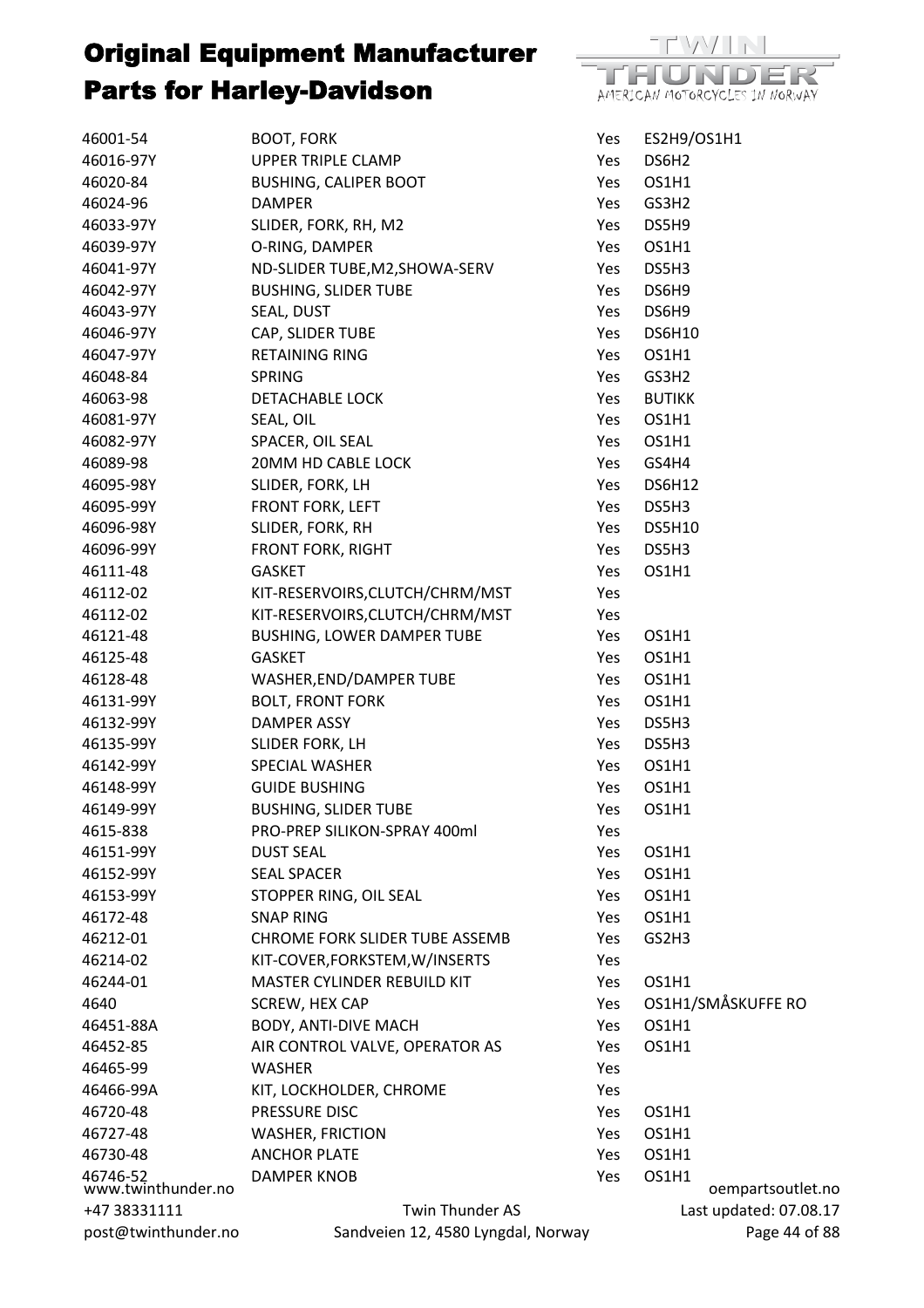

| 46001-54                       | <b>BOOT, FORK</b>                     | Yes | ES2H9/OS1H1                |
|--------------------------------|---------------------------------------|-----|----------------------------|
| 46016-97Y                      | UPPER TRIPLE CLAMP                    | Yes | DS6H <sub>2</sub>          |
| 46020-84                       | <b>BUSHING, CALIPER BOOT</b>          | Yes | OS1H1                      |
| 46024-96                       | <b>DAMPER</b>                         | Yes | GS3H2                      |
| 46033-97Y                      | SLIDER, FORK, RH, M2                  | Yes | DS5H9                      |
| 46039-97Y                      | O-RING, DAMPER                        | Yes | OS1H1                      |
| 46041-97Y                      | ND-SLIDER TUBE, M2, SHOWA-SERV        | Yes | DS5H3                      |
| 46042-97Y                      | <b>BUSHING, SLIDER TUBE</b>           | Yes | DS6H9                      |
| 46043-97Y                      | SEAL, DUST                            | Yes | DS6H9                      |
| 46046-97Y                      | CAP, SLIDER TUBE                      | Yes | <b>DS6H10</b>              |
| 46047-97Y                      | <b>RETAINING RING</b>                 | Yes | OS1H1                      |
| 46048-84                       | <b>SPRING</b>                         | Yes | GS3H2                      |
| 46063-98                       | DETACHABLE LOCK                       | Yes | <b>BUTIKK</b>              |
| 46081-97Y                      | SEAL, OIL                             | Yes | OS1H1                      |
| 46082-97Y                      | SPACER, OIL SEAL                      | Yes | OS1H1                      |
| 46089-98                       | 20MM HD CABLE LOCK                    | Yes | GS4H4                      |
| 46095-98Y                      | SLIDER, FORK, LH                      | Yes | <b>DS6H12</b>              |
| 46095-99Y                      | FRONT FORK, LEFT                      | Yes | DS5H3                      |
| 46096-98Y                      | SLIDER, FORK, RH                      | Yes | <b>DS5H10</b>              |
|                                |                                       |     | DS5H3                      |
| 46096-99Y                      | FRONT FORK, RIGHT                     | Yes | OS1H1                      |
| 46111-48                       | <b>GASKET</b>                         | Yes |                            |
| 46112-02                       | KIT-RESERVOIRS, CLUTCH/CHRM/MST       | Yes |                            |
| 46112-02                       | KIT-RESERVOIRS, CLUTCH/CHRM/MST       | Yes |                            |
| 46121-48                       | BUSHING, LOWER DAMPER TUBE            | Yes | OS1H1                      |
| 46125-48                       | GASKET                                | Yes | OS1H1                      |
| 46128-48                       | WASHER, END/DAMPER TUBE               | Yes | OS1H1                      |
| 46131-99Y                      | <b>BOLT, FRONT FORK</b>               | Yes | OS1H1                      |
| 46132-99Y                      | DAMPER ASSY                           | Yes | DS5H3                      |
| 46135-99Y                      | SLIDER FORK, LH                       | Yes | DS5H3                      |
| 46142-99Y                      | <b>SPECIAL WASHER</b>                 | Yes | OS1H1                      |
| 46148-99Y                      | <b>GUIDE BUSHING</b>                  | Yes | OS1H1                      |
| 46149-99Y                      | <b>BUSHING, SLIDER TUBE</b>           | Yes | OS1H1                      |
| 4615-838                       | PRO-PREP SILIKON-SPRAY 400ml          | Yes |                            |
| 46151-99Y                      | <b>DUST SEAL</b>                      | Yes | OS1H1                      |
| 46152-99Y                      | <b>SEAL SPACER</b>                    | Yes | OS1H1                      |
| 46153-99Y                      | STOPPER RING, OIL SEAL                | Yes | OS1H1                      |
| 46172-48                       | <b>SNAP RING</b>                      | Yes | OS1H1                      |
| 46212-01                       | <b>CHROME FORK SLIDER TUBE ASSEMB</b> | Yes | GS2H3                      |
| 46214-02                       | KIT-COVER, FORKSTEM, W/INSERTS        | Yes |                            |
| 46244-01                       | MASTER CYLINDER REBUILD KIT           | Yes | OS1H1                      |
| 4640                           | SCREW, HEX CAP                        | Yes | OS1H1/SMÅSKUFFE RO         |
| 46451-88A                      | <b>BODY, ANTI-DIVE MACH</b>           | Yes | OS1H1                      |
| 46452-85                       | AIR CONTROL VALVE, OPERATOR AS        | Yes | OS1H1                      |
| 46465-99                       | <b>WASHER</b>                         | Yes |                            |
| 46466-99A                      | KIT, LOCKHOLDER, CHROME               | Yes |                            |
| 46720-48                       | PRESSURE DISC                         | Yes | OS1H1                      |
| 46727-48                       | <b>WASHER, FRICTION</b>               | Yes | OS1H1                      |
| 46730-48                       | <b>ANCHOR PLATE</b>                   | Yes | OS1H1                      |
| 46746-52<br>www.twinthunder.no | <b>DAMPER KNOB</b>                    | Yes | OS1H1<br>oempartsoutlet.no |
| +47 38331111                   | Twin Thunder AS                       |     | Last updated: 07.08.17     |
| post@twinthunder.no            | Sandveien 12, 4580 Lyngdal, Norway    |     | Page 44 of 88              |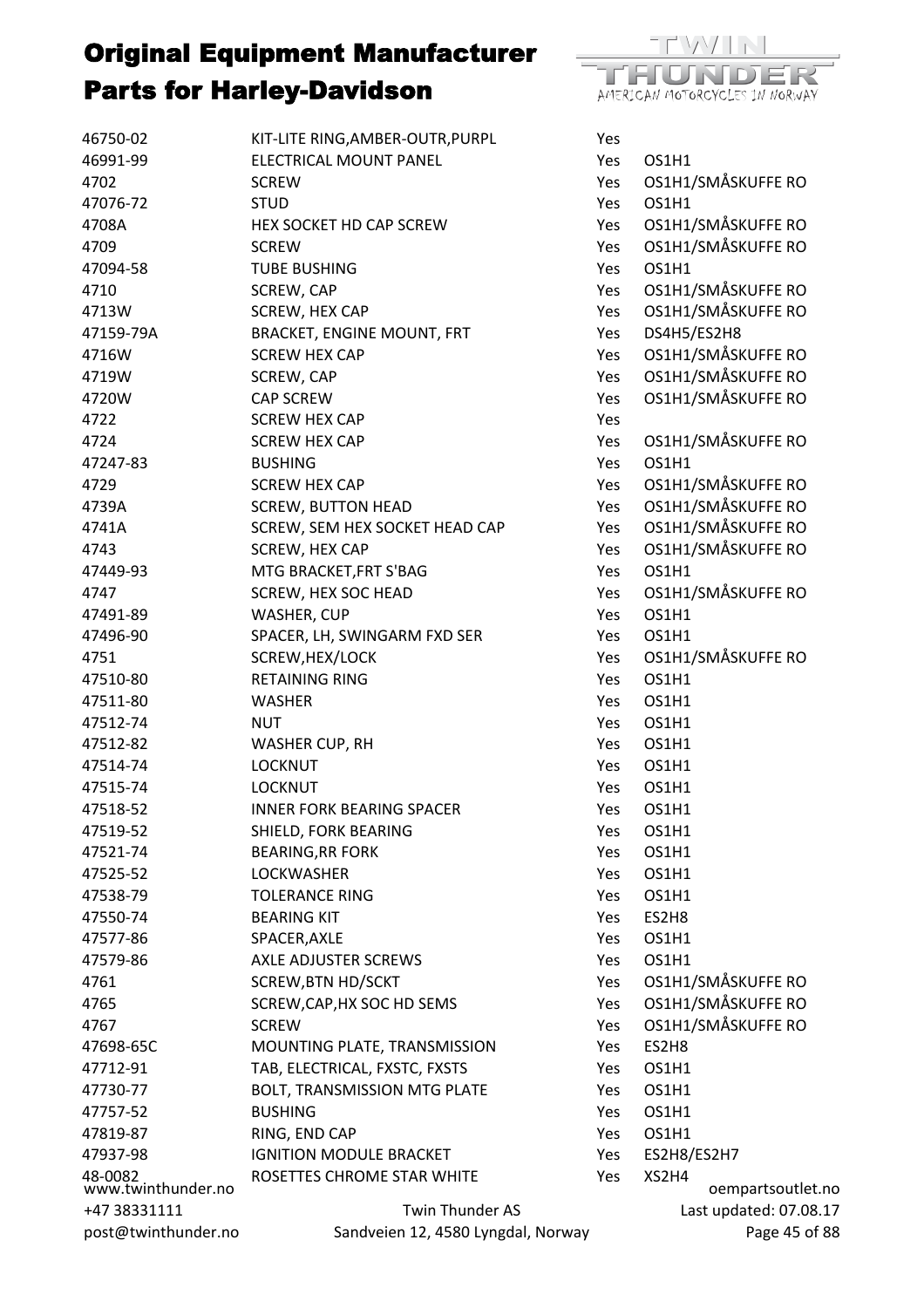| 46750-02                      | KIT-LITE RING, AMBER-OUTR, PURPL         | Yes        |                            |
|-------------------------------|------------------------------------------|------------|----------------------------|
| 46991-99                      | ELECTRICAL MOUNT PANEL                   | Yes        | OS1H1                      |
| 4702                          | <b>SCREW</b>                             | Yes        | OS1H1/SMÅSKUFFE RO         |
| 47076-72                      | <b>STUD</b>                              | <b>Yes</b> | OS1H1                      |
| 4708A                         | HEX SOCKET HD CAP SCREW                  | Yes        | OS1H1/SMÅSKUFFE RO         |
| 4709                          | <b>SCREW</b>                             | Yes        | OS1H1/SMÅSKUFFE RO         |
| 47094-58                      | <b>TUBE BUSHING</b>                      | Yes        | OS1H1                      |
| 4710                          | SCREW, CAP                               | Yes        | OS1H1/SMÅSKUFFE RO         |
| 4713W                         | SCREW, HEX CAP                           | Yes        | OS1H1/SMÅSKUFFE RO         |
| 47159-79A                     | <b>BRACKET, ENGINE MOUNT, FRT</b>        | Yes        | DS4H5/ES2H8                |
| 4716W                         | <b>SCREW HEX CAP</b>                     | Yes        | OS1H1/SMÅSKUFFE RO         |
| 4719W                         | SCREW, CAP                               | Yes        | OS1H1/SMÅSKUFFE RO         |
| 4720W                         | <b>CAP SCREW</b>                         | Yes        | OS1H1/SMÅSKUFFE RO         |
| 4722                          | <b>SCREW HEX CAP</b>                     | Yes        |                            |
| 4724                          | <b>SCREW HEX CAP</b>                     | Yes        | OS1H1/SMÅSKUFFE RO         |
| 47247-83                      | <b>BUSHING</b>                           | Yes        | OS1H1                      |
| 4729                          | <b>SCREW HEX CAP</b>                     | Yes        | OS1H1/SMÅSKUFFE RO         |
| 4739A                         | <b>SCREW, BUTTON HEAD</b>                | Yes        | OS1H1/SMÅSKUFFE RO         |
| 4741A                         | SCREW, SEM HEX SOCKET HEAD CAP           | Yes        | OS1H1/SMÅSKUFFE RO         |
| 4743                          | SCREW, HEX CAP                           | Yes        | OS1H1/SMÅSKUFFE RO         |
| 47449-93                      | MTG BRACKET, FRT S'BAG                   | Yes        | OS1H1                      |
| 4747                          | <b>SCREW, HEX SOC HEAD</b>               | Yes        | OS1H1/SMÅSKUFFE RO         |
| 47491-89                      | WASHER, CUP                              | Yes        | OS1H1                      |
| 47496-90                      | SPACER, LH, SWINGARM FXD SER             | Yes        | OS1H1                      |
| 4751                          |                                          | Yes        | OS1H1/SMÅSKUFFE RO         |
| 47510-80                      | SCREW, HEX/LOCK<br><b>RETAINING RING</b> |            | OS1H1                      |
|                               |                                          | Yes        |                            |
| 47511-80                      | <b>WASHER</b>                            | Yes        | OS1H1                      |
| 47512-74                      | <b>NUT</b>                               | Yes        | OS1H1                      |
| 47512-82                      | WASHER CUP, RH                           | Yes        | OS1H1                      |
| 47514-74                      | <b>LOCKNUT</b>                           | Yes        | OS1H1                      |
| 47515-74                      | <b>LOCKNUT</b>                           | Yes        | OS1H1                      |
| 47518-52                      | <b>INNER FORK BEARING SPACER</b>         | Yes        | OS1H1                      |
| 47519-52                      | SHIELD, FORK BEARING                     | Yes        | OS1H1                      |
| 47521-74                      | <b>BEARING, RR FORK</b>                  | Yes        | OS1H1                      |
| 47525-52                      | <b>LOCKWASHER</b>                        | Yes        | OS1H1                      |
| 47538-79                      | <b>TOLERANCE RING</b>                    | Yes        | OS1H1                      |
| 47550-74                      | <b>BEARING KIT</b>                       | Yes        | ES2H8                      |
| 47577-86                      | SPACER, AXLE                             | Yes        | OS1H1                      |
| 47579-86                      | <b>AXLE ADJUSTER SCREWS</b>              | Yes        | OS1H1                      |
| 4761                          | <b>SCREW, BTN HD/SCKT</b>                | Yes        | OS1H1/SMÅSKUFFE RO         |
| 4765                          | SCREW, CAP, HX SOC HD SEMS               | Yes        | OS1H1/SMÅSKUFFE RO         |
| 4767                          | <b>SCREW</b>                             | Yes        | OS1H1/SMÅSKUFFE RO         |
| 47698-65C                     | MOUNTING PLATE, TRANSMISSION             | Yes        | ES2H8                      |
| 47712-91                      | TAB, ELECTRICAL, FXSTC, FXSTS            | Yes        | OS1H1                      |
| 47730-77                      | BOLT, TRANSMISSION MTG PLATE             | Yes        | OS1H1                      |
| 47757-52                      | <b>BUSHING</b>                           | Yes        | OS1H1                      |
| 47819-87                      | RING, END CAP                            | Yes        | OS1H1                      |
| 47937-98                      | <b>IGNITION MODULE BRACKET</b>           | Yes        | ES2H8/ES2H7                |
| 48-0082<br>www.twinthunder.no | ROSETTES CHROME STAR WHITE               | Yes        | XS2H4<br>oempartsoutlet.no |
| +47 38331111                  | Twin Thunder AS                          |            | Last updated: 07.08.17     |
| post@twinthunder.no           | Sandveien 12, 4580 Lyngdal, Norway       |            | Page 45 of 88              |

 $/|\nabla|$ 

AMERICAN MOTORCYCLES IN NORWAY

ma

DER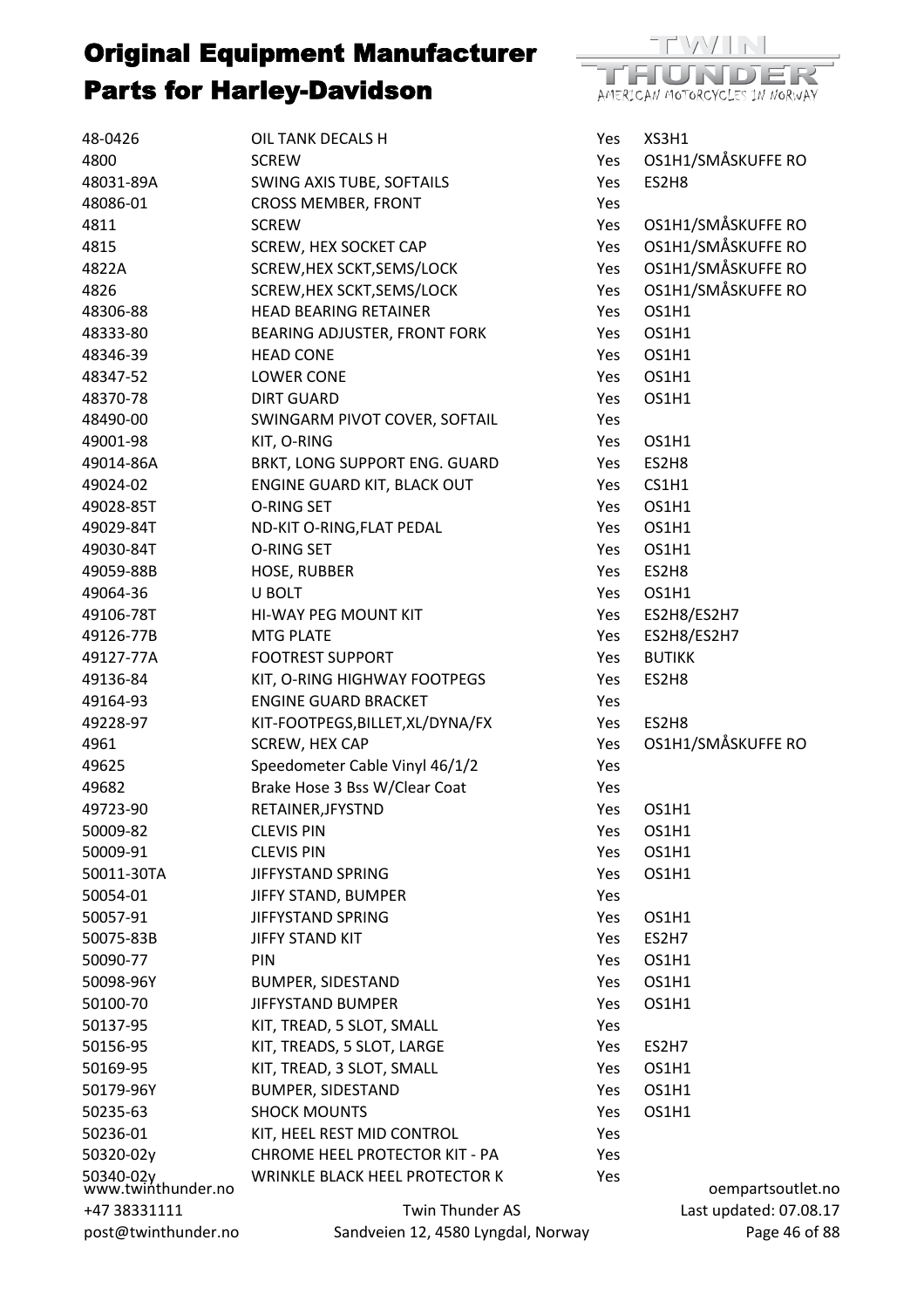

| 48-0426                         | OIL TANK DECALS H                     | Yes | XS3H1                  |
|---------------------------------|---------------------------------------|-----|------------------------|
| 4800                            | <b>SCREW</b>                          | Yes | OS1H1/SMÅSKUFFE RO     |
| 48031-89A                       | SWING AXIS TUBE, SOFTAILS             | Yes | ES2H8                  |
| 48086-01                        | <b>CROSS MEMBER, FRONT</b>            | Yes |                        |
| 4811                            | <b>SCREW</b>                          | Yes | OS1H1/SMÅSKUFFE RO     |
| 4815                            | SCREW, HEX SOCKET CAP                 | Yes | OS1H1/SMÅSKUFFE RO     |
| 4822A                           | SCREW, HEX SCKT, SEMS/LOCK            | Yes | OS1H1/SMÅSKUFFE RO     |
| 4826                            | SCREW, HEX SCKT, SEMS/LOCK            | Yes | OS1H1/SMÅSKUFFE RO     |
| 48306-88                        | <b>HEAD BEARING RETAINER</b>          | Yes | OS1H1                  |
| 48333-80                        | BEARING ADJUSTER, FRONT FORK          | Yes | OS1H1                  |
| 48346-39                        | <b>HEAD CONE</b>                      | Yes | OS1H1                  |
| 48347-52                        | <b>LOWER CONE</b>                     | Yes | OS1H1                  |
| 48370-78                        | <b>DIRT GUARD</b>                     | Yes | OS1H1                  |
| 48490-00                        | SWINGARM PIVOT COVER, SOFTAIL         | Yes |                        |
| 49001-98                        | KIT, O-RING                           | Yes | OS1H1                  |
| 49014-86A                       | BRKT, LONG SUPPORT ENG. GUARD         | Yes | ES2H8                  |
| 49024-02                        | ENGINE GUARD KIT, BLACK OUT           | Yes | CS1H1                  |
| 49028-85T                       | O-RING SET                            | Yes | OS1H1                  |
| 49029-84T                       | ND-KIT O-RING, FLAT PEDAL             | Yes | OS1H1                  |
| 49030-84T                       | O-RING SET                            | Yes | OS1H1                  |
| 49059-88B                       | <b>HOSE, RUBBER</b>                   | Yes | ES2H8                  |
| 49064-36                        | U BOLT                                | Yes | OS1H1                  |
| 49106-78T                       | HI-WAY PEG MOUNT KIT                  | Yes | ES2H8/ES2H7            |
| 49126-77B                       | <b>MTG PLATE</b>                      | Yes | ES2H8/ES2H7            |
| 49127-77A                       | <b>FOOTREST SUPPORT</b>               | Yes | <b>BUTIKK</b>          |
| 49136-84                        | KIT, O-RING HIGHWAY FOOTPEGS          | Yes | ES2H8                  |
| 49164-93                        | <b>ENGINE GUARD BRACKET</b>           | Yes |                        |
| 49228-97                        | KIT-FOOTPEGS, BILLET, XL/DYNA/FX      | Yes | ES2H8                  |
| 4961                            | SCREW, HEX CAP                        | Yes | OS1H1/SMÅSKUFFE RO     |
| 49625                           | Speedometer Cable Vinyl 46/1/2        | Yes |                        |
| 49682                           | Brake Hose 3 Bss W/Clear Coat         | Yes |                        |
| 49723-90                        | RETAINER, JFYSTND                     | Yes | OS1H1                  |
| 50009-82                        | <b>CLEVIS PIN</b>                     | Yes | OS1H1                  |
| 50009-91                        | <b>CLEVIS PIN</b>                     | Yes | OS1H1                  |
| 50011-30TA                      | JIFFYSTAND SPRING                     | Yes | OS1H1                  |
| 50054-01                        | JIFFY STAND, BUMPER                   | Yes |                        |
| 50057-91                        | JIFFYSTAND SPRING                     | Yes | OS1H1                  |
| 50075-83B                       | <b>JIFFY STAND KIT</b>                | Yes | ES2H7                  |
| 50090-77                        | <b>PIN</b>                            | Yes | OS1H1                  |
| 50098-96Y                       | <b>BUMPER, SIDESTAND</b>              | Yes | OS1H1                  |
| 50100-70                        | JIFFYSTAND BUMPER                     | Yes | OS1H1                  |
| 50137-95                        | KIT, TREAD, 5 SLOT, SMALL             | Yes |                        |
| 50156-95                        | KIT, TREADS, 5 SLOT, LARGE            | Yes | ES2H7                  |
| 50169-95                        | KIT, TREAD, 3 SLOT, SMALL             | Yes | OS1H1                  |
| 50179-96Y                       | <b>BUMPER, SIDESTAND</b>              | Yes | OS1H1                  |
| 50235-63                        | <b>SHOCK MOUNTS</b>                   | Yes | OS1H1                  |
| 50236-01                        | KIT, HEEL REST MID CONTROL            | Yes |                        |
| 50320-02y                       | <b>CHROME HEEL PROTECTOR KIT - PA</b> | Yes |                        |
|                                 | WRINKLE BLACK HEEL PROTECTOR K        | Yes |                        |
| 50340-02y<br>www.twinthunder.no |                                       |     | oempartsoutlet.no      |
| +47 38331111                    | Twin Thunder AS                       |     | Last updated: 07.08.17 |
| post@twinthunder.no             | Sandveien 12, 4580 Lyngdal, Norway    |     | Page 46 of 88          |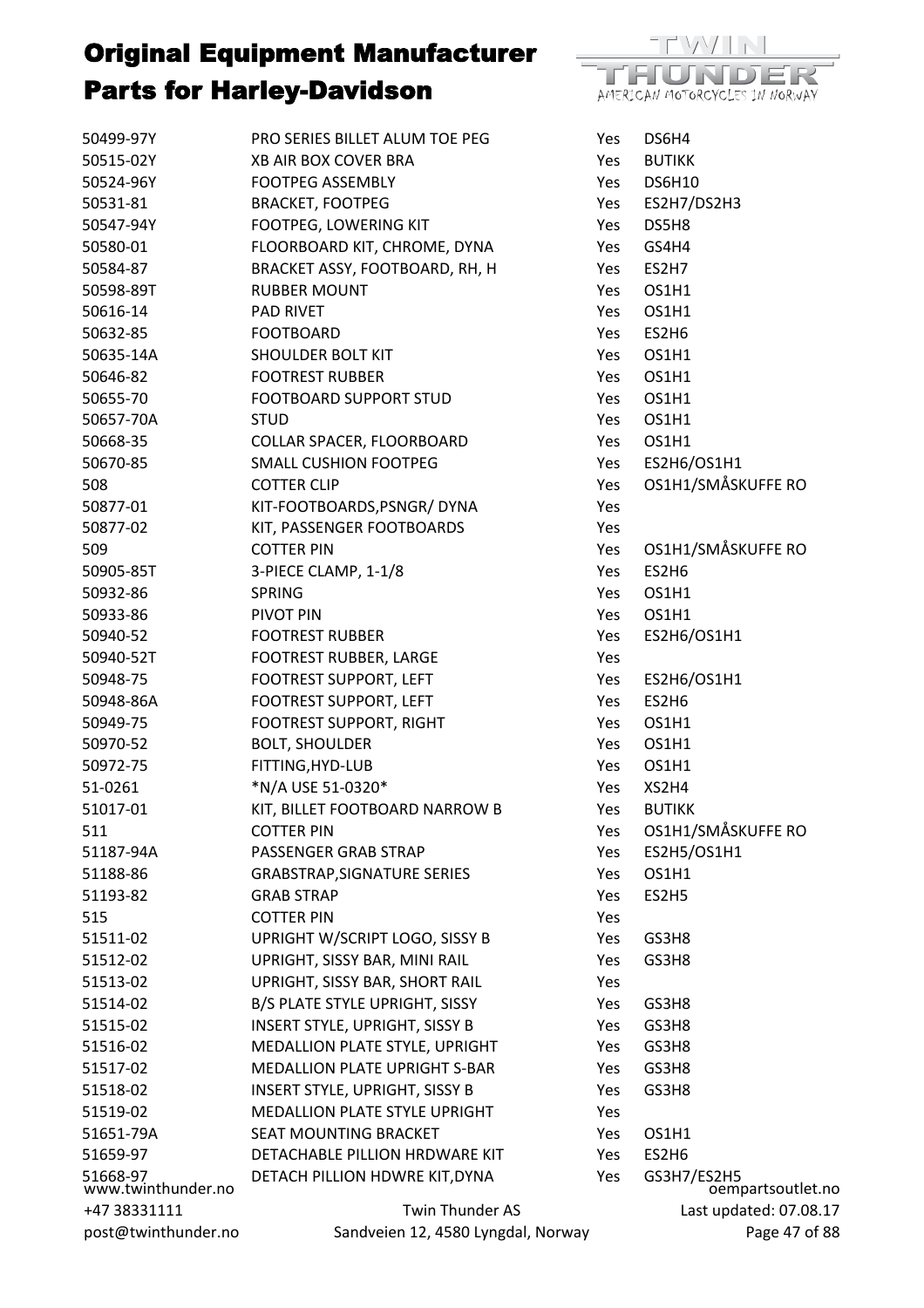

| 50499-97Y                      | PRO SERIES BILLET ALUM TOE PEG        | Yes | DS6H4                            |
|--------------------------------|---------------------------------------|-----|----------------------------------|
| 50515-02Y                      | XB AIR BOX COVER BRA                  | Yes | <b>BUTIKK</b>                    |
| 50524-96Y                      | <b>FOOTPEG ASSEMBLY</b>               | Yes | <b>DS6H10</b>                    |
| 50531-81                       | <b>BRACKET, FOOTPEG</b>               | Yes | ES2H7/DS2H3                      |
| 50547-94Y                      | FOOTPEG, LOWERING KIT                 | Yes | DS5H8                            |
| 50580-01                       | FLOORBOARD KIT, CHROME, DYNA          | Yes | GS4H4                            |
| 50584-87                       | BRACKET ASSY, FOOTBOARD, RH, H        | Yes | ES2H7                            |
| 50598-89T                      | <b>RUBBER MOUNT</b>                   | Yes | OS1H1                            |
| 50616-14                       | <b>PAD RIVET</b>                      | Yes | OS1H1                            |
| 50632-85                       | <b>FOOTBOARD</b>                      | Yes | ES2H6                            |
| 50635-14A                      | <b>SHOULDER BOLT KIT</b>              | Yes | OS1H1                            |
| 50646-82                       | <b>FOOTREST RUBBER</b>                | Yes | OS1H1                            |
| 50655-70                       | FOOTBOARD SUPPORT STUD                | Yes | OS1H1                            |
| 50657-70A                      | <b>STUD</b>                           | Yes | OS1H1                            |
| 50668-35                       | COLLAR SPACER, FLOORBOARD             | Yes | OS1H1                            |
| 50670-85                       | <b>SMALL CUSHION FOOTPEG</b>          | Yes | ES2H6/OS1H1                      |
| 508                            | <b>COTTER CLIP</b>                    | Yes | OS1H1/SMÅSKUFFE RO               |
| 50877-01                       | KIT-FOOTBOARDS, PSNGR/DYNA            | Yes |                                  |
| 50877-02                       | KIT, PASSENGER FOOTBOARDS             | Yes |                                  |
| 509                            | <b>COTTER PIN</b>                     | Yes | OS1H1/SMÅSKUFFE RO               |
| 50905-85T                      | 3-PIECE CLAMP, 1-1/8                  | Yes | ES2H6                            |
| 50932-86                       | <b>SPRING</b>                         | Yes | OS1H1                            |
| 50933-86                       | PIVOT PIN                             | Yes | OS1H1                            |
| 50940-52                       | <b>FOOTREST RUBBER</b>                | Yes | ES2H6/OS1H1                      |
| 50940-52T                      | FOOTREST RUBBER, LARGE                | Yes |                                  |
| 50948-75                       | FOOTREST SUPPORT, LEFT                | Yes | ES2H6/OS1H1                      |
| 50948-86A                      | FOOTREST SUPPORT, LEFT                | Yes | ES2H6                            |
| 50949-75                       | <b>FOOTREST SUPPORT, RIGHT</b>        | Yes | OS1H1                            |
| 50970-52                       | <b>BOLT, SHOULDER</b>                 | Yes | OS1H1                            |
| 50972-75                       | FITTING, HYD-LUB                      | Yes | OS1H1                            |
| 51-0261                        | *N/A USE 51-0320*                     | Yes | XS2H4                            |
| 51017-01                       | KIT, BILLET FOOTBOARD NARROW B        | Yes | <b>BUTIKK</b>                    |
| 511                            | <b>COTTER PIN</b>                     | Yes | OS1H1/SMÅSKUFFE RO               |
| 51187-94A                      | PASSENGER GRAB STRAP                  | Yes | ES2H5/OS1H1                      |
| 51188-86                       | <b>GRABSTRAP, SIGNATURE SERIES</b>    | Yes | OS1H1                            |
| 51193-82                       | <b>GRAB STRAP</b>                     | Yes | ES2H5                            |
| 515                            | <b>COTTER PIN</b>                     | Yes |                                  |
| 51511-02                       | UPRIGHT W/SCRIPT LOGO, SISSY B        | Yes | GS3H8                            |
| 51512-02                       | UPRIGHT, SISSY BAR, MINI RAIL         | Yes | GS3H8                            |
| 51513-02                       | UPRIGHT, SISSY BAR, SHORT RAIL        | Yes |                                  |
| 51514-02                       | B/S PLATE STYLE UPRIGHT, SISSY        | Yes | GS3H8                            |
| 51515-02                       | <b>INSERT STYLE, UPRIGHT, SISSY B</b> | Yes | GS3H8                            |
| 51516-02                       | MEDALLION PLATE STYLE, UPRIGHT        | Yes | GS3H8                            |
| 51517-02                       | <b>MEDALLION PLATE UPRIGHT S-BAR</b>  | Yes | GS3H8                            |
| 51518-02                       | <b>INSERT STYLE, UPRIGHT, SISSY B</b> | Yes | GS3H8                            |
| 51519-02                       | MEDALLION PLATE STYLE UPRIGHT         | Yes |                                  |
| 51651-79A                      | <b>SEAT MOUNTING BRACKET</b>          | Yes | OS1H1                            |
| 51659-97                       | DETACHABLE PILLION HRDWARE KIT        | Yes | ES2H6                            |
| 51668-97<br>www.twinthunder.no | DETACH PILLION HDWRE KIT, DYNA        | Yes | GS3H7/ES2H5<br>oempartsoutlet.no |
| +47 38331111                   | Twin Thunder AS                       |     | Last updated: 07.08.17           |
| post@twinthunder.no            | Sandveien 12, 4580 Lyngdal, Norway    |     | Page 47 of 88                    |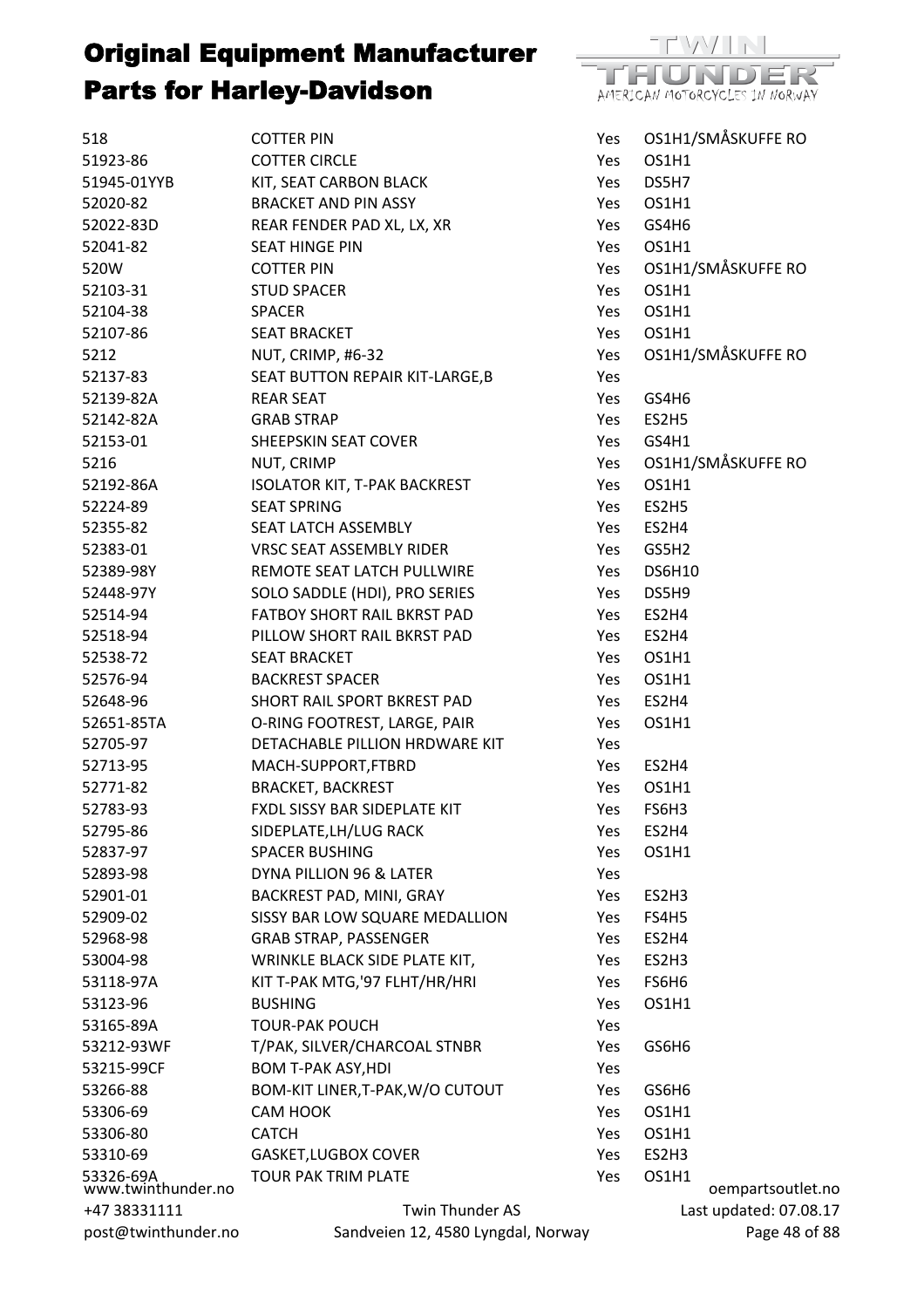

| 518                             | <b>COTTER PIN</b>                   | Yes        | OS1H1/SMÅSKUFFE RO     |
|---------------------------------|-------------------------------------|------------|------------------------|
| 51923-86                        | <b>COTTER CIRCLE</b>                | Yes        | OS1H1                  |
| 51945-01YYB                     | KIT, SEAT CARBON BLACK              | Yes        | DS5H7                  |
| 52020-82                        | <b>BRACKET AND PIN ASSY</b>         | Yes.       | OS1H1                  |
| 52022-83D                       | REAR FENDER PAD XL, LX, XR          | Yes        | GS4H6                  |
| 52041-82                        | <b>SEAT HINGE PIN</b>               | Yes        | OS1H1                  |
| 520W                            | <b>COTTER PIN</b>                   | Yes        | OS1H1/SMÅSKUFFE RO     |
| 52103-31                        | <b>STUD SPACER</b>                  | Yes        | OS1H1                  |
| 52104-38                        | <b>SPACER</b>                       | Yes        | OS1H1                  |
| 52107-86                        | <b>SEAT BRACKET</b>                 | Yes        | OS1H1                  |
| 5212                            | NUT, CRIMP, #6-32                   | Yes        | OS1H1/SMÅSKUFFE RO     |
| 52137-83                        | SEAT BUTTON REPAIR KIT-LARGE, B     | Yes        |                        |
| 52139-82A                       | <b>REAR SEAT</b>                    | Yes        | GS4H6                  |
| 52142-82A                       | <b>GRAB STRAP</b>                   | Yes        | ES2H5                  |
| 52153-01                        | SHEEPSKIN SEAT COVER                | Yes        | GS4H1                  |
| 5216                            | NUT, CRIMP                          | Yes        | OS1H1/SMÅSKUFFE RO     |
| 52192-86A                       | <b>ISOLATOR KIT, T-PAK BACKREST</b> | Yes        | OS1H1                  |
| 52224-89                        | <b>SEAT SPRING</b>                  | Yes        | ES2H5                  |
| 52355-82                        | SEAT LATCH ASSEMBLY                 | Yes        | ES2H4                  |
| 52383-01                        | <b>VRSC SEAT ASSEMBLY RIDER</b>     | Yes        | GS5H2                  |
| 52389-98Y                       | REMOTE SEAT LATCH PULLWIRE          | Yes        | <b>DS6H10</b>          |
| 52448-97Y                       | SOLO SADDLE (HDI), PRO SERIES       | Yes        | DS5H9                  |
| 52514-94                        | FATBOY SHORT RAIL BKRST PAD         | Yes.       | ES2H4                  |
| 52518-94                        | PILLOW SHORT RAIL BKRST PAD         | Yes.       | ES2H4                  |
| 52538-72                        | <b>SEAT BRACKET</b>                 | Yes        | OS1H1                  |
| 52576-94                        | <b>BACKREST SPACER</b>              | Yes        | OS1H1                  |
| 52648-96                        | SHORT RAIL SPORT BKREST PAD         | Yes        | ES2H4                  |
| 52651-85TA                      | O-RING FOOTREST, LARGE, PAIR        | Yes        | OS1H1                  |
| 52705-97                        | DETACHABLE PILLION HRDWARE KIT      | Yes        |                        |
| 52713-95                        | MACH-SUPPORT, FTBRD                 | Yes        | ES2H4                  |
| 52771-82                        | <b>BRACKET, BACKREST</b>            | Yes        | OS1H1                  |
| 52783-93                        | FXDL SISSY BAR SIDEPLATE KIT        | Yes        | FS6H3                  |
| 52795-86                        | SIDEPLATE, LH/LUG RACK              | Yes        | ES2H4                  |
| 52837-97                        | <b>SPACER BUSHING</b>               | Yes        | OS1H1                  |
| 52893-98                        | DYNA PILLION 96 & LATER             | Yes        |                        |
| 52901-01                        | BACKREST PAD, MINI, GRAY            | Yes        | ES2H3                  |
| 52909-02                        | SISSY BAR LOW SQUARE MEDALLION      | Yes        | FS4H5                  |
| 52968-98                        | <b>GRAB STRAP, PASSENGER</b>        | Yes        | ES2H4                  |
| 53004-98                        | WRINKLE BLACK SIDE PLATE KIT,       | Yes        | ES2H3                  |
| 53118-97A                       | KIT T-PAK MTG, '97 FLHT/HR/HRI      | Yes        | FS6H6                  |
| 53123-96                        | <b>BUSHING</b>                      | <b>Yes</b> | OS1H1                  |
| 53165-89A                       | <b>TOUR-PAK POUCH</b>               | Yes        |                        |
| 53212-93WF                      | T/PAK, SILVER/CHARCOAL STNBR        | Yes        | GS6H6                  |
| 53215-99CF                      | <b>BOM T-PAK ASY, HDI</b>           | Yes        |                        |
| 53266-88                        | BOM-KIT LINER, T-PAK, W/O CUTOUT    | Yes        | GS6H6                  |
| 53306-69                        | CAM HOOK                            | Yes        | OS1H1                  |
|                                 | <b>CATCH</b>                        |            | OS1H1                  |
| 53306-80<br>53310-69            | <b>GASKET, LUGBOX COVER</b>         | Yes<br>Yes | ES2H3                  |
|                                 | <b>TOUR PAK TRIM PLATE</b>          | Yes        | OS1H1                  |
| 53326-69A<br>www.twinthunder.no |                                     |            | oempartsoutlet.no      |
| +47 38331111                    | Twin Thunder AS                     |            | Last updated: 07.08.17 |
| post@twinthunder.no             | Sandveien 12, 4580 Lyngdal, Norway  |            | Page 48 of 88          |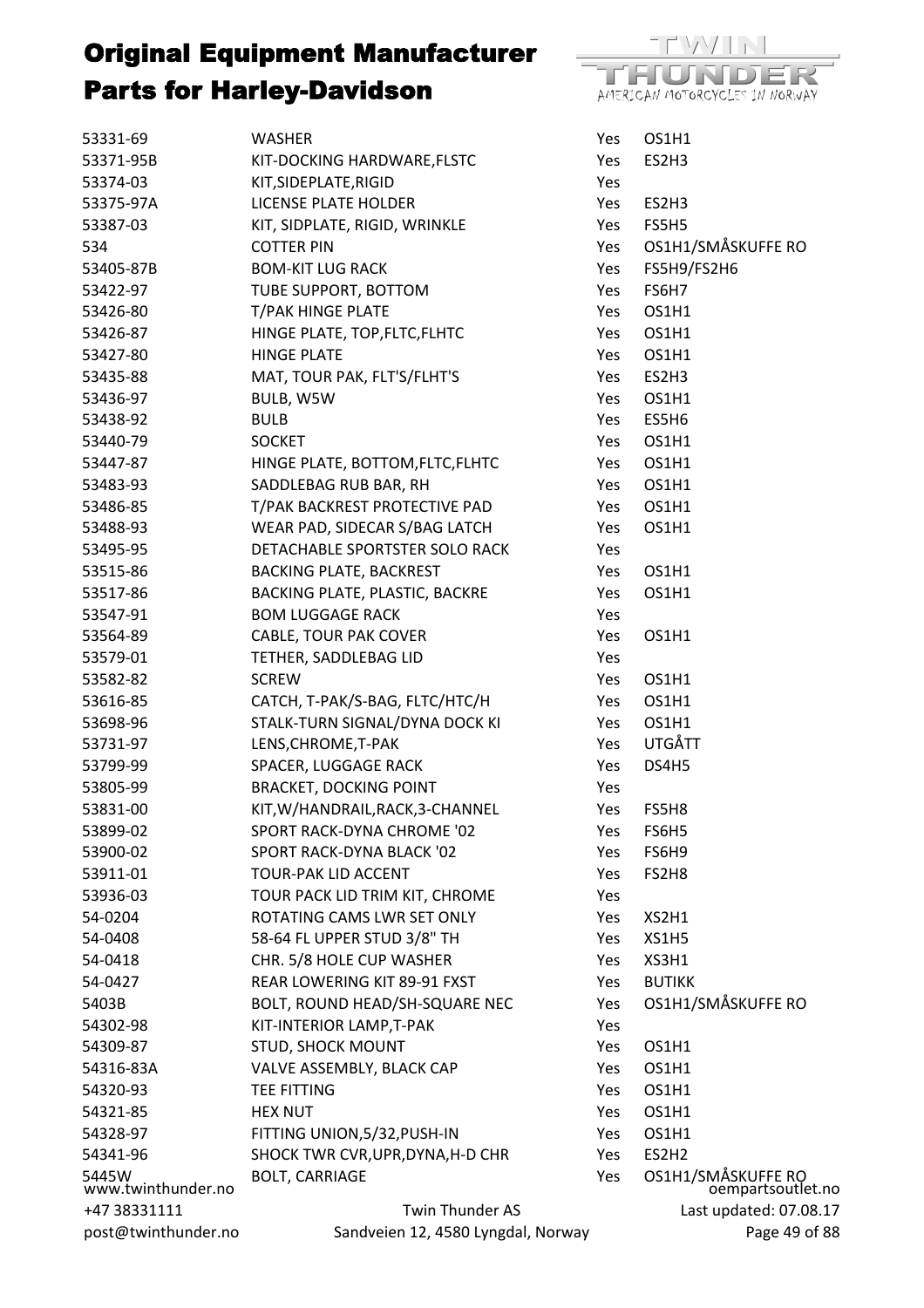

| 53331-69                    | WASHER                                                       | Yes        | OS1H1                                   |
|-----------------------------|--------------------------------------------------------------|------------|-----------------------------------------|
| 53371-95B                   | KIT-DOCKING HARDWARE, FLSTC                                  | Yes        | ES2H3                                   |
| 53374-03                    | KIT, SIDEPLATE, RIGID                                        | Yes        |                                         |
| 53375-97A                   | <b>LICENSE PLATE HOLDER</b>                                  | Yes        | ES2H3                                   |
| 53387-03                    | KIT, SIDPLATE, RIGID, WRINKLE                                | Yes        | FS5H5                                   |
| 534                         | <b>COTTER PIN</b>                                            | Yes        | OS1H1/SMÅSKUFFE RO                      |
| 53405-87B                   | <b>BOM-KIT LUG RACK</b>                                      | Yes        | FS5H9/FS2H6                             |
| 53422-97                    | TUBE SUPPORT, BOTTOM                                         | Yes        | FS6H7                                   |
| 53426-80                    | <b>T/PAK HINGE PLATE</b>                                     | Yes        | OS1H1                                   |
| 53426-87                    | HINGE PLATE, TOP, FLTC, FLHTC                                | Yes        | OS1H1                                   |
| 53427-80                    | <b>HINGE PLATE</b>                                           | Yes        | OS1H1                                   |
| 53435-88                    | MAT, TOUR PAK, FLT'S/FLHT'S                                  | Yes        | ES2H3                                   |
| 53436-97                    | BULB, W5W                                                    | Yes        | OS1H1                                   |
| 53438-92                    | <b>BULB</b>                                                  | Yes        | ES5H6                                   |
| 53440-79                    | <b>SOCKET</b>                                                | Yes        | OS1H1                                   |
| 53447-87                    | HINGE PLATE, BOTTOM, FLTC, FLHTC                             | Yes        | OS1H1                                   |
| 53483-93                    | SADDLEBAG RUB BAR, RH                                        | Yes        | OS1H1                                   |
| 53486-85                    | T/PAK BACKREST PROTECTIVE PAD                                | Yes        | OS1H1                                   |
| 53488-93                    | WEAR PAD, SIDECAR S/BAG LATCH                                | Yes        | OS1H1                                   |
| 53495-95                    | DETACHABLE SPORTSTER SOLO RACK                               | Yes        |                                         |
| 53515-86                    | <b>BACKING PLATE, BACKREST</b>                               | Yes        | OS1H1                                   |
| 53517-86                    | BACKING PLATE, PLASTIC, BACKRE                               | Yes        | OS1H1                                   |
| 53547-91                    | <b>BOM LUGGAGE RACK</b>                                      | Yes        |                                         |
| 53564-89                    | CABLE, TOUR PAK COVER                                        | Yes        | OS1H1                                   |
| 53579-01                    | TETHER, SADDLEBAG LID                                        | Yes        |                                         |
| 53582-82                    | <b>SCREW</b>                                                 | Yes        | OS1H1                                   |
| 53616-85                    | CATCH, T-PAK/S-BAG, FLTC/HTC/H                               | Yes        | OS1H1                                   |
| 53698-96                    | STALK-TURN SIGNAL/DYNA DOCK KI                               | Yes        | OS1H1                                   |
| 53731-97                    | LENS, CHROME, T-PAK                                          | Yes        | UTGÅTT                                  |
| 53799-99                    | SPACER, LUGGAGE RACK                                         | Yes        | DS4H5                                   |
| 53805-99                    | <b>BRACKET, DOCKING POINT</b>                                | Yes        |                                         |
| 53831-00                    | KIT, W/HANDRAIL, RACK, 3-CHANNEL                             | Yes        | FS5H8                                   |
| 53899-02                    | SPORT RACK-DYNA CHROME '02                                   |            | FS6H5                                   |
| 53900-02                    | SPORT RACK-DYNA BLACK '02                                    | Yes<br>Yes | FS6H9                                   |
| 53911-01                    | <b>TOUR-PAK LID ACCENT</b>                                   | Yes        | FS2H8                                   |
|                             |                                                              |            |                                         |
| 53936-03                    | TOUR PACK LID TRIM KIT, CHROME<br>ROTATING CAMS LWR SET ONLY | Yes        |                                         |
| 54-0204                     |                                                              | Yes        | XS2H1                                   |
| 54-0408                     | 58-64 FL UPPER STUD 3/8" TH                                  | Yes        | XS1H5                                   |
| 54-0418                     | CHR. 5/8 HOLE CUP WASHER                                     | Yes        | XS3H1                                   |
| 54-0427                     | REAR LOWERING KIT 89-91 FXST                                 | Yes        | <b>BUTIKK</b>                           |
| 5403B                       | BOLT, ROUND HEAD/SH-SQUARE NEC                               | Yes        | OS1H1/SMÅSKUFFE RO                      |
| 54302-98                    | KIT-INTERIOR LAMP, T-PAK                                     | Yes        |                                         |
| 54309-87                    | <b>STUD, SHOCK MOUNT</b>                                     | Yes        | OS1H1                                   |
| 54316-83A                   | VALVE ASSEMBLY, BLACK CAP                                    | Yes        | OS1H1                                   |
| 54320-93                    | <b>TEE FITTING</b>                                           | Yes        | OS1H1                                   |
| 54321-85                    | <b>HEX NUT</b>                                               | Yes        | OS1H1                                   |
| 54328-97                    | FITTING UNION, 5/32, PUSH-IN                                 | Yes        | OS1H1                                   |
| 54341-96                    | SHOCK TWR CVR, UPR, DYNA, H-D CHR                            | Yes        | ES2H <sub>2</sub>                       |
| 5445W<br>www.twinthunder.no | <b>BOLT, CARRIAGE</b>                                        | Yes        | OS1H1/SMÅSKUFFE RO<br>oempartsoutlet.no |
| +47 38331111                | Twin Thunder AS                                              |            | Last updated: 07.08.17                  |
| post@twinthunder.no         | Sandveien 12, 4580 Lyngdal, Norway                           |            | Page 49 of 88                           |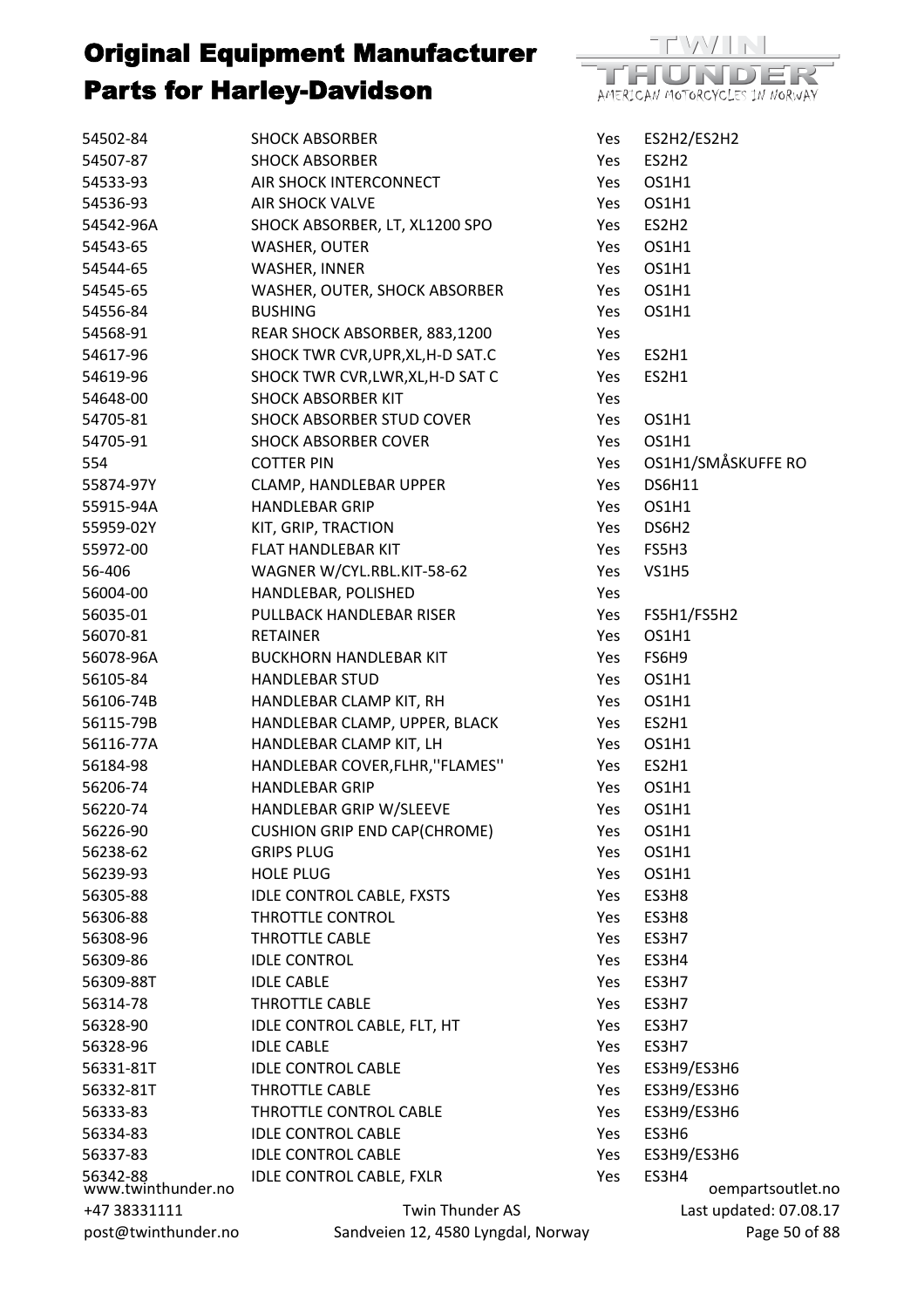

| 54502-84                       | <b>SHOCK ABSORBER</b>               | Yes | ES2H2/ES2H2            |
|--------------------------------|-------------------------------------|-----|------------------------|
| 54507-87                       | <b>SHOCK ABSORBER</b>               | Yes | ES2H <sub>2</sub>      |
| 54533-93                       | AIR SHOCK INTERCONNECT              | Yes | OS1H1                  |
| 54536-93                       | <b>AIR SHOCK VALVE</b>              | Yes | OS1H1                  |
| 54542-96A                      | SHOCK ABSORBER, LT, XL1200 SPO      | Yes | ES2H <sub>2</sub>      |
| 54543-65                       | <b>WASHER, OUTER</b>                | Yes | OS1H1                  |
| 54544-65                       | WASHER, INNER                       | Yes | OS1H1                  |
| 54545-65                       | WASHER, OUTER, SHOCK ABSORBER       | Yes | OS1H1                  |
| 54556-84                       | <b>BUSHING</b>                      | Yes | OS1H1                  |
| 54568-91                       | REAR SHOCK ABSORBER, 883,1200       | Yes |                        |
| 54617-96                       | SHOCK TWR CVR, UPR, XL, H-D SAT.C   | Yes | ES2H1                  |
| 54619-96                       | SHOCK TWR CVR, LWR, XL, H-D SAT C   | Yes | ES2H1                  |
| 54648-00                       | <b>SHOCK ABSORBER KIT</b>           | Yes |                        |
| 54705-81                       | SHOCK ABSORBER STUD COVER           | Yes | OS1H1                  |
| 54705-91                       | <b>SHOCK ABSORBER COVER</b>         | Yes | OS1H1                  |
| 554                            | <b>COTTER PIN</b>                   | Yes | OS1H1/SMÅSKUFFE RO     |
| 55874-97Y                      |                                     | Yes | <b>DS6H11</b>          |
|                                | CLAMP, HANDLEBAR UPPER              |     |                        |
| 55915-94A                      | <b>HANDLEBAR GRIP</b>               | Yes | OS1H1                  |
| 55959-02Y                      | KIT, GRIP, TRACTION                 | Yes | DS6H <sub>2</sub>      |
| 55972-00                       | FLAT HANDLEBAR KIT                  | Yes | FS5H3                  |
| 56-406                         | WAGNER W/CYL.RBL.KIT-58-62          | Yes | <b>VS1H5</b>           |
| 56004-00                       | HANDLEBAR, POLISHED                 | Yes |                        |
| 56035-01                       | PULLBACK HANDLEBAR RISER            | Yes | FS5H1/FS5H2            |
| 56070-81                       | <b>RETAINER</b>                     | Yes | OS1H1                  |
| 56078-96A                      | <b>BUCKHORN HANDLEBAR KIT</b>       | Yes | FS6H9                  |
| 56105-84                       | <b>HANDLEBAR STUD</b>               | Yes | OS1H1                  |
| 56106-74B                      | HANDLEBAR CLAMP KIT, RH             | Yes | OS1H1                  |
| 56115-79B                      | HANDLEBAR CLAMP, UPPER, BLACK       | Yes | ES2H1                  |
| 56116-77A                      | HANDLEBAR CLAMP KIT, LH             | Yes | OS1H1                  |
| 56184-98                       | HANDLEBAR COVER, FLHR, "FLAMES"     | Yes | ES2H1                  |
| 56206-74                       | <b>HANDLEBAR GRIP</b>               | Yes | OS1H1                  |
| 56220-74                       | HANDLEBAR GRIP W/SLEEVE             | Yes | OS1H1                  |
| 56226-90                       | <b>CUSHION GRIP END CAP(CHROME)</b> | Yes | OS1H1                  |
| 56238-62                       | <b>GRIPS PLUG</b>                   | Yes | OS1H1                  |
| 56239-93                       | <b>HOLE PLUG</b>                    | Yes | OS1H1                  |
| 56305-88                       | <b>IDLE CONTROL CABLE, FXSTS</b>    | Yes | ES3H8                  |
| 56306-88                       | <b>THROTTLE CONTROL</b>             | Yes | ES3H8                  |
| 56308-96                       | THROTTLE CABLE                      | Yes | ES3H7                  |
| 56309-86                       | <b>IDLE CONTROL</b>                 | Yes | ES3H4                  |
| 56309-88T                      | <b>IDLE CABLE</b>                   | Yes | ES3H7                  |
| 56314-78                       | THROTTLE CABLE                      | Yes | ES3H7                  |
| 56328-90                       | IDLE CONTROL CABLE, FLT, HT         | Yes | ES3H7                  |
| 56328-96                       | <b>IDLE CABLE</b>                   | Yes | ES3H7                  |
| 56331-81T                      | <b>IDLE CONTROL CABLE</b>           | Yes | ES3H9/ES3H6            |
| 56332-81T                      | <b>THROTTLE CABLE</b>               | Yes | ES3H9/ES3H6            |
| 56333-83                       | THROTTLE CONTROL CABLE              | Yes | ES3H9/ES3H6            |
| 56334-83                       | <b>IDLE CONTROL CABLE</b>           | Yes | ES3H6                  |
| 56337-83                       | <b>IDLE CONTROL CABLE</b>           | Yes | ES3H9/ES3H6            |
| 56342-88<br>www.twinthunder.no | <b>IDLE CONTROL CABLE, FXLR</b>     | Yes | ES3H4                  |
|                                |                                     |     | oempartsoutlet.no      |
| +47 38331111                   | Twin Thunder AS                     |     | Last updated: 07.08.17 |
| post@twinthunder.no            | Sandveien 12, 4580 Lyngdal, Norway  |     | Page 50 of 88          |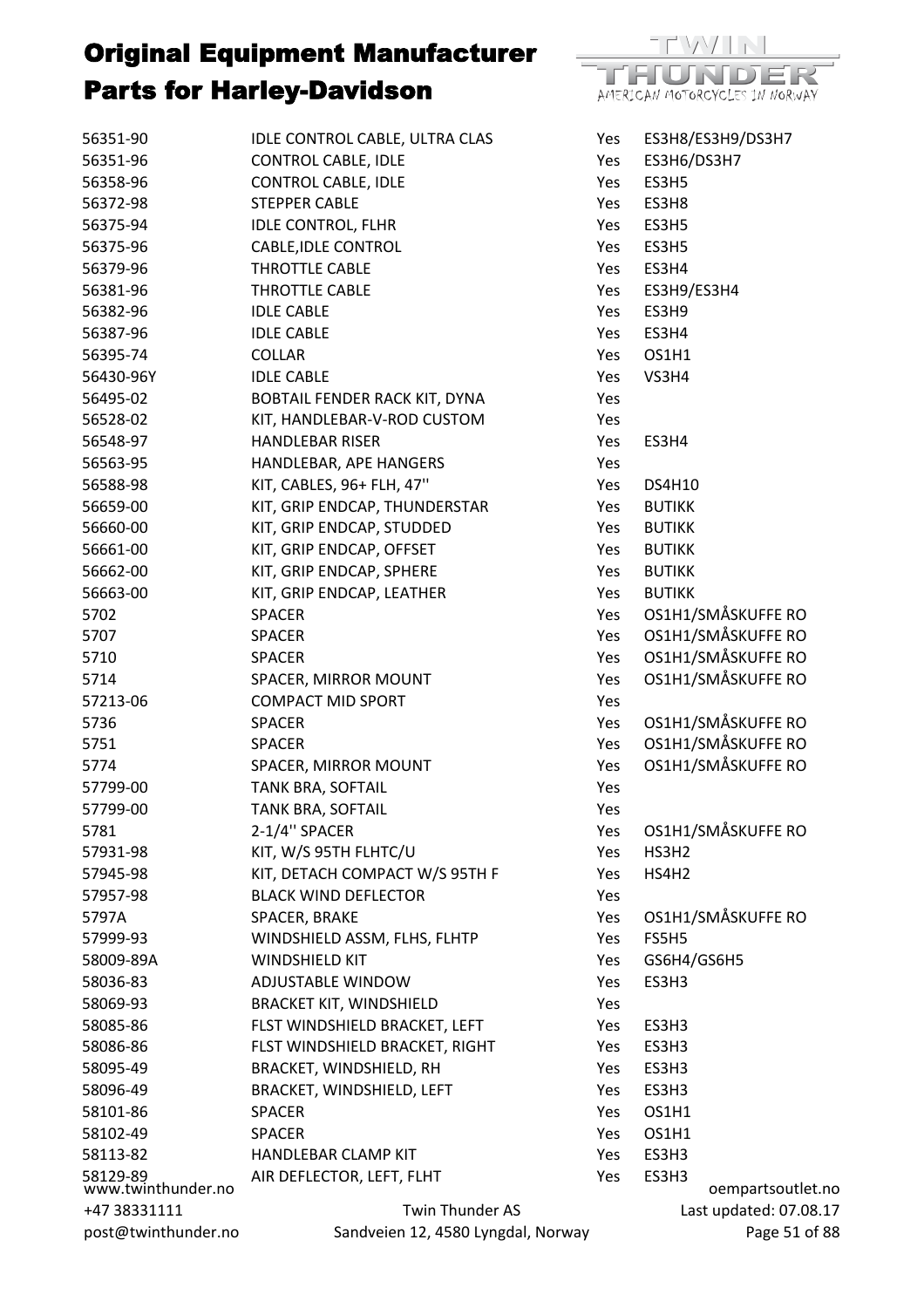

TEVAZITE HUNDE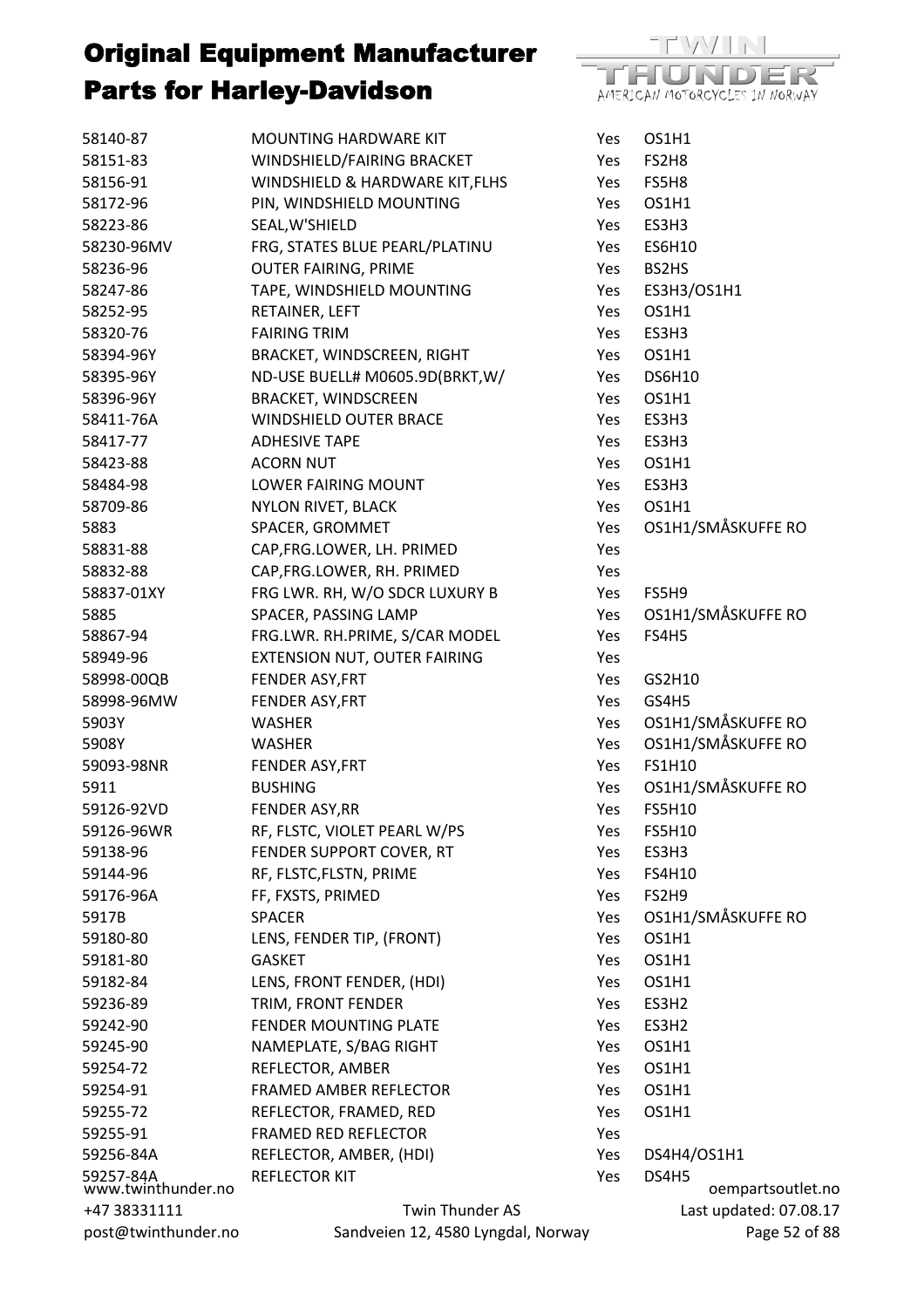

| 58140-87                        | MOUNTING HARDWARE KIT              | Yes | OS1H1                  |
|---------------------------------|------------------------------------|-----|------------------------|
| 58151-83                        | WINDSHIELD/FAIRING BRACKET         | Yes | FS2H8                  |
| 58156-91                        | WINDSHIELD & HARDWARE KIT, FLHS    | Yes | FS5H8                  |
| 58172-96                        | PIN, WINDSHIELD MOUNTING           | Yes | OS1H1                  |
| 58223-86                        | SEAL, W'SHIELD                     | Yes | ES3H3                  |
| 58230-96MV                      | FRG, STATES BLUE PEARL/PLATINU     | Yes | <b>ES6H10</b>          |
| 58236-96                        | <b>OUTER FAIRING, PRIME</b>        | Yes | BS2HS                  |
| 58247-86                        | TAPE, WINDSHIELD MOUNTING          | Yes | ES3H3/OS1H1            |
| 58252-95                        | RETAINER, LEFT                     | Yes | OS1H1                  |
| 58320-76                        | <b>FAIRING TRIM</b>                | Yes | ES3H3                  |
| 58394-96Y                       | BRACKET, WINDSCREEN, RIGHT         | Yes | OS1H1                  |
| 58395-96Y                       | ND-USE BUELL# M0605.9D(BRKT, W/    | Yes | <b>DS6H10</b>          |
| 58396-96Y                       | <b>BRACKET, WINDSCREEN</b>         | Yes | OS1H1                  |
| 58411-76A                       | <b>WINDSHIELD OUTER BRACE</b>      | Yes | ES3H3                  |
| 58417-77                        | <b>ADHESIVE TAPE</b>               | Yes | ES3H3                  |
| 58423-88                        | <b>ACORN NUT</b>                   | Yes | OS1H1                  |
| 58484-98                        | <b>LOWER FAIRING MOUNT</b>         | Yes | ES3H3                  |
| 58709-86                        | NYLON RIVET, BLACK                 | Yes | OS1H1                  |
| 5883                            | SPACER, GROMMET                    | Yes | OS1H1/SMÅSKUFFE RO     |
| 58831-88                        | CAP, FRG.LOWER, LH. PRIMED         | Yes |                        |
| 58832-88                        | CAP, FRG.LOWER, RH. PRIMED         | Yes |                        |
| 58837-01XY                      | FRG LWR. RH, W/O SDCR LUXURY B     | Yes | FS5H9                  |
| 5885                            | SPACER, PASSING LAMP               | Yes | OS1H1/SMÅSKUFFE RO     |
| 58867-94                        | FRG.LWR. RH.PRIME, S/CAR MODEL     | Yes | <b>FS4H5</b>           |
| 58949-96                        | EXTENSION NUT, OUTER FAIRING       | Yes |                        |
| 58998-00QB                      | FENDER ASY, FRT                    | Yes | GS2H10                 |
| 58998-96MW                      | FENDER ASY, FRT                    | Yes | GS4H5                  |
| 5903Y                           | WASHER                             | Yes | OS1H1/SMÅSKUFFE RO     |
| 5908Y                           | <b>WASHER</b>                      | Yes | OS1H1/SMÅSKUFFE RO     |
| 59093-98NR                      | FENDER ASY, FRT                    | Yes | <b>FS1H10</b>          |
| 5911                            | <b>BUSHING</b>                     | Yes | OS1H1/SMÅSKUFFE RO     |
| 59126-92VD                      | <b>FENDER ASY, RR</b>              | Yes | <b>FS5H10</b>          |
| 59126-96WR                      | RF, FLSTC, VIOLET PEARL W/PS       | Yes | <b>FS5H10</b>          |
| 59138-96                        | FENDER SUPPORT COVER, RT           | Yes | ES3H3                  |
| 59144-96                        | RF, FLSTC, FLSTN, PRIME            | Yes | <b>FS4H10</b>          |
| 59176-96A                       | FF, FXSTS, PRIMED                  | Yes | FS2H9                  |
| 5917B                           | <b>SPACER</b>                      | Yes | OS1H1/SMÅSKUFFE RO     |
| 59180-80                        | LENS, FENDER TIP, (FRONT)          | Yes | OS1H1                  |
| 59181-80                        | <b>GASKET</b>                      | Yes | OS1H1                  |
| 59182-84                        | LENS, FRONT FENDER, (HDI)          | Yes | OS1H1                  |
| 59236-89                        | TRIM, FRONT FENDER                 | Yes | ES3H2                  |
| 59242-90                        | FENDER MOUNTING PLATE              | Yes | ES3H2                  |
| 59245-90                        | NAMEPLATE, S/BAG RIGHT             | Yes | OS1H1                  |
| 59254-72                        | REFLECTOR, AMBER                   | Yes | OS1H1                  |
| 59254-91                        | FRAMED AMBER REFLECTOR             | Yes | OS1H1                  |
| 59255-72                        | REFLECTOR, FRAMED, RED             | Yes | OS1H1                  |
| 59255-91                        | <b>FRAMED RED REFLECTOR</b>        | Yes |                        |
| 59256-84A                       | REFLECTOR, AMBER, (HDI)            | Yes | DS4H4/OS1H1            |
|                                 | REFLECTOR KIT                      | Yes | DS4H5                  |
| 59257-84A<br>www.twinthunder.no |                                    |     | oempartsoutlet.no      |
| +47 38331111                    | Twin Thunder AS                    |     | Last updated: 07.08.17 |
| post@twinthunder.no             | Sandveien 12, 4580 Lyngdal, Norway |     | Page 52 of 88          |

 $.08.17$ of 88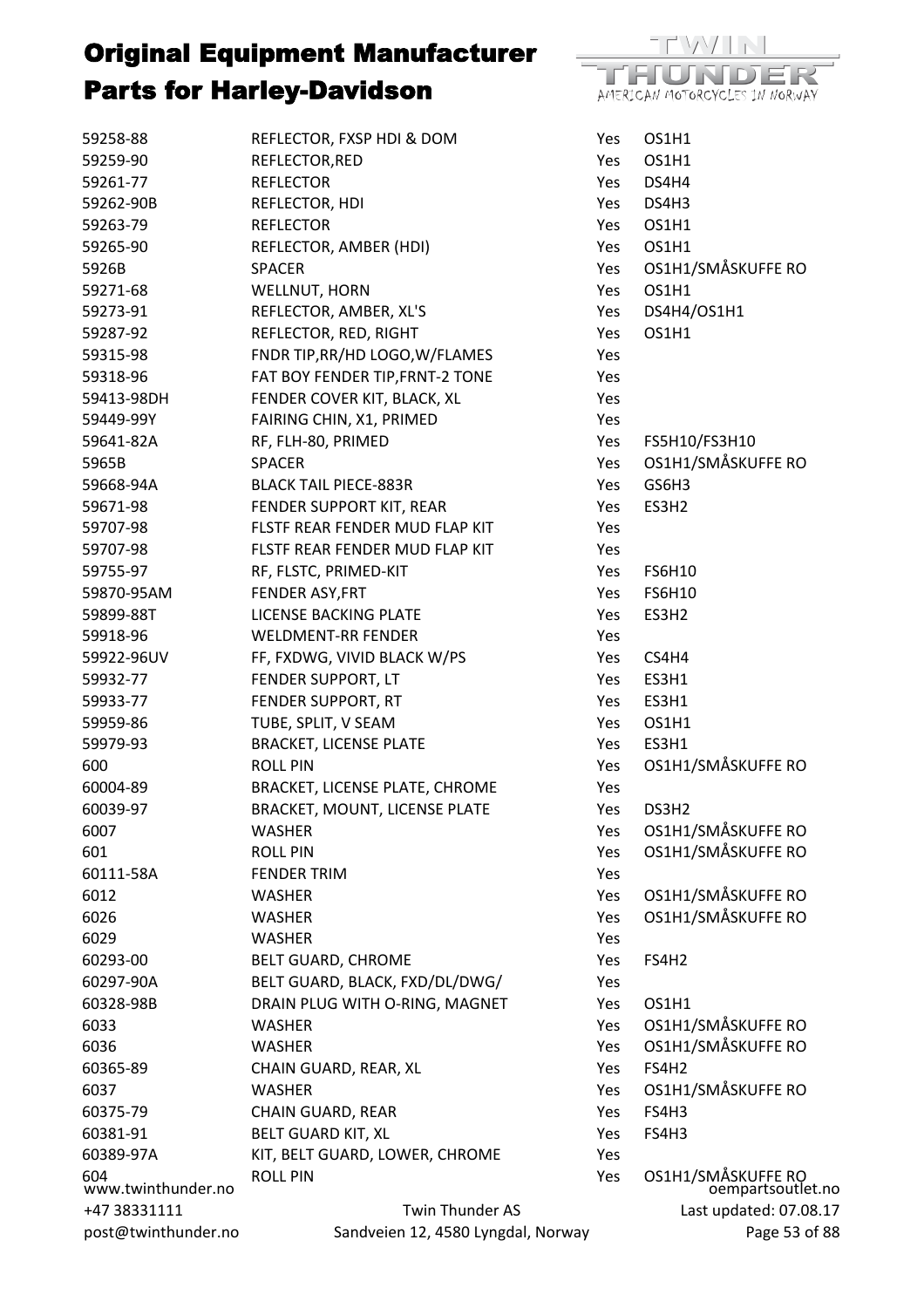

| 59258-88                  | REFLECTOR, FXSP HDI & DOM                                              | Yes        | OS1H1                                   |
|---------------------------|------------------------------------------------------------------------|------------|-----------------------------------------|
| 59259-90                  | REFLECTOR, RED                                                         | Yes        | OS1H1                                   |
| 59261-77                  | <b>REFLECTOR</b>                                                       | Yes        | DS4H4                                   |
| 59262-90B                 | REFLECTOR, HDI                                                         | <b>Yes</b> | DS4H3                                   |
| 59263-79                  | <b>REFLECTOR</b>                                                       | Yes        | OS1H1                                   |
| 59265-90                  | REFLECTOR, AMBER (HDI)                                                 | Yes        | OS1H1                                   |
| 5926B                     | <b>SPACER</b>                                                          | Yes        | OS1H1/SMÅSKUFFE RO                      |
| 59271-68                  | WELLNUT, HORN                                                          | Yes        | OS1H1                                   |
| 59273-91                  | REFLECTOR, AMBER, XL'S                                                 | Yes        | DS4H4/OS1H1                             |
| 59287-92                  | REFLECTOR, RED, RIGHT                                                  | Yes        | OS1H1                                   |
| 59315-98                  | FNDR TIP, RR/HD LOGO, W/FLAMES                                         | Yes        |                                         |
| 59318-96                  | FAT BOY FENDER TIP, FRNT-2 TONE                                        | Yes        |                                         |
| 59413-98DH                | FENDER COVER KIT, BLACK, XL                                            | Yes        |                                         |
| 59449-99Y                 | FAIRING CHIN, X1, PRIMED                                               | Yes        |                                         |
| 59641-82A                 | RF, FLH-80, PRIMED                                                     | Yes        | FS5H10/FS3H10                           |
| 5965B                     | <b>SPACER</b>                                                          | Yes        | OS1H1/SMÅSKUFFE RO                      |
| 59668-94A                 | <b>BLACK TAIL PIECE-883R</b>                                           | Yes        | GS6H3                                   |
| 59671-98                  | FENDER SUPPORT KIT, REAR                                               | Yes        | ES3H2                                   |
| 59707-98                  | FLSTF REAR FENDER MUD FLAP KIT                                         | Yes        |                                         |
| 59707-98                  | FLSTF REAR FENDER MUD FLAP KIT                                         | Yes        |                                         |
| 59755-97                  | RF, FLSTC, PRIMED-KIT                                                  | Yes        | <b>FS6H10</b>                           |
| 59870-95AM                | FENDER ASY, FRT                                                        | Yes        | <b>FS6H10</b>                           |
| 59899-88T                 | LICENSE BACKING PLATE                                                  | Yes        | ES3H2                                   |
| 59918-96                  | <b>WELDMENT-RR FENDER</b>                                              | Yes        |                                         |
| 59922-96UV                | FF, FXDWG, VIVID BLACK W/PS                                            | Yes        | CS4H4                                   |
| 59932-77                  | FENDER SUPPORT, LT                                                     | Yes        | ES3H1                                   |
| 59933-77                  | FENDER SUPPORT, RT                                                     | Yes        | ES3H1                                   |
| 59959-86                  | TUBE, SPLIT, V SEAM                                                    | Yes        | OS1H1                                   |
| 59979-93                  | <b>BRACKET, LICENSE PLATE</b>                                          |            | ES3H1                                   |
|                           |                                                                        | Yes        | OS1H1/SMÅSKUFFE RO                      |
| 600                       | <b>ROLL PIN</b>                                                        | Yes        |                                         |
| 60004-89                  | BRACKET, LICENSE PLATE, CHROME<br><b>BRACKET, MOUNT, LICENSE PLATE</b> | Yes        | DS3H2                                   |
| 60039-97<br>6007          | <b>WASHER</b>                                                          | Yes        | OS1H1/SMÅSKUFFE RO                      |
| 601                       | <b>ROLL PIN</b>                                                        | Yes<br>Yes | OS1H1/SMÅSKUFFE RO                      |
| 60111-58A                 | <b>FENDER TRIM</b>                                                     |            |                                         |
|                           |                                                                        | Yes        | OS1H1/SMÅSKUFFE RO                      |
| 6012                      | <b>WASHER</b>                                                          | Yes        | OS1H1/SMÅSKUFFE RO                      |
| 6026                      | <b>WASHER</b>                                                          | Yes        |                                         |
| 6029                      | <b>WASHER</b>                                                          | Yes        |                                         |
| 60293-00                  | BELT GUARD, CHROME                                                     | Yes        | FS4H2                                   |
| 60297-90A                 | BELT GUARD, BLACK, FXD/DL/DWG/                                         | Yes        |                                         |
| 60328-98B                 | DRAIN PLUG WITH O-RING, MAGNET                                         | Yes        | OS1H1                                   |
| 6033                      | WASHER                                                                 | Yes        | OS1H1/SMÅSKUFFE RO                      |
| 6036                      | <b>WASHER</b>                                                          | Yes        | OS1H1/SMÅSKUFFE RO                      |
| 60365-89                  | CHAIN GUARD, REAR, XL                                                  | Yes        | FS4H2                                   |
| 6037                      | <b>WASHER</b>                                                          | Yes        | OS1H1/SMÅSKUFFE RO                      |
| 60375-79                  | CHAIN GUARD, REAR                                                      | Yes        | FS4H3                                   |
| 60381-91                  | <b>BELT GUARD KIT, XL</b>                                              | Yes        | FS4H3                                   |
| 60389-97A                 | KIT, BELT GUARD, LOWER, CHROME                                         | Yes        |                                         |
| 604<br>www.twinthunder.no | <b>ROLL PIN</b>                                                        | Yes        | OS1H1/SMÅSKUFFE RO<br>oempartsoutlet.no |
| +47 38331111              | Twin Thunder AS                                                        |            | Last updated: 07.08.17                  |
| post@twinthunder.no       | Sandveien 12, 4580 Lyngdal, Norway                                     |            | Page 53 of 88                           |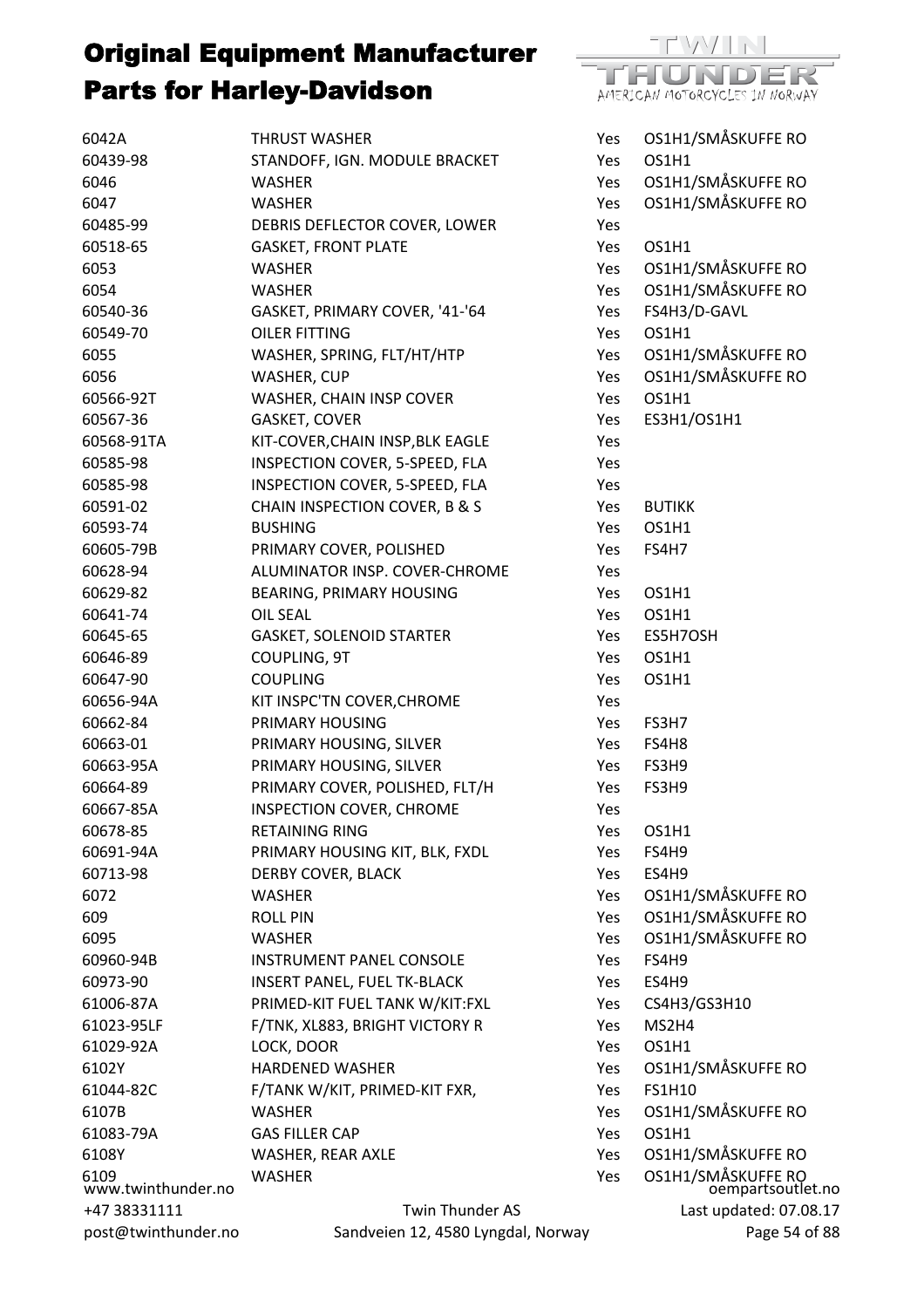

| 6042A               | <b>THRUST WASHER</b>               | Yes        | OS1H1/SMÅSKUFFE RO                      |
|---------------------|------------------------------------|------------|-----------------------------------------|
| 60439-98            | STANDOFF, IGN. MODULE BRACKET      | Yes        | OS1H1                                   |
| 6046                | <b>WASHER</b>                      | Yes        | OS1H1/SMÅSKUFFE RO                      |
| 6047                | <b>WASHER</b>                      | Yes        | OS1H1/SMÅSKUFFE RO                      |
| 60485-99            | DEBRIS DEFLECTOR COVER, LOWER      | Yes        |                                         |
| 60518-65            | <b>GASKET, FRONT PLATE</b>         | Yes        | OS1H1                                   |
| 6053                | <b>WASHER</b>                      | Yes        | OS1H1/SMÅSKUFFE RO                      |
| 6054                | <b>WASHER</b>                      | Yes        | OS1H1/SMÅSKUFFE RO                      |
| 60540-36            | GASKET, PRIMARY COVER, '41-'64     | Yes        | FS4H3/D-GAVL                            |
| 60549-70            | <b>OILER FITTING</b>               | Yes        | OS1H1                                   |
| 6055                | WASHER, SPRING, FLT/HT/HTP         | Yes        | OS1H1/SMÅSKUFFE RO                      |
| 6056                | WASHER, CUP                        | Yes        | OS1H1/SMÅSKUFFE RO                      |
| 60566-92T           | WASHER, CHAIN INSP COVER           | Yes        | OS1H1                                   |
| 60567-36            | GASKET, COVER                      | Yes        | ES3H1/OS1H1                             |
| 60568-91TA          | KIT-COVER, CHAIN INSP, BLK EAGLE   | Yes        |                                         |
| 60585-98            | INSPECTION COVER, 5-SPEED, FLA     | Yes        |                                         |
| 60585-98            | INSPECTION COVER, 5-SPEED, FLA     | Yes        |                                         |
| 60591-02            | CHAIN INSPECTION COVER, B & S      | Yes        | <b>BUTIKK</b>                           |
| 60593-74            | <b>BUSHING</b>                     | Yes        | OS1H1                                   |
| 60605-79B           | PRIMARY COVER, POLISHED            | Yes        | <b>FS4H7</b>                            |
| 60628-94            | ALUMINATOR INSP. COVER-CHROME      | Yes        |                                         |
| 60629-82            | BEARING, PRIMARY HOUSING           | Yes        | OS1H1                                   |
| 60641-74            | <b>OIL SEAL</b>                    | Yes        | OS1H1                                   |
| 60645-65            | <b>GASKET, SOLENOID STARTER</b>    | Yes        | ES5H7OSH                                |
| 60646-89            | COUPLING, 9T                       | Yes        | OS1H1                                   |
| 60647-90            | <b>COUPLING</b>                    | Yes        | OS1H1                                   |
| 60656-94A           | KIT INSPC'TN COVER, CHROME         | Yes        |                                         |
| 60662-84            | PRIMARY HOUSING                    | Yes        | FS3H7                                   |
| 60663-01            | PRIMARY HOUSING, SILVER            | Yes        | FS4H8                                   |
| 60663-95A           | PRIMARY HOUSING, SILVER            | Yes        | FS3H9                                   |
| 60664-89            | PRIMARY COVER, POLISHED, FLT/H     | Yes        | FS3H9                                   |
| 60667-85A           | INSPECTION COVER, CHROME           | Yes        |                                         |
| 60678-85            | <b>RETAINING RING</b>              | Yes        | OS1H1                                   |
| 60691-94A           | PRIMARY HOUSING KIT, BLK, FXDL     | Yes        | FS4H9                                   |
| 60713-98            | DERBY COVER, BLACK                 | Yes        | ES4H9                                   |
| 6072                | WASHER                             | Yes        | OS1H1/SMÅSKUFFE RO                      |
| 609                 | <b>ROLL PIN</b>                    | Yes        | OS1H1/SMÅSKUFFE RO                      |
| 6095                | WASHER                             | <b>Yes</b> | OS1H1/SMÅSKUFFE RO                      |
| 60960-94B           | <b>INSTRUMENT PANEL CONSOLE</b>    | Yes        | FS4H9                                   |
| 60973-90            | <b>INSERT PANEL, FUEL TK-BLACK</b> | Yes        | ES4H9                                   |
| 61006-87A           | PRIMED-KIT FUEL TANK W/KIT:FXL     | Yes        | CS4H3/GS3H10                            |
| 61023-95LF          | F/TNK, XL883, BRIGHT VICTORY R     | Yes        | MS2H4                                   |
| 61029-92A           | LOCK, DOOR                         | Yes        | OS1H1                                   |
| 6102Y               | <b>HARDENED WASHER</b>             | Yes        | OS1H1/SMÅSKUFFE RO                      |
| 61044-82C           | F/TANK W/KIT, PRIMED-KIT FXR,      | Yes.       | <b>FS1H10</b>                           |
| 6107B               | <b>WASHER</b>                      | Yes        | OS1H1/SMÅSKUFFE RO                      |
| 61083-79A           | <b>GAS FILLER CAP</b>              | Yes        | OS1H1                                   |
| 6108Y               | WASHER, REAR AXLE                  | Yes        | OS1H1/SMÅSKUFFE RO                      |
| 6109                | <b>WASHER</b>                      | Yes        |                                         |
| www.twinthunder.no  |                                    |            | OS1H1/SMÅSKUFFE RO<br>oempartsoutlet.no |
| +47 38331111        | <b>Twin Thunder AS</b>             |            | Last updated: 07.08.17                  |
| post@twinthunder.no | Sandveien 12, 4580 Lyngdal, Norway |            | Page 54 of 88                           |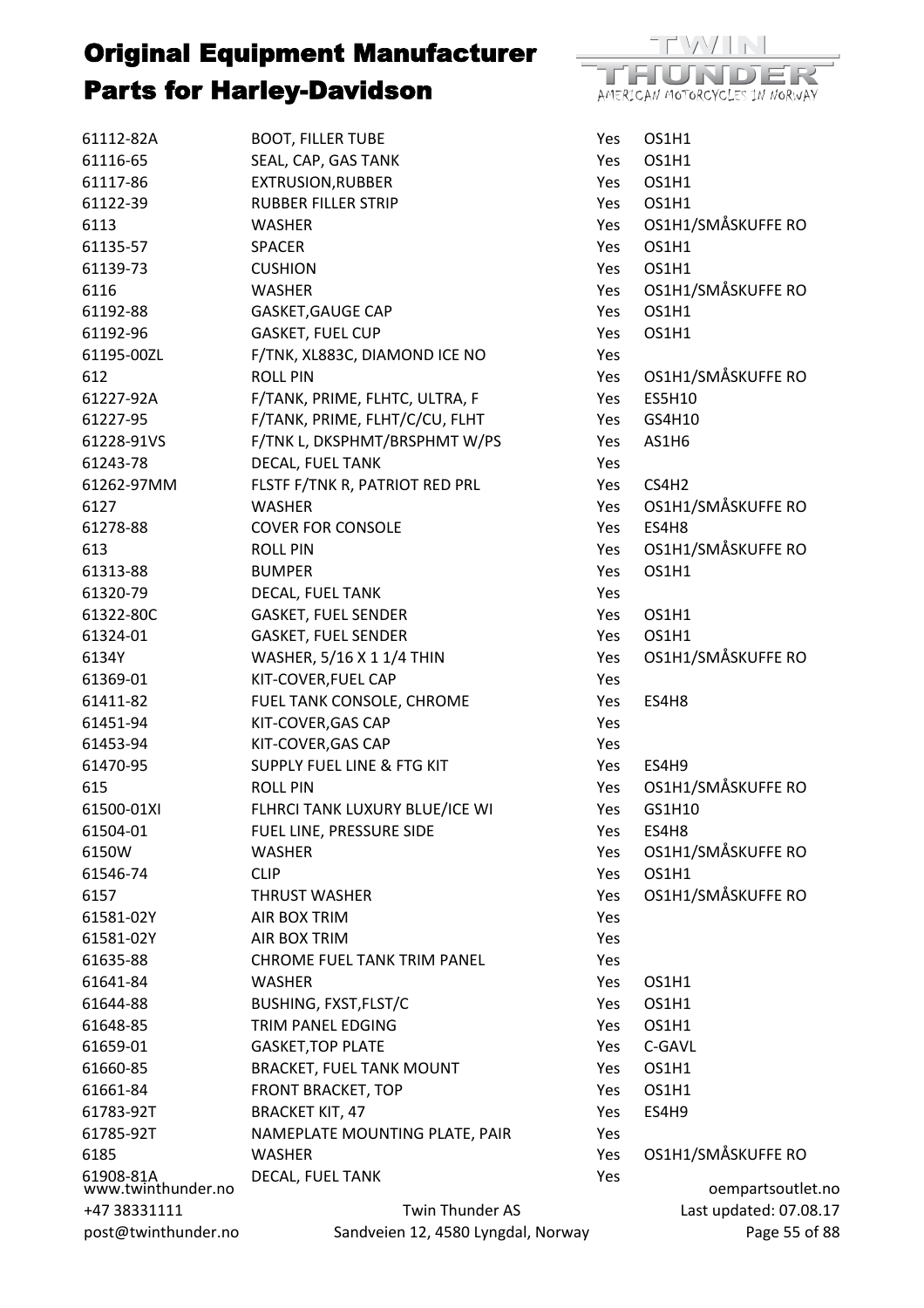

| 61112-82A                       | <b>BOOT, FILLER TUBE</b>           | Yes  | OS1H1                  |
|---------------------------------|------------------------------------|------|------------------------|
| 61116-65                        | SEAL, CAP, GAS TANK                | Yes  | OS1H1                  |
| 61117-86                        | <b>EXTRUSION, RUBBER</b>           | Yes  | OS1H1                  |
| 61122-39                        | <b>RUBBER FILLER STRIP</b>         | Yes  | OS1H1                  |
| 6113                            | <b>WASHER</b>                      | Yes  | OS1H1/SMÅSKUFFE RO     |
| 61135-57                        | <b>SPACER</b>                      | Yes  | OS1H1                  |
| 61139-73                        | <b>CUSHION</b>                     | Yes  | OS1H1                  |
| 6116                            | <b>WASHER</b>                      | Yes  | OS1H1/SMÅSKUFFE RO     |
| 61192-88                        | GASKET, GAUGE CAP                  | Yes  | OS1H1                  |
| 61192-96                        | <b>GASKET, FUEL CUP</b>            | Yes  | OS1H1                  |
| 61195-00ZL                      | F/TNK, XL883C, DIAMOND ICE NO      | Yes  |                        |
| 612                             | <b>ROLL PIN</b>                    | Yes  | OS1H1/SMÅSKUFFE RO     |
| 61227-92A                       | F/TANK, PRIME, FLHTC, ULTRA, F     | Yes  | ES5H10                 |
| 61227-95                        | F/TANK, PRIME, FLHT/C/CU, FLHT     | Yes  | GS4H10                 |
| 61228-91VS                      | F/TNK L, DKSPHMT/BRSPHMT W/PS      | Yes  | AS1H6                  |
| 61243-78                        | DECAL, FUEL TANK                   | Yes  |                        |
| 61262-97MM                      | FLSTF F/TNK R, PATRIOT RED PRL     | Yes  | CS4H <sub>2</sub>      |
| 6127                            | <b>WASHER</b>                      | Yes  | OS1H1/SMÅSKUFFE RO     |
| 61278-88                        | <b>COVER FOR CONSOLE</b>           | Yes  | ES4H8                  |
| 613                             | <b>ROLL PIN</b>                    | Yes  | OS1H1/SMÅSKUFFE RO     |
| 61313-88                        | <b>BUMPER</b>                      | Yes  | OS1H1                  |
| 61320-79                        | DECAL, FUEL TANK                   | Yes  |                        |
| 61322-80C                       | <b>GASKET, FUEL SENDER</b>         | Yes  | OS1H1                  |
| 61324-01                        | <b>GASKET, FUEL SENDER</b>         | Yes  | OS1H1                  |
| 6134Y                           | WASHER, 5/16 X 1 1/4 THIN          | Yes  | OS1H1/SMÅSKUFFE RO     |
| 61369-01                        | KIT-COVER, FUEL CAP                | Yes  |                        |
| 61411-82                        | FUEL TANK CONSOLE, CHROME          | Yes  | ES4H8                  |
| 61451-94                        | KIT-COVER, GAS CAP                 | Yes  |                        |
| 61453-94                        | KIT-COVER, GAS CAP                 | Yes  |                        |
| 61470-95                        | SUPPLY FUEL LINE & FTG KIT         | Yes  | ES4H9                  |
| 615                             | <b>ROLL PIN</b>                    | Yes  | OS1H1/SMÅSKUFFE RO     |
| 61500-01XI                      | FLHRCI TANK LUXURY BLUE/ICE WI     | Yes  | GS1H10                 |
| 61504-01                        | FUEL LINE, PRESSURE SIDE           | Yes  | ES4H8                  |
| 6150W                           | <b>WASHER</b>                      | Yes  | OS1H1/SMÅSKUFFE RO     |
| 61546-74                        | <b>CLIP</b>                        | Yes  | OS1H1                  |
| 6157                            | <b>THRUST WASHER</b>               | Yes  | OS1H1/SMÅSKUFFE RO     |
| 61581-02Y                       | AIR BOX TRIM                       | Yes  |                        |
| 61581-02Y                       | AIR BOX TRIM                       | Yes  |                        |
| 61635-88                        | CHROME FUEL TANK TRIM PANEL        | Yes  |                        |
| 61641-84                        | <b>WASHER</b>                      | Yes  | OS1H1                  |
| 61644-88                        | BUSHING, FXST, FLST/C              | Yes  | OS1H1                  |
| 61648-85                        | TRIM PANEL EDGING                  | Yes. | OS1H1                  |
| 61659-01                        | <b>GASKET, TOP PLATE</b>           | Yes  | C-GAVL                 |
| 61660-85                        | <b>BRACKET, FUEL TANK MOUNT</b>    | Yes  | OS1H1                  |
| 61661-84                        | <b>FRONT BRACKET, TOP</b>          | Yes  | OS1H1                  |
| 61783-92T                       | <b>BRACKET KIT, 47</b>             | Yes  | ES4H9                  |
| 61785-92T                       | NAMEPLATE MOUNTING PLATE, PAIR     | Yes  |                        |
| 6185                            | <b>WASHER</b>                      | Yes  | OS1H1/SMÅSKUFFE RO     |
| 61908-81A<br>www.twinthunder.no | DECAL, FUEL TANK                   | Yes  | oempartsoutlet.no      |
| +47 38331111                    | Twin Thunder AS                    |      | Last updated: 07.08.17 |
| post@twinthunder.no             | Sandveien 12, 4580 Lyngdal, Norway |      | Page 55 of 88          |
|                                 |                                    |      |                        |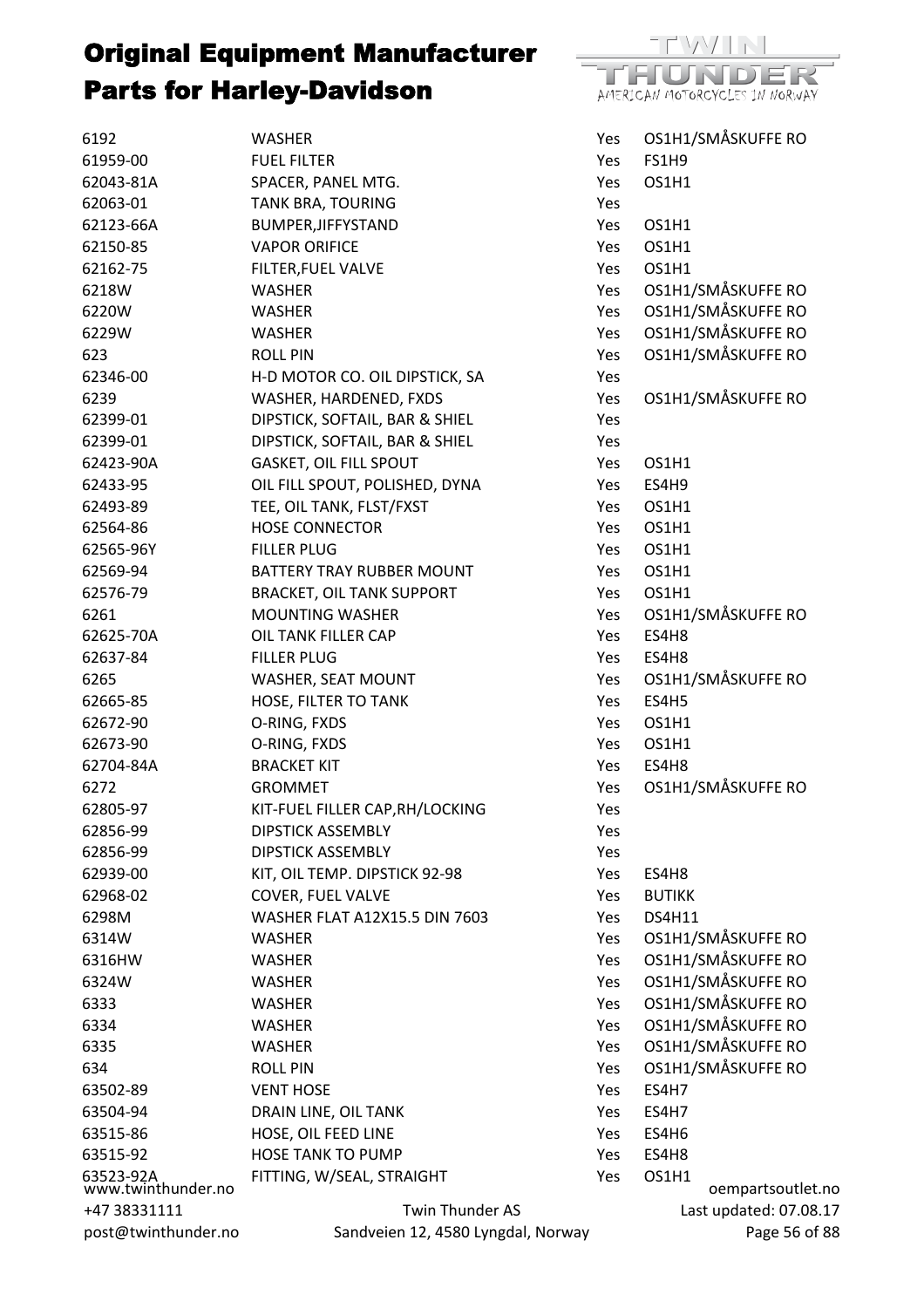

| 6192                            | <b>WASHER</b>                        | Yes        | OS1H1/SMÅSKUFFE RO     |
|---------------------------------|--------------------------------------|------------|------------------------|
| 61959-00                        | <b>FUEL FILTER</b>                   | Yes        | <b>FS1H9</b>           |
| 62043-81A                       | SPACER, PANEL MTG.                   | Yes        | OS1H1                  |
| 62063-01                        | TANK BRA, TOURING                    | Yes        |                        |
| 62123-66A                       | BUMPER, JIFFYSTAND                   | Yes        | OS1H1                  |
| 62150-85                        | <b>VAPOR ORIFICE</b>                 | Yes        | OS1H1                  |
| 62162-75                        | FILTER, FUEL VALVE                   | Yes        | OS1H1                  |
| 6218W                           | <b>WASHER</b>                        | Yes        | OS1H1/SMÅSKUFFE RO     |
| 6220W                           | WASHER                               | Yes        | OS1H1/SMÅSKUFFE RO     |
| 6229W                           | <b>WASHER</b>                        | Yes        | OS1H1/SMÅSKUFFE RO     |
| 623                             | <b>ROLL PIN</b>                      | Yes        | OS1H1/SMÅSKUFFE RO     |
| 62346-00                        | H-D MOTOR CO. OIL DIPSTICK, SA       | Yes        |                        |
| 6239                            | WASHER, HARDENED, FXDS               | Yes        | OS1H1/SMÅSKUFFE RO     |
| 62399-01                        | DIPSTICK, SOFTAIL, BAR & SHIEL       | Yes        |                        |
| 62399-01                        | DIPSTICK, SOFTAIL, BAR & SHIEL       | Yes        |                        |
| 62423-90A                       | <b>GASKET, OIL FILL SPOUT</b>        | Yes        | OS1H1                  |
| 62433-95                        | OIL FILL SPOUT, POLISHED, DYNA       | Yes        | ES4H9                  |
| 62493-89                        | TEE, OIL TANK, FLST/FXST             | Yes        | OS1H1                  |
| 62564-86                        | <b>HOSE CONNECTOR</b>                | Yes        | OS1H1                  |
| 62565-96Y                       | <b>FILLER PLUG</b>                   | Yes        | OS1H1                  |
| 62569-94                        | BATTERY TRAY RUBBER MOUNT            | Yes        | OS1H1                  |
| 62576-79                        | <b>BRACKET, OIL TANK SUPPORT</b>     | Yes        | OS1H1                  |
| 6261                            | <b>MOUNTING WASHER</b>               | Yes        | OS1H1/SMÅSKUFFE RO     |
| 62625-70A                       | OIL TANK FILLER CAP                  | Yes        | ES4H8                  |
| 62637-84                        | <b>FILLER PLUG</b>                   | Yes        | ES4H8                  |
| 6265                            | WASHER, SEAT MOUNT                   | Yes        | OS1H1/SMÅSKUFFE RO     |
| 62665-85                        | HOSE, FILTER TO TANK                 | Yes        | ES4H5                  |
| 62672-90                        | O-RING, FXDS                         | Yes        | OS1H1                  |
| 62673-90                        | O-RING, FXDS                         | Yes        | OS1H1                  |
| 62704-84A                       | <b>BRACKET KIT</b>                   | Yes        | ES4H8                  |
| 6272                            | <b>GROMMET</b>                       | Yes        | OS1H1/SMÅSKUFFE RO     |
| 62805-97                        | KIT-FUEL FILLER CAP, RH/LOCKING      | Yes        |                        |
| 62856-99                        | <b>DIPSTICK ASSEMBLY</b>             | Yes        |                        |
| 62856-99                        | <b>DIPSTICK ASSEMBLY</b>             | Yes        |                        |
| 62939-00                        | KIT, OIL TEMP. DIPSTICK 92-98        | Yes        | ES4H8                  |
| 62968-02                        | COVER, FUEL VALVE                    | <b>Yes</b> | <b>BUTIKK</b>          |
| 6298M                           | <b>WASHER FLAT A12X15.5 DIN 7603</b> | Yes        | <b>DS4H11</b>          |
| 6314W                           | <b>WASHER</b>                        | <b>Yes</b> | OS1H1/SMÅSKUFFE RO     |
| 6316HW                          | <b>WASHER</b>                        | <b>Yes</b> | OS1H1/SMÅSKUFFE RO     |
| 6324W                           | WASHER                               | Yes        | OS1H1/SMÅSKUFFE RO     |
| 6333                            | WASHER                               | Yes        | OS1H1/SMÅSKUFFE RO     |
| 6334                            | <b>WASHER</b>                        | Yes        | OS1H1/SMÅSKUFFE RO     |
| 6335                            | WASHER                               | Yes        | OS1H1/SMÅSKUFFE RO     |
| 634                             | <b>ROLL PIN</b>                      | Yes        | OS1H1/SMÅSKUFFE RO     |
| 63502-89                        | <b>VENT HOSE</b>                     | <b>Yes</b> | ES4H7                  |
| 63504-94                        | DRAIN LINE, OIL TANK                 | Yes        | ES4H7                  |
| 63515-86                        | HOSE, OIL FEED LINE                  | Yes        | ES4H6                  |
| 63515-92                        | <b>HOSE TANK TO PUMP</b>             | <b>Yes</b> | ES4H8                  |
| 63523-92A<br>www.twinthunder.no | FITTING, W/SEAL, STRAIGHT            | Yes        | OS1H1                  |
|                                 |                                      |            | oempartsoutlet.no      |
| +47 38331111                    | Twin Thunder AS                      |            | Last updated: 07.08.17 |
| post@twinthunder.no             | Sandveien 12, 4580 Lyngdal, Norway   |            | Page 56 of 88          |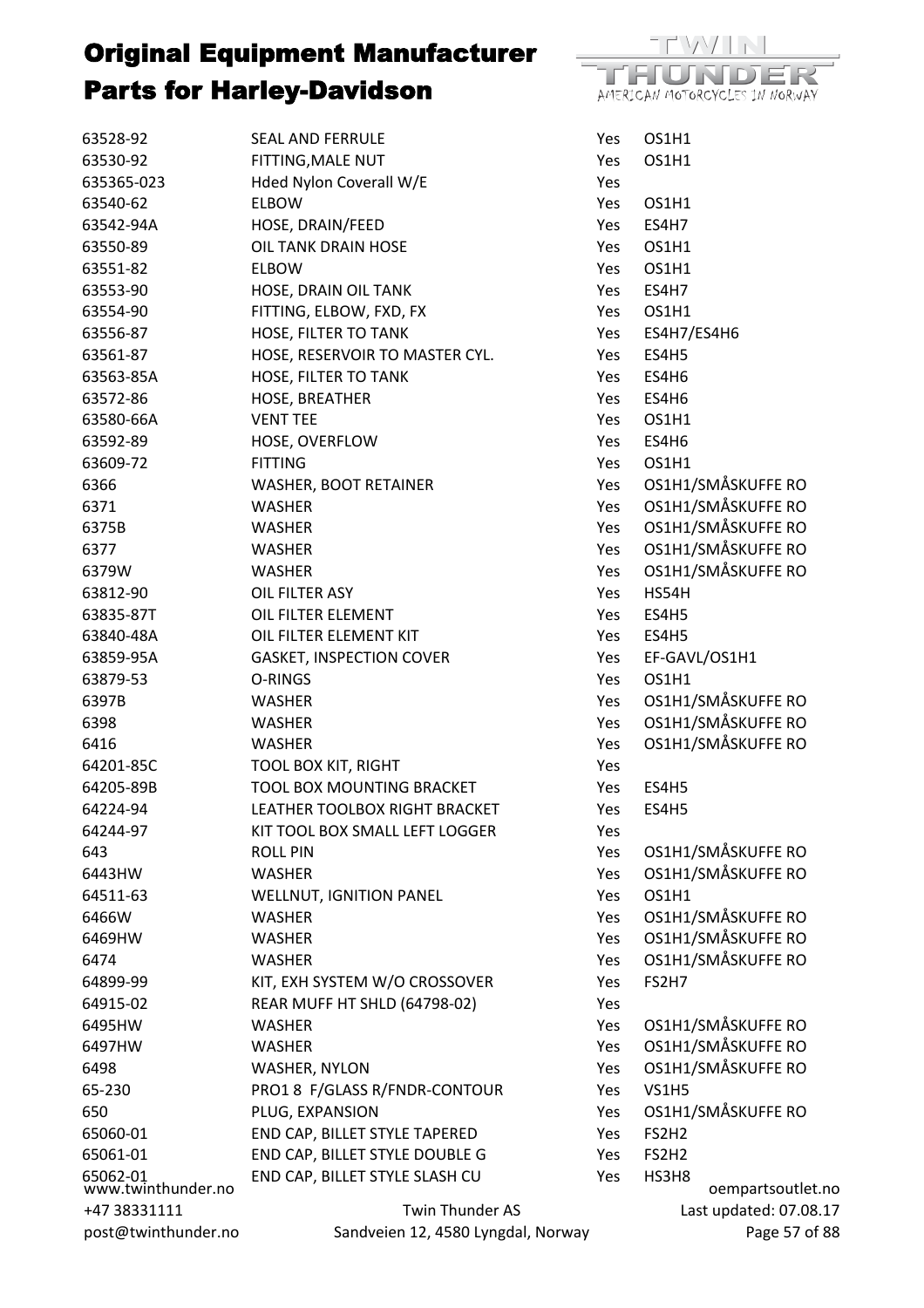

| 63528-92                       | <b>SEAL AND FERRULE</b>            | Yes        | OS1H1                  |
|--------------------------------|------------------------------------|------------|------------------------|
| 63530-92                       | FITTING, MALE NUT                  | Yes        | OS1H1                  |
| 635365-023                     | Hded Nylon Coverall W/E            | Yes        |                        |
| 63540-62                       | <b>ELBOW</b>                       | Yes        | OS1H1                  |
| 63542-94A                      | HOSE, DRAIN/FEED                   | <b>Yes</b> | ES4H7                  |
| 63550-89                       | <b>OIL TANK DRAIN HOSE</b>         | Yes        | OS1H1                  |
| 63551-82                       | <b>ELBOW</b>                       | Yes        | OS1H1                  |
| 63553-90                       | HOSE, DRAIN OIL TANK               | Yes        | ES4H7                  |
| 63554-90                       | FITTING, ELBOW, FXD, FX            | Yes        | OS1H1                  |
| 63556-87                       | HOSE, FILTER TO TANK               | Yes        | ES4H7/ES4H6            |
| 63561-87                       | HOSE, RESERVOIR TO MASTER CYL.     | Yes        | ES4H5                  |
| 63563-85A                      | HOSE, FILTER TO TANK               | Yes        | ES4H6                  |
| 63572-86                       | HOSE, BREATHER                     | Yes.       | ES4H6                  |
| 63580-66A                      | <b>VENT TEE</b>                    | Yes        | OS1H1                  |
| 63592-89                       | HOSE, OVERFLOW                     | Yes        | ES4H6                  |
| 63609-72                       | <b>FITTING</b>                     | Yes        | OS1H1                  |
| 6366                           | <b>WASHER, BOOT RETAINER</b>       | Yes        | OS1H1/SMÅSKUFFE RO     |
| 6371                           | <b>WASHER</b>                      | Yes        | OS1H1/SMÅSKUFFE RO     |
| 6375B                          | WASHER                             | Yes        | OS1H1/SMÅSKUFFE RO     |
| 6377                           | WASHER                             | Yes        | OS1H1/SMÅSKUFFE RO     |
| 6379W                          | WASHER                             | Yes        | OS1H1/SMÅSKUFFE RO     |
| 63812-90                       | OIL FILTER ASY                     | Yes        | HS54H                  |
| 63835-87T                      | OIL FILTER ELEMENT                 | Yes        | ES4H5                  |
| 63840-48A                      | OIL FILTER ELEMENT KIT             | Yes        | ES4H5                  |
| 63859-95A                      | <b>GASKET, INSPECTION COVER</b>    | Yes        | EF-GAVL/OS1H1          |
| 63879-53                       | O-RINGS                            | Yes        | OS1H1                  |
| 6397B                          | <b>WASHER</b>                      | Yes        | OS1H1/SMÅSKUFFE RO     |
| 6398                           | WASHER                             | Yes        | OS1H1/SMÅSKUFFE RO     |
| 6416                           | <b>WASHER</b>                      | Yes        | OS1H1/SMÅSKUFFE RO     |
| 64201-85C                      | <b>TOOL BOX KIT, RIGHT</b>         | Yes        |                        |
| 64205-89B                      | TOOL BOX MOUNTING BRACKET          | Yes        | ES4H5                  |
| 64224-94                       | LEATHER TOOLBOX RIGHT BRACKET      | Yes        | ES4H5                  |
| 64244-97                       | KIT TOOL BOX SMALL LEFT LOGGER     | Yes        |                        |
| 643                            | <b>ROLL PIN</b>                    | Yes        | OS1H1/SMÅSKUFFE RO     |
| 6443HW                         | <b>WASHER</b>                      | Yes        | OS1H1/SMÅSKUFFE RO     |
| 64511-63                       | <b>WELLNUT, IGNITION PANEL</b>     | Yes        | OS1H1                  |
| 6466W                          | <b>WASHER</b>                      | Yes        | OS1H1/SMÅSKUFFE RO     |
| 6469HW                         | <b>WASHER</b>                      | Yes        | OS1H1/SMÅSKUFFE RO     |
| 6474                           | <b>WASHER</b>                      | Yes        | OS1H1/SMÅSKUFFE RO     |
| 64899-99                       | KIT, EXH SYSTEM W/O CROSSOVER      | Yes        | FS2H7                  |
| 64915-02                       | REAR MUFF HT SHLD (64798-02)       | Yes        |                        |
| 6495HW                         | <b>WASHER</b>                      | Yes        | OS1H1/SMÅSKUFFE RO     |
| 6497HW                         | <b>WASHER</b>                      | Yes        | OS1H1/SMÅSKUFFE RO     |
| 6498                           | WASHER, NYLON                      | Yes        | OS1H1/SMÅSKUFFE RO     |
| 65-230                         | PRO1 8 F/GLASS R/FNDR-CONTOUR      | Yes        | <b>VS1H5</b>           |
| 650                            | PLUG, EXPANSION                    | Yes        | OS1H1/SMÅSKUFFE RO     |
| 65060-01                       | END CAP, BILLET STYLE TAPERED      | Yes        | FS2H <sub>2</sub>      |
| 65061-01                       | END CAP, BILLET STYLE DOUBLE G     | Yes        | FS2H <sub>2</sub>      |
| 65062-01<br>www.twinthunder.no | END CAP, BILLET STYLE SLASH CU     | Yes        | HS3H8                  |
|                                |                                    |            | oempartsoutlet.no      |
| +47 38331111                   | Twin Thunder AS                    |            | Last updated: 07.08.17 |
| post@twinthunder.no            | Sandveien 12, 4580 Lyngdal, Norway |            | Page 57 of 88          |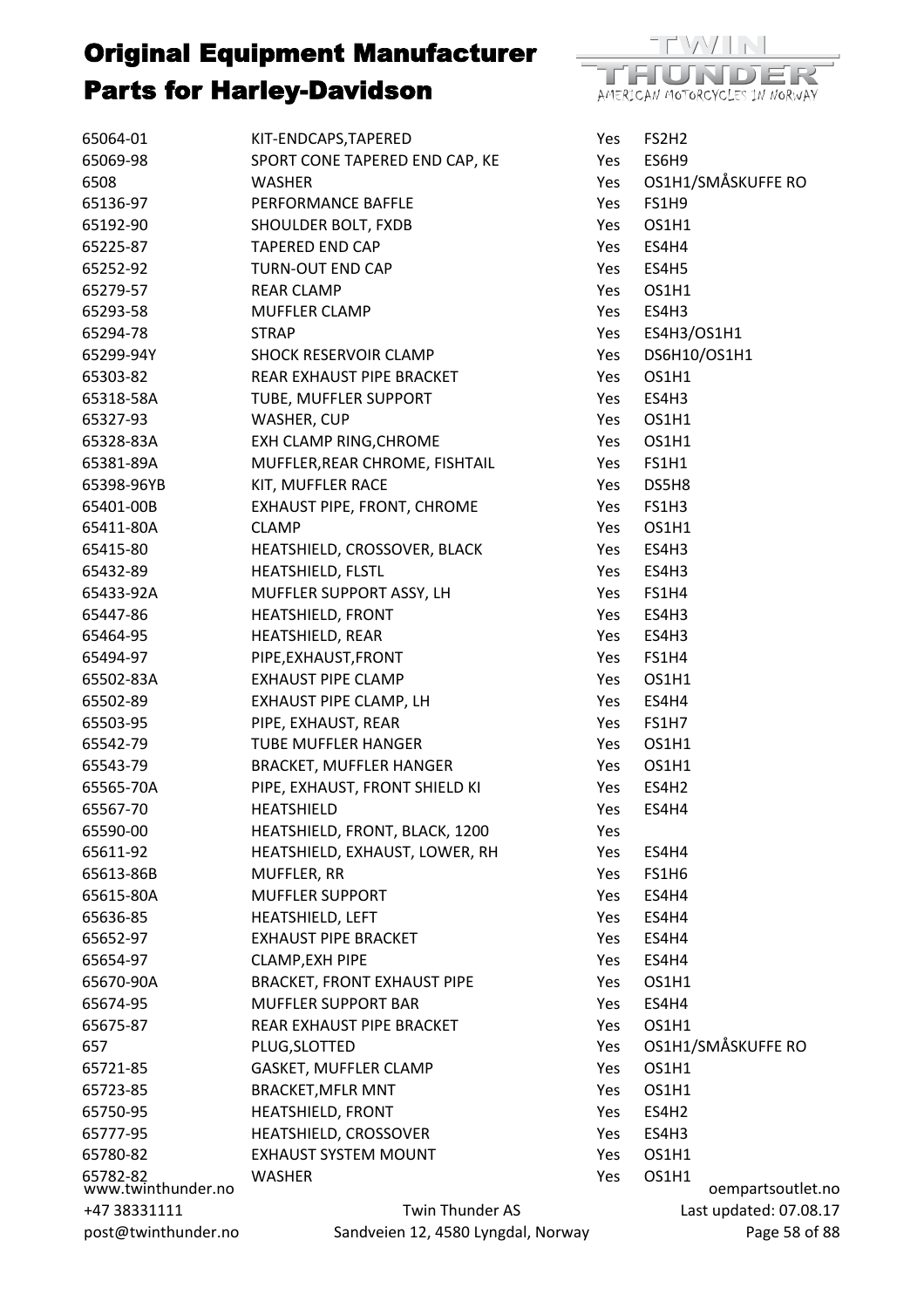| 65064-01                       | KIT-ENDCAPS, TAPERED                                         | Yes  | FS2H2                      |
|--------------------------------|--------------------------------------------------------------|------|----------------------------|
| 65069-98                       | SPORT CONE TAPERED END CAP, KE                               | Yes  | ES6H9                      |
| 6508                           | <b>WASHER</b>                                                | Yes  | OS1H1/SMÅSKUFFE RO         |
| 65136-97                       | PERFORMANCE BAFFLE                                           | Yes. | <b>FS1H9</b>               |
| 65192-90                       | SHOULDER BOLT, FXDB                                          | Yes  | OS1H1                      |
| 65225-87                       | <b>TAPERED END CAP</b>                                       | Yes  | ES4H4                      |
| 65252-92                       | TURN-OUT END CAP                                             | Yes  | ES4H5                      |
| 65279-57                       | <b>REAR CLAMP</b>                                            | Yes  | OS1H1                      |
| 65293-58                       | <b>MUFFLER CLAMP</b>                                         | Yes  | ES4H3                      |
| 65294-78                       | <b>STRAP</b>                                                 | Yes  | ES4H3/OS1H1                |
| 65299-94Y                      | <b>SHOCK RESERVOIR CLAMP</b>                                 | Yes  | DS6H10/OS1H1               |
| 65303-82                       | REAR EXHAUST PIPE BRACKET                                    | Yes  | OS1H1                      |
| 65318-58A                      | TUBE, MUFFLER SUPPORT                                        | Yes  | ES4H3                      |
| 65327-93                       | WASHER, CUP                                                  | Yes  | OS1H1                      |
| 65328-83A                      | EXH CLAMP RING, CHROME                                       | Yes  | OS1H1                      |
| 65381-89A                      | MUFFLER, REAR CHROME, FISHTAIL                               | Yes  | FS1H1                      |
| 65398-96YB                     | KIT, MUFFLER RACE                                            | Yes  | DS5H8                      |
| 65401-00B                      | EXHAUST PIPE, FRONT, CHROME                                  | Yes  | FS1H3                      |
| 65411-80A                      | <b>CLAMP</b>                                                 | Yes  | OS1H1                      |
| 65415-80                       | HEATSHIELD, CROSSOVER, BLACK                                 | Yes  | ES4H3                      |
| 65432-89                       | HEATSHIELD, FLSTL                                            | Yes  | ES4H3                      |
| 65433-92A                      | MUFFLER SUPPORT ASSY, LH                                     | Yes  | FS1H4                      |
| 65447-86                       | <b>HEATSHIELD, FRONT</b>                                     | Yes  | ES4H3                      |
| 65464-95                       | HEATSHIELD, REAR                                             | Yes  | ES4H3                      |
| 65494-97                       | PIPE, EXHAUST, FRONT                                         | Yes  | FS1H4                      |
| 65502-83A                      | <b>EXHAUST PIPE CLAMP</b>                                    | Yes  | OS1H1                      |
| 65502-89                       | EXHAUST PIPE CLAMP, LH                                       | Yes  | ES4H4                      |
| 65503-95                       | PIPE, EXHAUST, REAR                                          | Yes  | FS1H7                      |
| 65542-79                       | <b>TUBE MUFFLER HANGER</b>                                   | Yes  | OS1H1                      |
| 65543-79                       | <b>BRACKET, MUFFLER HANGER</b>                               | Yes  | OS1H1                      |
| 65565-70A                      | PIPE, EXHAUST, FRONT SHIELD KI                               | Yes  | ES4H <sub>2</sub>          |
| 65567-70                       | HEATSHIELD                                                   | Yes  | ES4H4                      |
| 65590-00                       | HEATSHIELD, FRONT, BLACK, 1200                               | Yes  |                            |
| 65611-92                       | HEATSHIELD, EXHAUST, LOWER, RH                               | Yes  | ES4H4                      |
| 65613-86B                      | MUFFLER, RR                                                  | Yes  | FS1H6                      |
| 65615-80A                      | <b>MUFFLER SUPPORT</b>                                       | Yes  | ES4H4                      |
| 65636-85                       | HEATSHIELD, LEFT                                             | Yes  | ES4H4                      |
| 65652-97                       | <b>EXHAUST PIPE BRACKET</b>                                  |      | ES4H4                      |
|                                |                                                              | Yes  |                            |
| 65654-97                       | <b>CLAMP, EXH PIPE</b><br><b>BRACKET, FRONT EXHAUST PIPE</b> | Yes  | ES4H4                      |
| 65670-90A                      |                                                              | Yes  | OS1H1                      |
| 65674-95                       | <b>MUFFLER SUPPORT BAR</b>                                   | Yes  | ES4H4                      |
| 65675-87                       | REAR EXHAUST PIPE BRACKET                                    | Yes  | OS1H1                      |
| 657                            | PLUG, SLOTTED                                                | Yes  | OS1H1/SMÅSKUFFE RO         |
| 65721-85                       | GASKET, MUFFLER CLAMP                                        | Yes  | OS1H1                      |
| 65723-85                       | <b>BRACKET, MFLR MNT</b>                                     | Yes  | OS1H1                      |
| 65750-95                       | HEATSHIELD, FRONT                                            | Yes  | ES4H <sub>2</sub>          |
| 65777-95                       | HEATSHIELD, CROSSOVER                                        | Yes  | ES4H3                      |
| 65780-82                       | <b>EXHAUST SYSTEM MOUNT</b>                                  | Yes  | OS1H1                      |
| 65782-82<br>www.twinthunder.no | <b>WASHER</b>                                                | Yes  | OS1H1<br>oempartsoutlet.no |
| +47 38331111                   | Twin Thunder AS                                              |      | Last updated: 07.08.17     |
| post@twinthunder.no            | Sandveien 12, 4580 Lyngdal, Norway                           |      | Page 58 of 88              |

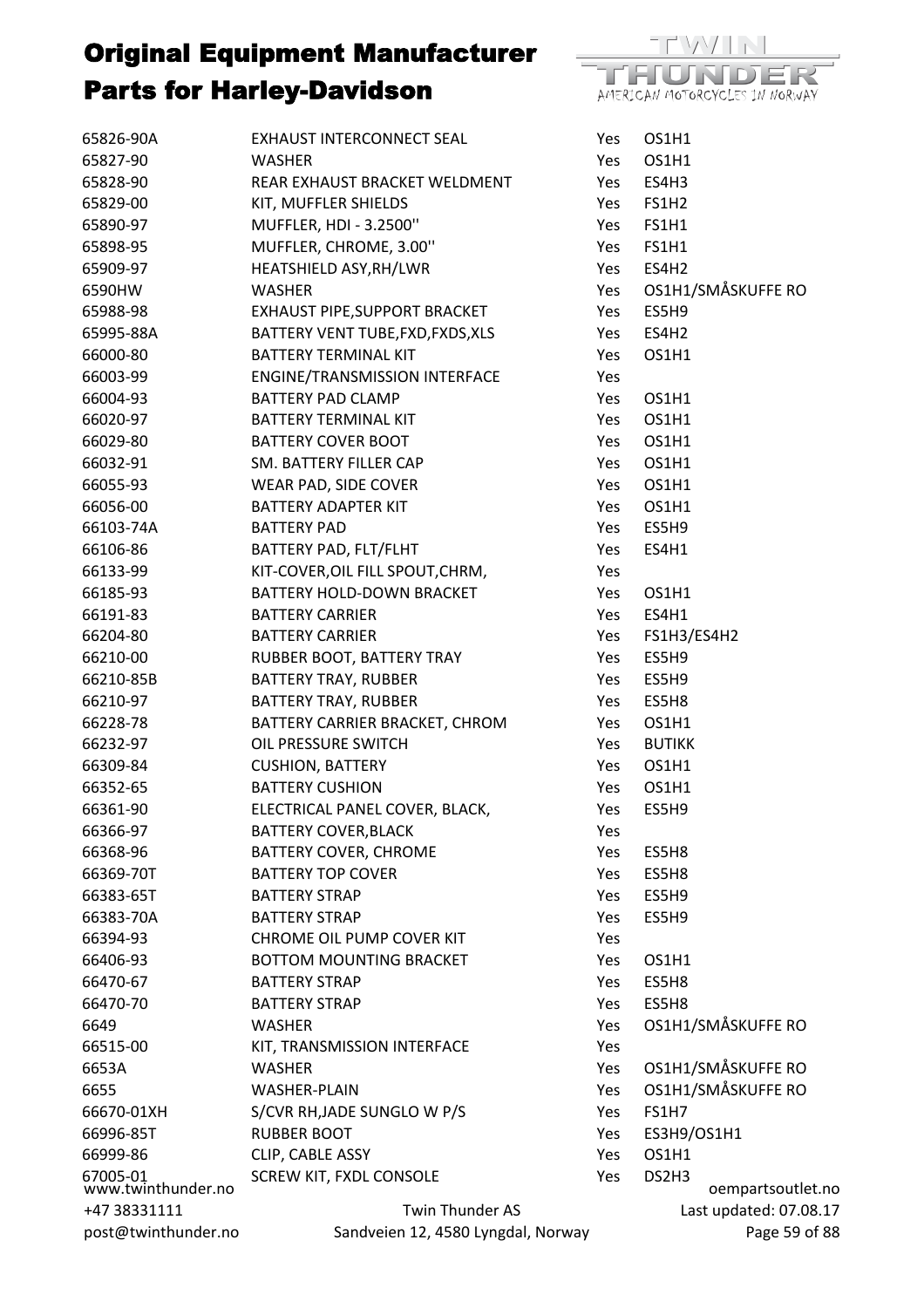

| 65826-90A                      | EXHAUST INTERCONNECT SEAL          | Yes        | OS1H1                      |
|--------------------------------|------------------------------------|------------|----------------------------|
| 65827-90                       | <b>WASHER</b>                      | Yes        | OS1H1                      |
| 65828-90                       | REAR EXHAUST BRACKET WELDMENT      | Yes        | ES4H3                      |
| 65829-00                       | KIT, MUFFLER SHIELDS               | Yes        | <b>FS1H2</b>               |
| 65890-97                       | MUFFLER, HDI - 3.2500"             | Yes        | <b>FS1H1</b>               |
| 65898-95                       | MUFFLER, CHROME, 3.00"             | Yes        | FS1H1                      |
| 65909-97                       | HEATSHIELD ASY, RH/LWR             | Yes        | ES4H <sub>2</sub>          |
| 6590HW                         | <b>WASHER</b>                      | Yes        | OS1H1/SMÅSKUFFE RO         |
| 65988-98                       | EXHAUST PIPE, SUPPORT BRACKET      | Yes        | ES5H9                      |
| 65995-88A                      | BATTERY VENT TUBE, FXD, FXDS, XLS  | Yes        | ES4H2                      |
| 66000-80                       | BATTERY TERMINAL KIT               | Yes        | OS1H1                      |
| 66003-99                       | ENGINE/TRANSMISSION INTERFACE      | Yes        |                            |
| 66004-93                       | <b>BATTERY PAD CLAMP</b>           | Yes        | OS1H1                      |
| 66020-97                       | BATTERY TERMINAL KIT               | Yes        | OS1H1                      |
| 66029-80                       | <b>BATTERY COVER BOOT</b>          | Yes        | OS1H1                      |
| 66032-91                       | SM. BATTERY FILLER CAP             | Yes        | OS1H1                      |
| 66055-93                       | WEAR PAD, SIDE COVER               | Yes        | OS1H1                      |
| 66056-00                       | <b>BATTERY ADAPTER KIT</b>         | Yes        | OS1H1                      |
| 66103-74A                      | <b>BATTERY PAD</b>                 | Yes        | ES5H9                      |
| 66106-86                       | BATTERY PAD, FLT/FLHT              | Yes        | ES4H1                      |
| 66133-99                       | KIT-COVER, OIL FILL SPOUT, CHRM,   | Yes        |                            |
| 66185-93                       | BATTERY HOLD-DOWN BRACKET          | Yes        | OS1H1                      |
| 66191-83                       | <b>BATTERY CARRIER</b>             | Yes        | ES4H1                      |
| 66204-80                       | <b>BATTERY CARRIER</b>             | Yes        | FS1H3/ES4H2                |
| 66210-00                       | RUBBER BOOT, BATTERY TRAY          | Yes        | ES5H9                      |
| 66210-85B                      | <b>BATTERY TRAY, RUBBER</b>        | Yes        | ES5H9                      |
| 66210-97                       | <b>BATTERY TRAY, RUBBER</b>        | Yes        | ES5H8                      |
| 66228-78                       | BATTERY CARRIER BRACKET, CHROM     | Yes        | OS1H1                      |
| 66232-97                       | OIL PRESSURE SWITCH                | Yes        | <b>BUTIKK</b>              |
| 66309-84                       | <b>CUSHION, BATTERY</b>            | Yes        | OS1H1                      |
| 66352-65                       | <b>BATTERY CUSHION</b>             | Yes        | OS1H1                      |
| 66361-90                       | ELECTRICAL PANEL COVER, BLACK,     | Yes        | ES5H9                      |
| 66366-97                       | <b>BATTERY COVER, BLACK</b>        | Yes        |                            |
| 66368-96                       | <b>BATTERY COVER, CHROME</b>       | Yes        | ES5H8                      |
| 66369-70T                      | <b>BATTERY TOP COVER</b>           | Yes        | ES5H8                      |
| 66383-65T                      | <b>BATTERY STRAP</b>               | <b>Yes</b> | ES5H9                      |
| 66383-70A                      | <b>BATTERY STRAP</b>               | <b>Yes</b> | ES5H9                      |
| 66394-93                       | <b>CHROME OIL PUMP COVER KIT</b>   | Yes        |                            |
| 66406-93                       | <b>BOTTOM MOUNTING BRACKET</b>     | Yes        | OS1H1                      |
| 66470-67                       | <b>BATTERY STRAP</b>               | <b>Yes</b> | ES5H8                      |
| 66470-70                       | <b>BATTERY STRAP</b>               | Yes        | ES5H8                      |
| 6649                           | <b>WASHER</b>                      | Yes        | OS1H1/SMÅSKUFFE RO         |
| 66515-00                       | KIT, TRANSMISSION INTERFACE        | Yes        |                            |
| 6653A                          | <b>WASHER</b>                      | Yes        | OS1H1/SMÅSKUFFE RO         |
| 6655                           | <b>WASHER-PLAIN</b>                | Yes        | OS1H1/SMÅSKUFFE RO         |
| 66670-01XH                     | S/CVR RH, JADE SUNGLO W P/S        | Yes        | <b>FS1H7</b>               |
| 66996-85T                      | <b>RUBBER BOOT</b>                 | Yes        | ES3H9/OS1H1                |
| 66999-86                       | CLIP, CABLE ASSY                   | Yes        | OS1H1                      |
| 67005-01<br>www.twinthunder.no | <b>SCREW KIT, FXDL CONSOLE</b>     | Yes        | DS2H3<br>oempartsoutlet.no |
| +47 38331111                   | <b>Twin Thunder AS</b>             |            | Last updated: 07.08.17     |
| post@twinthunder.no            | Sandveien 12, 4580 Lyngdal, Norway |            | Page 59 of 88              |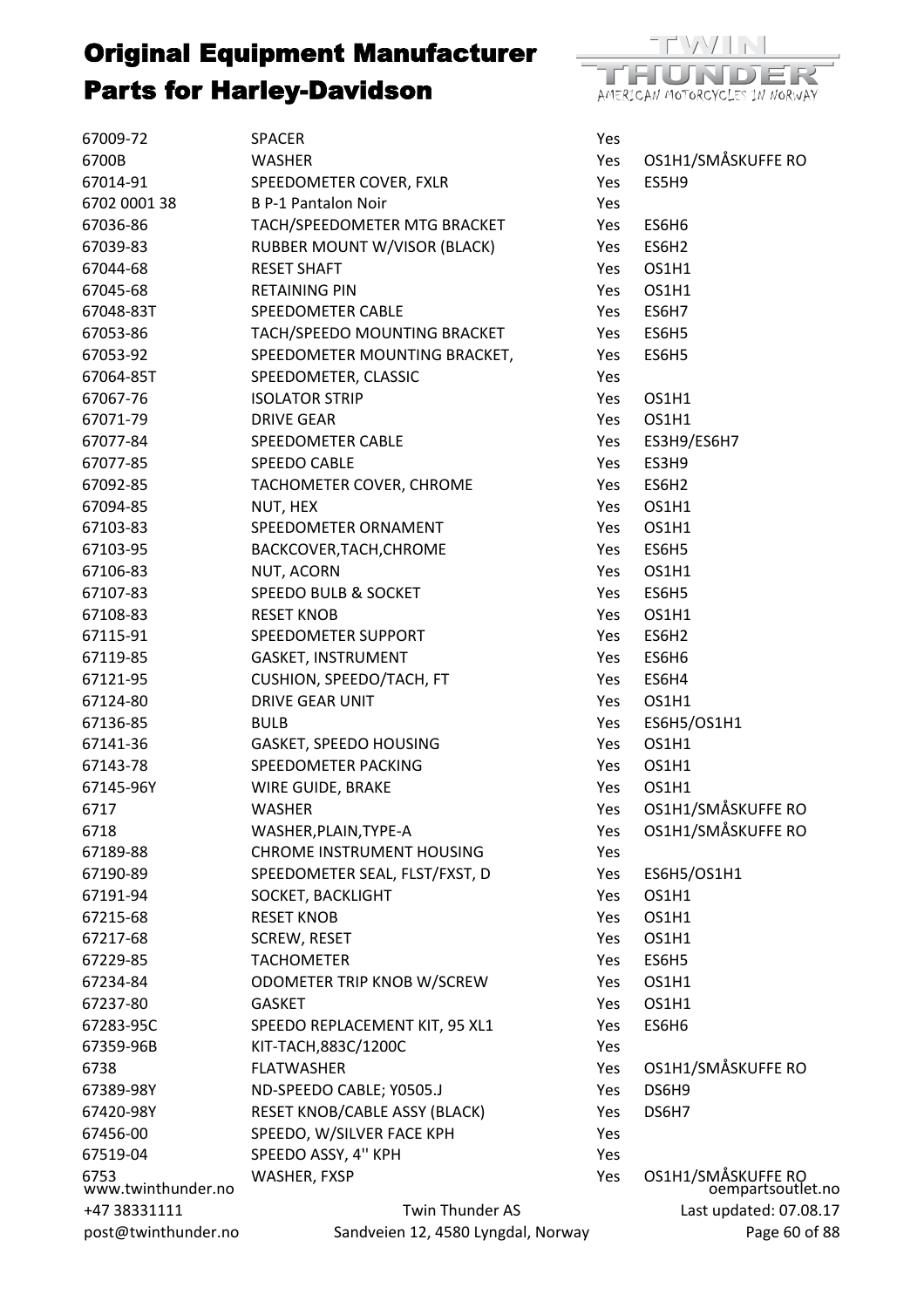

| 67009-72                   | <b>SPACER</b>                       | Yes |                                         |
|----------------------------|-------------------------------------|-----|-----------------------------------------|
| 6700B                      | <b>WASHER</b>                       | Yes | OS1H1/SMÅSKUFFE RO                      |
| 67014-91                   | SPEEDOMETER COVER, FXLR             | Yes | ES5H9                                   |
| 6702 0001 38               | <b>B P-1 Pantalon Noir</b>          | Yes |                                         |
| 67036-86                   | TACH/SPEEDOMETER MTG BRACKET        | Yes | ES6H6                                   |
| 67039-83                   | <b>RUBBER MOUNT W/VISOR (BLACK)</b> | Yes | ES6H2                                   |
| 67044-68                   | <b>RESET SHAFT</b>                  | Yes | OS1H1                                   |
| 67045-68                   | <b>RETAINING PIN</b>                | Yes | OS1H1                                   |
| 67048-83T                  | SPEEDOMETER CABLE                   | Yes | ES6H7                                   |
| 67053-86                   | TACH/SPEEDO MOUNTING BRACKET        | Yes | ES6H5                                   |
| 67053-92                   | SPEEDOMETER MOUNTING BRACKET,       | Yes | ES6H5                                   |
| 67064-85T                  | SPEEDOMETER, CLASSIC                | Yes |                                         |
| 67067-76                   | <b>ISOLATOR STRIP</b>               | Yes | OS1H1                                   |
| 67071-79                   | <b>DRIVE GEAR</b>                   | Yes | OS1H1                                   |
| 67077-84                   | SPEEDOMETER CABLE                   | Yes | ES3H9/ES6H7                             |
| 67077-85                   | SPEEDO CABLE                        | Yes | ES3H9                                   |
| 67092-85                   | TACHOMETER COVER, CHROME            | Yes | ES6H2                                   |
| 67094-85                   | NUT, HEX                            | Yes | OS1H1                                   |
| 67103-83                   | SPEEDOMETER ORNAMENT                | Yes | OS1H1                                   |
| 67103-95                   | BACKCOVER, TACH, CHROME             | Yes | ES6H5                                   |
| 67106-83                   | NUT, ACORN                          | Yes | OS1H1                                   |
| 67107-83                   | SPEEDO BULB & SOCKET                | Yes | ES6H5                                   |
| 67108-83                   | <b>RESET KNOB</b>                   | Yes | OS1H1                                   |
| 67115-91                   | SPEEDOMETER SUPPORT                 | Yes | ES6H2                                   |
| 67119-85                   | GASKET, INSTRUMENT                  | Yes | ES6H6                                   |
| 67121-95                   | CUSHION, SPEEDO/TACH, FT            | Yes | ES6H4                                   |
| 67124-80                   | <b>DRIVE GEAR UNIT</b>              | Yes | OS1H1                                   |
| 67136-85                   | <b>BULB</b>                         | Yes | ES6H5/OS1H1                             |
| 67141-36                   | GASKET, SPEEDO HOUSING              | Yes | OS1H1                                   |
| 67143-78                   | SPEEDOMETER PACKING                 | Yes | OS1H1                                   |
| 67145-96Y                  | WIRE GUIDE, BRAKE                   | Yes | OS1H1                                   |
| 6717                       | <b>WASHER</b>                       | Yes | OS1H1/SMÅSKUFFE RO                      |
| 6718                       | WASHER, PLAIN, TYPE-A               | Yes | OS1H1/SMÅSKUFFE RO                      |
| 67189-88                   | <b>CHROME INSTRUMENT HOUSING</b>    | Yes |                                         |
| 67190-89                   | SPEEDOMETER SEAL, FLST/FXST, D      | Yes | ES6H5/OS1H1                             |
| 67191-94                   | SOCKET, BACKLIGHT                   | Yes | OS1H1                                   |
| 67215-68                   | <b>RESET KNOB</b>                   | Yes | OS1H1                                   |
| 67217-68                   | <b>SCREW, RESET</b>                 | Yes | OS1H1                                   |
| 67229-85                   | <b>TACHOMETER</b>                   | Yes | ES6H5                                   |
| 67234-84                   | ODOMETER TRIP KNOB W/SCREW          | Yes | OS1H1                                   |
| 67237-80                   | <b>GASKET</b>                       | Yes | OS1H1                                   |
| 67283-95C                  | SPEEDO REPLACEMENT KIT, 95 XL1      | Yes | ES6H6                                   |
| 67359-96B                  | KIT-TACH,883C/1200C                 | Yes |                                         |
| 6738                       | <b>FLATWASHER</b>                   | Yes | OS1H1/SMÅSKUFFE RO                      |
| 67389-98Y                  | ND-SPEEDO CABLE; Y0505.J            | Yes | DS6H9                                   |
| 67420-98Y                  | RESET KNOB/CABLE ASSY (BLACK)       | Yes | DS6H7                                   |
| 67456-00                   | SPEEDO, W/SILVER FACE KPH           | Yes |                                         |
| 67519-04                   | SPEEDO ASSY, 4" KPH                 | Yes |                                         |
| 6753<br>www.twinthunder.no | WASHER, FXSP                        | Yes | OS1H1/SMÅSKUFFE RO<br>oempartsoutlet.no |
| +47 38331111               | <b>Twin Thunder AS</b>              |     | Last updated: 07.08.17                  |
| post@twinthunder.no        | Sandveien 12, 4580 Lyngdal, Norway  |     | Page 60 of 88                           |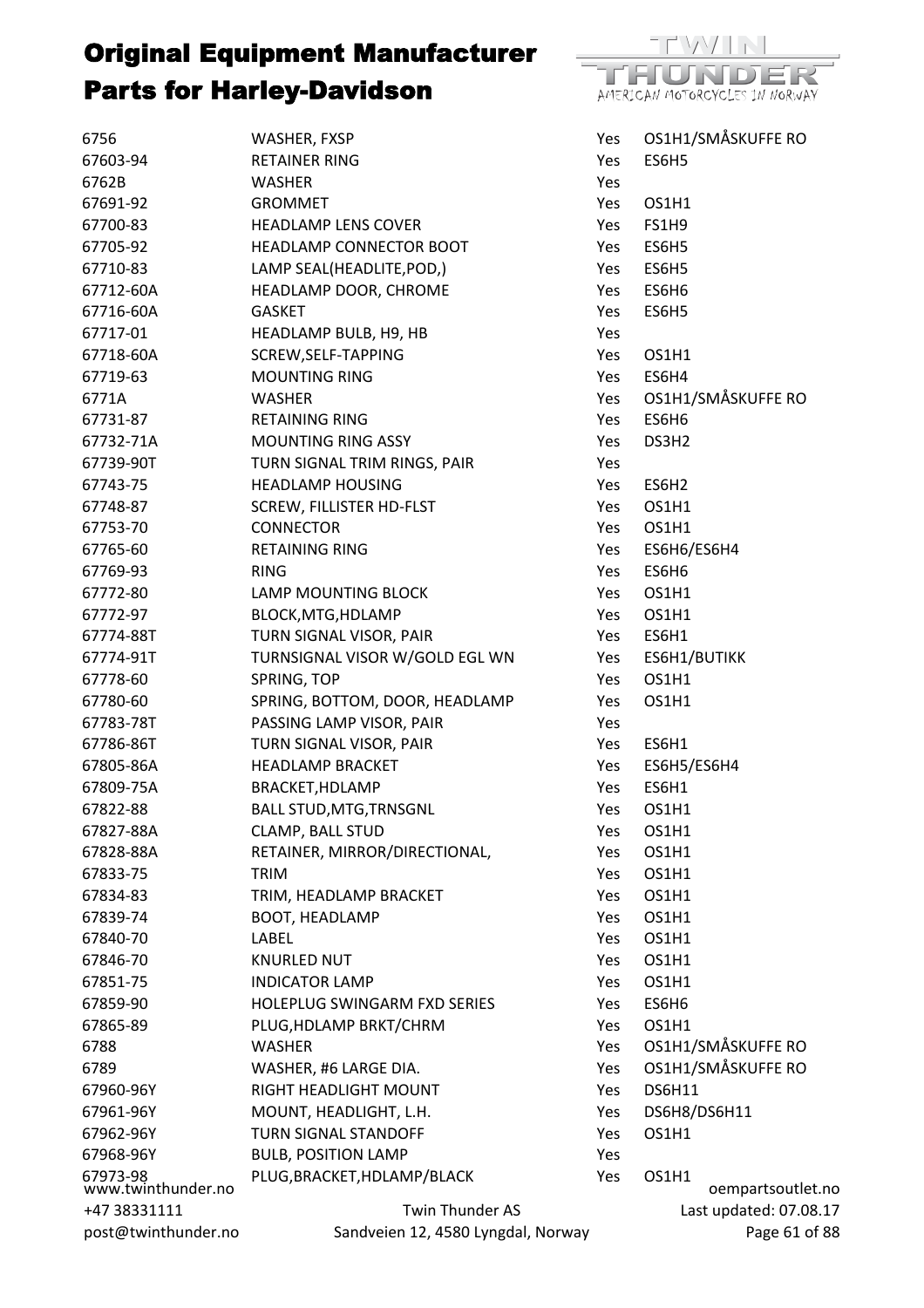

| 6756                           | WASHER, FXSP                       | Yes        |                   | OS1H1/SMÅSKUFFE RO     |  |
|--------------------------------|------------------------------------|------------|-------------------|------------------------|--|
| 67603-94                       | <b>RETAINER RING</b>               | Yes        | ES6H5             |                        |  |
| 6762B                          | WASHER                             | Yes        |                   |                        |  |
| 67691-92                       | <b>GROMMET</b>                     | Yes        | OS1H1             |                        |  |
| 67700-83                       | <b>HEADLAMP LENS COVER</b>         | Yes        | <b>FS1H9</b>      |                        |  |
| 67705-92                       | HEADLAMP CONNECTOR BOOT            | Yes        | ES6H5             |                        |  |
| 67710-83                       | LAMP SEAL(HEADLITE, POD,)          | Yes        | ES6H5             |                        |  |
| 67712-60A                      | HEADLAMP DOOR, CHROME              | Yes        | ES6H6             |                        |  |
| 67716-60A                      | <b>GASKET</b>                      | <b>Yes</b> | ES6H5             |                        |  |
| 67717-01                       | HEADLAMP BULB, H9, HB              | Yes        |                   |                        |  |
| 67718-60A                      | SCREW, SELF-TAPPING                | Yes        | OS1H1             |                        |  |
| 67719-63                       | <b>MOUNTING RING</b>               | Yes        | ES6H4             |                        |  |
| 6771A                          | <b>WASHER</b>                      | Yes        |                   | OS1H1/SMÅSKUFFE RO     |  |
| 67731-87                       | <b>RETAINING RING</b>              | Yes        | ES6H6             |                        |  |
| 67732-71A                      | <b>MOUNTING RING ASSY</b>          | Yes        | DS3H2             |                        |  |
| 67739-90T                      | TURN SIGNAL TRIM RINGS, PAIR       | Yes        |                   |                        |  |
| 67743-75                       | <b>HEADLAMP HOUSING</b>            | Yes        | ES6H <sub>2</sub> |                        |  |
| 67748-87                       | SCREW, FILLISTER HD-FLST           | Yes        | OS1H1             |                        |  |
| 67753-70                       | <b>CONNECTOR</b>                   | Yes        | OS1H1             |                        |  |
| 67765-60                       | <b>RETAINING RING</b>              | Yes        | ES6H6/ES6H4       |                        |  |
| 67769-93                       | <b>RING</b>                        | Yes        | ES6H6             |                        |  |
| 67772-80                       | <b>LAMP MOUNTING BLOCK</b>         | Yes        | OS1H1             |                        |  |
| 67772-97                       | BLOCK, MTG, HDLAMP                 | Yes        | OS1H1             |                        |  |
| 67774-88T                      | TURN SIGNAL VISOR, PAIR            | Yes        | ES6H1             |                        |  |
| 67774-91T                      | TURNSIGNAL VISOR W/GOLD EGL WN     | Yes        | ES6H1/BUTIKK      |                        |  |
| 67778-60                       | SPRING, TOP                        | Yes        | OS1H1             |                        |  |
| 67780-60                       | SPRING, BOTTOM, DOOR, HEADLAMP     | Yes        | OS1H1             |                        |  |
| 67783-78T                      | PASSING LAMP VISOR, PAIR           | Yes        |                   |                        |  |
| 67786-86T                      | TURN SIGNAL VISOR, PAIR            | Yes        | ES6H1             |                        |  |
| 67805-86A                      | <b>HEADLAMP BRACKET</b>            | Yes        | ES6H5/ES6H4       |                        |  |
| 67809-75A                      | BRACKET, HDLAMP                    | Yes        | ES6H1             |                        |  |
| 67822-88                       | <b>BALL STUD, MTG, TRNSGNL</b>     | Yes        | OS1H1             |                        |  |
| 67827-88A                      | CLAMP, BALL STUD                   | Yes        | OS1H1             |                        |  |
| 67828-88A                      | RETAINER, MIRROR/DIRECTIONAL,      | Yes        | OS1H1             |                        |  |
| 67833-75                       | TRIM                               | Yes        | OS1H1             |                        |  |
| 67834-83                       | TRIM, HEADLAMP BRACKET             | Yes        | OS1H1             |                        |  |
| 67839-74                       | <b>BOOT, HEADLAMP</b>              | Yes        | OS1H1             |                        |  |
| 67840-70                       | LABEL                              | Yes        | OS1H1             |                        |  |
| 67846-70                       | <b>KNURLED NUT</b>                 | Yes        | OS1H1             |                        |  |
| 67851-75                       | <b>INDICATOR LAMP</b>              | Yes        | OS1H1             |                        |  |
| 67859-90                       | HOLEPLUG SWINGARM FXD SERIES       | Yes        | ES6H6             |                        |  |
| 67865-89                       | PLUG, HDLAMP BRKT/CHRM             | Yes        | OS1H1             |                        |  |
| 6788                           | WASHER                             | Yes        |                   | OS1H1/SMÅSKUFFE RO     |  |
| 6789                           | WASHER, #6 LARGE DIA.              | Yes        |                   | OS1H1/SMÅSKUFFE RO     |  |
| 67960-96Y                      | RIGHT HEADLIGHT MOUNT              | Yes        | <b>DS6H11</b>     |                        |  |
| 67961-96Y                      | MOUNT, HEADLIGHT, L.H.             | Yes        | DS6H8/DS6H11      |                        |  |
| 67962-96Y                      | <b>TURN SIGNAL STANDOFF</b>        | Yes        | OS1H1             |                        |  |
| 67968-96Y                      | <b>BULB, POSITION LAMP</b>         | Yes        |                   |                        |  |
| 67973-98<br>www.twinthunder.no | PLUG, BRACKET, HDLAMP/BLACK        | Yes        | OS1H1             | oempartsoutlet.no      |  |
| +47 38331111                   | Twin Thunder AS                    |            |                   | Last updated: 07.08.17 |  |
| post@twinthunder.no            | Sandveien 12, 4580 Lyngdal, Norway |            |                   | Page 61 of 88          |  |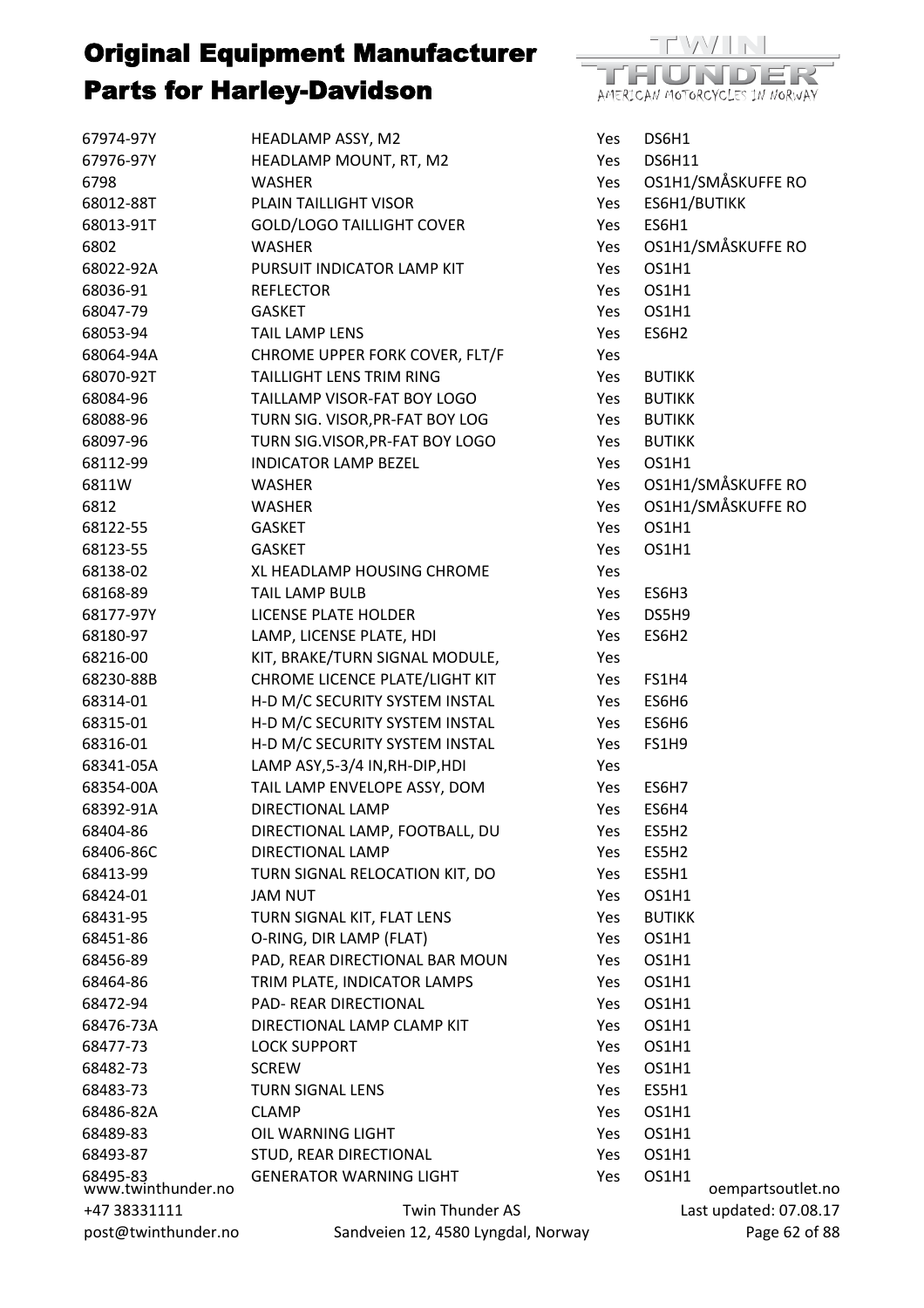

| 67974-97Y                      | HEADLAMP ASSY, M2                  | Yes | DS6H1                  |
|--------------------------------|------------------------------------|-----|------------------------|
| 67976-97Y                      | HEADLAMP MOUNT, RT, M2             | Yes | <b>DS6H11</b>          |
| 6798                           | <b>WASHER</b>                      | Yes | OS1H1/SMÅSKUFFE RO     |
| 68012-88T                      | PLAIN TAILLIGHT VISOR              | Yes | ES6H1/BUTIKK           |
| 68013-91T                      | <b>GOLD/LOGO TAILLIGHT COVER</b>   | Yes | ES6H1                  |
| 6802                           | <b>WASHER</b>                      | Yes | OS1H1/SMÅSKUFFE RO     |
| 68022-92A                      | PURSUIT INDICATOR LAMP KIT         | Yes | OS1H1                  |
| 68036-91                       | <b>REFLECTOR</b>                   | Yes | OS1H1                  |
| 68047-79                       | <b>GASKET</b>                      | Yes | OS1H1                  |
| 68053-94                       | <b>TAIL LAMP LENS</b>              | Yes | ES6H2                  |
| 68064-94A                      | CHROME UPPER FORK COVER, FLT/F     | Yes |                        |
| 68070-92T                      | TAILLIGHT LENS TRIM RING           | Yes | <b>BUTIKK</b>          |
| 68084-96                       | TAILLAMP VISOR-FAT BOY LOGO        | Yes | <b>BUTIKK</b>          |
| 68088-96                       | TURN SIG. VISOR, PR-FAT BOY LOG    | Yes | <b>BUTIKK</b>          |
| 68097-96                       | TURN SIG.VISOR, PR-FAT BOY LOGO    | Yes | <b>BUTIKK</b>          |
| 68112-99                       | <b>INDICATOR LAMP BEZEL</b>        | Yes | OS1H1                  |
| 6811W                          | WASHER                             | Yes | OS1H1/SMÅSKUFFE RO     |
| 6812                           | <b>WASHER</b>                      | Yes | OS1H1/SMÅSKUFFE RO     |
| 68122-55                       | <b>GASKET</b>                      | Yes | OS1H1                  |
| 68123-55                       | <b>GASKET</b>                      | Yes | OS1H1                  |
| 68138-02                       | XL HEADLAMP HOUSING CHROME         | Yes |                        |
| 68168-89                       | <b>TAIL LAMP BULB</b>              | Yes | ES6H3                  |
| 68177-97Y                      | LICENSE PLATE HOLDER               | Yes | DS5H9                  |
| 68180-97                       | LAMP, LICENSE PLATE, HDI           | Yes | ES6H2                  |
| 68216-00                       | KIT, BRAKE/TURN SIGNAL MODULE,     | Yes |                        |
| 68230-88B                      | CHROME LICENCE PLATE/LIGHT KIT     | Yes | <b>FS1H4</b>           |
| 68314-01                       | H-D M/C SECURITY SYSTEM INSTAL     | Yes | ES6H6                  |
| 68315-01                       | H-D M/C SECURITY SYSTEM INSTAL     | Yes | ES6H6                  |
| 68316-01                       | H-D M/C SECURITY SYSTEM INSTAL     | Yes | FS1H9                  |
| 68341-05A                      | LAMP ASY, 5-3/4 IN, RH-DIP, HDI    | Yes |                        |
| 68354-00A                      | TAIL LAMP ENVELOPE ASSY, DOM       | Yes | ES6H7                  |
| 68392-91A                      | DIRECTIONAL LAMP                   | Yes | ES6H4                  |
| 68404-86                       | DIRECTIONAL LAMP, FOOTBALL, DU     | Yes | ES5H2                  |
| 68406-86C                      | DIRECTIONAL LAMP                   | Yes | ES5H2                  |
| 68413-99                       | TURN SIGNAL RELOCATION KIT, DO     | Yes | ES5H1                  |
| 68424-01                       | <b>JAM NUT</b>                     | Yes | OS1H1                  |
| 68431-95                       | TURN SIGNAL KIT, FLAT LENS         | Yes | <b>BUTIKK</b>          |
| 68451-86                       | O-RING, DIR LAMP (FLAT)            | Yes | OS1H1                  |
| 68456-89                       | PAD, REAR DIRECTIONAL BAR MOUN     | Yes | OS1H1                  |
| 68464-86                       | TRIM PLATE, INDICATOR LAMPS        | Yes | OS1H1                  |
| 68472-94                       | PAD- REAR DIRECTIONAL              | Yes | OS1H1                  |
| 68476-73A                      | DIRECTIONAL LAMP CLAMP KIT         | Yes | OS1H1                  |
| 68477-73                       | <b>LOCK SUPPORT</b>                | Yes | OS1H1                  |
| 68482-73                       | <b>SCREW</b>                       | Yes | OS1H1                  |
| 68483-73                       | <b>TURN SIGNAL LENS</b>            | Yes | ES5H1                  |
| 68486-82A                      | <b>CLAMP</b>                       | Yes | OS1H1                  |
| 68489-83                       | OIL WARNING LIGHT                  | Yes | OS1H1                  |
| 68493-87                       | STUD, REAR DIRECTIONAL             | Yes | OS1H1                  |
|                                | <b>GENERATOR WARNING LIGHT</b>     | Yes | OS1H1                  |
| 68495-83<br>www.twinthunder.no |                                    |     | oempartsoutlet.no      |
| +47 38331111                   | Twin Thunder AS                    |     | Last updated: 07.08.17 |
| post@twinthunder.no            | Sandveien 12, 4580 Lyngdal, Norway |     | Page 62 of 88          |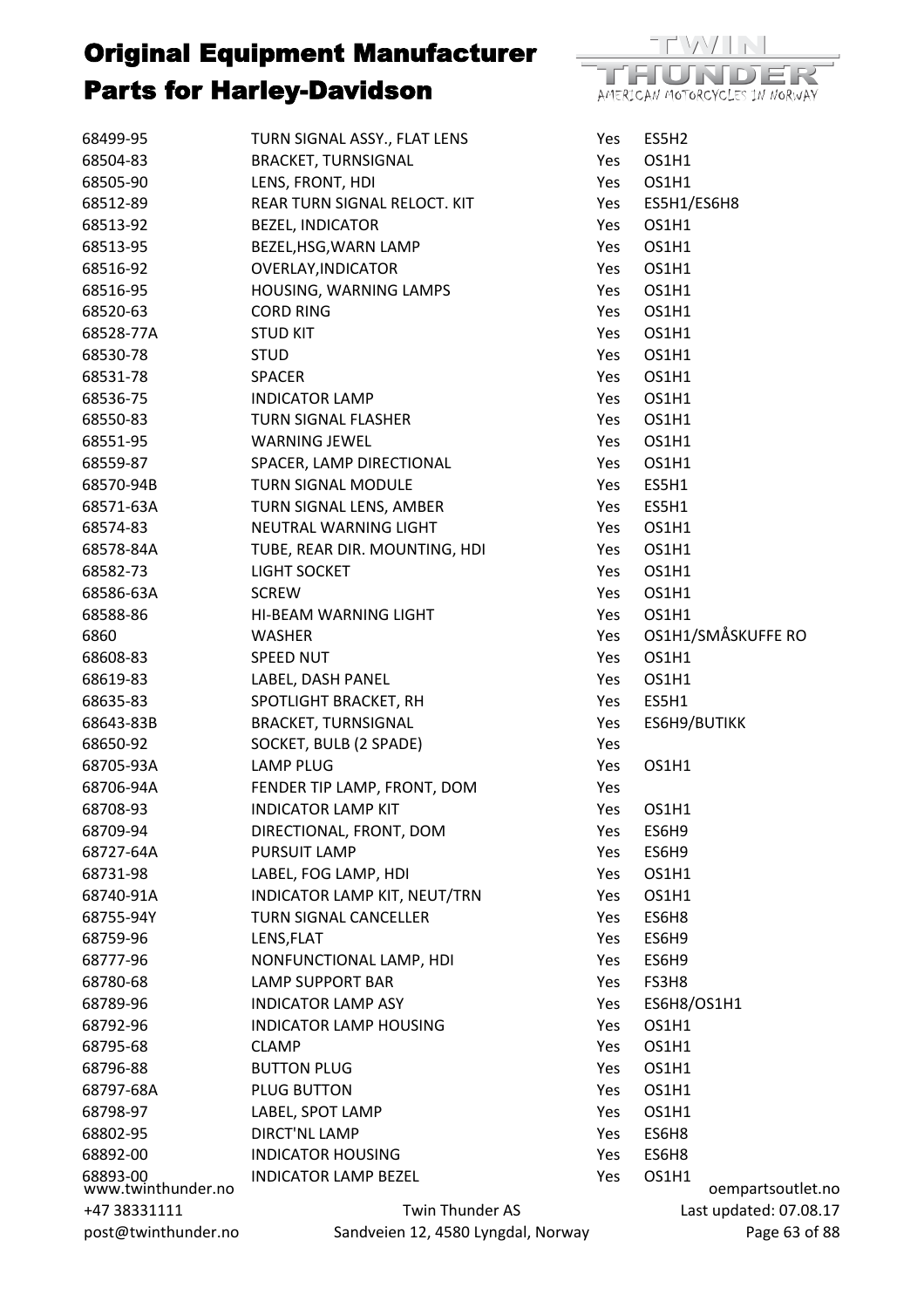

| 68499-95                       | TURN SIGNAL ASSY., FLAT LENS        | Yes | ES5H2        |                        |
|--------------------------------|-------------------------------------|-----|--------------|------------------------|
| 68504-83                       | <b>BRACKET, TURNSIGNAL</b>          | Yes | OS1H1        |                        |
| 68505-90                       | LENS, FRONT, HDI                    | Yes | OS1H1        |                        |
| 68512-89                       | REAR TURN SIGNAL RELOCT. KIT        | Yes | ES5H1/ES6H8  |                        |
| 68513-92                       | <b>BEZEL, INDICATOR</b>             | Yes | OS1H1        |                        |
| 68513-95                       | BEZEL, HSG, WARN LAMP               | Yes | OS1H1        |                        |
| 68516-92                       | <b>OVERLAY, INDICATOR</b>           | Yes | OS1H1        |                        |
| 68516-95                       | HOUSING, WARNING LAMPS              | Yes | OS1H1        |                        |
| 68520-63                       | <b>CORD RING</b>                    | Yes | OS1H1        |                        |
| 68528-77A                      | <b>STUD KIT</b>                     | Yes | OS1H1        |                        |
| 68530-78                       | <b>STUD</b>                         | Yes | OS1H1        |                        |
| 68531-78                       | <b>SPACER</b>                       | Yes | OS1H1        |                        |
| 68536-75                       | <b>INDICATOR LAMP</b>               | Yes | OS1H1        |                        |
| 68550-83                       | TURN SIGNAL FLASHER                 | Yes | OS1H1        |                        |
| 68551-95                       | <b>WARNING JEWEL</b>                | Yes | OS1H1        |                        |
| 68559-87                       | SPACER, LAMP DIRECTIONAL            | Yes | OS1H1        |                        |
| 68570-94B                      | <b>TURN SIGNAL MODULE</b>           | Yes | ES5H1        |                        |
| 68571-63A                      | TURN SIGNAL LENS, AMBER             | Yes | ES5H1        |                        |
| 68574-83                       | NEUTRAL WARNING LIGHT               | Yes | OS1H1        |                        |
| 68578-84A                      | TUBE, REAR DIR. MOUNTING, HDI       | Yes | OS1H1        |                        |
| 68582-73                       | LIGHT SOCKET                        | Yes | OS1H1        |                        |
| 68586-63A                      | <b>SCREW</b>                        | Yes | OS1H1        |                        |
| 68588-86                       | HI-BEAM WARNING LIGHT               | Yes | OS1H1        |                        |
| 6860                           | <b>WASHER</b>                       | Yes |              | OS1H1/SMÅSKUFFE RO     |
| 68608-83                       | <b>SPEED NUT</b>                    | Yes | OS1H1        |                        |
| 68619-83                       | LABEL, DASH PANEL                   | Yes | OS1H1        |                        |
| 68635-83                       | SPOTLIGHT BRACKET, RH               | Yes | ES5H1        |                        |
| 68643-83B                      | <b>BRACKET, TURNSIGNAL</b>          | Yes | ES6H9/BUTIKK |                        |
| 68650-92                       | SOCKET, BULB (2 SPADE)              | Yes |              |                        |
| 68705-93A                      | <b>LAMP PLUG</b>                    | Yes | OS1H1        |                        |
| 68706-94A                      | FENDER TIP LAMP, FRONT, DOM         | Yes |              |                        |
| 68708-93                       | <b>INDICATOR LAMP KIT</b>           | Yes | OS1H1        |                        |
| 68709-94                       | DIRECTIONAL, FRONT, DOM             | Yes | ES6H9        |                        |
| 68727-64A                      | PURSUIT LAMP                        | Yes | ES6H9        |                        |
| 68731-98                       | LABEL, FOG LAMP, HDI                | Yes | OS1H1        |                        |
| 68740-91A                      | <b>INDICATOR LAMP KIT, NEUT/TRN</b> | Yes | OS1H1        |                        |
| 68755-94Y                      | <b>TURN SIGNAL CANCELLER</b>        | Yes | ES6H8        |                        |
|                                |                                     |     |              |                        |
| 68759-96                       | LENS, FLAT                          | Yes | ES6H9        |                        |
| 68777-96                       | NONFUNCTIONAL LAMP, HDI             | Yes | ES6H9        |                        |
| 68780-68                       | <b>LAMP SUPPORT BAR</b>             | Yes | FS3H8        |                        |
| 68789-96                       | <b>INDICATOR LAMP ASY</b>           | Yes | ES6H8/OS1H1  |                        |
| 68792-96                       | <b>INDICATOR LAMP HOUSING</b>       | Yes | OS1H1        |                        |
| 68795-68                       | <b>CLAMP</b>                        | Yes | OS1H1        |                        |
| 68796-88                       | <b>BUTTON PLUG</b>                  | Yes | OS1H1        |                        |
| 68797-68A                      | PLUG BUTTON                         | Yes | OS1H1        |                        |
| 68798-97                       | LABEL, SPOT LAMP                    | Yes | OS1H1        |                        |
| 68802-95                       | <b>DIRCT'NL LAMP</b>                | Yes | ES6H8        |                        |
| 68892-00                       | <b>INDICATOR HOUSING</b>            | Yes | ES6H8        |                        |
| 68893-00<br>www.twinthunder.no | <b>INDICATOR LAMP BEZEL</b>         | Yes | OS1H1        | oempartsoutlet.no      |
| +47 38331111                   | Twin Thunder AS                     |     |              | Last updated: 07.08.17 |
| post@twinthunder.no            | Sandveien 12, 4580 Lyngdal, Norway  |     |              | Page 63 of 88          |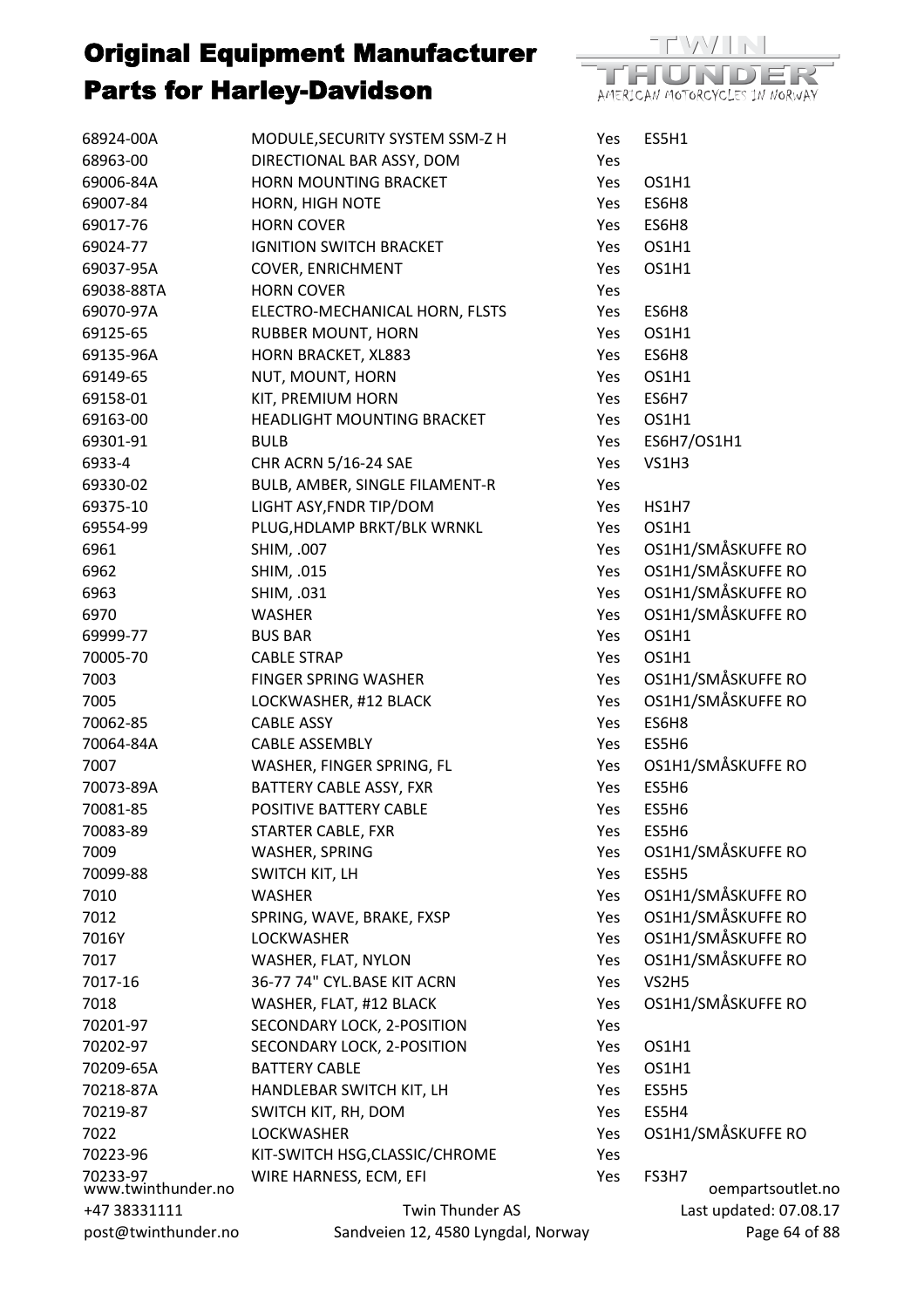



| Yes        |                        |
|------------|------------------------|
| Yes        | OS1H1                  |
| Yes        | ES6H8                  |
|            | Yes ES6H8              |
|            | Yes OS1H1              |
| Yes        | OS1H1                  |
| Yes        |                        |
|            | Yes ES6H8              |
| Yes        | OS1H1                  |
| Yes        | ES6H8                  |
|            | Yes OS1H1              |
|            | Yes ES6H7              |
| Yes        | OS1H1                  |
|            | Yes ES6H7/OS1H1        |
| Yes        | VS1H3                  |
| Yes        |                        |
|            | Yes HS1H7              |
| Yes        | OS1H1                  |
| Yes        | OS1H1/SMÅSKUFFE RO     |
| Yes        | OS1H1/SMÅSKUFFE RO     |
| Yes        | OS1H1/SMÅSKUFFE RO     |
| Yes        | OS1H1/SMÅSKUFFE RO     |
| Yes        | <b>OS1H1</b>           |
| Yes        | OS1H1                  |
| Yes        | OS1H1/SMÅSKUFFE RO     |
| Yes        | OS1H1/SMÅSKUFFE RO     |
|            | Yes ES6H8              |
| Yes        | ES5H6                  |
|            | Yes OS1H1/SMÅSKUFFE RO |
|            | Yes ES5H6              |
| Yes        | ES5H6                  |
|            | Yes ES5H6              |
| Yes        | OS1H1/SMÅSKUFFE RO     |
| Yes        | ES5H5                  |
| Yes        | OS1H1/SMÅSKUFFE RO     |
| <b>Yes</b> | OS1H1/SMÅSKUFFE RO     |
| Yes        | OS1H1/SMÅSKUFFE RO     |
| Yes        | OS1H1/SMÅSKUFFE RO     |
| Yes        | VS2H5                  |
| Yes        | OS1H1/SMÅSKUFFE RO     |
| Yes        |                        |
| Yes        | OS1H1                  |
| Yes        | OS1H1                  |
| <b>Yes</b> | ES5H5                  |
| Yes        | ES5H4                  |
| Yes        | OS1H1/SMÅSKUFFE RO     |
| Yes        |                        |
| Yes        | FS3H7                  |
|            | oempartsoutlet.no      |
|            | Last updated: 07.08.17 |
|            | Page 64 of 88          |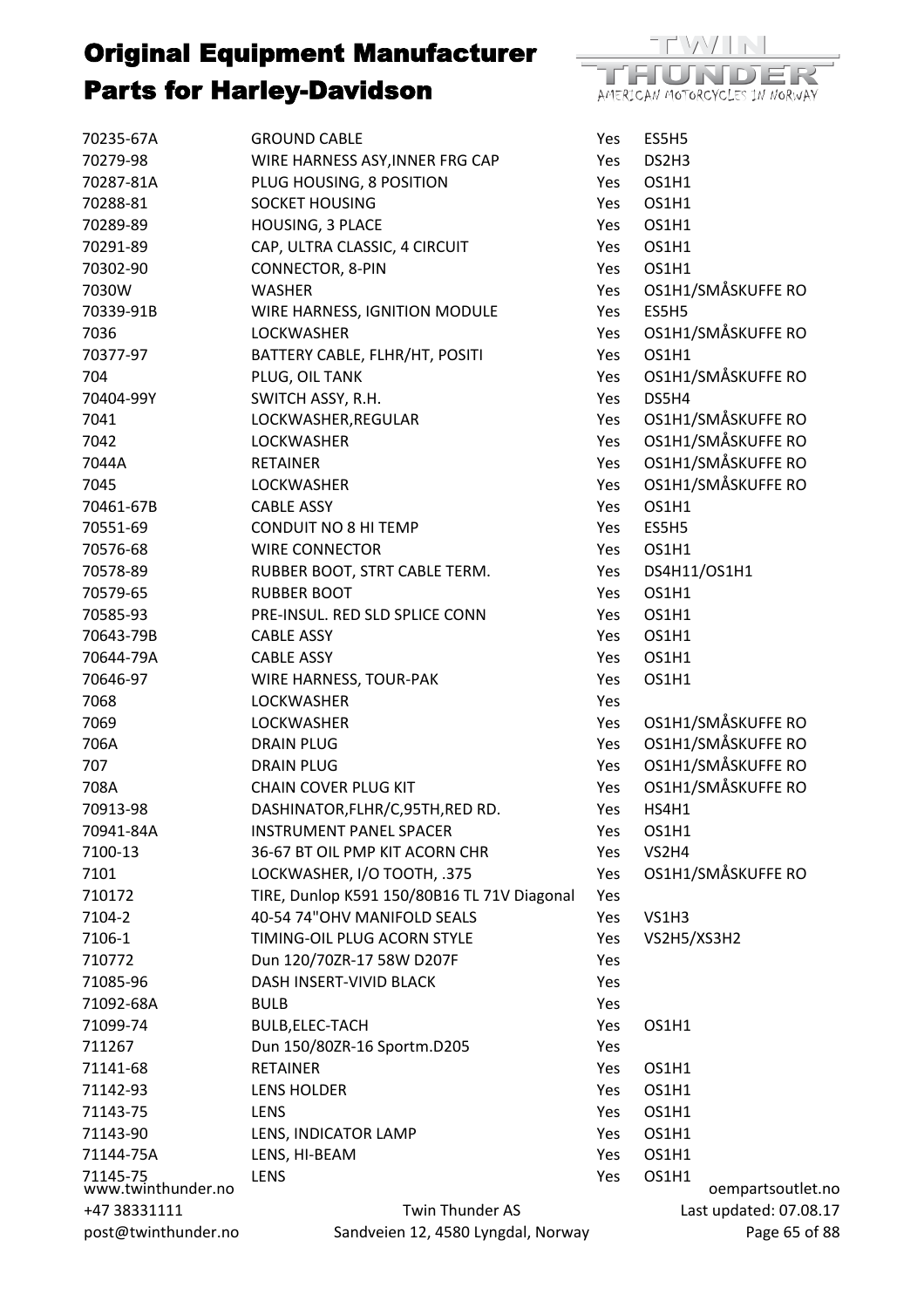

| 70235-67A                      | <b>GROUND CABLE</b>                         | Yes | ES5H5                      |
|--------------------------------|---------------------------------------------|-----|----------------------------|
| 70279-98                       | WIRE HARNESS ASY, INNER FRG CAP             | Yes | DS2H3                      |
| 70287-81A                      | PLUG HOUSING, 8 POSITION                    | Yes | OS1H1                      |
| 70288-81                       | <b>SOCKET HOUSING</b>                       | Yes | OS1H1                      |
| 70289-89                       | HOUSING, 3 PLACE                            | Yes | OS1H1                      |
| 70291-89                       | CAP, ULTRA CLASSIC, 4 CIRCUIT               | Yes | OS1H1                      |
| 70302-90                       | CONNECTOR, 8-PIN                            | Yes | OS1H1                      |
| 7030W                          | <b>WASHER</b>                               | Yes | OS1H1/SMÅSKUFFE RO         |
| 70339-91B                      | WIRE HARNESS, IGNITION MODULE               | Yes | ES5H5                      |
| 7036                           | <b>LOCKWASHER</b>                           | Yes | OS1H1/SMÅSKUFFE RO         |
| 70377-97                       | BATTERY CABLE, FLHR/HT, POSITI              | Yes | OS1H1                      |
| 704                            | PLUG, OIL TANK                              | Yes | OS1H1/SMÅSKUFFE RO         |
| 70404-99Y                      | SWITCH ASSY, R.H.                           | Yes | DS5H4                      |
| 7041                           | LOCKWASHER, REGULAR                         | Yes | OS1H1/SMÅSKUFFE RO         |
| 7042                           | <b>LOCKWASHER</b>                           | Yes | OS1H1/SMÅSKUFFE RO         |
| 7044A                          | <b>RETAINER</b>                             | Yes | OS1H1/SMÅSKUFFE RO         |
| 7045                           | <b>LOCKWASHER</b>                           | Yes | OS1H1/SMÅSKUFFE RO         |
| 70461-67B                      | <b>CABLE ASSY</b>                           | Yes | OS1H1                      |
| 70551-69                       | <b>CONDUIT NO 8 HI TEMP</b>                 | Yes | ES5H5                      |
| 70576-68                       | <b>WIRE CONNECTOR</b>                       | Yes | OS1H1                      |
| 70578-89                       | RUBBER BOOT, STRT CABLE TERM.               | Yes | DS4H11/OS1H1               |
| 70579-65                       | <b>RUBBER BOOT</b>                          | Yes | OS1H1                      |
| 70585-93                       | PRE-INSUL. RED SLD SPLICE CONN              | Yes | OS1H1                      |
| 70643-79B                      | <b>CABLE ASSY</b>                           | Yes | OS1H1                      |
| 70644-79A                      | <b>CABLE ASSY</b>                           | Yes | OS1H1                      |
| 70646-97                       | WIRE HARNESS, TOUR-PAK                      | Yes | OS1H1                      |
| 7068                           | <b>LOCKWASHER</b>                           | Yes |                            |
| 7069                           | <b>LOCKWASHER</b>                           | Yes | OS1H1/SMÅSKUFFE RO         |
| 706A                           | <b>DRAIN PLUG</b>                           | Yes | OS1H1/SMÅSKUFFE RO         |
| 707                            | <b>DRAIN PLUG</b>                           | Yes | OS1H1/SMÅSKUFFE RO         |
| 708A                           | <b>CHAIN COVER PLUG KIT</b>                 | Yes | OS1H1/SMÅSKUFFE RO         |
| 70913-98                       | DASHINATOR, FLHR/C, 95TH, RED RD.           | Yes | HS4H1                      |
| 70941-84A                      | <b>INSTRUMENT PANEL SPACER</b>              | Yes | OS1H1                      |
| 7100-13                        | 36-67 BT OIL PMP KIT ACORN CHR              | Yes | VS2H4                      |
| 7101                           | LOCKWASHER, I/O TOOTH, .375                 | Yes | OS1H1/SMÅSKUFFE RO         |
| 710172                         | TIRE, Dunlop K591 150/80B16 TL 71V Diagonal | Yes |                            |
| 7104-2                         | 40-54 74"OHV MANIFOLD SEALS                 | Yes | VS1H3                      |
| 7106-1                         | TIMING-OIL PLUG ACORN STYLE                 | Yes | VS2H5/XS3H2                |
| 710772                         | Dun 120/70ZR-17 58W D207F                   | Yes |                            |
| 71085-96                       | DASH INSERT-VIVID BLACK                     | Yes |                            |
| 71092-68A                      | <b>BULB</b>                                 | Yes |                            |
| 71099-74                       | BULB, ELEC-TACH                             | Yes | OS1H1                      |
| 711267                         | Dun 150/80ZR-16 Sportm.D205                 | Yes |                            |
| 71141-68                       | <b>RETAINER</b>                             | Yes | OS1H1                      |
| 71142-93                       | <b>LENS HOLDER</b>                          | Yes | OS1H1                      |
| 71143-75                       | LENS                                        | Yes | OS1H1                      |
| 71143-90                       | LENS, INDICATOR LAMP                        | Yes | OS1H1                      |
| 71144-75A                      | LENS, HI-BEAM                               | Yes | OS1H1                      |
| 71145-75<br>www.twinthunder.no | <b>LENS</b>                                 | Yes | OS1H1<br>oempartsoutlet.no |
| +47 38331111                   | Twin Thunder AS                             |     | Last updated: 07.08.17     |
| post@twinthunder.no            | Sandveien 12, 4580 Lyngdal, Norway          |     | Page 65 of 88              |
|                                |                                             |     |                            |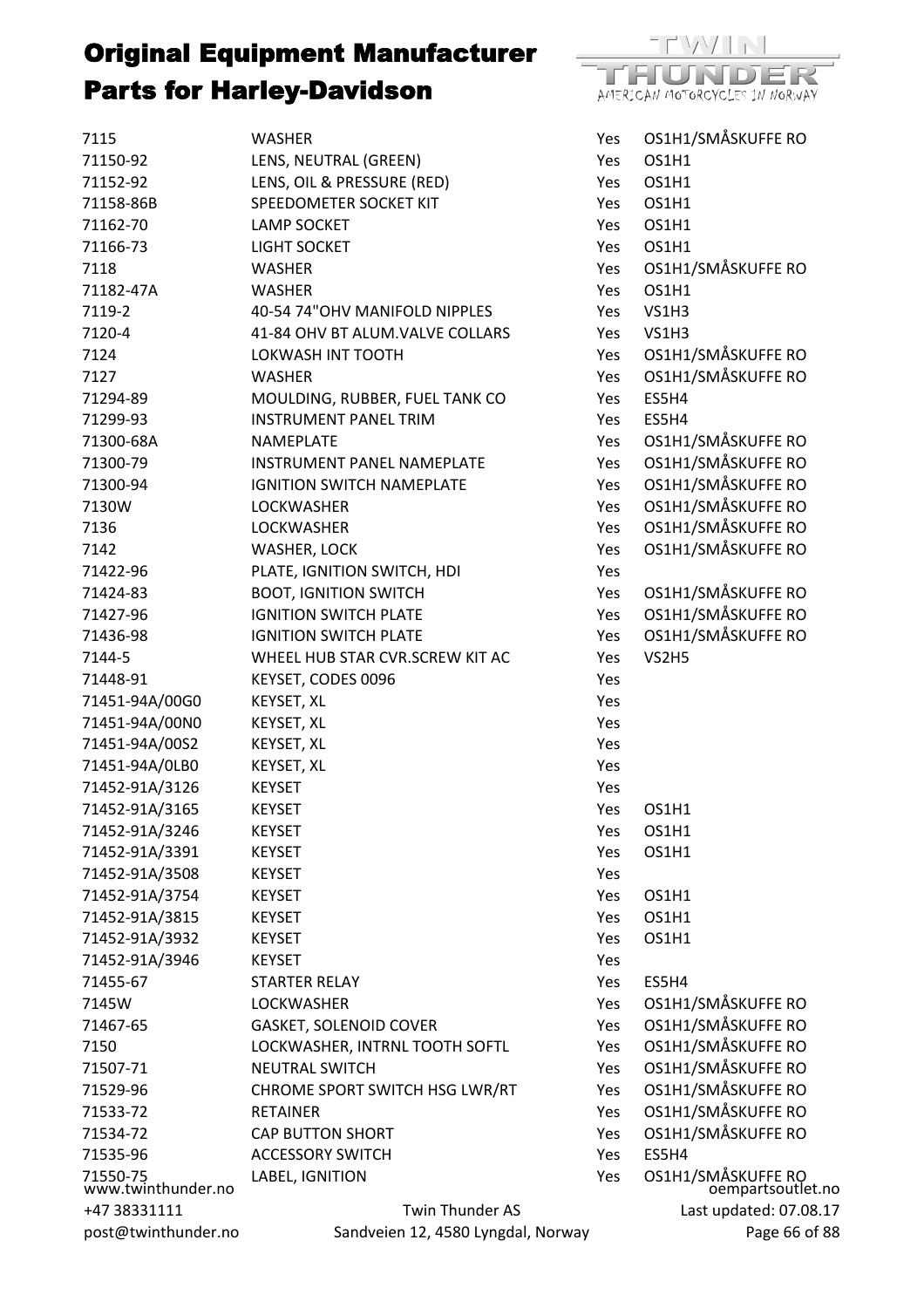

| 7115                           | <b>WASHER</b>                      | Yes | OS1H1/SMÅSKUFFE RO                      |
|--------------------------------|------------------------------------|-----|-----------------------------------------|
| 71150-92                       | LENS, NEUTRAL (GREEN)              | Yes | OS1H1                                   |
| 71152-92                       | LENS, OIL & PRESSURE (RED)         | Yes | OS1H1                                   |
| 71158-86B                      | SPEEDOMETER SOCKET KIT             | Yes | OS1H1                                   |
| 71162-70                       | <b>LAMP SOCKET</b>                 | Yes | OS1H1                                   |
| 71166-73                       | LIGHT SOCKET                       | Yes | OS1H1                                   |
| 7118                           | <b>WASHER</b>                      | Yes | OS1H1/SMÅSKUFFE RO                      |
| 71182-47A                      | <b>WASHER</b>                      | Yes | OS1H1                                   |
| 7119-2                         | 40-54 74"OHV MANIFOLD NIPPLES      | Yes | <b>VS1H3</b>                            |
| 7120-4                         | 41-84 OHV BT ALUM.VALVE COLLARS    | Yes | VS1H3                                   |
| 7124                           | LOKWASH INT TOOTH                  | Yes | OS1H1/SMÅSKUFFE RO                      |
| 7127                           | <b>WASHER</b>                      | Yes | OS1H1/SMÅSKUFFE RO                      |
| 71294-89                       | MOULDING, RUBBER, FUEL TANK CO     | Yes | ES5H4                                   |
| 71299-93                       | <b>INSTRUMENT PANEL TRIM</b>       | Yes | ES5H4                                   |
| 71300-68A                      | NAMEPLATE                          | Yes | OS1H1/SMÅSKUFFE RO                      |
| 71300-79                       | <b>INSTRUMENT PANEL NAMEPLATE</b>  | Yes | OS1H1/SMÅSKUFFE RO                      |
| 71300-94                       | <b>IGNITION SWITCH NAMEPLATE</b>   | Yes | OS1H1/SMÅSKUFFE RO                      |
| 7130W                          | <b>LOCKWASHER</b>                  | Yes | OS1H1/SMÅSKUFFE RO                      |
| 7136                           | <b>LOCKWASHER</b>                  | Yes | OS1H1/SMÅSKUFFE RO                      |
| 7142                           | WASHER, LOCK                       | Yes | OS1H1/SMÅSKUFFE RO                      |
| 71422-96                       | PLATE, IGNITION SWITCH, HDI        | Yes |                                         |
| 71424-83                       | <b>BOOT, IGNITION SWITCH</b>       | Yes | OS1H1/SMÅSKUFFE RO                      |
| 71427-96                       | <b>IGNITION SWITCH PLATE</b>       | Yes | OS1H1/SMÅSKUFFE RO                      |
| 71436-98                       | <b>IGNITION SWITCH PLATE</b>       | Yes | OS1H1/SMÅSKUFFE RO                      |
| 7144-5                         | WHEEL HUB STAR CVR.SCREW KIT AC    | Yes | VS2H5                                   |
| 71448-91                       | KEYSET, CODES 0096                 | Yes |                                         |
| 71451-94A/00G0                 | KEYSET, XL                         | Yes |                                         |
| 71451-94A/00N0                 | KEYSET, XL                         | Yes |                                         |
| 71451-94A/00S2                 | KEYSET, XL                         | Yes |                                         |
| 71451-94A/0LB0                 | KEYSET, XL                         | Yes |                                         |
| 71452-91A/3126                 | <b>KEYSET</b>                      | Yes |                                         |
| 71452-91A/3165                 | <b>KEYSET</b>                      | Yes | OS1H1                                   |
| 71452-91A/3246                 | <b>KEYSET</b>                      | Yes | OS1H1                                   |
| 71452-91A/3391                 | <b>KEYSET</b>                      | Yes | OS1H1                                   |
| 71452-91A/3508                 | <b>KEYSET</b>                      | Yes |                                         |
| 71452-91A/3754                 | <b>KEYSET</b>                      | Yes | OS1H1                                   |
| 71452-91A/3815                 | <b>KEYSET</b>                      | Yes | OS1H1                                   |
| 71452-91A/3932                 | <b>KEYSET</b>                      | Yes | OS1H1                                   |
| 71452-91A/3946                 | <b>KEYSET</b>                      | Yes |                                         |
| 71455-67                       | <b>STARTER RELAY</b>               | Yes | ES5H4                                   |
| 7145W                          | <b>LOCKWASHER</b>                  | Yes | OS1H1/SMÅSKUFFE RO                      |
| 71467-65                       | <b>GASKET, SOLENOID COVER</b>      | Yes | OS1H1/SMÅSKUFFE RO                      |
| 7150                           | LOCKWASHER, INTRNL TOOTH SOFTL     | Yes | OS1H1/SMÅSKUFFE RO                      |
| 71507-71                       | <b>NEUTRAL SWITCH</b>              | Yes | OS1H1/SMÅSKUFFE RO                      |
| 71529-96                       | CHROME SPORT SWITCH HSG LWR/RT     | Yes | OS1H1/SMÅSKUFFE RO                      |
| 71533-72                       | <b>RETAINER</b>                    | Yes | OS1H1/SMÅSKUFFE RO                      |
| 71534-72                       | <b>CAP BUTTON SHORT</b>            | Yes | OS1H1/SMÅSKUFFE RO                      |
| 71535-96                       | <b>ACCESSORY SWITCH</b>            | Yes | ES5H4                                   |
|                                | LABEL, IGNITION                    | Yes |                                         |
| 71550-75<br>www.twinthunder.no |                                    |     | OS1H1/SMÅSKUFFE RO<br>oempartsoutlet.no |
| +47 38331111                   | Twin Thunder AS                    |     | Last updated: 07.08.17                  |
| post@twinthunder.no            | Sandveien 12, 4580 Lyngdal, Norway |     | Page 66 of 88                           |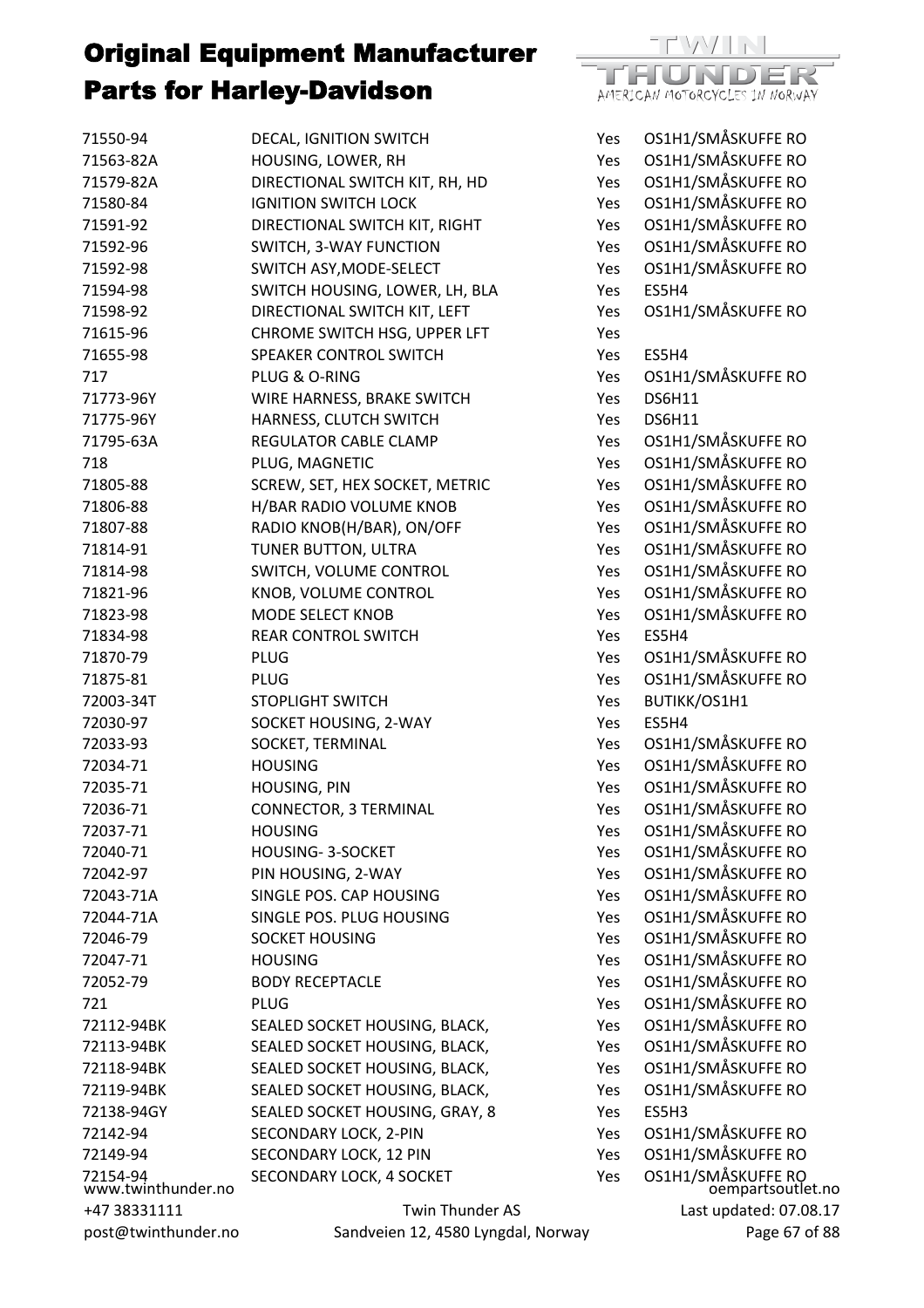

| 71550-94                       | DECAL, IGNITION SWITCH                             | Yes        | OS1H1/SMÅSKUFFE RO                      |
|--------------------------------|----------------------------------------------------|------------|-----------------------------------------|
| 71563-82A                      | HOUSING, LOWER, RH                                 | Yes        | OS1H1/SMÅSKUFFE RO                      |
| 71579-82A                      | DIRECTIONAL SWITCH KIT, RH, HD                     | Yes        | OS1H1/SMÅSKUFFE RO                      |
| 71580-84                       | <b>IGNITION SWITCH LOCK</b>                        | Yes        | OS1H1/SMÅSKUFFE RO                      |
| 71591-92                       | DIRECTIONAL SWITCH KIT, RIGHT                      | Yes        | OS1H1/SMÅSKUFFE RO                      |
| 71592-96                       | SWITCH, 3-WAY FUNCTION                             | Yes        | OS1H1/SMÅSKUFFE RO                      |
| 71592-98                       | SWITCH ASY, MODE-SELECT                            | Yes        | OS1H1/SMÅSKUFFE RO                      |
| 71594-98                       | SWITCH HOUSING, LOWER, LH, BLA                     | Yes        | ES5H4                                   |
| 71598-92                       | DIRECTIONAL SWITCH KIT, LEFT                       | Yes        | OS1H1/SMÅSKUFFE RO                      |
| 71615-96                       | CHROME SWITCH HSG, UPPER LFT                       | Yes        |                                         |
| 71655-98                       | SPEAKER CONTROL SWITCH                             | Yes        | ES5H4                                   |
| 717                            | PLUG & O-RING                                      | Yes        | OS1H1/SMÅSKUFFE RO                      |
| 71773-96Y                      | WIRE HARNESS, BRAKE SWITCH                         | Yes        | <b>DS6H11</b>                           |
| 71775-96Y                      | HARNESS, CLUTCH SWITCH                             | Yes        | <b>DS6H11</b>                           |
| 71795-63A                      | REGULATOR CABLE CLAMP                              | Yes        | OS1H1/SMÅSKUFFE RO                      |
| 718                            | PLUG, MAGNETIC                                     | Yes        | OS1H1/SMÅSKUFFE RO                      |
| 71805-88                       | SCREW, SET, HEX SOCKET, METRIC                     | Yes        | OS1H1/SMÅSKUFFE RO                      |
| 71806-88                       | H/BAR RADIO VOLUME KNOB                            | Yes        | OS1H1/SMÅSKUFFE RO                      |
| 71807-88                       | RADIO KNOB(H/BAR), ON/OFF                          | Yes        | OS1H1/SMÅSKUFFE RO                      |
| 71814-91                       | TUNER BUTTON, ULTRA                                | Yes        | OS1H1/SMÅSKUFFE RO                      |
| 71814-98                       | SWITCH, VOLUME CONTROL                             | Yes        | OS1H1/SMÅSKUFFE RO                      |
| 71821-96                       | KNOB, VOLUME CONTROL                               | Yes        | OS1H1/SMÅSKUFFE RO                      |
| 71823-98                       | MODE SELECT KNOB                                   | Yes        | OS1H1/SMÅSKUFFE RO                      |
| 71834-98                       | <b>REAR CONTROL SWITCH</b>                         | Yes        | ES5H4                                   |
| 71870-79                       | <b>PLUG</b>                                        | Yes        | OS1H1/SMÅSKUFFE RO                      |
| 71875-81                       | <b>PLUG</b>                                        | Yes        | OS1H1/SMÅSKUFFE RO                      |
| 72003-34T                      | <b>STOPLIGHT SWITCH</b>                            | Yes        | BUTIKK/OS1H1                            |
| 72030-97                       | SOCKET HOUSING, 2-WAY                              | Yes        | ES5H4                                   |
| 72033-93                       | SOCKET, TERMINAL                                   | Yes        | OS1H1/SMÅSKUFFE RO                      |
| 72034-71                       | <b>HOUSING</b>                                     | Yes        | OS1H1/SMÅSKUFFE RO                      |
| 72035-71                       | HOUSING, PIN                                       | Yes        | OS1H1/SMÅSKUFFE RO                      |
| 72036-71                       | <b>CONNECTOR, 3 TERMINAL</b>                       | Yes        | OS1H1/SMÅSKUFFE RO                      |
| 72037-71                       | <b>HOUSING</b>                                     | Yes        | OS1H1/SMÅSKUFFE RO                      |
| 72040-71                       | HOUSING-3-SOCKET                                   | Yes        | OS1H1/SMÅSKUFFE RO                      |
| 72042-97                       | PIN HOUSING, 2-WAY                                 | <b>Yes</b> | OS1H1/SMÅSKUFFE RO                      |
| 72043-71A                      | SINGLE POS. CAP HOUSING                            | Yes        | OS1H1/SMÅSKUFFE RO                      |
| 72044-71A                      | SINGLE POS. PLUG HOUSING                           | Yes        | OS1H1/SMÅSKUFFE RO                      |
| 72046-79                       | <b>SOCKET HOUSING</b>                              | Yes        | OS1H1/SMÅSKUFFE RO                      |
| 72047-71                       | <b>HOUSING</b>                                     | Yes        | OS1H1/SMÅSKUFFE RO                      |
| 72052-79                       | <b>BODY RECEPTACLE</b>                             | Yes        | OS1H1/SMÅSKUFFE RO                      |
| 721                            | <b>PLUG</b>                                        | Yes        | OS1H1/SMÅSKUFFE RO                      |
| 72112-94BK                     | SEALED SOCKET HOUSING, BLACK,                      | Yes        | OS1H1/SMÅSKUFFE RO                      |
| 72113-94BK                     | SEALED SOCKET HOUSING, BLACK,                      | Yes        | OS1H1/SMÅSKUFFE RO                      |
| 72118-94BK                     | SEALED SOCKET HOUSING, BLACK,                      | Yes        | OS1H1/SMÅSKUFFE RO                      |
| 72119-94BK                     | SEALED SOCKET HOUSING, BLACK,                      | Yes        | OS1H1/SMÅSKUFFE RO                      |
| 72138-94GY                     | SEALED SOCKET HOUSING, GRAY, 8                     | Yes        | ES5H3                                   |
| 72142-94                       | SECONDARY LOCK, 2-PIN                              | Yes        | OS1H1/SMÅSKUFFE RO                      |
| 72149-94                       |                                                    | Yes        | OS1H1/SMÅSKUFFE RO                      |
|                                | SECONDARY LOCK, 12 PIN<br>SECONDARY LOCK, 4 SOCKET | Yes        |                                         |
| 72154-94<br>www.twinthunder.no |                                                    |            | OS1H1/SMÅSKUFFE RO<br>oempartsoutlet.no |
| +47 38331111                   | Twin Thunder AS                                    |            | Last updated: 07.08.17                  |
| post@twinthunder.no            | Sandveien 12, 4580 Lyngdal, Norway                 |            | Page 67 of 88                           |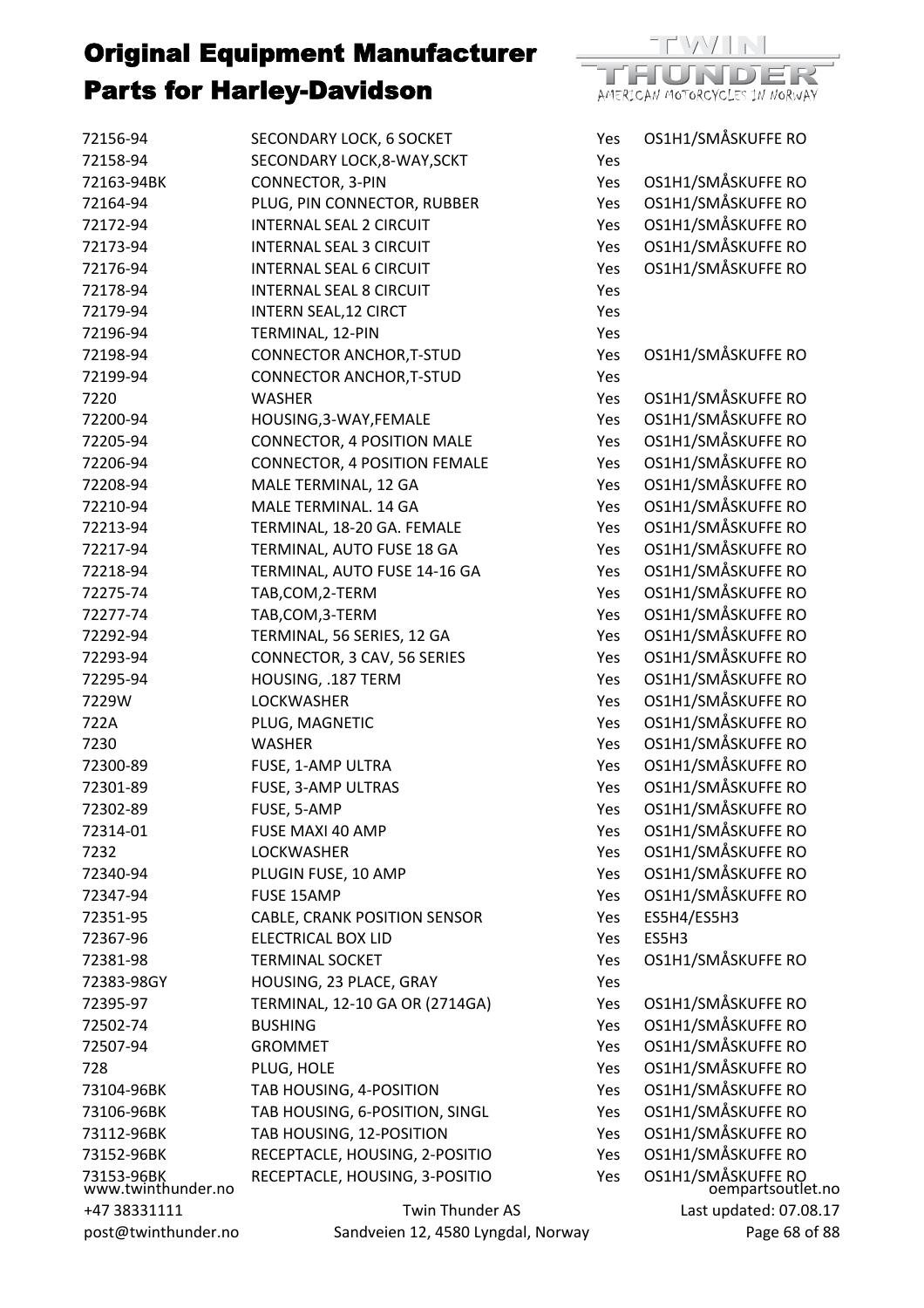

| SECONDARY LOCK, 6 SOCKET       | Yes                                                                                                                                                                                                                                                                                                                                                                                                                                                                                                                                                                                                                                                                                                                                                                                                                                                                                                                                                                                                                                                                                             | OS1H1/SMÅSKUFFE RO                                                                                                                                                                                                                                                                                    |
|--------------------------------|-------------------------------------------------------------------------------------------------------------------------------------------------------------------------------------------------------------------------------------------------------------------------------------------------------------------------------------------------------------------------------------------------------------------------------------------------------------------------------------------------------------------------------------------------------------------------------------------------------------------------------------------------------------------------------------------------------------------------------------------------------------------------------------------------------------------------------------------------------------------------------------------------------------------------------------------------------------------------------------------------------------------------------------------------------------------------------------------------|-------------------------------------------------------------------------------------------------------------------------------------------------------------------------------------------------------------------------------------------------------------------------------------------------------|
| SECONDARY LOCK, 8-WAY, SCKT    | Yes                                                                                                                                                                                                                                                                                                                                                                                                                                                                                                                                                                                                                                                                                                                                                                                                                                                                                                                                                                                                                                                                                             |                                                                                                                                                                                                                                                                                                       |
| CONNECTOR, 3-PIN               | Yes                                                                                                                                                                                                                                                                                                                                                                                                                                                                                                                                                                                                                                                                                                                                                                                                                                                                                                                                                                                                                                                                                             | OS1H1/SMÅSKUFFE RO                                                                                                                                                                                                                                                                                    |
| PLUG, PIN CONNECTOR, RUBBER    | Yes                                                                                                                                                                                                                                                                                                                                                                                                                                                                                                                                                                                                                                                                                                                                                                                                                                                                                                                                                                                                                                                                                             | OS1H1/SMÅSKUFFE RO                                                                                                                                                                                                                                                                                    |
| <b>INTERNAL SEAL 2 CIRCUIT</b> | Yes                                                                                                                                                                                                                                                                                                                                                                                                                                                                                                                                                                                                                                                                                                                                                                                                                                                                                                                                                                                                                                                                                             | OS1H1/SMÅSKUFFE RO                                                                                                                                                                                                                                                                                    |
| <b>INTERNAL SEAL 3 CIRCUIT</b> | Yes                                                                                                                                                                                                                                                                                                                                                                                                                                                                                                                                                                                                                                                                                                                                                                                                                                                                                                                                                                                                                                                                                             | OS1H1/SMÅSKUFFE RO                                                                                                                                                                                                                                                                                    |
| <b>INTERNAL SEAL 6 CIRCUIT</b> | Yes                                                                                                                                                                                                                                                                                                                                                                                                                                                                                                                                                                                                                                                                                                                                                                                                                                                                                                                                                                                                                                                                                             | OS1H1/SMÅSKUFFE RO                                                                                                                                                                                                                                                                                    |
| <b>INTERNAL SEAL 8 CIRCUIT</b> | Yes                                                                                                                                                                                                                                                                                                                                                                                                                                                                                                                                                                                                                                                                                                                                                                                                                                                                                                                                                                                                                                                                                             |                                                                                                                                                                                                                                                                                                       |
|                                |                                                                                                                                                                                                                                                                                                                                                                                                                                                                                                                                                                                                                                                                                                                                                                                                                                                                                                                                                                                                                                                                                                 |                                                                                                                                                                                                                                                                                                       |
|                                | Yes                                                                                                                                                                                                                                                                                                                                                                                                                                                                                                                                                                                                                                                                                                                                                                                                                                                                                                                                                                                                                                                                                             |                                                                                                                                                                                                                                                                                                       |
|                                | Yes                                                                                                                                                                                                                                                                                                                                                                                                                                                                                                                                                                                                                                                                                                                                                                                                                                                                                                                                                                                                                                                                                             | OS1H1/SMÅSKUFFE RO                                                                                                                                                                                                                                                                                    |
|                                | Yes                                                                                                                                                                                                                                                                                                                                                                                                                                                                                                                                                                                                                                                                                                                                                                                                                                                                                                                                                                                                                                                                                             |                                                                                                                                                                                                                                                                                                       |
| <b>WASHER</b>                  | Yes                                                                                                                                                                                                                                                                                                                                                                                                                                                                                                                                                                                                                                                                                                                                                                                                                                                                                                                                                                                                                                                                                             | OS1H1/SMÅSKUFFE RO                                                                                                                                                                                                                                                                                    |
|                                |                                                                                                                                                                                                                                                                                                                                                                                                                                                                                                                                                                                                                                                                                                                                                                                                                                                                                                                                                                                                                                                                                                 | OS1H1/SMÅSKUFFE RO                                                                                                                                                                                                                                                                                    |
|                                |                                                                                                                                                                                                                                                                                                                                                                                                                                                                                                                                                                                                                                                                                                                                                                                                                                                                                                                                                                                                                                                                                                 | OS1H1/SMÅSKUFFE RO                                                                                                                                                                                                                                                                                    |
|                                |                                                                                                                                                                                                                                                                                                                                                                                                                                                                                                                                                                                                                                                                                                                                                                                                                                                                                                                                                                                                                                                                                                 | OS1H1/SMÅSKUFFE RO                                                                                                                                                                                                                                                                                    |
|                                |                                                                                                                                                                                                                                                                                                                                                                                                                                                                                                                                                                                                                                                                                                                                                                                                                                                                                                                                                                                                                                                                                                 | OS1H1/SMÅSKUFFE RO                                                                                                                                                                                                                                                                                    |
|                                |                                                                                                                                                                                                                                                                                                                                                                                                                                                                                                                                                                                                                                                                                                                                                                                                                                                                                                                                                                                                                                                                                                 | OS1H1/SMÅSKUFFE RO                                                                                                                                                                                                                                                                                    |
|                                |                                                                                                                                                                                                                                                                                                                                                                                                                                                                                                                                                                                                                                                                                                                                                                                                                                                                                                                                                                                                                                                                                                 | OS1H1/SMÅSKUFFE RO                                                                                                                                                                                                                                                                                    |
|                                |                                                                                                                                                                                                                                                                                                                                                                                                                                                                                                                                                                                                                                                                                                                                                                                                                                                                                                                                                                                                                                                                                                 | OS1H1/SMÅSKUFFE RO                                                                                                                                                                                                                                                                                    |
|                                |                                                                                                                                                                                                                                                                                                                                                                                                                                                                                                                                                                                                                                                                                                                                                                                                                                                                                                                                                                                                                                                                                                 | OS1H1/SMÅSKUFFE RO                                                                                                                                                                                                                                                                                    |
|                                |                                                                                                                                                                                                                                                                                                                                                                                                                                                                                                                                                                                                                                                                                                                                                                                                                                                                                                                                                                                                                                                                                                 | OS1H1/SMÅSKUFFE RO                                                                                                                                                                                                                                                                                    |
|                                |                                                                                                                                                                                                                                                                                                                                                                                                                                                                                                                                                                                                                                                                                                                                                                                                                                                                                                                                                                                                                                                                                                 | OS1H1/SMÅSKUFFE RO                                                                                                                                                                                                                                                                                    |
|                                |                                                                                                                                                                                                                                                                                                                                                                                                                                                                                                                                                                                                                                                                                                                                                                                                                                                                                                                                                                                                                                                                                                 | OS1H1/SMÅSKUFFE RO                                                                                                                                                                                                                                                                                    |
|                                |                                                                                                                                                                                                                                                                                                                                                                                                                                                                                                                                                                                                                                                                                                                                                                                                                                                                                                                                                                                                                                                                                                 | OS1H1/SMÅSKUFFE RO                                                                                                                                                                                                                                                                                    |
|                                |                                                                                                                                                                                                                                                                                                                                                                                                                                                                                                                                                                                                                                                                                                                                                                                                                                                                                                                                                                                                                                                                                                 | OS1H1/SMÅSKUFFE RO                                                                                                                                                                                                                                                                                    |
|                                |                                                                                                                                                                                                                                                                                                                                                                                                                                                                                                                                                                                                                                                                                                                                                                                                                                                                                                                                                                                                                                                                                                 | OS1H1/SMÅSKUFFE RO                                                                                                                                                                                                                                                                                    |
|                                |                                                                                                                                                                                                                                                                                                                                                                                                                                                                                                                                                                                                                                                                                                                                                                                                                                                                                                                                                                                                                                                                                                 | OS1H1/SMÅSKUFFE RO                                                                                                                                                                                                                                                                                    |
|                                |                                                                                                                                                                                                                                                                                                                                                                                                                                                                                                                                                                                                                                                                                                                                                                                                                                                                                                                                                                                                                                                                                                 | OS1H1/SMÅSKUFFE RO                                                                                                                                                                                                                                                                                    |
|                                |                                                                                                                                                                                                                                                                                                                                                                                                                                                                                                                                                                                                                                                                                                                                                                                                                                                                                                                                                                                                                                                                                                 | OS1H1/SMÅSKUFFE RO                                                                                                                                                                                                                                                                                    |
|                                |                                                                                                                                                                                                                                                                                                                                                                                                                                                                                                                                                                                                                                                                                                                                                                                                                                                                                                                                                                                                                                                                                                 | OS1H1/SMÅSKUFFE RO                                                                                                                                                                                                                                                                                    |
|                                |                                                                                                                                                                                                                                                                                                                                                                                                                                                                                                                                                                                                                                                                                                                                                                                                                                                                                                                                                                                                                                                                                                 | OS1H1/SMÅSKUFFE RO                                                                                                                                                                                                                                                                                    |
|                                |                                                                                                                                                                                                                                                                                                                                                                                                                                                                                                                                                                                                                                                                                                                                                                                                                                                                                                                                                                                                                                                                                                 | OS1H1/SMÅSKUFFE RO                                                                                                                                                                                                                                                                                    |
|                                |                                                                                                                                                                                                                                                                                                                                                                                                                                                                                                                                                                                                                                                                                                                                                                                                                                                                                                                                                                                                                                                                                                 | OS1H1/SMÅSKUFFE RO                                                                                                                                                                                                                                                                                    |
|                                |                                                                                                                                                                                                                                                                                                                                                                                                                                                                                                                                                                                                                                                                                                                                                                                                                                                                                                                                                                                                                                                                                                 | OS1H1/SMÅSKUFFE RO                                                                                                                                                                                                                                                                                    |
|                                |                                                                                                                                                                                                                                                                                                                                                                                                                                                                                                                                                                                                                                                                                                                                                                                                                                                                                                                                                                                                                                                                                                 | OS1H1/SMÅSKUFFE RO                                                                                                                                                                                                                                                                                    |
|                                |                                                                                                                                                                                                                                                                                                                                                                                                                                                                                                                                                                                                                                                                                                                                                                                                                                                                                                                                                                                                                                                                                                 | ES5H4/ES5H3                                                                                                                                                                                                                                                                                           |
|                                |                                                                                                                                                                                                                                                                                                                                                                                                                                                                                                                                                                                                                                                                                                                                                                                                                                                                                                                                                                                                                                                                                                 | ES5H3                                                                                                                                                                                                                                                                                                 |
|                                |                                                                                                                                                                                                                                                                                                                                                                                                                                                                                                                                                                                                                                                                                                                                                                                                                                                                                                                                                                                                                                                                                                 | OS1H1/SMÅSKUFFE RO                                                                                                                                                                                                                                                                                    |
|                                |                                                                                                                                                                                                                                                                                                                                                                                                                                                                                                                                                                                                                                                                                                                                                                                                                                                                                                                                                                                                                                                                                                 |                                                                                                                                                                                                                                                                                                       |
|                                |                                                                                                                                                                                                                                                                                                                                                                                                                                                                                                                                                                                                                                                                                                                                                                                                                                                                                                                                                                                                                                                                                                 | OS1H1/SMÅSKUFFE RO                                                                                                                                                                                                                                                                                    |
|                                |                                                                                                                                                                                                                                                                                                                                                                                                                                                                                                                                                                                                                                                                                                                                                                                                                                                                                                                                                                                                                                                                                                 | OS1H1/SMÅSKUFFE RO                                                                                                                                                                                                                                                                                    |
|                                |                                                                                                                                                                                                                                                                                                                                                                                                                                                                                                                                                                                                                                                                                                                                                                                                                                                                                                                                                                                                                                                                                                 | OS1H1/SMÅSKUFFE RO                                                                                                                                                                                                                                                                                    |
|                                |                                                                                                                                                                                                                                                                                                                                                                                                                                                                                                                                                                                                                                                                                                                                                                                                                                                                                                                                                                                                                                                                                                 | OS1H1/SMÅSKUFFE RO                                                                                                                                                                                                                                                                                    |
|                                |                                                                                                                                                                                                                                                                                                                                                                                                                                                                                                                                                                                                                                                                                                                                                                                                                                                                                                                                                                                                                                                                                                 | OS1H1/SMÅSKUFFE RO                                                                                                                                                                                                                                                                                    |
|                                |                                                                                                                                                                                                                                                                                                                                                                                                                                                                                                                                                                                                                                                                                                                                                                                                                                                                                                                                                                                                                                                                                                 | OS1H1/SMÅSKUFFE RO                                                                                                                                                                                                                                                                                    |
|                                |                                                                                                                                                                                                                                                                                                                                                                                                                                                                                                                                                                                                                                                                                                                                                                                                                                                                                                                                                                                                                                                                                                 | OS1H1/SMÅSKUFFE RO                                                                                                                                                                                                                                                                                    |
|                                |                                                                                                                                                                                                                                                                                                                                                                                                                                                                                                                                                                                                                                                                                                                                                                                                                                                                                                                                                                                                                                                                                                 | OS1H1/SMÅSKUFFE RO                                                                                                                                                                                                                                                                                    |
|                                |                                                                                                                                                                                                                                                                                                                                                                                                                                                                                                                                                                                                                                                                                                                                                                                                                                                                                                                                                                                                                                                                                                 |                                                                                                                                                                                                                                                                                                       |
|                                |                                                                                                                                                                                                                                                                                                                                                                                                                                                                                                                                                                                                                                                                                                                                                                                                                                                                                                                                                                                                                                                                                                 | OS1H1/SMÅSKUFFE RO<br>oempartsoutlet.no                                                                                                                                                                                                                                                               |
|                                |                                                                                                                                                                                                                                                                                                                                                                                                                                                                                                                                                                                                                                                                                                                                                                                                                                                                                                                                                                                                                                                                                                 | Last updated: 07.08.17<br>Page 68 of 88                                                                                                                                                                                                                                                               |
|                                | <b>INTERN SEAL, 12 CIRCT</b><br>TERMINAL, 12-PIN<br><b>CONNECTOR ANCHOR, T-STUD</b><br><b>CONNECTOR ANCHOR, T-STUD</b><br>HOUSING, 3-WAY, FEMALE<br><b>CONNECTOR, 4 POSITION MALE</b><br><b>CONNECTOR, 4 POSITION FEMALE</b><br>MALE TERMINAL, 12 GA<br>MALE TERMINAL. 14 GA<br>TERMINAL, 18-20 GA. FEMALE<br>TERMINAL, AUTO FUSE 18 GA<br>TERMINAL, AUTO FUSE 14-16 GA<br>TAB, COM, 2-TERM<br>TAB, COM, 3-TERM<br>TERMINAL, 56 SERIES, 12 GA<br>CONNECTOR, 3 CAV, 56 SERIES<br>HOUSING, .187 TERM<br><b>LOCKWASHER</b><br>PLUG, MAGNETIC<br><b>WASHER</b><br>FUSE, 1-AMP ULTRA<br>FUSE, 3-AMP ULTRAS<br>FUSE, 5-AMP<br>FUSE MAXI 40 AMP<br><b>LOCKWASHER</b><br>PLUGIN FUSE, 10 AMP<br>FUSE 15AMP<br>CABLE, CRANK POSITION SENSOR<br><b>ELECTRICAL BOX LID</b><br><b>TERMINAL SOCKET</b><br>HOUSING, 23 PLACE, GRAY<br>TERMINAL, 12-10 GA OR (2714GA)<br><b>BUSHING</b><br><b>GROMMET</b><br>PLUG, HOLE<br>TAB HOUSING, 4-POSITION<br>TAB HOUSING, 6-POSITION, SINGL<br>TAB HOUSING, 12-POSITION<br>RECEPTACLE, HOUSING, 2-POSITIO<br>RECEPTACLE, HOUSING, 3-POSITIO<br><b>Twin Thunder AS</b> | Yes<br>Yes<br>Yes<br>Yes<br>Yes<br>Yes<br>Yes<br>Yes<br>Yes<br>Yes<br>Yes<br>Yes<br>Yes<br>Yes<br>Yes<br>Yes<br>Yes<br>Yes<br>Yes<br>Yes<br>Yes<br>Yes<br>Yes<br>Yes<br>Yes<br>Yes<br>Yes<br>Yes<br>Yes<br>Yes<br>Yes<br>Yes<br>Yes<br>Yes<br>Yes<br>Yes<br>Yes<br>Sandveien 12, 4580 Lyngdal, Norway |

+47 38331111 post@twinthunder.no Sandveien 12, 4580 Lyngdal, Norway

 $.08.17$ Page 68 of 88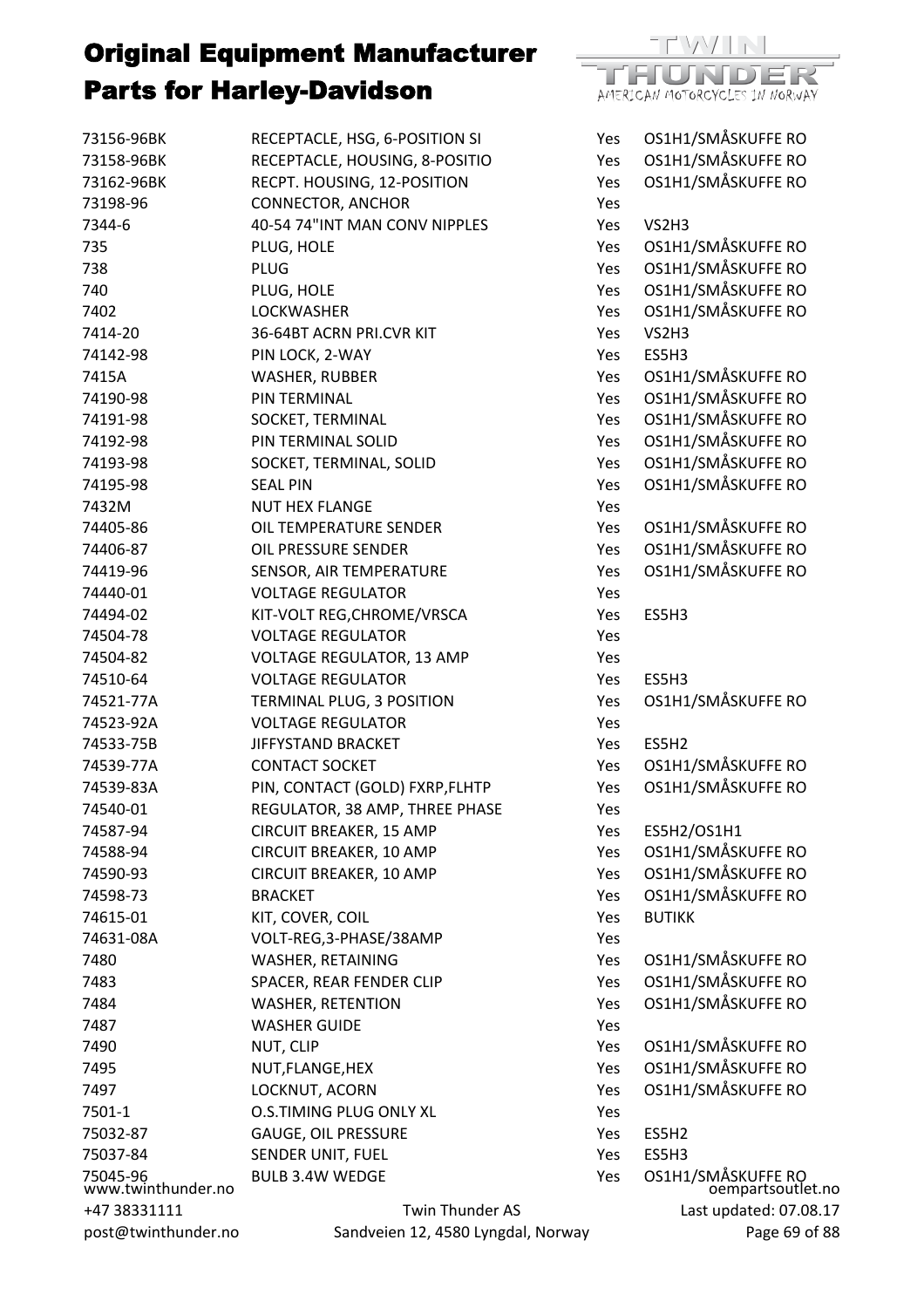

| 73156-96BK                     | RECEPTACLE, HSG, 6-POSITION SI     | Yes | OS1H1/SMÅSKUFFE RO                      |
|--------------------------------|------------------------------------|-----|-----------------------------------------|
| 73158-96BK                     | RECEPTACLE, HOUSING, 8-POSITIO     | Yes | OS1H1/SMÅSKUFFE RO                      |
| 73162-96BK                     | RECPT. HOUSING, 12-POSITION        | Yes | OS1H1/SMÅSKUFFE RO                      |
| 73198-96                       | <b>CONNECTOR, ANCHOR</b>           | Yes |                                         |
| 7344-6                         | 40-54 74"INT MAN CONV NIPPLES      | Yes | VS2H3                                   |
| 735                            | PLUG, HOLE                         | Yes | OS1H1/SMÅSKUFFE RO                      |
| 738                            | <b>PLUG</b>                        | Yes | OS1H1/SMÅSKUFFE RO                      |
| 740                            | PLUG, HOLE                         | Yes | OS1H1/SMÅSKUFFE RO                      |
| 7402                           | <b>LOCKWASHER</b>                  | Yes | OS1H1/SMÅSKUFFE RO                      |
| 7414-20                        | 36-64BT ACRN PRI.CVR KIT           | Yes | VS2H3                                   |
| 74142-98                       | PIN LOCK, 2-WAY                    | Yes | ES5H3                                   |
| 7415A                          | <b>WASHER, RUBBER</b>              | Yes | OS1H1/SMÅSKUFFE RO                      |
| 74190-98                       | PIN TERMINAL                       | Yes | OS1H1/SMÅSKUFFE RO                      |
| 74191-98                       | SOCKET, TERMINAL                   | Yes | OS1H1/SMÅSKUFFE RO                      |
| 74192-98                       | PIN TERMINAL SOLID                 | Yes | OS1H1/SMÅSKUFFE RO                      |
| 74193-98                       | SOCKET, TERMINAL, SOLID            | Yes | OS1H1/SMÅSKUFFE RO                      |
| 74195-98                       | <b>SEAL PIN</b>                    | Yes | OS1H1/SMÅSKUFFE RO                      |
| 7432M                          | <b>NUT HEX FLANGE</b>              | Yes |                                         |
| 74405-86                       | OIL TEMPERATURE SENDER             | Yes | OS1H1/SMÅSKUFFE RO                      |
| 74406-87                       | OIL PRESSURE SENDER                | Yes | OS1H1/SMÅSKUFFE RO                      |
| 74419-96                       | SENSOR, AIR TEMPERATURE            | Yes | OS1H1/SMÅSKUFFE RO                      |
| 74440-01                       | <b>VOLTAGE REGULATOR</b>           | Yes |                                         |
| 74494-02                       | KIT-VOLT REG, CHROME/VRSCA         | Yes | ES5H3                                   |
| 74504-78                       | <b>VOLTAGE REGULATOR</b>           | Yes |                                         |
| 74504-82                       | <b>VOLTAGE REGULATOR, 13 AMP</b>   | Yes |                                         |
| 74510-64                       | <b>VOLTAGE REGULATOR</b>           | Yes | ES5H3                                   |
| 74521-77A                      | TERMINAL PLUG, 3 POSITION          | Yes | OS1H1/SMÅSKUFFE RO                      |
| 74523-92A                      | <b>VOLTAGE REGULATOR</b>           | Yes |                                         |
| 74533-75B                      | JIFFYSTAND BRACKET                 | Yes | ES5H2                                   |
| 74539-77A                      | <b>CONTACT SOCKET</b>              | Yes | OS1H1/SMÅSKUFFE RO                      |
| 74539-83A                      | PIN, CONTACT (GOLD) FXRP, FLHTP    | Yes | OS1H1/SMÅSKUFFE RO                      |
| 74540-01                       | REGULATOR, 38 AMP, THREE PHASE     | Yes |                                         |
| 74587-94                       | CIRCUIT BREAKER, 15 AMP            | Yes | ES5H2/OS1H1                             |
| 74588-94                       | CIRCUIT BREAKER, 10 AMP            | Yes | OS1H1/SMÅSKUFFE RO                      |
| 74590-93                       | CIRCUIT BREAKER, 10 AMP            | Yes | OS1H1/SMÅSKUFFE RO                      |
| 74598-73                       | <b>BRACKET</b>                     | Yes | OS1H1/SMÅSKUFFE RO                      |
| 74615-01                       | KIT, COVER, COIL                   | Yes | <b>BUTIKK</b>                           |
| 74631-08A                      | VOLT-REG, 3-PHASE/38AMP            | Yes |                                         |
| 7480                           | WASHER, RETAINING                  | Yes | OS1H1/SMÅSKUFFE RO                      |
| 7483                           | SPACER, REAR FENDER CLIP           | Yes | OS1H1/SMÅSKUFFE RO                      |
| 7484                           | <b>WASHER, RETENTION</b>           | Yes | OS1H1/SMÅSKUFFE RO                      |
| 7487                           | <b>WASHER GUIDE</b>                | Yes |                                         |
| 7490                           | NUT, CLIP                          | Yes | OS1H1/SMÅSKUFFE RO                      |
| 7495                           | NUT, FLANGE, HEX                   | Yes | OS1H1/SMÅSKUFFE RO                      |
| 7497                           | LOCKNUT, ACORN                     | Yes | OS1H1/SMÅSKUFFE RO                      |
| 7501-1                         | <b>O.S.TIMING PLUG ONLY XL</b>     | Yes |                                         |
| 75032-87                       | <b>GAUGE, OIL PRESSURE</b>         | Yes | ES5H2                                   |
| 75037-84                       | SENDER UNIT, FUEL                  | Yes | ES5H3                                   |
|                                | <b>BULB 3.4W WEDGE</b>             | Yes |                                         |
| 75045-96<br>www.twinthunder.no |                                    |     | OS1H1/SMÅSKUFFE RO<br>oempartsoutlet.no |
| +47 38331111                   | Twin Thunder AS                    |     | Last updated: 07.08.17                  |
| post@twinthunder.no            | Sandveien 12, 4580 Lyngdal, Norway |     | Page 69 of 88                           |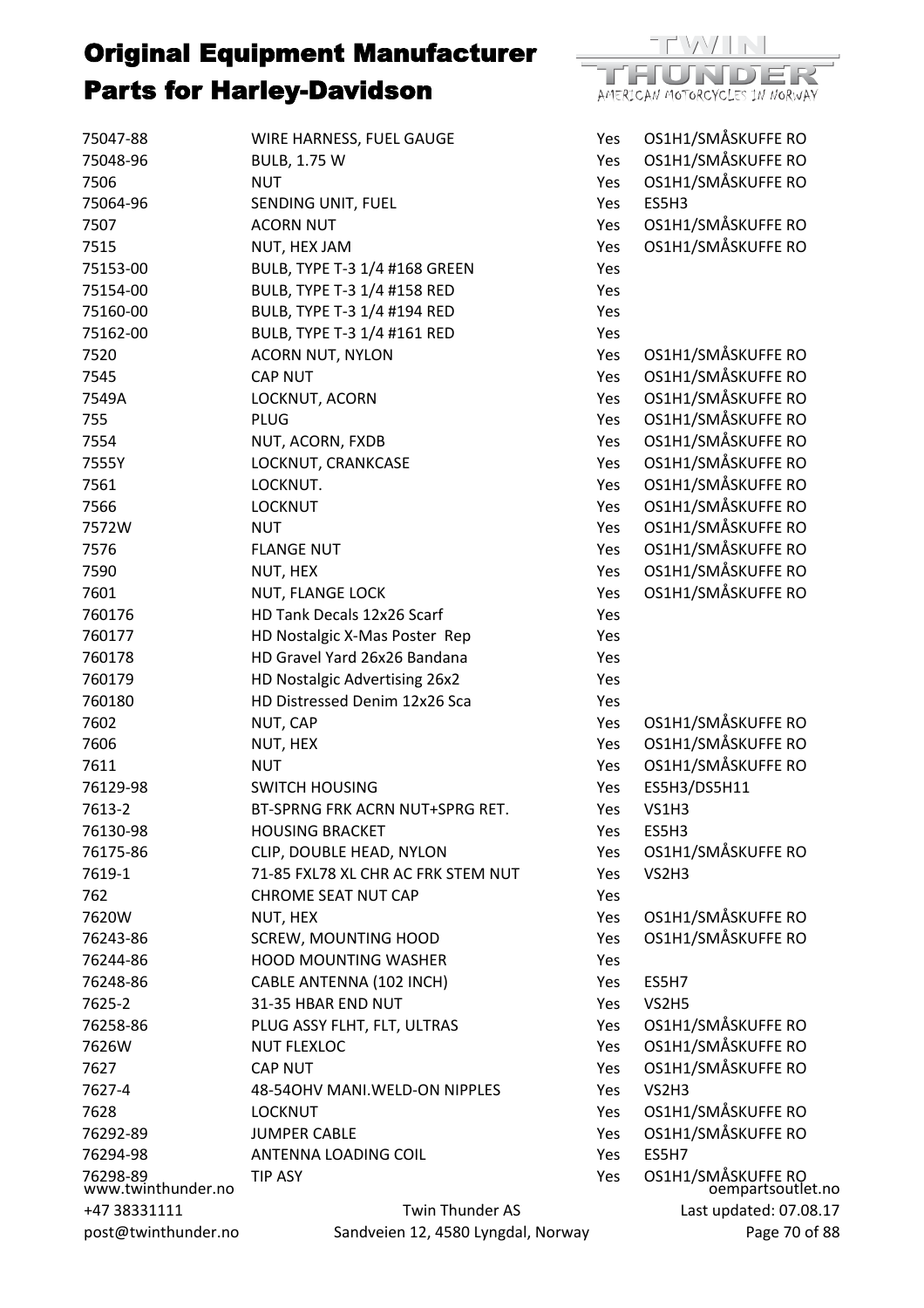

| 75047-88<br>75048-96<br>7506   | WIRE HARNESS, FUEL GAUGE<br><b>BULB, 1.75 W</b><br><b>NUT</b> | Yes<br>Yes<br>Yes | OS1H1/SMÅSKUFFE RO<br>OS1H1/SMÅSKUFFE RO<br>OS1H1/SMÅSKUFFE RO |
|--------------------------------|---------------------------------------------------------------|-------------------|----------------------------------------------------------------|
| 75064-96                       | SENDING UNIT, FUEL                                            | Yes               | ES5H3                                                          |
| 7507                           | <b>ACORN NUT</b>                                              | Yes               | OS1H1/SMÅSKUFFE RO                                             |
| 7515                           | NUT, HEX JAM                                                  | Yes               | OS1H1/SMÅSKUFFE RO                                             |
| 75153-00                       | BULB, TYPE T-3 1/4 #168 GREEN                                 | Yes               |                                                                |
| 75154-00                       | BULB, TYPE T-3 1/4 #158 RED                                   | Yes               |                                                                |
| 75160-00                       | BULB, TYPE T-3 1/4 #194 RED                                   | Yes               |                                                                |
| 75162-00                       | BULB, TYPE T-3 1/4 #161 RED                                   | Yes               |                                                                |
| 7520                           | <b>ACORN NUT, NYLON</b>                                       | Yes               | OS1H1/SMÅSKUFFE RO                                             |
| 7545                           | <b>CAP NUT</b>                                                | Yes               | OS1H1/SMÅSKUFFE RO                                             |
| 7549A                          | LOCKNUT, ACORN                                                | Yes               | OS1H1/SMÅSKUFFE RO                                             |
| 755                            | <b>PLUG</b>                                                   | Yes               | OS1H1/SMÅSKUFFE RO                                             |
| 7554                           | NUT, ACORN, FXDB                                              | Yes               | OS1H1/SMÅSKUFFE RO                                             |
| 7555Y                          | LOCKNUT, CRANKCASE                                            | Yes               | OS1H1/SMÅSKUFFE RO                                             |
| 7561                           | LOCKNUT.                                                      | Yes               | OS1H1/SMÅSKUFFE RO                                             |
| 7566                           | <b>LOCKNUT</b>                                                | Yes               | OS1H1/SMÅSKUFFE RO                                             |
| 7572W                          | <b>NUT</b>                                                    | Yes               | OS1H1/SMÅSKUFFE RO                                             |
| 7576                           | <b>FLANGE NUT</b>                                             | Yes               | OS1H1/SMÅSKUFFE RO                                             |
| 7590                           | NUT, HEX                                                      | Yes               | OS1H1/SMÅSKUFFE RO                                             |
| 7601                           | NUT, FLANGE LOCK                                              | Yes               | OS1H1/SMÅSKUFFE RO                                             |
| 760176                         | HD Tank Decals 12x26 Scarf                                    | Yes               |                                                                |
| 760177                         | HD Nostalgic X-Mas Poster Rep                                 | Yes               |                                                                |
| 760178                         | HD Gravel Yard 26x26 Bandana                                  | Yes               |                                                                |
| 760179                         | HD Nostalgic Advertising 26x2                                 | Yes               |                                                                |
| 760180                         | HD Distressed Denim 12x26 Sca                                 | Yes               |                                                                |
| 7602                           | NUT, CAP                                                      | Yes               | OS1H1/SMÅSKUFFE RO                                             |
| 7606                           | NUT, HEX                                                      | Yes               | OS1H1/SMÅSKUFFE RO                                             |
| 7611                           | <b>NUT</b>                                                    | Yes               | OS1H1/SMÅSKUFFE RO                                             |
| 76129-98                       | <b>SWITCH HOUSING</b>                                         | Yes               | ES5H3/DS5H11                                                   |
| 7613-2                         | BT-SPRNG FRK ACRN NUT+SPRG RET.                               | Yes               | <b>VS1H3</b>                                                   |
| 76130-98                       | <b>HOUSING BRACKET</b>                                        | Yes               | ES5H3                                                          |
| 76175-86                       | CLIP, DOUBLE HEAD, NYLON                                      | Yes               | OS1H1/SMÅSKUFFE RO                                             |
| 7619-1                         | 71-85 FXL78 XL CHR AC FRK STEM NUT                            | Yes.              | VS2H3                                                          |
| 762                            | <b>CHROME SEAT NUT CAP</b>                                    | Yes               |                                                                |
| 7620W                          | NUT, HEX                                                      | Yes               | OS1H1/SMÅSKUFFE RO                                             |
| 76243-86                       | <b>SCREW, MOUNTING HOOD</b>                                   | Yes               | OS1H1/SMÅSKUFFE RO                                             |
| 76244-86                       | <b>HOOD MOUNTING WASHER</b>                                   | Yes               |                                                                |
| 76248-86                       | CABLE ANTENNA (102 INCH)                                      | Yes               | ES5H7                                                          |
| 7625-2                         | 31-35 HBAR END NUT                                            | Yes               | VS2H5                                                          |
| 76258-86                       | PLUG ASSY FLHT, FLT, ULTRAS                                   | Yes               | OS1H1/SMÅSKUFFE RO                                             |
| 7626W                          | <b>NUT FLEXLOC</b>                                            | Yes               | OS1H1/SMÅSKUFFE RO                                             |
| 7627                           | <b>CAP NUT</b>                                                | Yes               | OS1H1/SMÅSKUFFE RO                                             |
| 7627-4                         | 48-540HV MANI.WELD-ON NIPPLES                                 | Yes               | VS2H3                                                          |
| 7628                           | <b>LOCKNUT</b>                                                | Yes               | OS1H1/SMÅSKUFFE RO                                             |
| 76292-89                       | <b>JUMPER CABLE</b>                                           | Yes               | OS1H1/SMÅSKUFFE RO                                             |
| 76294-98                       | ANTENNA LOADING COIL                                          | Yes               | ES5H7                                                          |
| 76298-89<br>www.twinthunder.no | <b>TIP ASY</b>                                                | Yes               | OS1H1/SMÅSKUFFE RO<br>oempartsoutlet.no                        |
| +47 38331111                   | Twin Thunder AS                                               |                   | Last updated: 07.08.17                                         |
| post@twinthunder.no            | Sandveien 12, 4580 Lyngdal, Norway                            |                   | Page 70 of 88                                                  |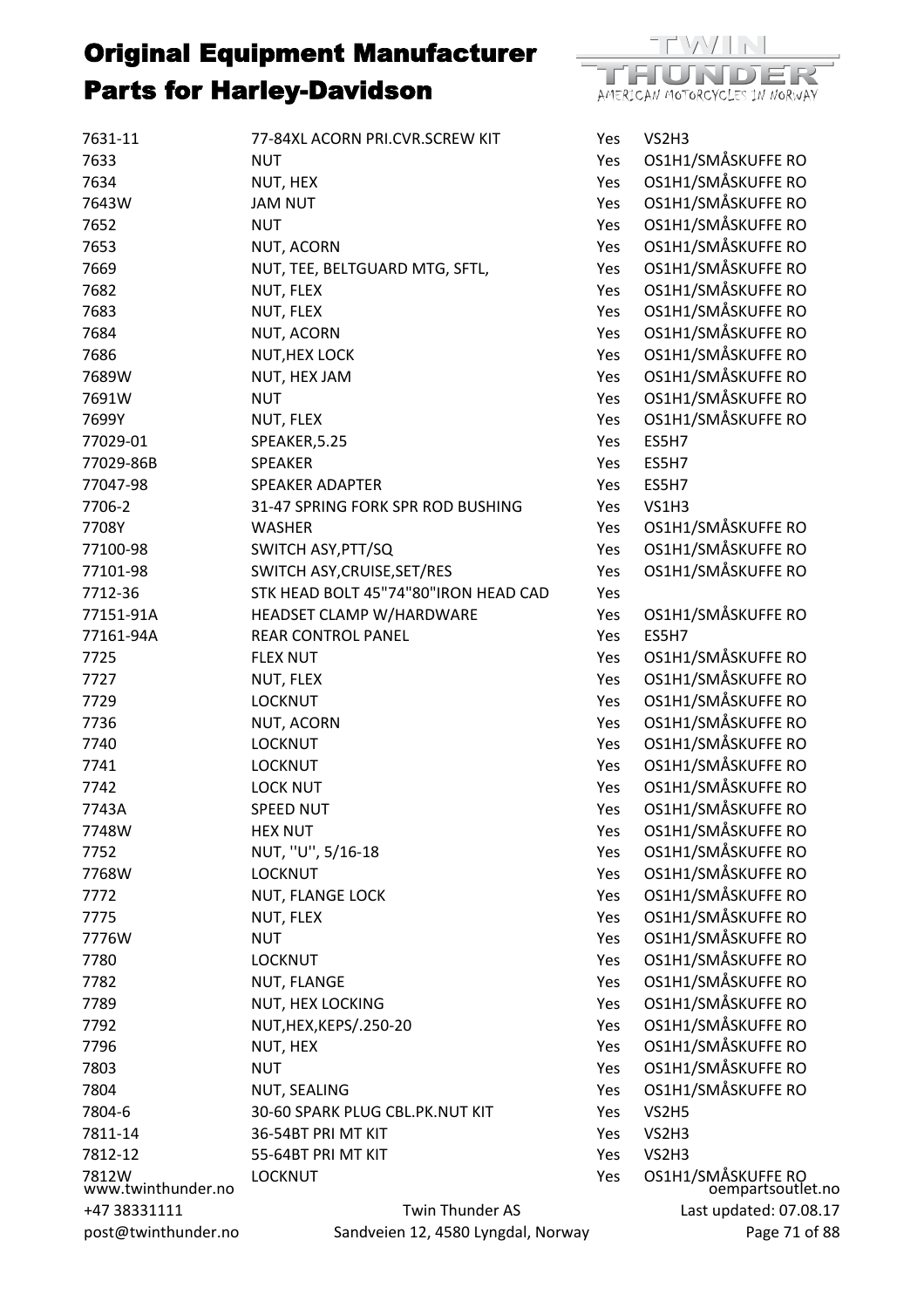| 7631-11                     | 77-84XL ACORN PRI.CVR.SCREW KIT      | Yes | VS2H3                                   |
|-----------------------------|--------------------------------------|-----|-----------------------------------------|
| 7633                        | <b>NUT</b>                           | Yes | OS1H1/SMÅSKUFFE RO                      |
| 7634                        | NUT, HEX                             | Yes | OS1H1/SMÅSKUFFE RO                      |
| 7643W                       | <b>JAM NUT</b>                       | Yes | OS1H1/SMÅSKUFFE RO                      |
| 7652                        | <b>NUT</b>                           | Yes | OS1H1/SMÅSKUFFE RO                      |
| 7653                        | NUT, ACORN                           | Yes | OS1H1/SMÅSKUFFE RO                      |
| 7669                        | NUT, TEE, BELTGUARD MTG, SFTL,       | Yes | OS1H1/SMÅSKUFFE RO                      |
| 7682                        | NUT, FLEX                            | Yes | OS1H1/SMÅSKUFFE RO                      |
| 7683                        | NUT, FLEX                            | Yes | OS1H1/SMÅSKUFFE RO                      |
| 7684                        | NUT, ACORN                           | Yes | OS1H1/SMÅSKUFFE RO                      |
| 7686                        | <b>NUT, HEX LOCK</b>                 | Yes | OS1H1/SMÅSKUFFE RO                      |
| 7689W                       | NUT, HEX JAM                         | Yes | OS1H1/SMÅSKUFFE RO                      |
| 7691W                       | <b>NUT</b>                           | Yes | OS1H1/SMÅSKUFFE RO                      |
| 7699Y                       | NUT, FLEX                            | Yes | OS1H1/SMÅSKUFFE RO                      |
| 77029-01                    | SPEAKER, 5.25                        | Yes | ES5H7                                   |
| 77029-86B                   | <b>SPEAKER</b>                       | Yes | ES5H7                                   |
| 77047-98                    | <b>SPEAKER ADAPTER</b>               | Yes | ES5H7                                   |
| 7706-2                      | 31-47 SPRING FORK SPR ROD BUSHING    | Yes | <b>VS1H3</b>                            |
| 7708Y                       | <b>WASHER</b>                        | Yes | OS1H1/SMÅSKUFFE RO                      |
| 77100-98                    | SWITCH ASY, PTT/SQ                   | Yes | OS1H1/SMÅSKUFFE RO                      |
| 77101-98                    | SWITCH ASY, CRUISE, SET/RES          | Yes | OS1H1/SMÅSKUFFE RO                      |
| 7712-36                     | STK HEAD BOLT 45"74"80"IRON HEAD CAD | Yes |                                         |
| 77151-91A                   | HEADSET CLAMP W/HARDWARE             | Yes | OS1H1/SMÅSKUFFE RO                      |
| 77161-94A                   | <b>REAR CONTROL PANEL</b>            | Yes | ES5H7                                   |
| 7725                        | <b>FLEX NUT</b>                      | Yes | OS1H1/SMÅSKUFFE RO                      |
| 7727                        | NUT, FLEX                            | Yes | OS1H1/SMÅSKUFFE RO                      |
| 7729                        | <b>LOCKNUT</b>                       | Yes | OS1H1/SMÅSKUFFE RO                      |
| 7736                        | NUT, ACORN                           | Yes | OS1H1/SMÅSKUFFE RO                      |
| 7740                        | <b>LOCKNUT</b>                       | Yes | OS1H1/SMÅSKUFFE RO                      |
| 7741                        | <b>LOCKNUT</b>                       | Yes | OS1H1/SMÅSKUFFE RO                      |
| 7742                        | <b>LOCK NUT</b>                      | Yes | OS1H1/SMÅSKUFFE RO                      |
| 7743A                       | <b>SPEED NUT</b>                     | Yes | OS1H1/SMÅSKUFFE RO                      |
| 7748W                       | <b>HEX NUT</b>                       | Yes | OS1H1/SMÅSKUFFE RO                      |
| 7752                        | NUT, "U", 5/16-18                    | Yes | OS1H1/SMÅSKUFFE RO                      |
| 7768W                       | <b>LOCKNUT</b>                       | Yes | OS1H1/SMÅSKUFFE RO                      |
| 7772                        | <b>NUT, FLANGE LOCK</b>              | Yes | OS1H1/SMÅSKUFFE RO                      |
| 7775                        | NUT, FLEX                            | Yes | OS1H1/SMÅSKUFFE RO                      |
| 7776W                       | <b>NUT</b>                           | Yes | OS1H1/SMÅSKUFFE RO                      |
| 7780                        | <b>LOCKNUT</b>                       | Yes | OS1H1/SMÅSKUFFE RO                      |
| 7782                        | NUT, FLANGE                          | Yes | OS1H1/SMÅSKUFFE RO                      |
| 7789                        | NUT, HEX LOCKING                     | Yes | OS1H1/SMÅSKUFFE RO                      |
| 7792                        | NUT, HEX, KEPS/.250-20               | Yes | OS1H1/SMÅSKUFFE RO                      |
| 7796                        | NUT, HEX                             | Yes | OS1H1/SMÅSKUFFE RO                      |
| 7803                        | <b>NUT</b>                           | Yes | OS1H1/SMÅSKUFFE RO                      |
| 7804                        | NUT, SEALING                         | Yes | OS1H1/SMÅSKUFFE RO                      |
| 7804-6                      | 30-60 SPARK PLUG CBL.PK.NUT KIT      | Yes | VS2H5                                   |
| 7811-14                     | 36-54BT PRI MT KIT                   | Yes | VS2H3                                   |
| 7812-12                     | 55-64BT PRI MT KIT                   | Yes | VS2H3                                   |
| 7812W<br>www.twinthunder.no | <b>LOCKNUT</b>                       | Yes | OS1H1/SMÅSKUFFE RO<br>oempartsoutlet.no |
| +47 38331111                | Twin Thunder AS                      |     | Last updated: 07.08.17                  |
| post@twinthunder.no         | Sandveien 12, 4580 Lyngdal, Norway   |     | Page 71 of 88                           |

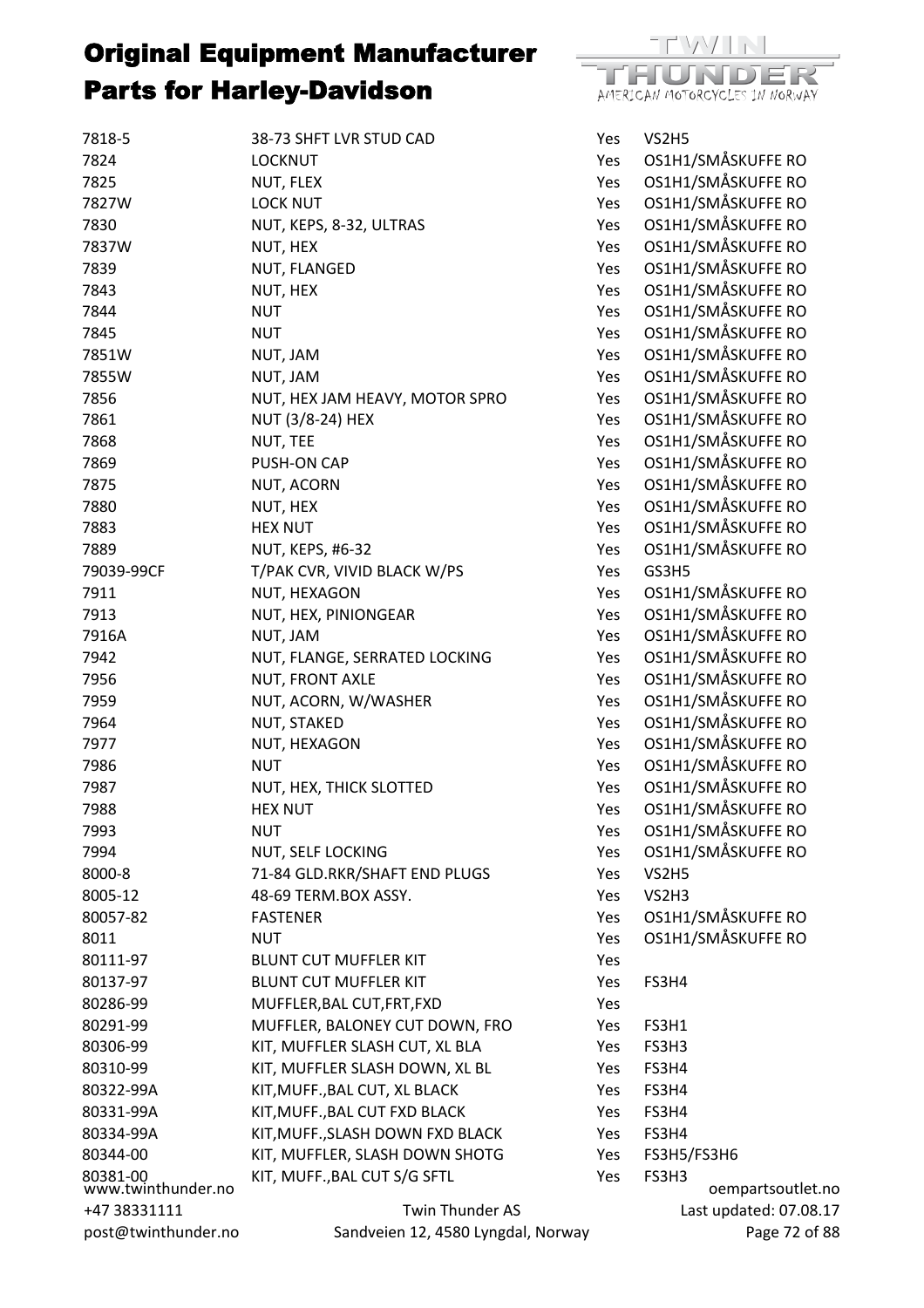

| 7818-5                         | 38-73 SHFT LVR STUD CAD            | Yes        | VS2H5                      |
|--------------------------------|------------------------------------|------------|----------------------------|
| 7824                           | <b>LOCKNUT</b>                     | Yes        | OS1H1/SMÅSKUFFE RO         |
| 7825                           | NUT, FLEX                          | Yes        | OS1H1/SMÅSKUFFE RO         |
| 7827W                          | <b>LOCK NUT</b>                    | Yes        | OS1H1/SMÅSKUFFE RO         |
| 7830                           | NUT, KEPS, 8-32, ULTRAS            | Yes        | OS1H1/SMÅSKUFFE RO         |
| 7837W                          | NUT, HEX                           | Yes        | OS1H1/SMÅSKUFFE RO         |
| 7839                           | NUT, FLANGED                       | Yes        | OS1H1/SMÅSKUFFE RO         |
| 7843                           | NUT, HEX                           | Yes        | OS1H1/SMÅSKUFFE RO         |
| 7844                           | <b>NUT</b>                         | Yes        | OS1H1/SMÅSKUFFE RO         |
| 7845                           | <b>NUT</b>                         | Yes        | OS1H1/SMÅSKUFFE RO         |
| 7851W                          | NUT, JAM                           | Yes        | OS1H1/SMÅSKUFFE RO         |
| 7855W                          | NUT, JAM                           | Yes        | OS1H1/SMÅSKUFFE RO         |
| 7856                           | NUT, HEX JAM HEAVY, MOTOR SPRO     | Yes        | OS1H1/SMÅSKUFFE RO         |
| 7861                           | NUT (3/8-24) HEX                   | Yes        | OS1H1/SMÅSKUFFE RO         |
| 7868                           | NUT, TEE                           | Yes        | OS1H1/SMÅSKUFFE RO         |
| 7869                           | PUSH-ON CAP                        | Yes        | OS1H1/SMÅSKUFFE RO         |
| 7875                           | NUT, ACORN                         | Yes        | OS1H1/SMÅSKUFFE RO         |
| 7880                           | NUT, HEX                           | Yes        | OS1H1/SMÅSKUFFE RO         |
| 7883                           | <b>HEX NUT</b>                     | Yes        | OS1H1/SMÅSKUFFE RO         |
| 7889                           | <b>NUT, KEPS, #6-32</b>            | Yes        | OS1H1/SMÅSKUFFE RO         |
| 79039-99CF                     | T/PAK CVR, VIVID BLACK W/PS        | Yes        | GS3H5                      |
| 7911                           | NUT, HEXAGON                       | Yes        | OS1H1/SMÅSKUFFE RO         |
| 7913                           | NUT, HEX, PINIONGEAR               | Yes        | OS1H1/SMÅSKUFFE RO         |
| 7916A                          | NUT, JAM                           | Yes        | OS1H1/SMÅSKUFFE RO         |
| 7942                           | NUT, FLANGE, SERRATED LOCKING      | Yes        | OS1H1/SMÅSKUFFE RO         |
| 7956                           | NUT, FRONT AXLE                    | Yes        | OS1H1/SMÅSKUFFE RO         |
| 7959                           | NUT, ACORN, W/WASHER               | Yes        | OS1H1/SMÅSKUFFE RO         |
| 7964                           | NUT, STAKED                        | Yes        | OS1H1/SMÅSKUFFE RO         |
| 7977                           | NUT, HEXAGON                       | Yes        | OS1H1/SMÅSKUFFE RO         |
| 7986                           | <b>NUT</b>                         | Yes        | OS1H1/SMÅSKUFFE RO         |
| 7987                           | NUT, HEX, THICK SLOTTED            | Yes        | OS1H1/SMÅSKUFFE RO         |
| 7988                           | <b>HEX NUT</b>                     | Yes        | OS1H1/SMÅSKUFFE RO         |
| 7993                           | <b>NUT</b>                         | Yes        | OS1H1/SMÅSKUFFE RO         |
| 7994                           | NUT, SELF LOCKING                  | Yes        | OS1H1/SMÅSKUFFE RO         |
| 8000-8                         | 71-84 GLD.RKR/SHAFT END PLUGS      | Yes        | VS2H5                      |
| 8005-12                        | 48-69 TERM.BOX ASSY.               | Yes        | VS2H3                      |
| 80057-82                       | <b>FASTENER</b>                    | Yes        | OS1H1/SMÅSKUFFE RO         |
| 8011                           | <b>NUT</b>                         | Yes        | OS1H1/SMÅSKUFFE RO         |
| 80111-97                       | <b>BLUNT CUT MUFFLER KIT</b>       | Yes        |                            |
| 80137-97                       | <b>BLUNT CUT MUFFLER KIT</b>       | Yes        | FS3H4                      |
| 80286-99                       | MUFFLER, BAL CUT, FRT, FXD         | Yes        |                            |
| 80291-99                       | MUFFLER, BALONEY CUT DOWN, FRO     |            | FS3H1                      |
| 80306-99                       | KIT, MUFFLER SLASH CUT, XL BLA     | Yes<br>Yes | FS3H3                      |
| 80310-99                       | KIT, MUFFLER SLASH DOWN, XL BL     | Yes        | FS3H4                      |
|                                |                                    |            |                            |
| 80322-99A                      | KIT, MUFF., BAL CUT, XL BLACK      | Yes        | FS3H4                      |
| 80331-99A                      | KIT, MUFF., BAL CUT FXD BLACK      | Yes        | FS3H4                      |
| 80334-99A                      | KIT, MUFF., SLASH DOWN FXD BLACK   | Yes        | FS3H4                      |
| 80344-00                       | KIT, MUFFLER, SLASH DOWN SHOTG     | Yes        | FS3H5/FS3H6                |
| 80381-00<br>www.twinthunder.no | KIT, MUFF., BAL CUT S/G SFTL       | Yes        | FS3H3<br>oempartsoutlet.no |
| +47 38331111                   | Twin Thunder AS                    |            | Last updated: 07.08.17     |
| post@twinthunder.no            | Sandveien 12, 4580 Lyngdal, Norway |            | Page 72 of 88              |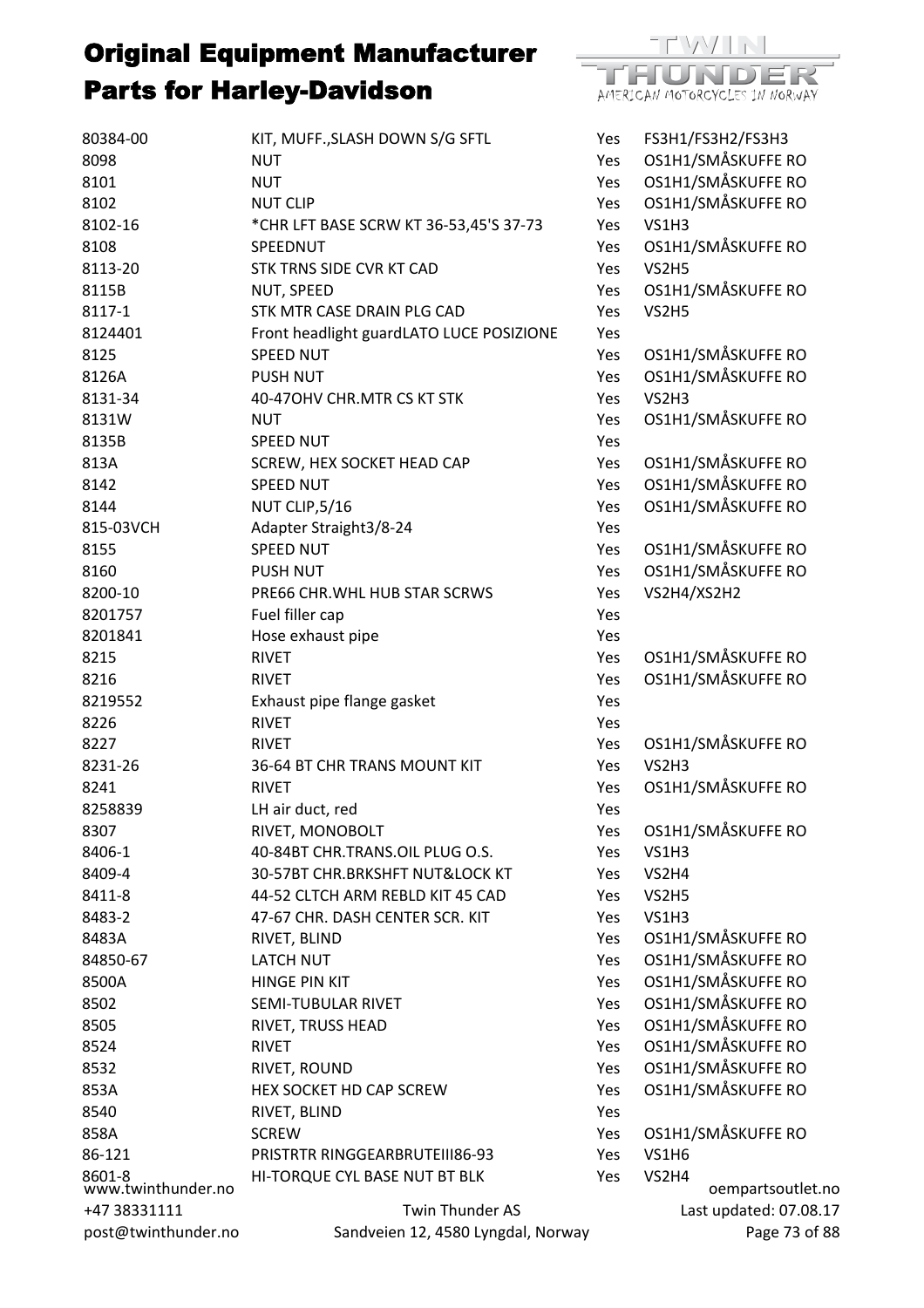

| 80384-00                     | KIT, MUFF., SLASH DOWN S/G SFTL          | Yes | FS3H1/FS3H2/FS3H3                   |
|------------------------------|------------------------------------------|-----|-------------------------------------|
| 8098                         | <b>NUT</b>                               | Yes | OS1H1/SMÅSKUFFE RO                  |
| 8101                         | <b>NUT</b>                               | Yes | OS1H1/SMÅSKUFFE RO                  |
| 8102                         | <b>NUT CLIP</b>                          | Yes | OS1H1/SMÅSKUFFE RO                  |
| 8102-16                      | *CHR LFT BASE SCRW KT 36-53,45'S 37-73   | Yes | <b>VS1H3</b>                        |
| 8108                         | SPEEDNUT                                 | Yes | OS1H1/SMÅSKUFFE RO                  |
| 8113-20                      | STK TRNS SIDE CVR KT CAD                 | Yes | VS2H5                               |
| 8115B                        | NUT, SPEED                               | Yes | OS1H1/SMÅSKUFFE RO                  |
| 8117-1                       | STK MTR CASE DRAIN PLG CAD               | Yes | VS2H5                               |
| 8124401                      | Front headlight guardLATO LUCE POSIZIONE | Yes |                                     |
| 8125                         | <b>SPEED NUT</b>                         | Yes | OS1H1/SMÅSKUFFE RO                  |
| 8126A                        | <b>PUSH NUT</b>                          | Yes | OS1H1/SMÅSKUFFE RO                  |
| 8131-34                      | 40-470HV CHR.MTR CS KT STK               | Yes | VS2H3                               |
| 8131W                        | <b>NUT</b>                               | Yes | OS1H1/SMÅSKUFFE RO                  |
| 8135B                        | <b>SPEED NUT</b>                         | Yes |                                     |
| 813A                         | SCREW, HEX SOCKET HEAD CAP               | Yes | OS1H1/SMÅSKUFFE RO                  |
| 8142                         | <b>SPEED NUT</b>                         | Yes | OS1H1/SMÅSKUFFE RO                  |
| 8144                         | NUT CLIP, 5/16                           | Yes | OS1H1/SMÅSKUFFE RO                  |
| 815-03VCH                    | Adapter Straight3/8-24                   | Yes |                                     |
| 8155                         | <b>SPEED NUT</b>                         | Yes | OS1H1/SMÅSKUFFE RO                  |
| 8160                         | <b>PUSH NUT</b>                          | Yes | OS1H1/SMÅSKUFFE RO                  |
| 8200-10                      | PRE66 CHR. WHL HUB STAR SCRWS            | Yes | VS2H4/XS2H2                         |
| 8201757                      | Fuel filler cap                          | Yes |                                     |
| 8201841                      | Hose exhaust pipe                        | Yes |                                     |
| 8215                         | <b>RIVET</b>                             | Yes | OS1H1/SMÅSKUFFE RO                  |
| 8216                         | <b>RIVET</b>                             | Yes | OS1H1/SMÅSKUFFE RO                  |
| 8219552                      | Exhaust pipe flange gasket               | Yes |                                     |
| 8226                         | <b>RIVET</b>                             | Yes |                                     |
| 8227                         | <b>RIVET</b>                             | Yes | OS1H1/SMÅSKUFFE RO                  |
| 8231-26                      | 36-64 BT CHR TRANS MOUNT KIT             | Yes | VS2H3                               |
| 8241                         | <b>RIVET</b>                             | Yes | OS1H1/SMÅSKUFFE RO                  |
| 8258839                      | LH air duct, red                         | Yes |                                     |
| 8307                         | RIVET, MONOBOLT                          | Yes | OS1H1/SMÅSKUFFE RO                  |
| 8406-1                       | 40-84BT CHR.TRANS.OIL PLUG O.S.          | Yes | <b>VS1H3</b>                        |
| 8409-4                       | 30-57BT CHR.BRKSHFT NUT&LOCK KT          | Yes | VS2H4                               |
| 8411-8                       | 44-52 CLTCH ARM REBLD KIT 45 CAD         | Yes | VS2H5                               |
| 8483-2                       | 47-67 CHR. DASH CENTER SCR. KIT          | Yes | <b>VS1H3</b>                        |
| 8483A                        | RIVET, BLIND                             | Yes | OS1H1/SMÅSKUFFE RO                  |
| 84850-67                     | <b>LATCH NUT</b>                         | Yes | OS1H1/SMÅSKUFFE RO                  |
| 8500A                        | <b>HINGE PIN KIT</b>                     | Yes | OS1H1/SMÅSKUFFE RO                  |
| 8502                         | SEMI-TUBULAR RIVET                       | Yes | OS1H1/SMÅSKUFFE RO                  |
| 8505                         | RIVET, TRUSS HEAD                        | Yes | OS1H1/SMÅSKUFFE RO                  |
| 8524                         | <b>RIVET</b>                             | Yes | OS1H1/SMÅSKUFFE RO                  |
| 8532                         | RIVET, ROUND                             | Yes | OS1H1/SMÅSKUFFE RO                  |
| 853A                         | HEX SOCKET HD CAP SCREW                  | Yes | OS1H1/SMÅSKUFFE RO                  |
| 8540                         | RIVET, BLIND                             | Yes |                                     |
| 858A                         | <b>SCREW</b>                             | Yes | OS1H1/SMÅSKUFFE RO                  |
| 86-121                       | PRISTRTR RINGGEARBRUTEIII86-93           | Yes | <b>VS1H6</b>                        |
| 8601-8<br>www.twinthunder.no | HI-TORQUE CYL BASE NUT BT BLK            | Yes | VS2H4                               |
| +47 38331111                 | Twin Thunder AS                          |     | oempartsoutle<br>Last updated: 07.0 |
|                              | Sandveien 12, 4580 Lyngdal, Norway       |     |                                     |
| post@twinthunder.no          |                                          |     | Page 73                             |

partsoutlet.no lated: 07.08.17 Page 73 of 88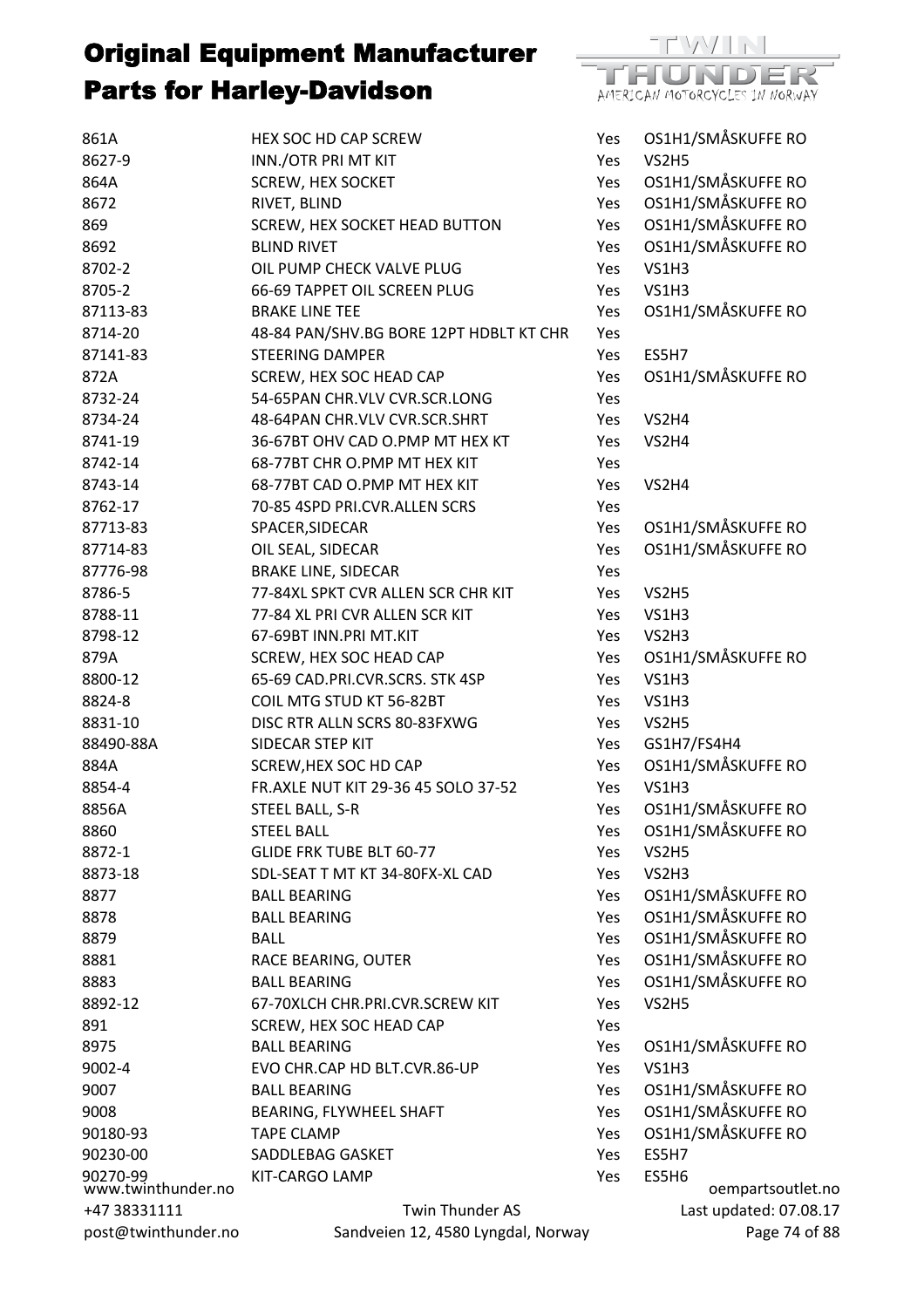

| 861A                           | HEX SOC HD CAP SCREW                    | Yes        | OS1H1/SMÅSKUFFE RO |
|--------------------------------|-----------------------------------------|------------|--------------------|
| 8627-9                         | INN./OTR PRI MT KIT                     | Yes        | VS2H5              |
| 864A                           | <b>SCREW, HEX SOCKET</b>                | Yes        | OS1H1/SMÅSKUFFE RO |
| 8672                           | RIVET, BLIND                            | Yes        | OS1H1/SMÅSKUFFE RO |
| 869                            | SCREW, HEX SOCKET HEAD BUTTON           | Yes        | OS1H1/SMÅSKUFFE RO |
| 8692                           | <b>BLIND RIVET</b>                      | Yes        | OS1H1/SMÅSKUFFE RO |
| 8702-2                         | OIL PUMP CHECK VALVE PLUG               | Yes        | <b>VS1H3</b>       |
| 8705-2                         | 66-69 TAPPET OIL SCREEN PLUG            | Yes        | <b>VS1H3</b>       |
| 87113-83                       | <b>BRAKE LINE TEE</b>                   | Yes        | OS1H1/SMÅSKUFFE RO |
| 8714-20                        | 48-84 PAN/SHV.BG BORE 12PT HDBLT KT CHR | Yes        |                    |
| 87141-83                       | <b>STEERING DAMPER</b>                  | Yes        | ES5H7              |
| 872A                           | SCREW, HEX SOC HEAD CAP                 | Yes        | OS1H1/SMÅSKUFFE RO |
| 8732-24                        | 54-65PAN CHR.VLV CVR.SCR.LONG           | Yes        |                    |
| 8734-24                        | 48-64PAN CHR.VLV CVR.SCR.SHRT           | Yes        | VS2H4              |
| 8741-19                        | 36-67BT OHV CAD O.PMP MT HEX KT         | Yes        | VS2H4              |
| 8742-14                        | 68-77BT CHR O.PMP MT HEX KIT            | Yes        |                    |
| 8743-14                        | 68-77BT CAD O.PMP MT HEX KIT            | Yes        | VS2H4              |
| 8762-17                        | 70-85 4SPD PRI.CVR.ALLEN SCRS           | Yes        |                    |
| 87713-83                       | SPACER, SIDECAR                         | Yes        | OS1H1/SMÅSKUFFE RO |
| 87714-83                       | OIL SEAL, SIDECAR                       | Yes        | OS1H1/SMÅSKUFFE RO |
| 87776-98                       | <b>BRAKE LINE, SIDECAR</b>              | Yes        |                    |
| 8786-5                         | 77-84XL SPKT CVR ALLEN SCR CHR KIT      | Yes        | VS2H5              |
| 8788-11                        | 77-84 XL PRI CVR ALLEN SCR KIT          | Yes        | VS1H3              |
| 8798-12                        | 67-69BT INN.PRI MT.KIT                  | Yes        | VS2H3              |
| 879A                           | SCREW, HEX SOC HEAD CAP                 | Yes        | OS1H1/SMÅSKUFFE RO |
| 8800-12                        | 65-69 CAD.PRI.CVR.SCRS. STK 4SP         | Yes        | VS1H3              |
| 8824-8                         | COIL MTG STUD KT 56-82BT                | Yes        | VS1H3              |
| 8831-10                        | DISC RTR ALLN SCRS 80-83FXWG            | Yes        | VS2H5              |
| 88490-88A                      | SIDECAR STEP KIT                        | Yes        | GS1H7/FS4H4        |
| 884A                           | SCREW, HEX SOC HD CAP                   | Yes        | OS1H1/SMÅSKUFFE RO |
| 8854-4                         | FR.AXLE NUT KIT 29-36 45 SOLO 37-52     | Yes        | <b>VS1H3</b>       |
| 8856A                          | STEEL BALL, S-R                         | Yes        | OS1H1/SMÅSKUFFE RO |
| 8860                           | <b>STEEL BALL</b>                       | Yes        | OS1H1/SMÅSKUFFE RO |
| 8872-1                         | <b>GLIDE FRK TUBE BLT 60-77</b>         | Yes        | VS2H5              |
| 8873-18                        | SDL-SEAT T MT KT 34-80FX-XL CAD         | Yes        | VS2H3              |
| 8877                           | <b>BALL BEARING</b>                     | Yes        | OS1H1/SMÅSKUFFE RO |
| 8878                           | <b>BALL BEARING</b>                     | Yes        | OS1H1/SMÅSKUFFE RO |
| 8879                           | <b>BALL</b>                             | Yes        | OS1H1/SMÅSKUFFE RO |
| 8881                           | RACE BEARING, OUTER                     | Yes        | OS1H1/SMÅSKUFFE RO |
| 8883                           | <b>BALL BEARING</b>                     | Yes        | OS1H1/SMÅSKUFFE RO |
| 8892-12                        | 67-70XLCH CHR.PRI.CVR.SCREW KIT         | Yes        | VS2H5              |
| 891                            | SCREW, HEX SOC HEAD CAP                 | <b>Yes</b> |                    |
| 8975                           | <b>BALL BEARING</b>                     | Yes        | OS1H1/SMÅSKUFFE RO |
| 9002-4                         | EVO CHR.CAP HD BLT.CVR.86-UP            | Yes        | <b>VS1H3</b>       |
| 9007                           | <b>BALL BEARING</b>                     | Yes        | OS1H1/SMÅSKUFFE RO |
| 9008                           | BEARING, FLYWHEEL SHAFT                 | Yes        | OS1H1/SMÅSKUFFE RO |
| 90180-93                       | <b>TAPE CLAMP</b>                       | Yes        | OS1H1/SMÅSKUFFE RO |
| 90230-00                       | SADDLEBAG GASKET                        | Yes        | ES5H7              |
|                                | <b>KIT-CARGO LAMP</b>                   | Yes        | ES5H6              |
| 90270-99<br>www.twinthunder.no |                                         |            | oempartsoutle      |
| +47 38331111                   | Twin Thunder AS                         |            | Last updated: 07.0 |
| post@twinthunder.no            | Sandveien 12, 4580 Lyngdal, Norway      |            | Page 74            |

artsoutlet.no ted: 07.08.17 Page 74 of 88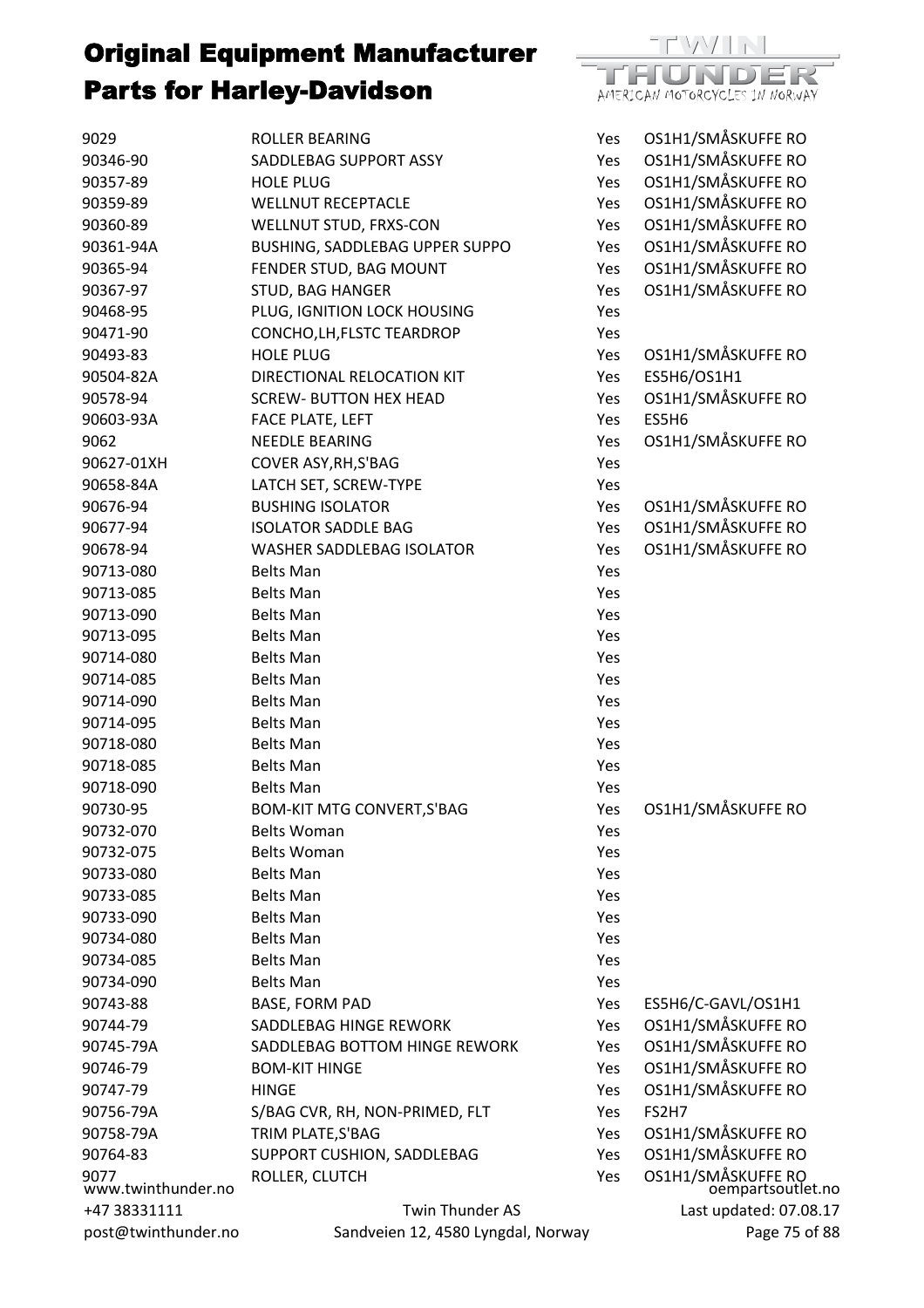

| 9029                | ROLLER BEARING                     | Yes        | OS1H1/SMÅSKUFFE RO                      |
|---------------------|------------------------------------|------------|-----------------------------------------|
| 90346-90            | SADDLEBAG SUPPORT ASSY             | Yes        | OS1H1/SMÅSKUFFE RO                      |
| 90357-89            | <b>HOLE PLUG</b>                   | Yes        | OS1H1/SMÅSKUFFE RO                      |
| 90359-89            | <b>WELLNUT RECEPTACLE</b>          | Yes        | OS1H1/SMÅSKUFFE RO                      |
| 90360-89            | WELLNUT STUD, FRXS-CON             | Yes        | OS1H1/SMÅSKUFFE RO                      |
| 90361-94A           | BUSHING, SADDLEBAG UPPER SUPPO     | Yes        | OS1H1/SMÅSKUFFE RO                      |
| 90365-94            | FENDER STUD, BAG MOUNT             | Yes        | OS1H1/SMÅSKUFFE RO                      |
| 90367-97            | <b>STUD, BAG HANGER</b>            | Yes        | OS1H1/SMÅSKUFFE RO                      |
| 90468-95            | PLUG, IGNITION LOCK HOUSING        | Yes        |                                         |
| 90471-90            | CONCHO, LH, FLSTC TEARDROP         | Yes        |                                         |
| 90493-83            | <b>HOLE PLUG</b>                   | Yes        | OS1H1/SMÅSKUFFE RO                      |
| 90504-82A           | DIRECTIONAL RELOCATION KIT         | Yes        | ES5H6/OS1H1                             |
| 90578-94            | <b>SCREW- BUTTON HEX HEAD</b>      | Yes        | OS1H1/SMÅSKUFFE RO                      |
| 90603-93A           | FACE PLATE, LEFT                   | Yes        | ES5H6                                   |
| 9062                | <b>NEEDLE BEARING</b>              | Yes        | OS1H1/SMÅSKUFFE RO                      |
| 90627-01XH          | COVER ASY, RH, S'BAG               | Yes        |                                         |
| 90658-84A           | LATCH SET, SCREW-TYPE              | Yes        |                                         |
| 90676-94            | <b>BUSHING ISOLATOR</b>            | Yes        | OS1H1/SMÅSKUFFE RO                      |
| 90677-94            | <b>ISOLATOR SADDLE BAG</b>         | Yes        | OS1H1/SMÅSKUFFE RO                      |
| 90678-94            | <b>WASHER SADDLEBAG ISOLATOR</b>   | Yes        | OS1H1/SMÅSKUFFE RO                      |
| 90713-080           | <b>Belts Man</b>                   | Yes        |                                         |
| 90713-085           | <b>Belts Man</b>                   | Yes        |                                         |
| 90713-090           | <b>Belts Man</b>                   | Yes        |                                         |
| 90713-095           | <b>Belts Man</b>                   | Yes        |                                         |
| 90714-080           | <b>Belts Man</b>                   | Yes        |                                         |
| 90714-085           | <b>Belts Man</b>                   | Yes        |                                         |
| 90714-090           | <b>Belts Man</b>                   | Yes        |                                         |
| 90714-095           | <b>Belts Man</b>                   | Yes        |                                         |
| 90718-080           | <b>Belts Man</b>                   | Yes        |                                         |
| 90718-085           | <b>Belts Man</b>                   | Yes        |                                         |
| 90718-090           | <b>Belts Man</b>                   | Yes        |                                         |
| 90730-95            | <b>BOM-KIT MTG CONVERT, S'BAG</b>  | Yes        | OS1H1/SMÅSKUFFE RO                      |
| 90732-070           | <b>Belts Woman</b>                 | Yes        |                                         |
| 90732-075           | <b>Belts Woman</b>                 | Yes        |                                         |
| 90733-080           | <b>Belts Man</b>                   | Yes        |                                         |
| 90733-085           | <b>Belts Man</b>                   | Yes        |                                         |
| 90733-090           | <b>Belts Man</b>                   | Yes        |                                         |
| 90734-080           | <b>Belts Man</b>                   | Yes        |                                         |
| 90734-085           | <b>Belts Man</b>                   | Yes        |                                         |
| 90734-090           | <b>Belts Man</b>                   | Yes        |                                         |
| 90743-88            | <b>BASE, FORM PAD</b>              | Yes        | ES5H6/C-GAVL/OS1H1                      |
| 90744-79            | SADDLEBAG HINGE REWORK             | Yes        | OS1H1/SMÅSKUFFE RO                      |
| 90745-79A           | SADDLEBAG BOTTOM HINGE REWORK      | Yes        | OS1H1/SMÅSKUFFE RO                      |
| 90746-79            | <b>BOM-KIT HINGE</b>               | Yes        | OS1H1/SMÅSKUFFE RO                      |
| 90747-79            | <b>HINGE</b>                       | Yes        | OS1H1/SMÅSKUFFE RO                      |
| 90756-79A           | S/BAG CVR, RH, NON-PRIMED, FLT     | Yes        | FS2H7                                   |
| 90758-79A           | TRIM PLATE, S'BAG                  | Yes        | OS1H1/SMÅSKUFFE RO                      |
| 90764-83            | SUPPORT CUSHION, SADDLEBAG         |            | OS1H1/SMÅSKUFFE RO                      |
| 9077                | ROLLER, CLUTCH                     | Yes<br>Yes |                                         |
| www.twinthunder.no  |                                    |            | OS1H1/SMÅSKUFFE RO<br>oempartsoutlet.no |
| +47 38331111        | Twin Thunder AS                    |            | Last updated: 07.08.17                  |
| post@twinthunder.no | Sandveien 12, 4580 Lyngdal, Norway |            | Page 75 of 88                           |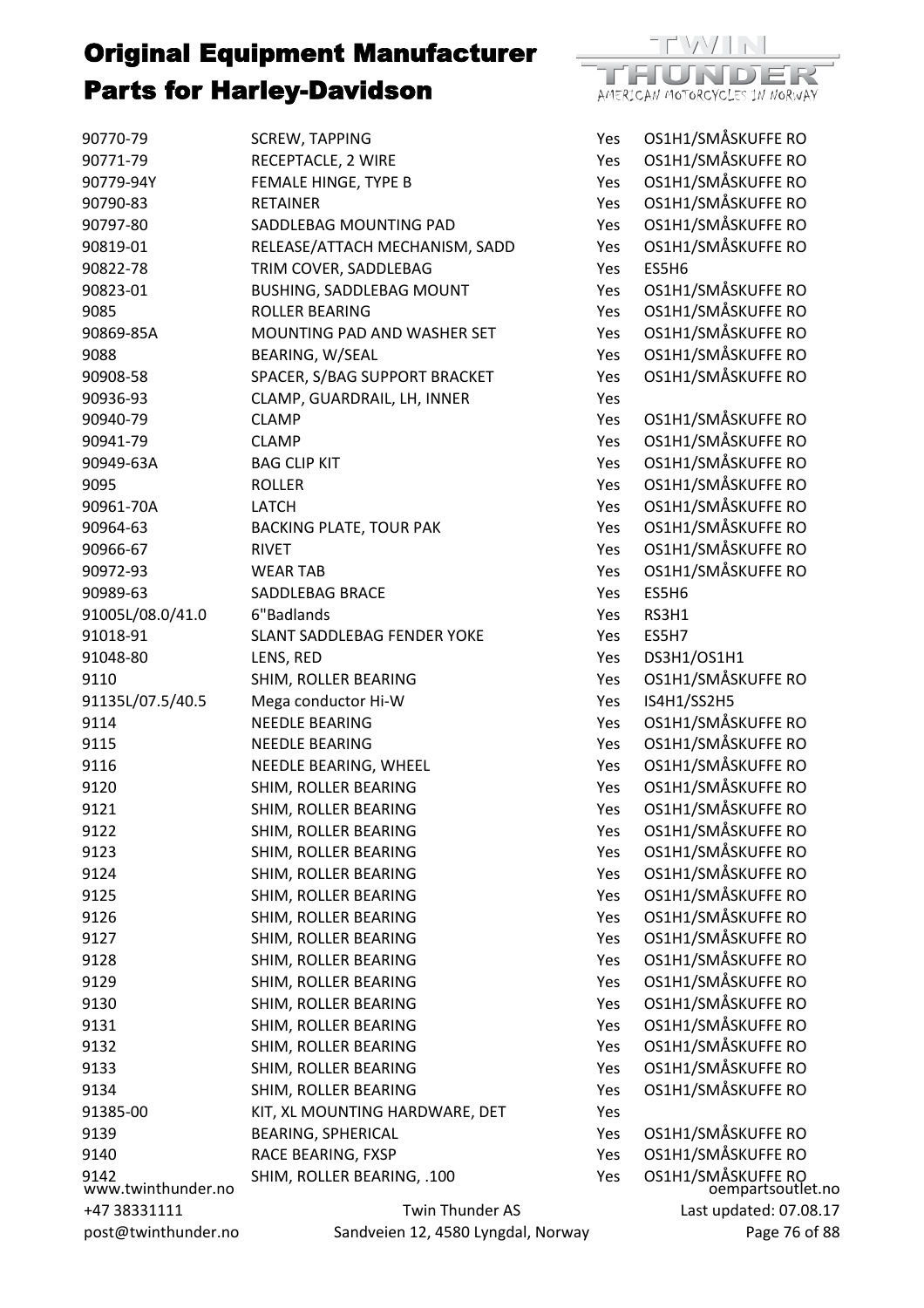

| 90770-79            | <b>SCREW, TAPPING</b>              | Yes | OS1H1/SMÅSKUFFE RO                  |
|---------------------|------------------------------------|-----|-------------------------------------|
| 90771-79            | RECEPTACLE, 2 WIRE                 | Yes | OS1H1/SMÅSKUFFE RO                  |
| 90779-94Y           | FEMALE HINGE, TYPE B               | Yes | OS1H1/SMÅSKUFFE RO                  |
| 90790-83            | <b>RETAINER</b>                    | Yes | OS1H1/SMÅSKUFFE RO                  |
| 90797-80            | SADDLEBAG MOUNTING PAD             | Yes | OS1H1/SMÅSKUFFE RO                  |
| 90819-01            | RELEASE/ATTACH MECHANISM, SADD     | Yes | OS1H1/SMÅSKUFFE RO                  |
| 90822-78            | TRIM COVER, SADDLEBAG              | Yes | ES5H6                               |
| 90823-01            | <b>BUSHING, SADDLEBAG MOUNT</b>    | Yes | OS1H1/SMÅSKUFFE RO                  |
| 9085                | <b>ROLLER BEARING</b>              | Yes | OS1H1/SMÅSKUFFE RO                  |
| 90869-85A           | MOUNTING PAD AND WASHER SET        | Yes | OS1H1/SMÅSKUFFE RO                  |
| 9088                | BEARING, W/SEAL                    | Yes | OS1H1/SMÅSKUFFE RO                  |
| 90908-58            | SPACER, S/BAG SUPPORT BRACKET      | Yes | OS1H1/SMÅSKUFFE RO                  |
| 90936-93            | CLAMP, GUARDRAIL, LH, INNER        | Yes |                                     |
| 90940-79            | <b>CLAMP</b>                       | Yes | OS1H1/SMÅSKUFFE RO                  |
| 90941-79            | <b>CLAMP</b>                       | Yes | OS1H1/SMÅSKUFFE RO                  |
| 90949-63A           | <b>BAG CLIP KIT</b>                | Yes | OS1H1/SMÅSKUFFE RO                  |
| 9095                | <b>ROLLER</b>                      | Yes | OS1H1/SMÅSKUFFE RO                  |
| 90961-70A           | LATCH                              | Yes | OS1H1/SMÅSKUFFE RO                  |
| 90964-63            | <b>BACKING PLATE, TOUR PAK</b>     | Yes | OS1H1/SMÅSKUFFE RO                  |
| 90966-67            | <b>RIVET</b>                       | Yes | OS1H1/SMÅSKUFFE RO                  |
| 90972-93            | <b>WEAR TAB</b>                    | Yes | OS1H1/SMÅSKUFFE RO                  |
| 90989-63            | <b>SADDLEBAG BRACE</b>             | Yes | ES5H6                               |
| 91005L/08.0/41.0    | 6"Badlands                         | Yes | RS3H1                               |
| 91018-91            | SLANT SADDLEBAG FENDER YOKE        | Yes | ES5H7                               |
| 91048-80            | LENS, RED                          | Yes | DS3H1/OS1H1                         |
| 9110                | SHIM, ROLLER BEARING               | Yes | OS1H1/SMÅSKUFFE RO                  |
| 91135L/07.5/40.5    | Mega conductor Hi-W                | Yes | IS4H1/SS2H5                         |
| 9114                | <b>NEEDLE BEARING</b>              | Yes | OS1H1/SMÅSKUFFE RO                  |
| 9115                | <b>NEEDLE BEARING</b>              | Yes | OS1H1/SMÅSKUFFE RO                  |
| 9116                | NEEDLE BEARING, WHEEL              | Yes | OS1H1/SMÅSKUFFE RO                  |
| 9120                | SHIM, ROLLER BEARING               | Yes | OS1H1/SMÅSKUFFE RO                  |
| 9121                | SHIM, ROLLER BEARING               | Yes | OS1H1/SMÅSKUFFE RO                  |
| 9122                | SHIM, ROLLER BEARING               | Yes | OS1H1/SMÅSKUFFE RO                  |
| 9123                | SHIM, ROLLER BEARING               | Yes | OS1H1/SMÅSKUFFE RO                  |
| 9124                | SHIM, ROLLER BEARING               | Yes | OS1H1/SMÅSKUFFE RO                  |
| 9125                | SHIM, ROLLER BEARING               | Yes | OS1H1/SMÅSKUFFE RO                  |
| 9126                | SHIM, ROLLER BEARING               | Yes | OS1H1/SMÅSKUFFE RO                  |
| 9127                | SHIM, ROLLER BEARING               | Yes | OS1H1/SMÅSKUFFE RO                  |
| 9128                | SHIM, ROLLER BEARING               | Yes | OS1H1/SMÅSKUFFE RO                  |
| 9129                | SHIM, ROLLER BEARING               | Yes | OS1H1/SMÅSKUFFE RO                  |
| 9130                | SHIM, ROLLER BEARING               | Yes | OS1H1/SMÅSKUFFE RO                  |
| 9131                | SHIM, ROLLER BEARING               | Yes | OS1H1/SMÅSKUFFE RO                  |
| 9132                | SHIM, ROLLER BEARING               | Yes | OS1H1/SMÅSKUFFE RO                  |
| 9133                | SHIM, ROLLER BEARING               | Yes | OS1H1/SMÅSKUFFE RO                  |
| 9134                | SHIM, ROLLER BEARING               | Yes | OS1H1/SMÅSKUFFE RO                  |
| 91385-00            | KIT, XL MOUNTING HARDWARE, DET     | Yes |                                     |
| 9139                | <b>BEARING, SPHERICAL</b>          | Yes | OS1H1/SMÅSKUFFE RO                  |
| 9140                | RACE BEARING, FXSP                 | Yes | OS1H1/SMÅSKUFFE RO                  |
| 9142                | SHIM, ROLLER BEARING, .100         | Yes |                                     |
| www.twinthunder.no  |                                    |     | OS1H1/SMÅSKUFFE RO<br>oempartsoutle |
| +47 38331111        | <b>Twin Thunder AS</b>             |     | Last updated: 07.0                  |
| post@twinthunder.no | Sandveien 12, 4580 Lyngdal, Norway |     | Page 76                             |

KUFFE R<mark>O</mark><br>partsoutlet.no lated: 07.08.17 Page 76 of 88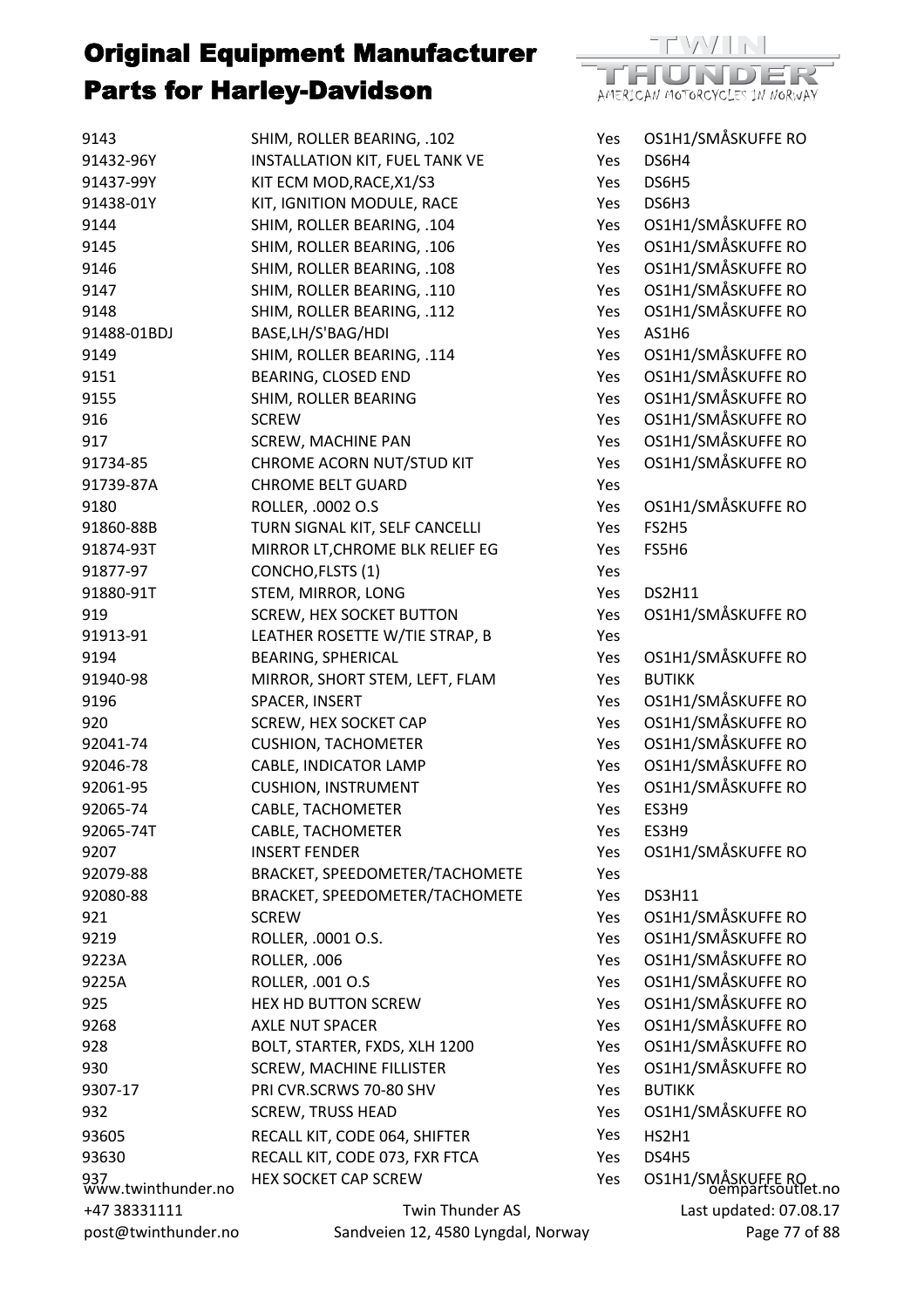| 9143                      | SHIM, ROLLER BEARING, .102                       | Yes | OS1H1/SMÅSKUFFE RO                      |
|---------------------------|--------------------------------------------------|-----|-----------------------------------------|
| 91432-96Y                 | INSTALLATION KIT, FUEL TANK VE                   | Yes | DS6H4                                   |
| 91437-99Y                 | KIT ECM MOD, RACE, X1/S3                         | Yes | DS6H5                                   |
| 91438-01Y                 | KIT, IGNITION MODULE, RACE                       | Yes | DS6H3                                   |
| 9144                      | SHIM, ROLLER BEARING, .104                       | Yes | OS1H1/SMÅSKUFFE RO                      |
| 9145                      | SHIM, ROLLER BEARING, .106                       | Yes | OS1H1/SMÅSKUFFE RO                      |
| 9146                      | SHIM, ROLLER BEARING, .108                       | Yes | OS1H1/SMÅSKUFFE RO                      |
| 9147                      | SHIM, ROLLER BEARING, .110                       | Yes | OS1H1/SMÅSKUFFE RO                      |
| 9148                      | SHIM, ROLLER BEARING, .112                       | Yes | OS1H1/SMÅSKUFFE RO                      |
| 91488-01BDJ               | BASE, LH/S'BAG/HDI                               | Yes | AS1H6                                   |
| 9149                      | SHIM, ROLLER BEARING, .114                       | Yes | OS1H1/SMÅSKUFFE RO                      |
| 9151                      | BEARING, CLOSED END                              | Yes | OS1H1/SMÅSKUFFE RO                      |
| 9155                      | SHIM, ROLLER BEARING                             | Yes | OS1H1/SMÅSKUFFE RO                      |
| 916                       | <b>SCREW</b>                                     | Yes | OS1H1/SMÅSKUFFE RO                      |
| 917                       | <b>SCREW, MACHINE PAN</b>                        | Yes | OS1H1/SMÅSKUFFE RO                      |
| 91734-85                  | CHROME ACORN NUT/STUD KIT                        | Yes | OS1H1/SMÅSKUFFE RO                      |
| 91739-87A                 | <b>CHROME BELT GUARD</b>                         | Yes |                                         |
| 9180                      | ROLLER, .0002 O.S                                | Yes | OS1H1/SMÅSKUFFE RO                      |
| 91860-88B                 | TURN SIGNAL KIT, SELF CANCELLI                   | Yes | FS2H5                                   |
| 91874-93T                 | MIRROR LT, CHROME BLK RELIEF EG                  | Yes | FS5H6                                   |
| 91877-97                  | CONCHO, FLSTS (1)                                | Yes |                                         |
| 91880-91T                 | STEM, MIRROR, LONG                               | Yes | <b>DS2H11</b>                           |
| 919                       | <b>SCREW, HEX SOCKET BUTTON</b>                  | Yes | OS1H1/SMÅSKUFFE RO                      |
| 91913-91                  | LEATHER ROSETTE W/TIE STRAP, B                   | Yes |                                         |
| 9194                      | <b>BEARING, SPHERICAL</b>                        | Yes | OS1H1/SMÅSKUFFE RO                      |
| 91940-98                  | MIRROR, SHORT STEM, LEFT, FLAM                   | Yes | <b>BUTIKK</b>                           |
| 9196                      | SPACER, INSERT                                   | Yes | OS1H1/SMÅSKUFFE RO                      |
| 920                       | SCREW, HEX SOCKET CAP                            | Yes | OS1H1/SMÅSKUFFE RO                      |
| 92041-74                  | <b>CUSHION, TACHOMETER</b>                       | Yes | OS1H1/SMÅSKUFFE RO                      |
| 92046-78                  | CABLE, INDICATOR LAMP                            | Yes | OS1H1/SMÅSKUFFE RO                      |
|                           | <b>CUSHION, INSTRUMENT</b>                       |     | OS1H1/SMÅSKUFFE RO                      |
| 92061-95<br>92065-74      | CABLE, TACHOMETER                                | Yes | ES3H9                                   |
|                           |                                                  | Yes |                                         |
| 92065-74T                 | <b>CABLE, TACHOMETER</b><br><b>INSERT FENDER</b> | Yes | ES3H9<br>OS1H1/SMÅSKUFFE RO             |
| 9207                      |                                                  | Yes |                                         |
| 92079-88                  | BRACKET, SPEEDOMETER/TACHOMETE                   | Yes |                                         |
| 92080-88                  | BRACKET, SPEEDOMETER/TACHOMETE                   | Yes | <b>DS3H11</b>                           |
| 921                       | <b>SCREW</b>                                     | Yes | OS1H1/SMÅSKUFFE RO                      |
| 9219                      | ROLLER, .0001 O.S.                               | Yes | OS1H1/SMÅSKUFFE RO                      |
| 9223A                     | ROLLER, .006                                     | Yes | OS1H1/SMÅSKUFFE RO                      |
| 9225A                     | ROLLER, .001 O.S                                 | Yes | OS1H1/SMÅSKUFFE RO                      |
| 925                       | <b>HEX HD BUTTON SCREW</b>                       | Yes | OS1H1/SMÅSKUFFE RO                      |
| 9268                      | <b>AXLE NUT SPACER</b>                           | Yes | OS1H1/SMÅSKUFFE RO                      |
| 928                       | BOLT, STARTER, FXDS, XLH 1200                    | Yes | OS1H1/SMÅSKUFFE RO                      |
| 930                       | <b>SCREW, MACHINE FILLISTER</b>                  | Yes | OS1H1/SMÅSKUFFE RO                      |
| 9307-17                   | PRI CVR.SCRWS 70-80 SHV                          | Yes | <b>BUTIKK</b>                           |
| 932                       | <b>SCREW, TRUSS HEAD</b>                         | Yes | OS1H1/SMÅSKUFFE RO                      |
| 93605                     | RECALL KIT, CODE 064, SHIFTER                    | Yes | HS2H1                                   |
| 93630                     | RECALL KIT, CODE 073, FXR FTCA                   | Yes | DS4H5                                   |
| 937<br>www.twinthunder.no | <b>HEX SOCKET CAP SCREW</b>                      | Yes | OS1H1/SMÅSKUFFE RO<br>Oempartsoutlet.no |
| +47 38331111              | Twin Thunder AS                                  |     | Last updated: 07.08.17                  |
| post@twinthunder.no       | Sandveien 12, 4580 Lyngdal, Norway               |     | Page 77 of 88                           |

 $\mathbb{R}^{\mathbb{N}}$ 

AMERICAN MOTORCYCLES IN NORWAY

ma

DER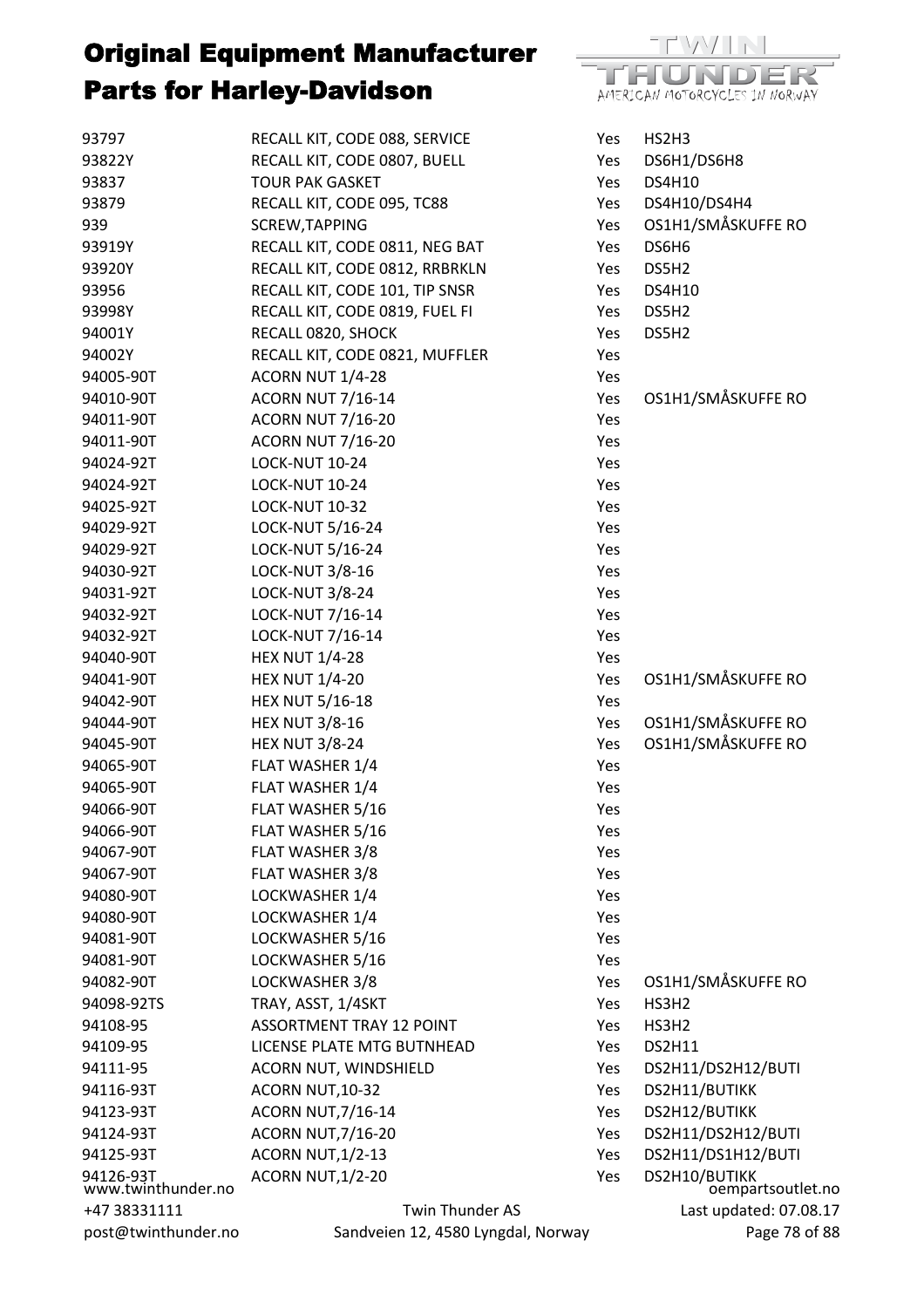

| 93797                           | RECALL KIT, CODE 088, SERVICE      | Yes        | HS2H3                              |
|---------------------------------|------------------------------------|------------|------------------------------------|
| 93822Y                          | RECALL KIT, CODE 0807, BUELL       | Yes        | DS6H1/DS6H8                        |
| 93837                           | <b>TOUR PAK GASKET</b>             | Yes        | <b>DS4H10</b>                      |
| 93879                           | RECALL KIT, CODE 095, TC88         | Yes        | DS4H10/DS4H4                       |
| 939                             | <b>SCREW, TAPPING</b>              | Yes        | OS1H1/SMÅSKUFFE RO                 |
| 93919Y                          | RECALL KIT, CODE 0811, NEG BAT     | Yes        | DS6H6                              |
| 93920Y                          | RECALL KIT, CODE 0812, RRBRKLN     | Yes        | DS5H2                              |
| 93956                           | RECALL KIT, CODE 101, TIP SNSR     | Yes        | <b>DS4H10</b>                      |
| 93998Y                          | RECALL KIT, CODE 0819, FUEL FI     | Yes        | DS5H2                              |
| 94001Y                          | RECALL 0820, SHOCK                 | Yes        | DS5H2                              |
| 94002Y                          | RECALL KIT, CODE 0821, MUFFLER     | Yes        |                                    |
| 94005-90T                       | ACORN NUT 1/4-28                   | Yes        |                                    |
| 94010-90T                       | <b>ACORN NUT 7/16-14</b>           | Yes        | OS1H1/SMÅSKUFFE RO                 |
| 94011-90T                       | <b>ACORN NUT 7/16-20</b>           | Yes        |                                    |
| 94011-90T                       | <b>ACORN NUT 7/16-20</b>           | Yes        |                                    |
| 94024-92T                       | <b>LOCK-NUT 10-24</b>              | Yes        |                                    |
| 94024-92T                       | <b>LOCK-NUT 10-24</b>              | Yes        |                                    |
| 94025-92T                       | <b>LOCK-NUT 10-32</b>              | Yes        |                                    |
| 94029-92T                       | LOCK-NUT 5/16-24                   | Yes        |                                    |
| 94029-92T                       | LOCK-NUT 5/16-24                   | Yes        |                                    |
| 94030-92T                       | <b>LOCK-NUT 3/8-16</b>             | Yes        |                                    |
| 94031-92T                       | <b>LOCK-NUT 3/8-24</b>             | Yes        |                                    |
| 94032-92T                       | LOCK-NUT 7/16-14                   | Yes        |                                    |
| 94032-92T                       | LOCK-NUT 7/16-14                   | Yes        |                                    |
| 94040-90T                       | <b>HEX NUT 1/4-28</b>              | Yes        |                                    |
| 94041-90T                       | <b>HEX NUT 1/4-20</b>              | Yes        | OS1H1/SMÅSKUFFE RO                 |
| 94042-90T                       | <b>HEX NUT 5/16-18</b>             | Yes        |                                    |
| 94044-90T                       | <b>HEX NUT 3/8-16</b>              | Yes        | OS1H1/SMÅSKUFFE RO                 |
| 94045-90T                       | <b>HEX NUT 3/8-24</b>              | Yes        | OS1H1/SMÅSKUFFE RO                 |
| 94065-90T                       | FLAT WASHER 1/4                    | Yes        |                                    |
| 94065-90T                       | FLAT WASHER 1/4                    | Yes        |                                    |
| 94066-90T                       | FLAT WASHER 5/16                   | Yes        |                                    |
| 94066-90T                       | FLAT WASHER 5/16                   | Yes        |                                    |
| 94067-90T                       | FLAT WASHER 3/8                    | Yes        |                                    |
| 94067-90T                       | FLAT WASHER 3/8                    | Yes        |                                    |
| 94080-90T                       | LOCKWASHER 1/4                     | Yes        |                                    |
| 94080-90T                       | LOCKWASHER 1/4                     | Yes        |                                    |
| 94081-90T                       | LOCKWASHER 5/16                    | Yes        |                                    |
| 94081-90T                       | LOCKWASHER 5/16                    | Yes        |                                    |
| 94082-90T                       | LOCKWASHER 3/8                     | Yes        | OS1H1/SMÅSKUFFE RO                 |
| 94098-92TS                      | TRAY, ASST, 1/4SKT                 | Yes        | HS3H <sub>2</sub>                  |
| 94108-95                        | <b>ASSORTMENT TRAY 12 POINT</b>    | Yes        | HS3H2                              |
| 94109-95                        | LICENSE PLATE MTG BUTNHEAD         | Yes        | <b>DS2H11</b>                      |
| 94111-95                        | ACORN NUT, WINDSHIELD              | Yes        | DS2H11/DS2H12/BUTI                 |
| 94116-93T                       | ACORN NUT, 10-32                   | <b>Yes</b> | DS2H11/BUTIKK                      |
| 94123-93T                       | <b>ACORN NUT, 7/16-14</b>          | Yes        | DS2H12/BUTIKK                      |
| 94124-93T                       | <b>ACORN NUT, 7/16-20</b>          | Yes        | DS2H11/DS2H12/BUTI                 |
| 94125-93T                       | <b>ACORN NUT, 1/2-13</b>           | Yes        | DS2H11/DS1H12/BUTI                 |
| 94126-93T<br>www.twinthunder.no | <b>ACORN NUT, 1/2-20</b>           | Yes        | DS2H10/BUTIKK<br>oempartsoutlet.no |
| +47 38331111                    | <b>Twin Thunder AS</b>             |            | Last updated: 07.08.17             |
| post@twinthunder.no             | Sandveien 12, 4580 Lyngdal, Norway |            | Page 78 of 88                      |
|                                 |                                    |            |                                    |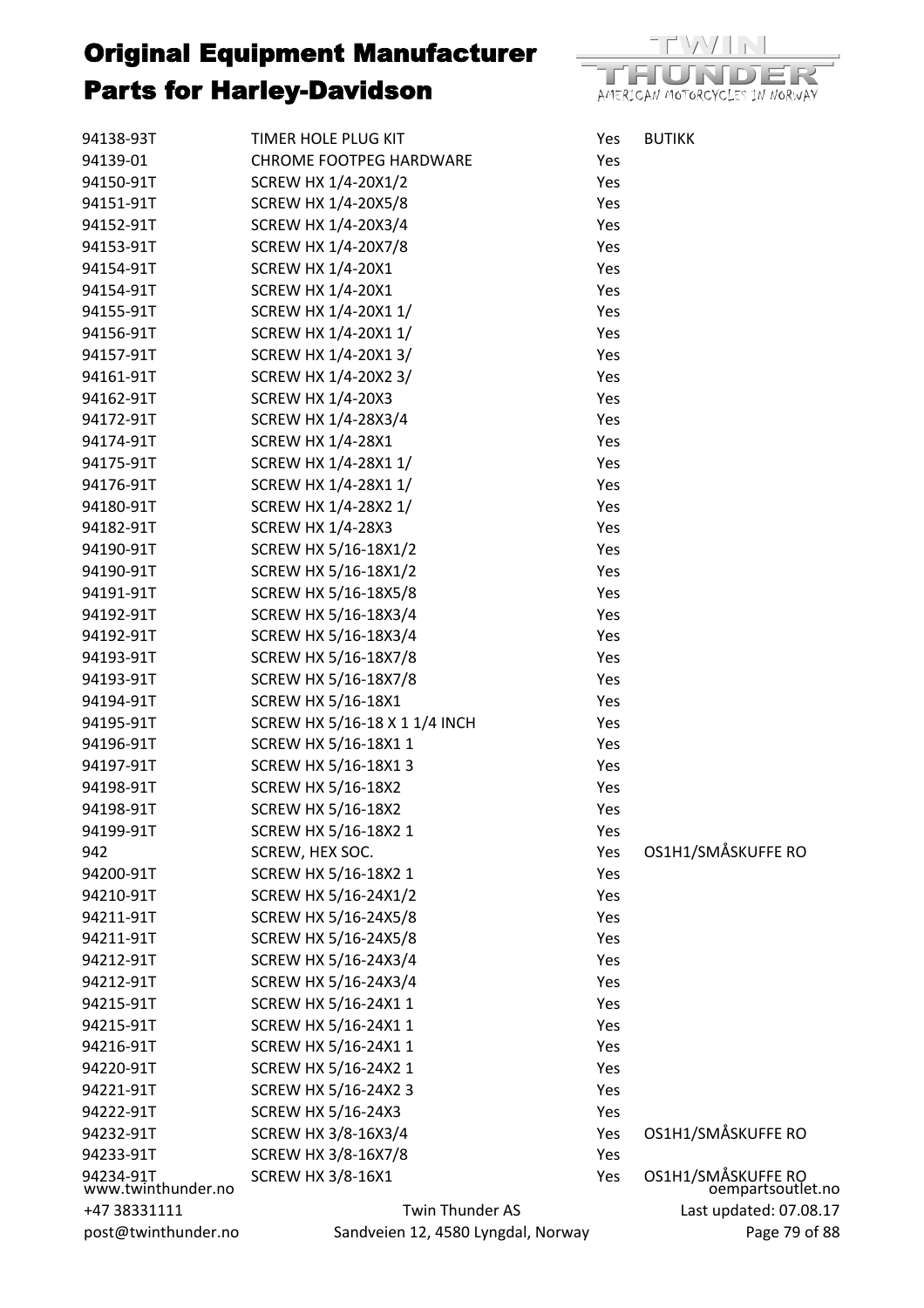| 94138-93T                       | TIMER HOLE PLUG KIT                | Yes | <b>BUTIKK</b>                           |
|---------------------------------|------------------------------------|-----|-----------------------------------------|
| 94139-01                        | <b>CHROME FOOTPEG HARDWARE</b>     | Yes |                                         |
| 94150-91T                       | SCREW HX 1/4-20X1/2                | Yes |                                         |
| 94151-91T                       | SCREW HX 1/4-20X5/8                | Yes |                                         |
| 94152-91T                       | SCREW HX 1/4-20X3/4                | Yes |                                         |
| 94153-91T                       | SCREW HX 1/4-20X7/8                | Yes |                                         |
| 94154-91T                       | <b>SCREW HX 1/4-20X1</b>           | Yes |                                         |
| 94154-91T                       | <b>SCREW HX 1/4-20X1</b>           | Yes |                                         |
| 94155-91T                       | SCREW HX 1/4-20X1 1/               | Yes |                                         |
| 94156-91T                       | SCREW HX 1/4-20X1 1/               | Yes |                                         |
| 94157-91T                       | SCREW HX 1/4-20X1 3/               | Yes |                                         |
| 94161-91T                       | SCREW HX 1/4-20X2 3/               | Yes |                                         |
| 94162-91T                       | <b>SCREW HX 1/4-20X3</b>           | Yes |                                         |
| 94172-91T                       | SCREW HX 1/4-28X3/4                | Yes |                                         |
| 94174-91T                       | <b>SCREW HX 1/4-28X1</b>           | Yes |                                         |
| 94175-91T                       | SCREW HX 1/4-28X1 1/               | Yes |                                         |
| 94176-91T                       | SCREW HX 1/4-28X1 1/               | Yes |                                         |
| 94180-91T                       | SCREW HX 1/4-28X2 1/               | Yes |                                         |
| 94182-91T                       | <b>SCREW HX 1/4-28X3</b>           | Yes |                                         |
| 94190-91T                       | SCREW HX 5/16-18X1/2               | Yes |                                         |
| 94190-91T                       | SCREW HX 5/16-18X1/2               | Yes |                                         |
| 94191-91T                       | SCREW HX 5/16-18X5/8               | Yes |                                         |
| 94192-91T                       | SCREW HX 5/16-18X3/4               | Yes |                                         |
| 94192-91T                       | SCREW HX 5/16-18X3/4               | Yes |                                         |
| 94193-91T                       | SCREW HX 5/16-18X7/8               | Yes |                                         |
| 94193-91T                       | SCREW HX 5/16-18X7/8               | Yes |                                         |
| 94194-91T                       | <b>SCREW HX 5/16-18X1</b>          | Yes |                                         |
| 94195-91T                       | SCREW HX 5/16-18 X 1 1/4 INCH      | Yes |                                         |
| 94196-91T                       | SCREW HX 5/16-18X1 1               | Yes |                                         |
| 94197-91T                       | SCREW HX 5/16-18X1 3               | Yes |                                         |
| 94198-91T                       | <b>SCREW HX 5/16-18X2</b>          | Yes |                                         |
| 94198-91T                       | <b>SCREW HX 5/16-18X2</b>          | Yes |                                         |
| 94199-91T                       | SCREW HX 5/16-18X2 1               | Yes |                                         |
| 942                             | SCREW, HEX SOC.                    | Yes | OS1H1/SMÅSKUFFE RO                      |
| 94200-91T                       | SCREW HX 5/16-18X2 1               | Yes |                                         |
| 94210-91T                       | SCREW HX 5/16-24X1/2               | Yes |                                         |
| 94211-91T                       | SCREW HX 5/16-24X5/8               | Yes |                                         |
| 94211-91T                       | SCREW HX 5/16-24X5/8               | Yes |                                         |
| 94212-91T                       | SCREW HX 5/16-24X3/4               | Yes |                                         |
| 94212-91T                       | SCREW HX 5/16-24X3/4               | Yes |                                         |
| 94215-91T                       | SCREW HX 5/16-24X1 1               | Yes |                                         |
| 94215-91T                       | SCREW HX 5/16-24X1 1               | Yes |                                         |
| 94216-91T                       | SCREW HX 5/16-24X1 1               | Yes |                                         |
| 94220-91T                       | SCREW HX 5/16-24X2 1               | Yes |                                         |
| 94221-91T                       | SCREW HX 5/16-24X2 3               | Yes |                                         |
| 94222-91T                       | <b>SCREW HX 5/16-24X3</b>          | Yes |                                         |
| 94232-91T                       | SCREW HX 3/8-16X3/4                | Yes | OS1H1/SMÅSKUFFE RO                      |
| 94233-91T                       | <b>SCREW HX 3/8-16X7/8</b>         | Yes |                                         |
| 94234-91T<br>www.twinthunder.no | <b>SCREW HX 3/8-16X1</b>           | Yes | OS1H1/SMÅSKUFFE RO<br>oempartsoutlet.no |
| +47 38331111                    | Twin Thunder AS                    |     | Last updated: 07.08.17                  |
| post@twinthunder.no             | Sandveien 12, 4580 Lyngdal, Norway |     | Page 79 of 88                           |
|                                 |                                    |     |                                         |

 $\vee$   $\uparrow$   $\uparrow$   $\uparrow$ DER T AMERICAN MOTORCYCLES IN NORWAY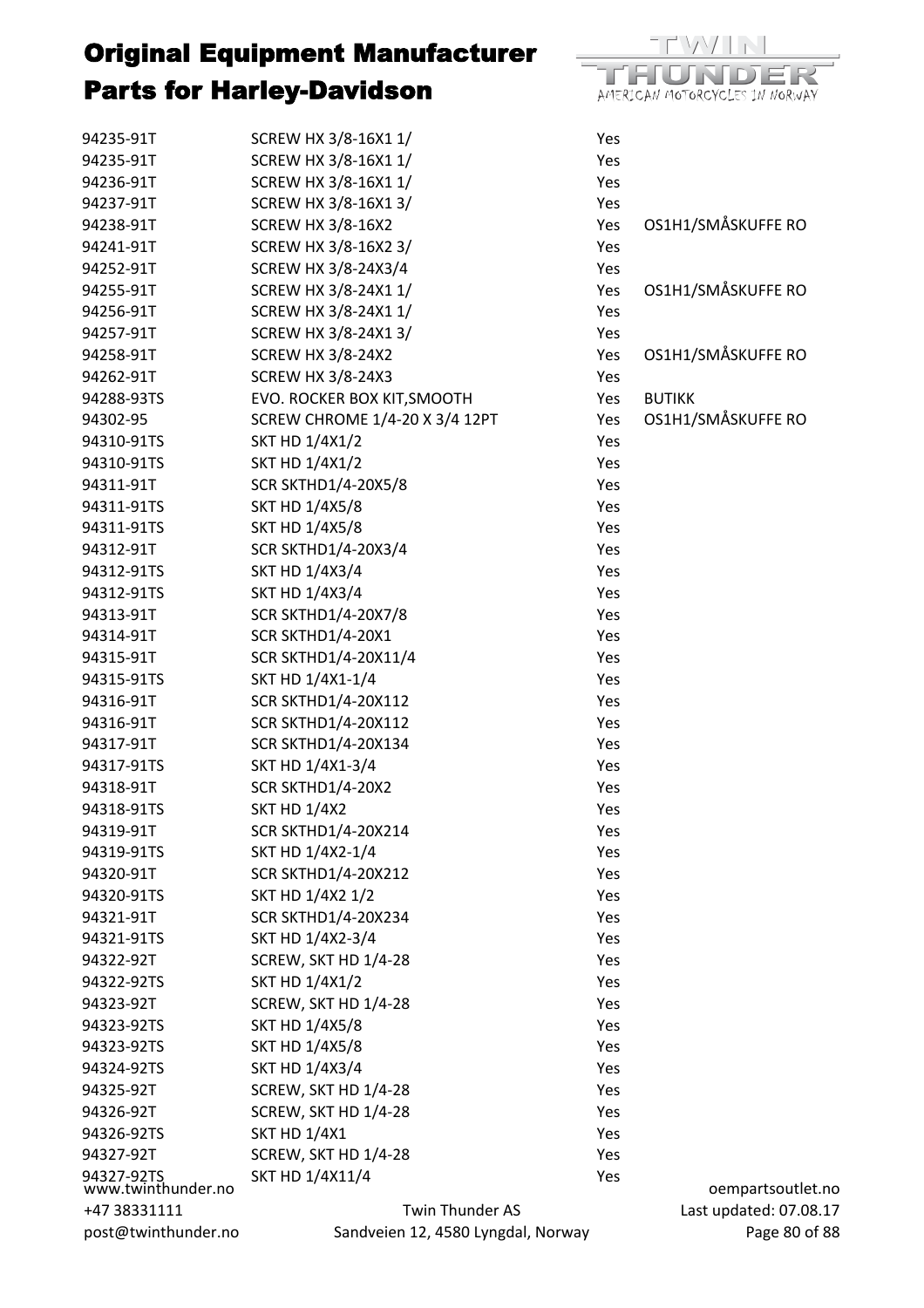94235-91T SCREW HX 3/8-16X1 1/ Yes

| 94235-91T                        | SCREW HX 3/8-16X1 1/                  | Yes |                        |
|----------------------------------|---------------------------------------|-----|------------------------|
| 94236-91T                        | SCREW HX 3/8-16X1 1/                  | Yes |                        |
| 94237-91T                        | SCREW HX 3/8-16X1 3/                  | Yes |                        |
| 94238-91T                        | <b>SCREW HX 3/8-16X2</b>              | Yes | OS1H1/SMÅSKUFFE RO     |
| 94241-91T                        | SCREW HX 3/8-16X2 3/                  | Yes |                        |
| 94252-91T                        | SCREW HX 3/8-24X3/4                   | Yes |                        |
| 94255-91T                        | SCREW HX 3/8-24X1 1/                  | Yes | OS1H1/SMÅSKUFFE RO     |
| 94256-91T                        | SCREW HX 3/8-24X1 1/                  | Yes |                        |
| 94257-91T                        | SCREW HX 3/8-24X1 3/                  | Yes |                        |
| 94258-91T                        | <b>SCREW HX 3/8-24X2</b>              | Yes | OS1H1/SMÅSKUFFE RO     |
| 94262-91T                        | <b>SCREW HX 3/8-24X3</b>              | Yes |                        |
| 94288-93TS                       | EVO. ROCKER BOX KIT, SMOOTH           | Yes | <b>BUTIKK</b>          |
| 94302-95                         | <b>SCREW CHROME 1/4-20 X 3/4 12PT</b> | Yes | OS1H1/SMÅSKUFFE RO     |
| 94310-91TS                       | <b>SKT HD 1/4X1/2</b>                 | Yes |                        |
| 94310-91TS                       | <b>SKT HD 1/4X1/2</b>                 | Yes |                        |
| 94311-91T                        | <b>SCR SKTHD1/4-20X5/8</b>            | Yes |                        |
| 94311-91TS                       | <b>SKT HD 1/4X5/8</b>                 | Yes |                        |
| 94311-91TS                       | <b>SKT HD 1/4X5/8</b>                 | Yes |                        |
| 94312-91T                        | <b>SCR SKTHD1/4-20X3/4</b>            | Yes |                        |
| 94312-91TS                       | <b>SKT HD 1/4X3/4</b>                 | Yes |                        |
| 94312-91TS                       | <b>SKT HD 1/4X3/4</b>                 | Yes |                        |
| 94313-91T                        | <b>SCR SKTHD1/4-20X7/8</b>            | Yes |                        |
| 94314-91T                        | SCR SKTHD1/4-20X1                     | Yes |                        |
| 94315-91T                        | SCR SKTHD1/4-20X11/4                  | Yes |                        |
| 94315-91TS                       | SKT HD 1/4X1-1/4                      | Yes |                        |
| 94316-91T                        | <b>SCR SKTHD1/4-20X112</b>            | Yes |                        |
| 94316-91T                        | <b>SCR SKTHD1/4-20X112</b>            | Yes |                        |
| 94317-91T                        | <b>SCR SKTHD1/4-20X134</b>            | Yes |                        |
| 94317-91TS                       | SKT HD 1/4X1-3/4                      | Yes |                        |
| 94318-91T                        | SCR SKTHD1/4-20X2                     | Yes |                        |
| 94318-91TS                       | <b>SKT HD 1/4X2</b>                   | Yes |                        |
| 94319-91T                        | <b>SCR SKTHD1/4-20X214</b>            | Yes |                        |
| 94319-91TS                       | SKT HD 1/4X2-1/4                      | Yes |                        |
| 94320-91T                        | <b>SCR SKTHD1/4-20X212</b>            | Yes |                        |
| 94320-91TS                       | SKT HD 1/4X2 1/2                      | Yes |                        |
| 94321-91T                        | <b>SCR SKTHD1/4-20X234</b>            | Yes |                        |
| 94321-91TS                       | SKT HD 1/4X2-3/4                      | Yes |                        |
| 94322-92T                        | SCREW, SKT HD 1/4-28                  | Yes |                        |
| 94322-92TS                       | <b>SKT HD 1/4X1/2</b>                 | Yes |                        |
| 94323-92T                        | SCREW, SKT HD 1/4-28                  | Yes |                        |
| 94323-92TS                       | <b>SKT HD 1/4X5/8</b>                 | Yes |                        |
| 94323-92TS                       | <b>SKT HD 1/4X5/8</b>                 | Yes |                        |
| 94324-92TS                       | <b>SKT HD 1/4X3/4</b>                 | Yes |                        |
| 94325-92T                        | SCREW, SKT HD 1/4-28                  | Yes |                        |
| 94326-92T                        | SCREW, SKT HD 1/4-28                  | Yes |                        |
| 94326-92TS                       | <b>SKT HD 1/4X1</b>                   | Yes |                        |
| 94327-92T                        | SCREW, SKT HD 1/4-28                  | Yes |                        |
| 94327-92TS<br>www.twinthunder.no | SKT HD 1/4X11/4                       | Yes | oempartsoutlet.no      |
| +47 38331111                     | <b>Twin Thunder AS</b>                |     | Last updated: 07.08.17 |
| post@twinthunder.no              | Sandveien 12, 4580 Lyngdal, Norway    |     | Page 80 of 88          |

mar Ξ AMERICAN MOTORCYCLES IN NORWAY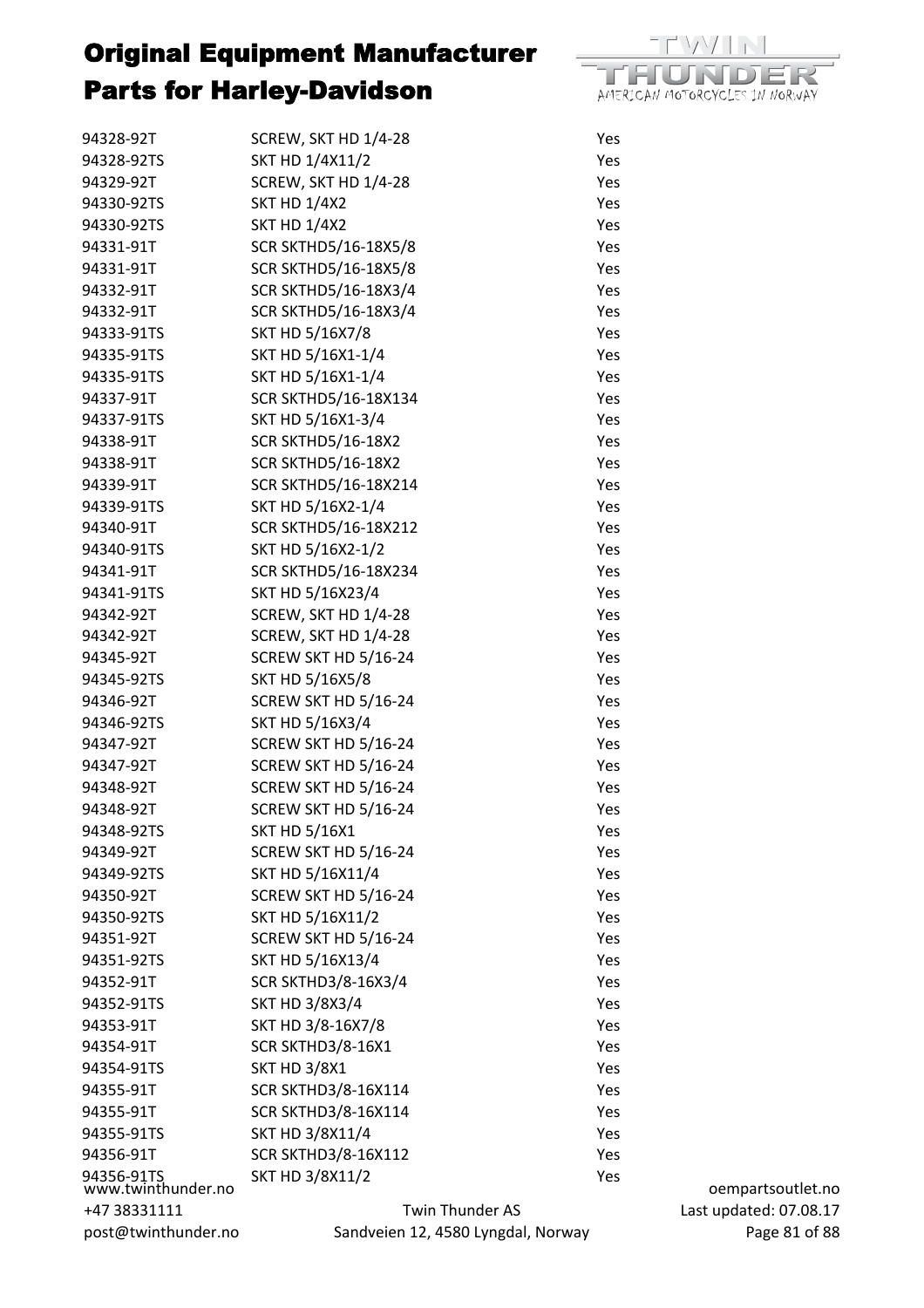

| 94328-92T                        | SCREW, SKT HD 1/4-28               | Yes |
|----------------------------------|------------------------------------|-----|
| 94328-92TS                       | SKT HD 1/4X11/2                    | Yes |
| 94329-92T                        | SCREW, SKT HD 1/4-28               | Yes |
| 94330-92TS                       | <b>SKT HD 1/4X2</b>                | Yes |
| 94330-92TS                       | <b>SKT HD 1/4X2</b>                | Yes |
| 94331-91T                        | <b>SCR SKTHD5/16-18X5/8</b>        | Yes |
| 94331-91T                        | <b>SCR SKTHD5/16-18X5/8</b>        | Yes |
| 94332-91T                        | SCR SKTHD5/16-18X3/4               | Yes |
| 94332-91T                        | SCR SKTHD5/16-18X3/4               | Yes |
| 94333-91TS                       | SKT HD 5/16X7/8                    | Yes |
| 94335-91TS                       | SKT HD 5/16X1-1/4                  | Yes |
| 94335-91TS                       | SKT HD 5/16X1-1/4                  | Yes |
| 94337-91T                        | SCR SKTHD5/16-18X134               | Yes |
| 94337-91TS                       | SKT HD 5/16X1-3/4                  | Yes |
| 94338-91T                        | <b>SCR SKTHD5/16-18X2</b>          | Yes |
| 94338-91T                        | <b>SCR SKTHD5/16-18X2</b>          | Yes |
| 94339-91T                        | <b>SCR SKTHD5/16-18X214</b>        | Yes |
| 94339-91TS                       | SKT HD 5/16X2-1/4                  | Yes |
| 94340-91T                        | <b>SCR SKTHD5/16-18X212</b>        | Yes |
| 94340-91TS                       | SKT HD 5/16X2-1/2                  | Yes |
| 94341-91T                        | SCR SKTHD5/16-18X234               | Yes |
| 94341-91TS                       | SKT HD 5/16X23/4                   | Yes |
| 94342-92T                        | SCREW, SKT HD 1/4-28               | Yes |
| 94342-92T                        | SCREW, SKT HD 1/4-28               | Yes |
| 94345-92T                        | SCREW SKT HD 5/16-24               | Yes |
| 94345-92TS                       | SKT HD 5/16X5/8                    | Yes |
| 94346-92T                        | SCREW SKT HD 5/16-24               | Yes |
| 94346-92TS                       | SKT HD 5/16X3/4                    | Yes |
| 94347-92T                        | SCREW SKT HD 5/16-24               | Yes |
| 94347-92T                        | SCREW SKT HD 5/16-24               | Yes |
| 94348-92T                        | SCREW SKT HD 5/16-24               | Yes |
| 94348-92T                        | SCREW SKT HD 5/16-24               | Yes |
| 94348-92TS                       | <b>SKT HD 5/16X1</b>               | Yes |
| 94349-92T                        | SCREW SKT HD 5/16-24               | Yes |
| 94349-92TS                       | SKT HD 5/16X11/4                   | Yes |
| 94350-92T                        | SCREW SKT HD 5/16-24               | Yes |
| 94350-92TS                       | SKT HD 5/16X11/2                   | Yes |
| 94351-92T                        | SCREW SKT HD 5/16-24               | Yes |
| 94351-92TS                       | SKT HD 5/16X13/4                   | Yes |
| 94352-91T                        | <b>SCR SKTHD3/8-16X3/4</b>         | Yes |
| 94352-91TS                       | <b>SKT HD 3/8X3/4</b>              | Yes |
| 94353-91T                        | SKT HD 3/8-16X7/8                  | Yes |
| 94354-91T                        | SCR SKTHD3/8-16X1                  | Yes |
| 94354-91TS                       | <b>SKT HD 3/8X1</b>                | Yes |
| 94355-91T                        | <b>SCR SKTHD3/8-16X114</b>         | Yes |
| 94355-91T                        | <b>SCR SKTHD3/8-16X114</b>         | Yes |
| 94355-91TS                       | SKT HD 3/8X11/4                    | Yes |
| 94356-91T                        | <b>SCR SKTHD3/8-16X112</b>         | Yes |
| 94356-91TS<br>www.twinthunder.no | SKT HD 3/8X11/2                    | Yes |
| +47 38331111                     | Twin Thunder AS                    |     |
| post@twinthunder.no              | Sandveien 12, 4580 Lyngdal, Norway |     |

oempartsoutlet.no Last updated: 07.08.17 Page 81 of 88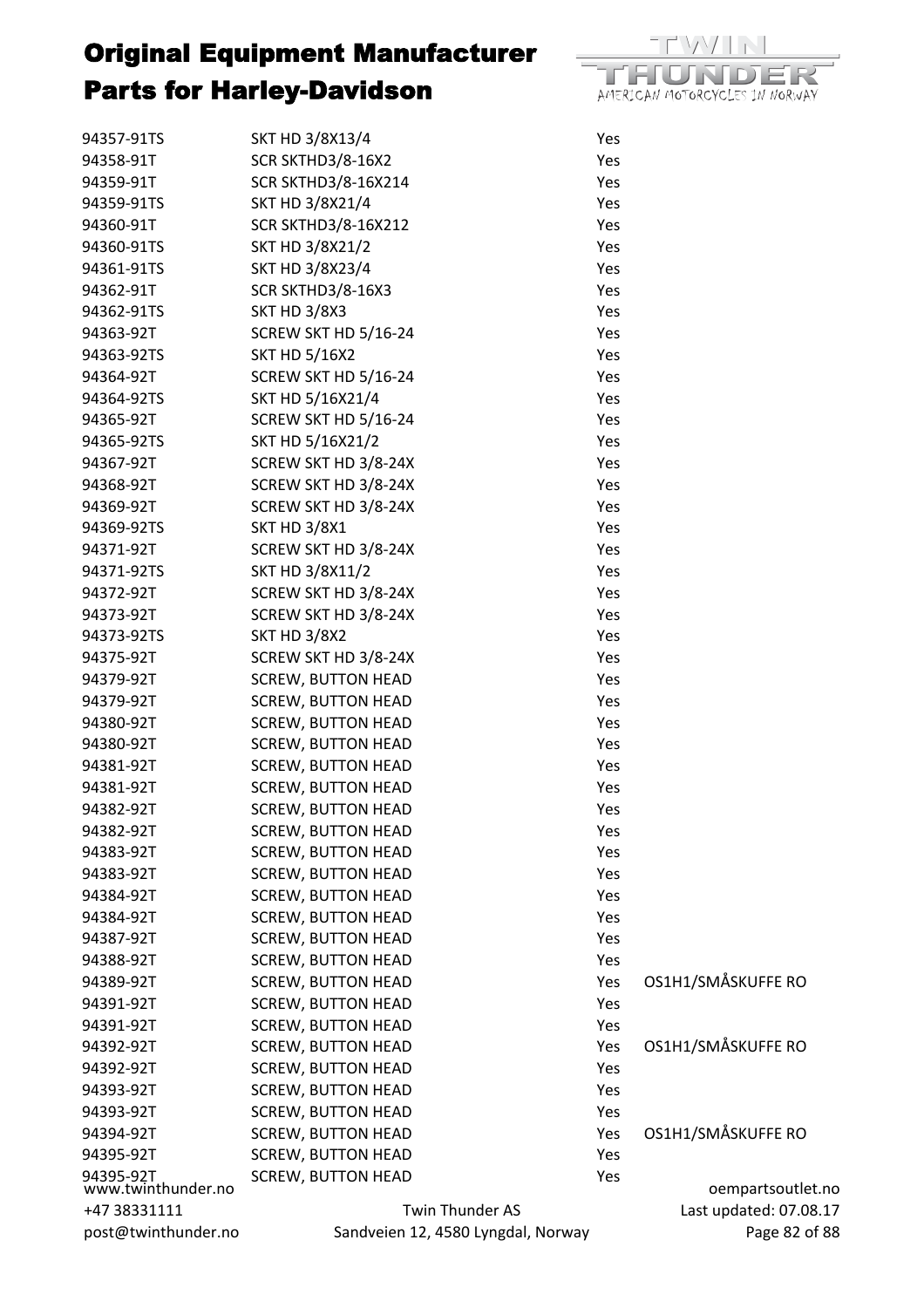

| 94357-91TS                      | SKT HD 3/8X13/4                    | Yes |                        |
|---------------------------------|------------------------------------|-----|------------------------|
| 94358-91T                       | SCR SKTHD3/8-16X2                  | Yes |                        |
| 94359-91T                       | <b>SCR SKTHD3/8-16X214</b>         | Yes |                        |
| 94359-91TS                      | SKT HD 3/8X21/4                    | Yes |                        |
| 94360-91T                       | <b>SCR SKTHD3/8-16X212</b>         | Yes |                        |
| 94360-91TS                      | <b>SKT HD 3/8X21/2</b>             | Yes |                        |
| 94361-91TS                      | SKT HD 3/8X23/4                    | Yes |                        |
| 94362-91T                       | <b>SCR SKTHD3/8-16X3</b>           | Yes |                        |
| 94362-91TS                      | <b>SKT HD 3/8X3</b>                | Yes |                        |
| 94363-92T                       | SCREW SKT HD 5/16-24               | Yes |                        |
| 94363-92TS                      | <b>SKT HD 5/16X2</b>               | Yes |                        |
| 94364-92T                       | SCREW SKT HD 5/16-24               | Yes |                        |
| 94364-92TS                      | SKT HD 5/16X21/4                   | Yes |                        |
| 94365-92T                       | SCREW SKT HD 5/16-24               | Yes |                        |
| 94365-92TS                      | SKT HD 5/16X21/2                   | Yes |                        |
| 94367-92T                       | SCREW SKT HD 3/8-24X               | Yes |                        |
| 94368-92T                       | SCREW SKT HD 3/8-24X               | Yes |                        |
| 94369-92T                       | SCREW SKT HD 3/8-24X               | Yes |                        |
| 94369-92TS                      | <b>SKT HD 3/8X1</b>                | Yes |                        |
| 94371-92T                       | SCREW SKT HD 3/8-24X               | Yes |                        |
|                                 |                                    | Yes |                        |
| 94371-92TS                      | SKT HD 3/8X11/2                    |     |                        |
| 94372-92T                       | SCREW SKT HD 3/8-24X               | Yes |                        |
| 94373-92T                       | SCREW SKT HD 3/8-24X               | Yes |                        |
| 94373-92TS                      | <b>SKT HD 3/8X2</b>                | Yes |                        |
| 94375-92T                       | SCREW SKT HD 3/8-24X               | Yes |                        |
| 94379-92T                       | <b>SCREW, BUTTON HEAD</b>          | Yes |                        |
| 94379-92T                       | <b>SCREW, BUTTON HEAD</b>          | Yes |                        |
| 94380-92T                       | <b>SCREW, BUTTON HEAD</b>          | Yes |                        |
| 94380-92T                       | <b>SCREW, BUTTON HEAD</b>          | Yes |                        |
| 94381-92T                       | <b>SCREW, BUTTON HEAD</b>          | Yes |                        |
| 94381-92T                       | <b>SCREW, BUTTON HEAD</b>          | Yes |                        |
| 94382-92T                       | <b>SCREW, BUTTON HEAD</b>          | Yes |                        |
| 94382-92T                       | <b>SCREW, BUTTON HEAD</b>          | Yes |                        |
| 94383-92T                       | <b>SCREW, BUTTON HEAD</b>          | Yes |                        |
| 94383-92T                       | <b>SCREW, BUTTON HEAD</b>          | Yes |                        |
| 94384-92T                       | <b>SCREW, BUTTON HEAD</b>          | Yes |                        |
| 94384-92T                       | <b>SCREW, BUTTON HEAD</b>          | Yes |                        |
| 94387-92T                       | <b>SCREW, BUTTON HEAD</b>          | Yes |                        |
| 94388-92T                       | <b>SCREW, BUTTON HEAD</b>          | Yes |                        |
| 94389-92T                       | <b>SCREW, BUTTON HEAD</b>          | Yes | OS1H1/SMÅSKUFFE RO     |
| 94391-92T                       | <b>SCREW, BUTTON HEAD</b>          | Yes |                        |
| 94391-92T                       | <b>SCREW, BUTTON HEAD</b>          | Yes |                        |
| 94392-92T                       | <b>SCREW, BUTTON HEAD</b>          | Yes | OS1H1/SMÅSKUFFE RO     |
| 94392-92T                       | <b>SCREW, BUTTON HEAD</b>          | Yes |                        |
| 94393-92T                       | <b>SCREW, BUTTON HEAD</b>          | Yes |                        |
| 94393-92T                       | <b>SCREW, BUTTON HEAD</b>          | Yes |                        |
| 94394-92T                       | <b>SCREW, BUTTON HEAD</b>          | Yes | OS1H1/SMÅSKUFFE RO     |
| 94395-92T                       | <b>SCREW, BUTTON HEAD</b>          | Yes |                        |
| 94395-92T<br>www.twinthunder.no | <b>SCREW, BUTTON HEAD</b>          | Yes | oempartsoutlet.no      |
| +47 38331111                    | Twin Thunder AS                    |     | Last updated: 07.08.17 |
| post@twinthunder.no             | Sandveien 12, 4580 Lyngdal, Norway |     | Page 82 of 88          |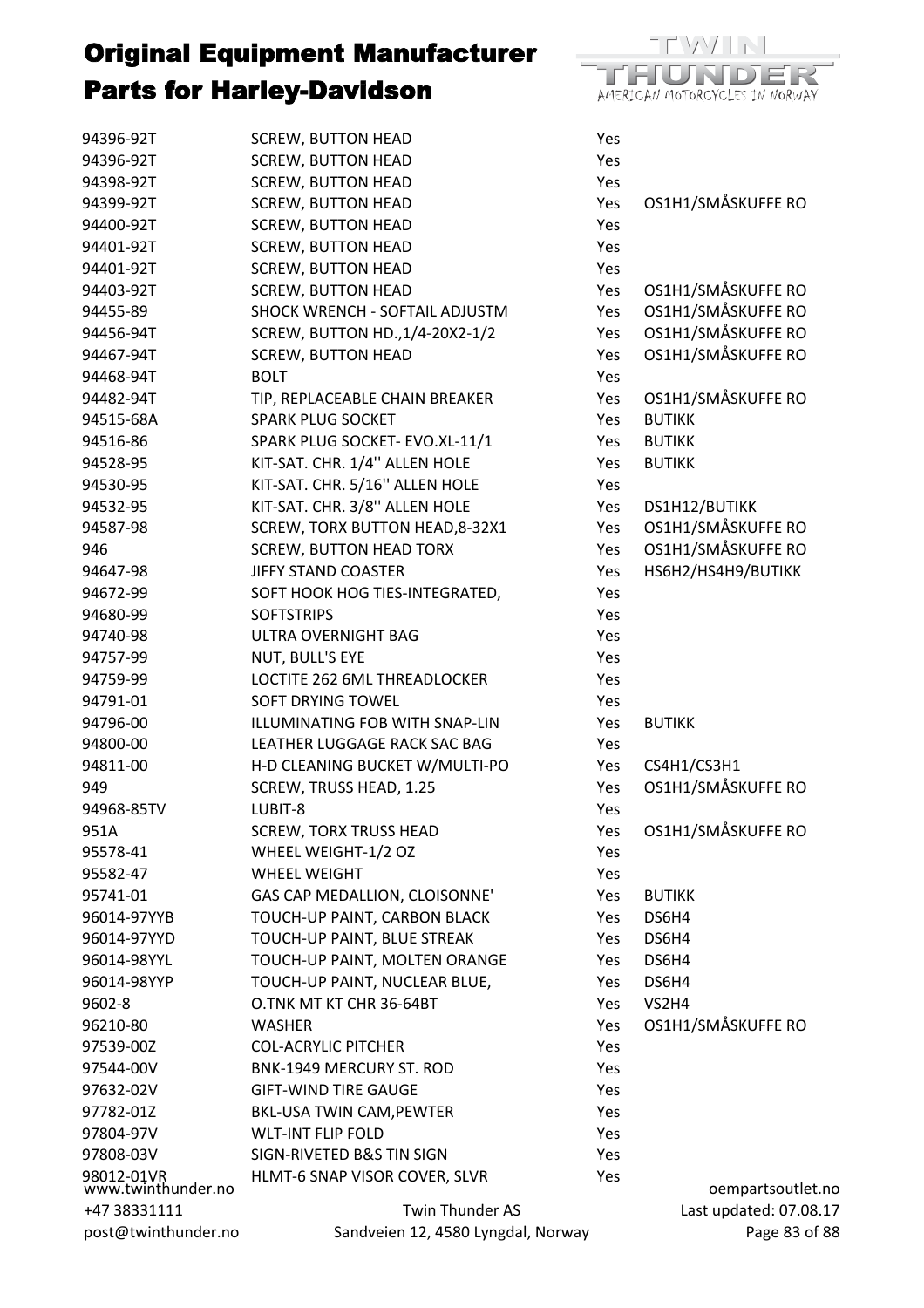

| post@twinthunder.no              | Sandveien 12, 4580 Lyngdal, Norway                         |            | Page 83 of 88                       |
|----------------------------------|------------------------------------------------------------|------------|-------------------------------------|
| +47 38331111                     | Twin Thunder AS                                            |            | Last updated: 07.08.17              |
| 98012-01VR<br>www.twinthunder.no | HLMT-6 SNAP VISOR COVER, SLVR                              | Yes        | oempartsoutlet.no                   |
| 97808-03V                        | SIGN-RIVETED B&S TIN SIGN                                  | Yes        |                                     |
| 97804-97V                        | <b>WLT-INT FLIP FOLD</b>                                   | Yes        |                                     |
| 97782-01Z                        | <b>BKL-USA TWIN CAM, PEWTER</b>                            | Yes        |                                     |
| 97632-02V                        | <b>GIFT-WIND TIRE GAUGE</b>                                | Yes        |                                     |
| 97544-00V                        | BNK-1949 MERCURY ST. ROD                                   | Yes        |                                     |
| 97539-00Z                        | <b>COL-ACRYLIC PITCHER</b>                                 | Yes        |                                     |
| 96210-80                         | <b>WASHER</b>                                              | Yes        | OS1H1/SMÅSKUFFE RO                  |
| 9602-8                           | O.TNK MT KT CHR 36-64BT                                    | Yes        | VS2H4                               |
| 96014-98YYP                      | TOUCH-UP PAINT, NUCLEAR BLUE,                              | Yes        | DS6H4                               |
| 96014-98YYL                      | TOUCH-UP PAINT, MOLTEN ORANGE                              | Yes.       | DS6H4                               |
| 96014-97YYD                      | TOUCH-UP PAINT, BLUE STREAK                                | Yes        | DS6H4                               |
| 96014-97YYB                      | TOUCH-UP PAINT, CARBON BLACK                               | Yes        | DS6H4                               |
| 95741-01                         | GAS CAP MEDALLION, CLOISONNE'                              | Yes        | <b>BUTIKK</b>                       |
| 95582-47                         | <b>WHEEL WEIGHT</b>                                        | Yes        |                                     |
| 95578-41                         | WHEEL WEIGHT-1/2 OZ                                        | Yes        |                                     |
| 951A                             | <b>SCREW, TORX TRUSS HEAD</b>                              | Yes        | OS1H1/SMÅSKUFFE RO                  |
| 94968-85TV                       | LUBIT-8                                                    | Yes        |                                     |
| 949                              | SCREW, TRUSS HEAD, 1.25                                    | Yes        | OS1H1/SMÅSKUFFE RO                  |
| 94811-00                         | H-D CLEANING BUCKET W/MULTI-PO                             | Yes        | CS4H1/CS3H1                         |
| 94800-00                         | LEATHER LUGGAGE RACK SAC BAG                               | Yes        |                                     |
| 94796-00                         | ILLUMINATING FOB WITH SNAP-LIN                             | Yes        | <b>BUTIKK</b>                       |
| 94791-01                         | <b>SOFT DRYING TOWEL</b>                                   | Yes        |                                     |
| 94759-99                         | LOCTITE 262 6ML THREADLOCKER                               | Yes        |                                     |
| 94757-99                         | NUT, BULL'S EYE                                            | Yes        |                                     |
| 94740-98                         | <b>ULTRA OVERNIGHT BAG</b>                                 | Yes        |                                     |
| 94680-99                         | <b>SOFTSTRIPS</b>                                          | Yes        |                                     |
| 94672-99                         | SOFT HOOK HOG TIES-INTEGRATED,                             | Yes        |                                     |
|                                  |                                                            |            |                                     |
| 94647-98                         | <b>JIFFY STAND COASTER</b>                                 | Yes        | HS6H2/HS4H9/BUTIKK                  |
| 946                              | <b>SCREW, BUTTON HEAD TORX</b>                             | Yes        | OS1H1/SMÅSKUFFE RO                  |
| 94587-98                         | SCREW, TORX BUTTON HEAD, 8-32X1                            | Yes        | OS1H1/SMÅSKUFFE RO                  |
| 94532-95                         | KIT-SAT. CHR. 3/8" ALLEN HOLE                              | Yes<br>Yes | DS1H12/BUTIKK                       |
| 94530-95                         | KIT-SAT. CHR. 5/16" ALLEN HOLE                             | Yes        |                                     |
| 94528-95                         | KIT-SAT. CHR. 1/4" ALLEN HOLE                              | Yes        | <b>BUTIKK</b>                       |
| 94516-86                         | SPARK PLUG SOCKET- EVO.XL-11/1                             |            | <b>BUTIKK</b>                       |
| 94482-94T<br>94515-68A           | TIP, REPLACEABLE CHAIN BREAKER<br><b>SPARK PLUG SOCKET</b> | Yes<br>Yes | OS1H1/SMÅSKUFFE RO<br><b>BUTIKK</b> |
| 94468-94T                        |                                                            | Yes        |                                     |
| 94467-94T                        | <b>SCREW, BUTTON HEAD</b><br><b>BOLT</b>                   | Yes        | OS1H1/SMÅSKUFFE RO                  |
|                                  | SCREW, BUTTON HD., 1/4-20X2-1/2                            |            |                                     |
| 94456-94T                        |                                                            | Yes        | OS1H1/SMÅSKUFFE RO                  |
| 94455-89                         | SHOCK WRENCH - SOFTAIL ADJUSTM                             | Yes        | OS1H1/SMÅSKUFFE RO                  |
| 94403-92T                        | <b>SCREW, BUTTON HEAD</b>                                  | Yes<br>Yes | OS1H1/SMÅSKUFFE RO                  |
| 94401-92T                        | <b>SCREW, BUTTON HEAD</b>                                  |            |                                     |
| 94401-92T                        | <b>SCREW, BUTTON HEAD</b><br><b>SCREW, BUTTON HEAD</b>     | Yes<br>Yes |                                     |
| 94399-92T<br>94400-92T           | <b>SCREW, BUTTON HEAD</b>                                  | Yes        | OS1H1/SMÅSKUFFE RO                  |
| 94398-92T                        | <b>SCREW, BUTTON HEAD</b>                                  | Yes        |                                     |
| 94396-92T                        | <b>SCREW, BUTTON HEAD</b>                                  | Yes        |                                     |
| 94396-92T                        | <b>SCREW, BUTTON HEAD</b>                                  | Yes        |                                     |
|                                  |                                                            |            |                                     |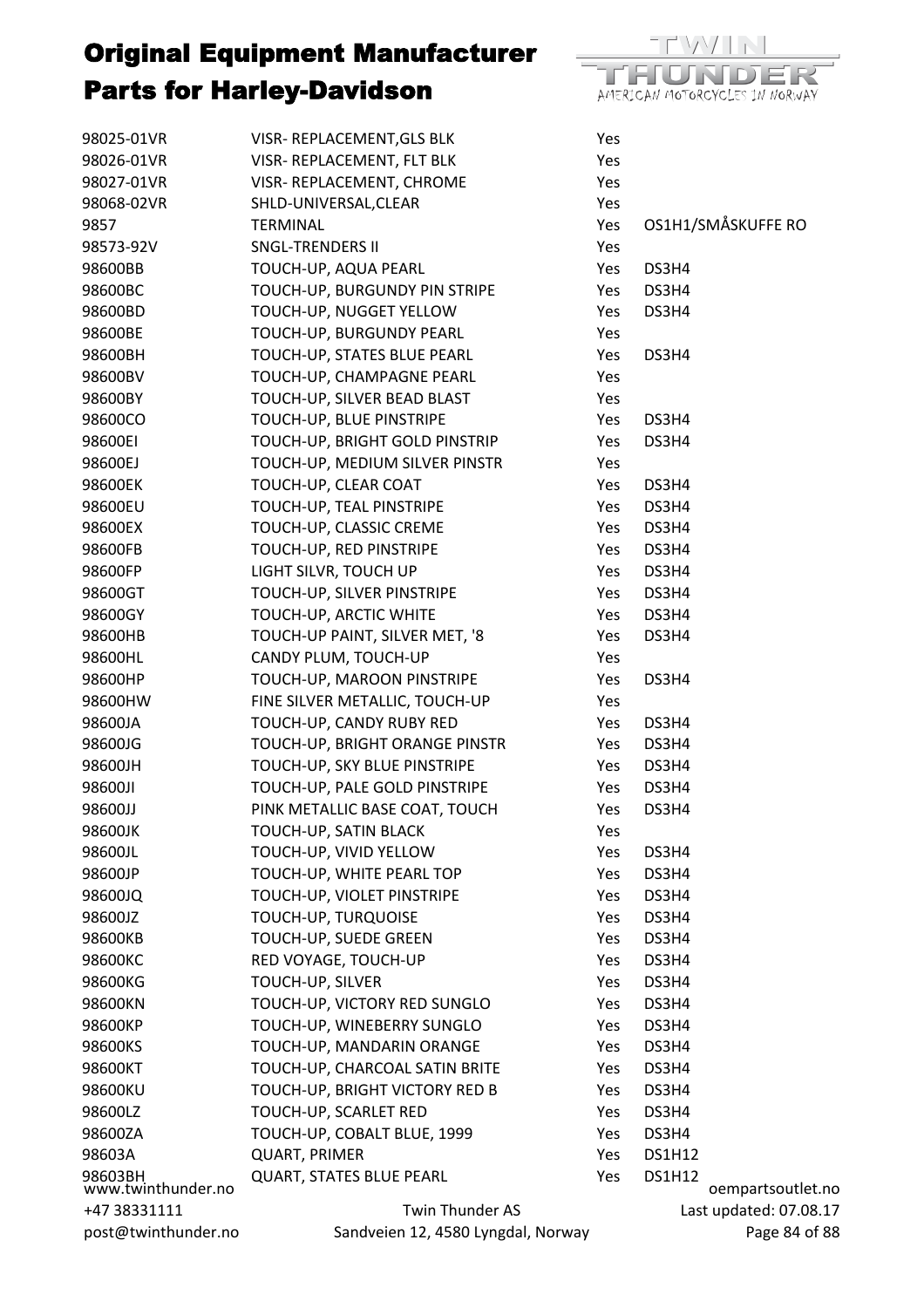

| 98025-01VR                    | VISR-REPLACEMENT, GLS BLK          | Yes |                                    |
|-------------------------------|------------------------------------|-----|------------------------------------|
| 98026-01VR                    | VISR-REPLACEMENT, FLT BLK          | Yes |                                    |
| 98027-01VR                    | VISR-REPLACEMENT, CHROME           | Yes |                                    |
| 98068-02VR                    | SHLD-UNIVERSAL, CLEAR              | Yes |                                    |
| 9857                          | <b>TERMINAL</b>                    | Yes | OS1H1/SMÅSKUFFE RO                 |
| 98573-92V                     | <b>SNGL-TRENDERS II</b>            | Yes |                                    |
| 98600BB                       | TOUCH-UP, AQUA PEARL               | Yes | DS3H4                              |
| 98600BC                       | TOUCH-UP, BURGUNDY PIN STRIPE      | Yes | DS3H4                              |
| 98600BD                       | TOUCH-UP, NUGGET YELLOW            | Yes | DS3H4                              |
| 98600BE                       | TOUCH-UP, BURGUNDY PEARL           | Yes |                                    |
| 98600BH                       | TOUCH-UP, STATES BLUE PEARL        | Yes | DS3H4                              |
| 98600BV                       | TOUCH-UP, CHAMPAGNE PEARL          | Yes |                                    |
| 98600BY                       | TOUCH-UP, SILVER BEAD BLAST        | Yes |                                    |
| 98600CO                       | TOUCH-UP, BLUE PINSTRIPE           | Yes | DS3H4                              |
| 98600EI                       | TOUCH-UP, BRIGHT GOLD PINSTRIP     | Yes | DS3H4                              |
| 98600EJ                       | TOUCH-UP, MEDIUM SILVER PINSTR     | Yes |                                    |
| 98600EK                       | TOUCH-UP, CLEAR COAT               | Yes | DS3H4                              |
| 98600EU                       | TOUCH-UP, TEAL PINSTRIPE           | Yes | DS3H4                              |
| 98600EX                       | TOUCH-UP, CLASSIC CREME            | Yes | DS3H4                              |
| 98600FB                       | TOUCH-UP, RED PINSTRIPE            | Yes | DS3H4                              |
| 98600FP                       | LIGHT SILVR, TOUCH UP              | Yes | DS3H4                              |
| 98600GT                       | TOUCH-UP, SILVER PINSTRIPE         | Yes | DS3H4                              |
| 98600GY                       | TOUCH-UP, ARCTIC WHITE             | Yes | DS3H4                              |
| 98600HB                       | TOUCH-UP PAINT, SILVER MET, '8     | Yes | DS3H4                              |
| 98600HL                       | CANDY PLUM, TOUCH-UP               | Yes |                                    |
| 98600HP                       | TOUCH-UP, MAROON PINSTRIPE         | Yes | DS3H4                              |
| 98600HW                       | FINE SILVER METALLIC, TOUCH-UP     | Yes |                                    |
| 98600JA                       | TOUCH-UP, CANDY RUBY RED           | Yes | DS3H4                              |
| 98600JG                       | TOUCH-UP, BRIGHT ORANGE PINSTR     | Yes | DS3H4                              |
| 98600JH                       | TOUCH-UP, SKY BLUE PINSTRIPE       | Yes | DS3H4                              |
| 98600JI                       | TOUCH-UP, PALE GOLD PINSTRIPE      | Yes | DS3H4                              |
| 98600JJ                       | PINK METALLIC BASE COAT, TOUCH     | Yes | DS3H4                              |
| 98600JK                       | TOUCH-UP, SATIN BLACK              | Yes |                                    |
| 98600JL                       | TOUCH-UP, VIVID YELLOW             | Yes | DS3H4                              |
| 98600JP                       | TOUCH-UP, WHITE PEARL TOP          | Yes | DS3H4                              |
| 98600JQ                       | TOUCH-UP, VIOLET PINSTRIPE         | Yes | DS3H4                              |
| 98600JZ                       | TOUCH-UP, TURQUOISE                | Yes | DS3H4                              |
| 98600KB                       | TOUCH-UP, SUEDE GREEN              | Yes | DS3H4                              |
| 98600KC                       | RED VOYAGE, TOUCH-UP               | Yes | DS3H4                              |
| 98600KG                       | TOUCH-UP, SILVER                   | Yes | DS3H4                              |
| 98600KN                       | TOUCH-UP, VICTORY RED SUNGLO       | Yes | DS3H4                              |
| 98600KP                       | TOUCH-UP, WINEBERRY SUNGLO         | Yes | DS3H4                              |
| 98600KS                       | TOUCH-UP, MANDARIN ORANGE          | Yes | DS3H4                              |
| 98600KT                       | TOUCH-UP, CHARCOAL SATIN BRITE     | Yes | DS3H4                              |
| 98600KU                       | TOUCH-UP, BRIGHT VICTORY RED B     | Yes | DS3H4                              |
| 98600LZ                       | TOUCH-UP, SCARLET RED              | Yes | DS3H4                              |
| 98600ZA                       | TOUCH-UP, COBALT BLUE, 1999        | Yes | DS3H4                              |
| 98603A                        | <b>QUART, PRIMER</b>               | Yes | <b>DS1H12</b>                      |
| 98603BH<br>www.twinthunder.no | <b>QUART, STATES BLUE PEARL</b>    | Yes | <b>DS1H12</b><br>oempartsoutlet.no |
| +47 38331111                  | Twin Thunder AS                    |     | Last updated: 07.08.17             |
| post@twinthunder.no           | Sandveien 12, 4580 Lyngdal, Norway |     | Page 84 of 88                      |
|                               |                                    |     |                                    |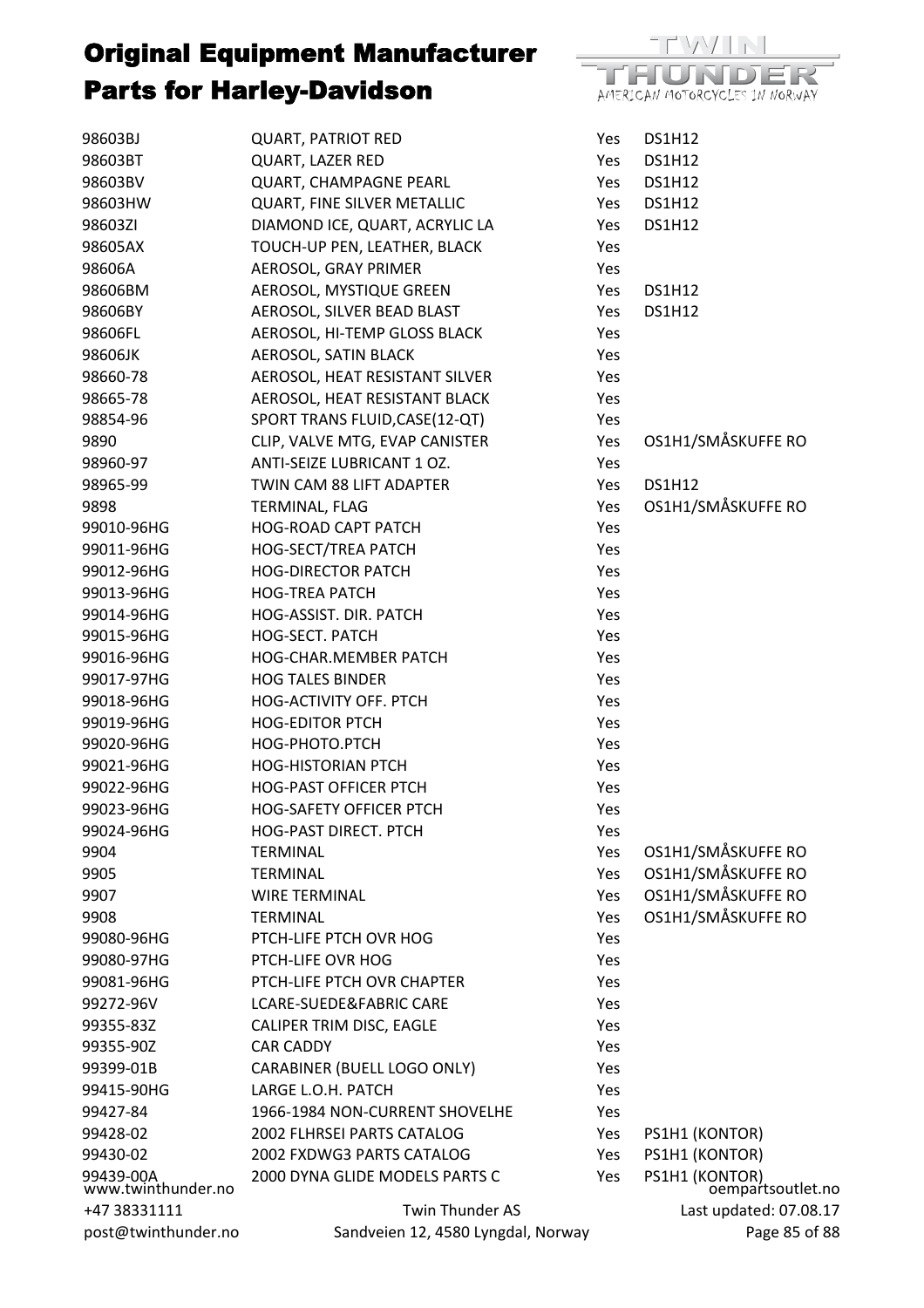

| 98603BJ                         | <b>QUART, PATRIOT RED</b>          | Yes | <b>DS1H12</b>                       |
|---------------------------------|------------------------------------|-----|-------------------------------------|
| 98603BT                         | <b>QUART, LAZER RED</b>            | Yes | <b>DS1H12</b>                       |
| 98603BV                         | QUART, CHAMPAGNE PEARL             | Yes | <b>DS1H12</b>                       |
| 98603HW                         | QUART, FINE SILVER METALLIC        | Yes | <b>DS1H12</b>                       |
| 98603ZI                         | DIAMOND ICE, QUART, ACRYLIC LA     | Yes | <b>DS1H12</b>                       |
| 98605AX                         | TOUCH-UP PEN, LEATHER, BLACK       | Yes |                                     |
| 98606A                          | AEROSOL, GRAY PRIMER               | Yes |                                     |
| 98606BM                         | AEROSOL, MYSTIQUE GREEN            | Yes | <b>DS1H12</b>                       |
| 98606BY                         | AEROSOL, SILVER BEAD BLAST         | Yes | <b>DS1H12</b>                       |
| 98606FL                         | AEROSOL, HI-TEMP GLOSS BLACK       | Yes |                                     |
| 98606JK                         | AEROSOL, SATIN BLACK               | Yes |                                     |
| 98660-78                        | AEROSOL, HEAT RESISTANT SILVER     | Yes |                                     |
| 98665-78                        | AEROSOL, HEAT RESISTANT BLACK      | Yes |                                     |
| 98854-96                        | SPORT TRANS FLUID, CASE (12-QT)    | Yes |                                     |
| 9890                            | CLIP, VALVE MTG, EVAP CANISTER     | Yes | OS1H1/SMÅSKUFFE RO                  |
| 98960-97                        | ANTI-SEIZE LUBRICANT 1 OZ.         | Yes |                                     |
| 98965-99                        | TWIN CAM 88 LIFT ADAPTER           | Yes | <b>DS1H12</b>                       |
| 9898                            | TERMINAL, FLAG                     | Yes | OS1H1/SMÅSKUFFE RO                  |
| 99010-96HG                      | <b>HOG-ROAD CAPT PATCH</b>         | Yes |                                     |
| 99011-96HG                      | <b>HOG-SECT/TREA PATCH</b>         | Yes |                                     |
| 99012-96HG                      | <b>HOG-DIRECTOR PATCH</b>          | Yes |                                     |
| 99013-96HG                      | <b>HOG-TREA PATCH</b>              | Yes |                                     |
| 99014-96HG                      | HOG-ASSIST. DIR. PATCH             | Yes |                                     |
| 99015-96HG                      | HOG-SECT. PATCH                    | Yes |                                     |
| 99016-96HG                      | HOG-CHAR.MEMBER PATCH              | Yes |                                     |
| 99017-97HG                      | <b>HOG TALES BINDER</b>            | Yes |                                     |
| 99018-96HG                      | HOG-ACTIVITY OFF. PTCH             | Yes |                                     |
| 99019-96HG                      | <b>HOG-EDITOR PTCH</b>             | Yes |                                     |
| 99020-96HG                      | HOG-PHOTO.PTCH                     | Yes |                                     |
| 99021-96HG                      | <b>HOG-HISTORIAN PTCH</b>          | Yes |                                     |
| 99022-96HG                      | <b>HOG-PAST OFFICER PTCH</b>       | Yes |                                     |
| 99023-96HG                      | <b>HOG-SAFETY OFFICER PTCH</b>     | Yes |                                     |
| 99024-96HG                      | HOG-PAST DIRECT. PTCH              | Yes |                                     |
| 9904                            | <b>TERMINAL</b>                    | Yes | OS1H1/SMÅSKUFFE RO                  |
| 9905                            | <b>TERMINAL</b>                    | Yes | OS1H1/SMÅSKUFFE RO                  |
| 9907                            | <b>WIRE TERMINAL</b>               | Yes | OS1H1/SMÅSKUFFE RO                  |
| 9908                            | <b>TERMINAL</b>                    | Yes | OS1H1/SMÅSKUFFE RO                  |
| 99080-96HG                      | PTCH-LIFE PTCH OVR HOG             | Yes |                                     |
| 99080-97HG                      | PTCH-LIFE OVR HOG                  | Yes |                                     |
| 99081-96HG                      | PTCH-LIFE PTCH OVR CHAPTER         | Yes |                                     |
| 99272-96V                       | LCARE-SUEDE&FABRIC CARE            | Yes |                                     |
| 99355-83Z                       | CALIPER TRIM DISC, EAGLE           | Yes |                                     |
| 99355-90Z                       | <b>CAR CADDY</b>                   | Yes |                                     |
| 99399-01B                       | CARABINER (BUELL LOGO ONLY)        | Yes |                                     |
| 99415-90HG                      | LARGE L.O.H. PATCH                 | Yes |                                     |
| 99427-84                        | 1966-1984 NON-CURRENT SHOVELHE     | Yes |                                     |
| 99428-02                        | 2002 FLHRSEI PARTS CATALOG         | Yes | PS1H1 (KONTOR)                      |
| 99430-02                        | 2002 FXDWG3 PARTS CATALOG          | Yes | PS1H1 (KONTOR)                      |
| 99439-00A<br>www.twinthunder.no | 2000 DYNA GLIDE MODELS PARTS C     | Yes | PS1H1 (KONTOR)<br>oempartsoutlet.no |
| +47 38331111                    | Twin Thunder AS                    |     | Last updated: 07.08.17              |
| post@twinthunder.no             | Sandveien 12, 4580 Lyngdal, Norway |     | Page 85 of 88                       |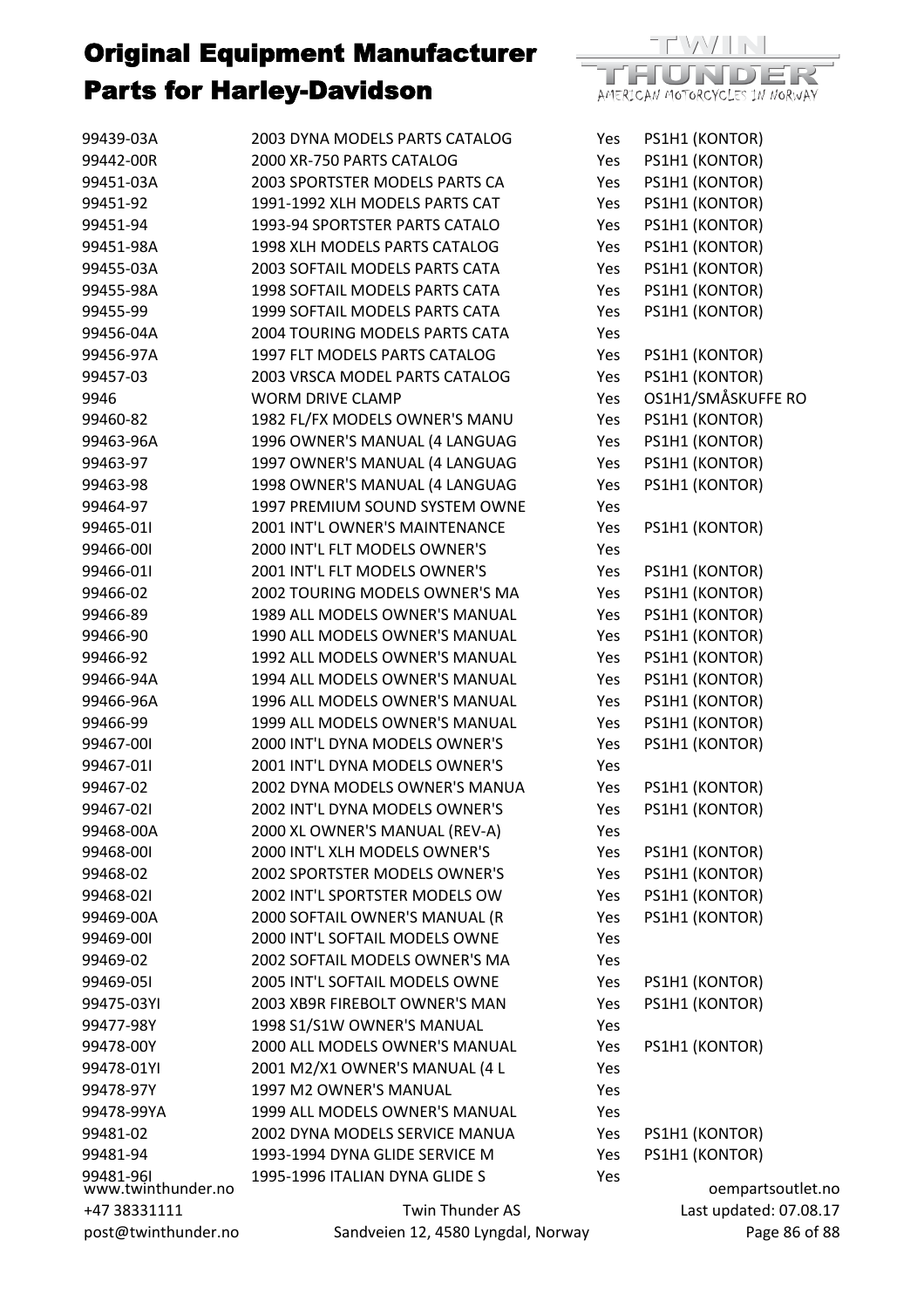| 99439-03A                                                 | 2003 DYNA MODELS PARTS CATALOG | Yes | PS1H1 (KONTOR)     |
|-----------------------------------------------------------|--------------------------------|-----|--------------------|
| 99442-00R                                                 | 2000 XR-750 PARTS CATALOG      | Yes | PS1H1 (KONTOR)     |
| 99451-03A                                                 | 2003 SPORTSTER MODELS PARTS CA | Yes | PS1H1 (KONTOR)     |
| 99451-92                                                  | 1991-1992 XLH MODELS PARTS CAT | Yes | PS1H1 (KONTOR)     |
| 99451-94                                                  | 1993-94 SPORTSTER PARTS CATALO | Yes | PS1H1 (KONTOR)     |
| 99451-98A                                                 | 1998 XLH MODELS PARTS CATALOG  | Yes | PS1H1 (KONTOR)     |
| 99455-03A                                                 | 2003 SOFTAIL MODELS PARTS CATA | Yes | PS1H1 (KONTOR)     |
| 99455-98A                                                 | 1998 SOFTAIL MODELS PARTS CATA | Yes | PS1H1 (KONTOR)     |
| 99455-99                                                  | 1999 SOFTAIL MODELS PARTS CATA | Yes | PS1H1 (KONTOR)     |
| 99456-04A                                                 | 2004 TOURING MODELS PARTS CATA | Yes |                    |
| 99456-97A                                                 | 1997 FLT MODELS PARTS CATALOG  | Yes | PS1H1 (KONTOR)     |
| 99457-03                                                  | 2003 VRSCA MODEL PARTS CATALOG | Yes | PS1H1 (KONTOR)     |
| 9946                                                      | <b>WORM DRIVE CLAMP</b>        | Yes | OS1H1/SMÅSKUFFE RO |
| 99460-82                                                  | 1982 FL/FX MODELS OWNER'S MANU | Yes | PS1H1 (KONTOR)     |
| 99463-96A                                                 | 1996 OWNER'S MANUAL (4 LANGUAG | Yes | PS1H1 (KONTOR)     |
| 99463-97                                                  | 1997 OWNER'S MANUAL (4 LANGUAG | Yes | PS1H1 (KONTOR)     |
| 99463-98                                                  | 1998 OWNER'S MANUAL (4 LANGUAG | Yes | PS1H1 (KONTOR)     |
| 99464-97                                                  | 1997 PREMIUM SOUND SYSTEM OWNE | Yes |                    |
| 99465-011                                                 | 2001 INT'L OWNER'S MAINTENANCE | Yes | PS1H1 (KONTOR)     |
| 99466-001                                                 | 2000 INT'L FLT MODELS OWNER'S  | Yes |                    |
| 99466-01                                                  | 2001 INT'L FLT MODELS OWNER'S  | Yes | PS1H1 (KONTOR)     |
| 99466-02                                                  | 2002 TOURING MODELS OWNER'S MA | Yes | PS1H1 (KONTOR)     |
| 99466-89                                                  | 1989 ALL MODELS OWNER'S MANUAL | Yes | PS1H1 (KONTOR)     |
| 99466-90                                                  | 1990 ALL MODELS OWNER'S MANUAL | Yes | PS1H1 (KONTOR)     |
| 99466-92                                                  | 1992 ALL MODELS OWNER'S MANUAL | Yes | PS1H1 (KONTOR)     |
| 99466-94A                                                 | 1994 ALL MODELS OWNER'S MANUAL | Yes | PS1H1 (KONTOR)     |
| 99466-96A                                                 | 1996 ALL MODELS OWNER'S MANUAL | Yes | PS1H1 (KONTOR)     |
| 99466-99                                                  | 1999 ALL MODELS OWNER'S MANUAL | Yes | PS1H1 (KONTOR)     |
| 99467-001                                                 | 2000 INT'L DYNA MODELS OWNER'S | Yes | PS1H1 (KONTOR)     |
| 99467-011                                                 | 2001 INT'L DYNA MODELS OWNER'S | Yes |                    |
| 99467-02                                                  | 2002 DYNA MODELS OWNER'S MANUA | Yes | PS1H1 (KONTOR)     |
| 99467-021                                                 | 2002 INT'L DYNA MODELS OWNER'S | Yes | PS1H1 (KONTOR)     |
| 99468-00A                                                 | 2000 XL OWNER'S MANUAL (REV-A) | Yes |                    |
| 99468-001                                                 | 2000 INT'L XLH MODELS OWNER'S  | Yes | PS1H1 (KONTOR)     |
| 99468-02                                                  | 2002 SPORTSTER MODELS OWNER'S  | Yes | PS1H1 (KONTOR)     |
| 99468-021                                                 | 2002 INT'L SPORTSTER MODELS OW | Yes | PS1H1 (KONTOR)     |
| 99469-00A                                                 | 2000 SOFTAIL OWNER'S MANUAL (R | Yes | PS1H1 (KONTOR)     |
| 99469-001                                                 | 2000 INT'L SOFTAIL MODELS OWNE | Yes |                    |
| 99469-02                                                  | 2002 SOFTAIL MODELS OWNER'S MA | Yes |                    |
| 99469-051                                                 | 2005 INT'L SOFTAIL MODELS OWNE | Yes | PS1H1 (KONTOR)     |
| 99475-03YI                                                | 2003 XB9R FIREBOLT OWNER'S MAN | Yes | PS1H1 (KONTOR)     |
| 99477-98Y                                                 | 1998 S1/S1W OWNER'S MANUAL     | Yes |                    |
| 99478-00Y                                                 | 2000 ALL MODELS OWNER'S MANUAL | Yes | PS1H1 (KONTOR)     |
| 99478-01YI                                                | 2001 M2/X1 OWNER'S MANUAL (4 L | Yes |                    |
| 99478-97Y                                                 | 1997 M2 OWNER'S MANUAL         | Yes |                    |
| 99478-99YA                                                | 1999 ALL MODELS OWNER'S MANUAL | Yes |                    |
| 99481-02                                                  | 2002 DYNA MODELS SERVICE MANUA | Yes | PS1H1 (KONTOR)     |
| 99481-94                                                  | 1993-1994 DYNA GLIDE SERVICE M | Yes | PS1H1 (KONTOR)     |
| 99481-96I<br>www.twinthunder.no                           | 1995-1996 ITALIAN DYNA GLIDE S | Yes | oempartsoutle      |
| Twin Thunder AS<br>+47 38331111                           |                                |     | Last updated: 07.0 |
| Sandveien 12, 4580 Lyngdal, Norway<br>post@twinthunder.no |                                |     | Page 86            |

 $\rightarrow$  VV/T  $\rightarrow$ 厅 ren VDER AMERICAN MOTORCYCLES IN NORWAY

> tsoutlet.no  $d: 07.08.17$ Page 86 of 88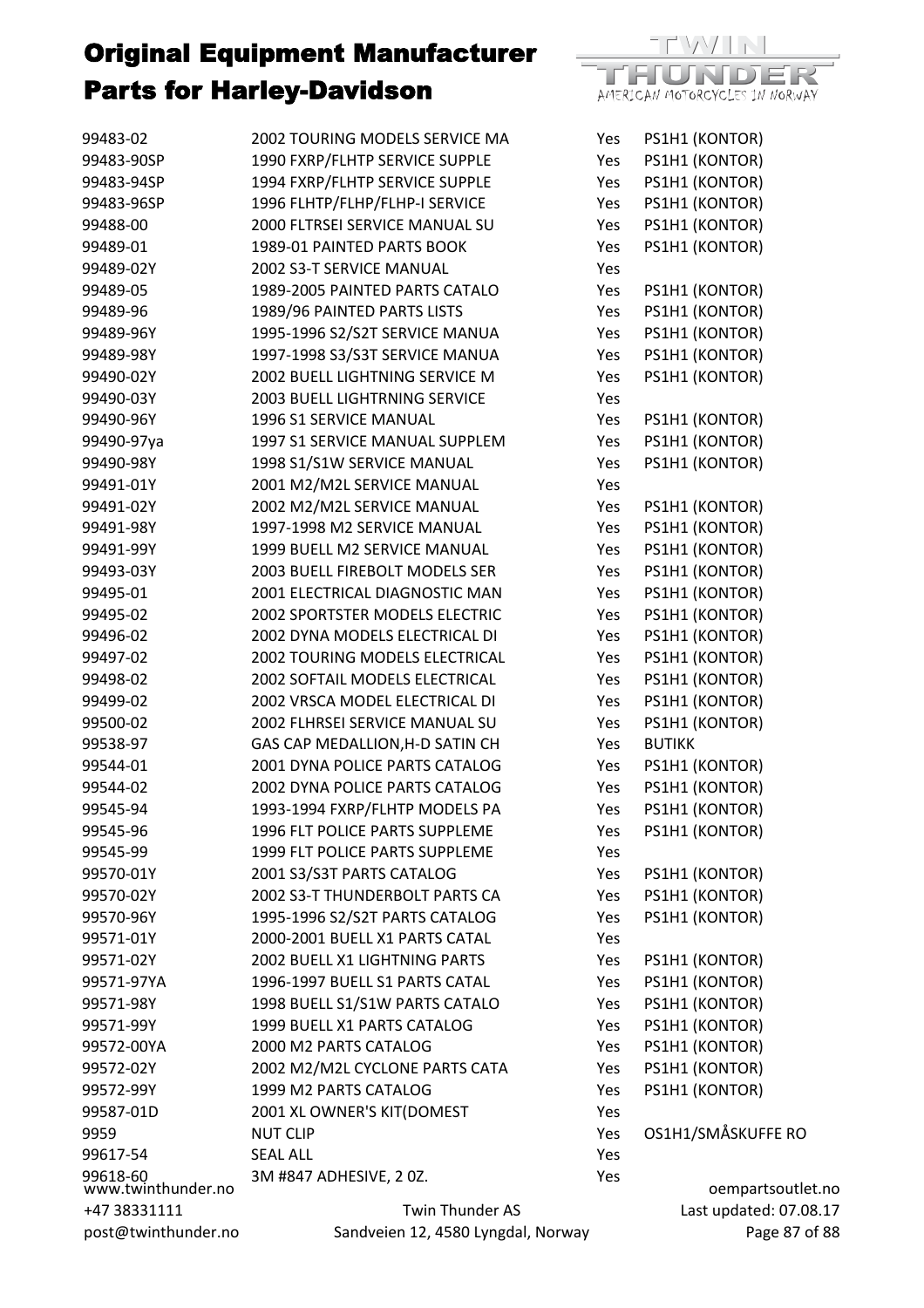| 99483-02                       | 2002 TOURING MODELS SERVICE MA        | Yes | PS1H1 (KONTOR)         |
|--------------------------------|---------------------------------------|-----|------------------------|
| 99483-90SP                     | 1990 FXRP/FLHTP SERVICE SUPPLE        | Yes | PS1H1 (KONTOR)         |
| 99483-94SP                     | 1994 FXRP/FLHTP SERVICE SUPPLE        | Yes | PS1H1 (KONTOR)         |
| 99483-96SP                     | 1996 FLHTP/FLHP/FLHP-I SERVICE        | Yes | PS1H1 (KONTOR)         |
| 99488-00                       | 2000 FLTRSEI SERVICE MANUAL SU        | Yes | PS1H1 (KONTOR)         |
| 99489-01                       | 1989-01 PAINTED PARTS BOOK            | Yes | PS1H1 (KONTOR)         |
| 99489-02Y                      | 2002 S3-T SERVICE MANUAL              | Yes |                        |
| 99489-05                       | 1989-2005 PAINTED PARTS CATALO        | Yes | PS1H1 (KONTOR)         |
| 99489-96                       | 1989/96 PAINTED PARTS LISTS           | Yes | PS1H1 (KONTOR)         |
| 99489-96Y                      | 1995-1996 S2/S2T SERVICE MANUA        | Yes | PS1H1 (KONTOR)         |
| 99489-98Y                      | 1997-1998 S3/S3T SERVICE MANUA        | Yes | PS1H1 (KONTOR)         |
| 99490-02Y                      | 2002 BUELL LIGHTNING SERVICE M        | Yes | PS1H1 (KONTOR)         |
| 99490-03Y                      | <b>2003 BUELL LIGHTRNING SERVICE</b>  | Yes |                        |
| 99490-96Y                      | 1996 S1 SERVICE MANUAL                | Yes | PS1H1 (KONTOR)         |
| 99490-97ya                     | 1997 S1 SERVICE MANUAL SUPPLEM        | Yes | PS1H1 (KONTOR)         |
| 99490-98Y                      | 1998 S1/S1W SERVICE MANUAL            | Yes | PS1H1 (KONTOR)         |
| 99491-01Y                      | 2001 M2/M2L SERVICE MANUAL            | Yes |                        |
| 99491-02Y                      | 2002 M2/M2L SERVICE MANUAL            | Yes | PS1H1 (KONTOR)         |
| 99491-98Y                      | 1997-1998 M2 SERVICE MANUAL           | Yes | PS1H1 (KONTOR)         |
| 99491-99Y                      | 1999 BUELL M2 SERVICE MANUAL          | Yes | PS1H1 (KONTOR)         |
| 99493-03Y                      | 2003 BUELL FIREBOLT MODELS SER        | Yes | PS1H1 (KONTOR)         |
| 99495-01                       | 2001 ELECTRICAL DIAGNOSTIC MAN        | Yes | PS1H1 (KONTOR)         |
| 99495-02                       | <b>2002 SPORTSTER MODELS ELECTRIC</b> | Yes | PS1H1 (KONTOR)         |
| 99496-02                       | 2002 DYNA MODELS ELECTRICAL DI        | Yes | PS1H1 (KONTOR)         |
| 99497-02                       | 2002 TOURING MODELS ELECTRICAL        | Yes | PS1H1 (KONTOR)         |
| 99498-02                       | 2002 SOFTAIL MODELS ELECTRICAL        | Yes | PS1H1 (KONTOR)         |
| 99499-02                       | 2002 VRSCA MODEL ELECTRICAL DI        | Yes | PS1H1 (KONTOR)         |
| 99500-02                       | 2002 FLHRSEI SERVICE MANUAL SU        | Yes | PS1H1 (KONTOR)         |
| 99538-97                       | GAS CAP MEDALLION, H-D SATIN CH       | Yes | <b>BUTIKK</b>          |
| 99544-01                       | 2001 DYNA POLICE PARTS CATALOG        | Yes | PS1H1 (KONTOR)         |
| 99544-02                       | 2002 DYNA POLICE PARTS CATALOG        | Yes | PS1H1 (KONTOR)         |
| 99545-94                       | 1993-1994 FXRP/FLHTP MODELS PA        | Yes | PS1H1 (KONTOR)         |
| 99545-96                       | 1996 FLT POLICE PARTS SUPPLEME        | Yes | PS1H1 (KONTOR)         |
| 99545-99                       | 1999 FLT POLICE PARTS SUPPLEME        | Yes |                        |
| 99570-01Y                      | 2001 S3/S3T PARTS CATALOG             | Yes | PS1H1 (KONTOR)         |
| 99570-02Y                      | 2002 S3-T THUNDERBOLT PARTS CA        | Yes | PS1H1 (KONTOR)         |
| 99570-96Y                      | 1995-1996 S2/S2T PARTS CATALOG        | Yes | PS1H1 (KONTOR)         |
| 99571-01Y                      | 2000-2001 BUELL X1 PARTS CATAL        | Yes |                        |
| 99571-02Y                      | 2002 BUELL X1 LIGHTNING PARTS         | Yes | PS1H1 (KONTOR)         |
| 99571-97YA                     | 1996-1997 BUELL S1 PARTS CATAL        | Yes | PS1H1 (KONTOR)         |
| 99571-98Y                      | 1998 BUELL S1/S1W PARTS CATALO        | Yes | PS1H1 (KONTOR)         |
| 99571-99Y                      | 1999 BUELL X1 PARTS CATALOG           | Yes | PS1H1 (KONTOR)         |
| 99572-00YA                     | 2000 M2 PARTS CATALOG                 | Yes | PS1H1 (KONTOR)         |
| 99572-02Y                      | 2002 M2/M2L CYCLONE PARTS CATA        | Yes | PS1H1 (KONTOR)         |
| 99572-99Y                      | 1999 M2 PARTS CATALOG                 | Yes | PS1H1 (KONTOR)         |
| 99587-01D                      | 2001 XL OWNER'S KIT(DOMEST            | Yes |                        |
| 9959                           | <b>NUT CLIP</b>                       | Yes | OS1H1/SMÅSKUFFE RO     |
| 99617-54                       | <b>SEAL ALL</b>                       | Yes |                        |
| 99618-60<br>www.twinthunder.no | 3M #847 ADHESIVE, 20Z.                | Yes | oempartsoutlet.no      |
| +47 38331111                   | Twin Thunder AS                       |     | Last updated: 07.08.17 |
| post@twinthunder.no            | Sandveien 12, 4580 Lyngdal, Norway    |     | Page 87 of 88          |

DER

AMERICAN MOTORCYCLES IN NORWAY

TH